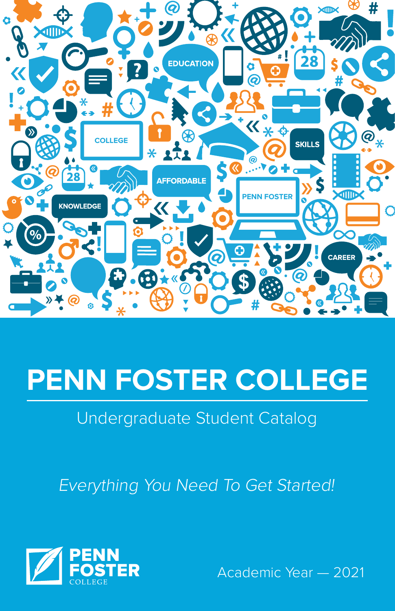

# **PENN FOSTER COLLEGE**

## Undergraduate Student Catalog

Everything You Need To Get Started!



Academic Year — 2021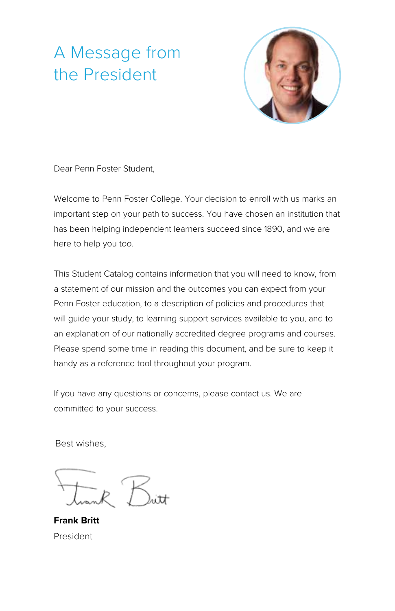## A Message from the President



Dear Penn Foster Student,

Welcome to Penn Foster College. Your decision to enroll with us marks an important step on your path to success. You have chosen an institution that has been helping independent learners succeed since 1890, and we are here to help you too.

This Student Catalog contains information that you will need to know, from a statement of our mission and the outcomes you can expect from your Penn Foster education, to a description of policies and procedures that will guide your study, to learning support services available to you, and to an explanation of our nationally accredited degree programs and courses. Please spend some time in reading this document, and be sure to keep it handy as a reference tool throughout your program.

If you have any questions or concerns, please contact us. We are committed to your success.

Best wishes,

**Frank Britt** President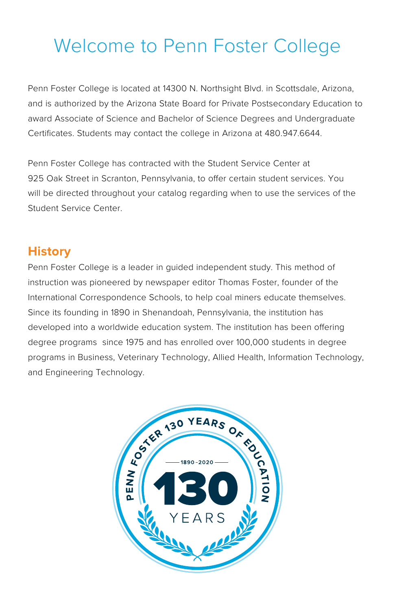## Welcome to Penn Foster College

Penn Foster College is located at 14300 N. Northsight Blvd. in Scottsdale, Arizona, and is authorized by the Arizona State Board for Private Postsecondary Education to award Associate of Science and Bachelor of Science Degrees and Undergraduate Certificates. Students may contact the college in Arizona at 480.947.6644.

Penn Foster College has contracted with the Student Service Center at 925 Oak Street in Scranton, Pennsylvania, to offer certain student services. You will be directed throughout your catalog regarding when to use the services of the Student Service Center.

### **History**

Penn Foster College is a leader in guided independent study. This method of instruction was pioneered by newspaper editor Thomas Foster, founder of the International Correspondence Schools, to help coal miners educate themselves. Since its founding in 1890 in Shenandoah, Pennsylvania, the institution has developed into a worldwide education system. The institution has been offering degree programs since 1975 and has enrolled over 100,000 students in degree programs in Business, Veterinary Technology, Allied Health, Information Technology, and Engineering Technology.

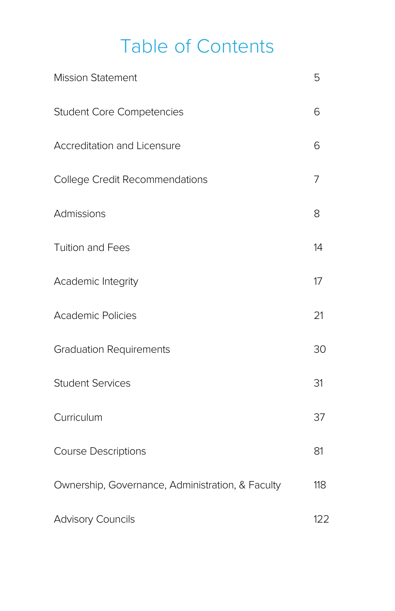## Table of Contents

| <b>Mission Statement</b>                         | 5   |
|--------------------------------------------------|-----|
| <b>Student Core Competencies</b>                 | 6   |
| Accreditation and Licensure                      | 6   |
| College Credit Recommendations                   | 7   |
| <b>Admissions</b>                                | 8   |
| Tuition and Fees                                 | 14  |
| Academic Integrity                               | 17  |
| <b>Academic Policies</b>                         | 21  |
| <b>Graduation Requirements</b>                   | 30  |
| <b>Student Services</b>                          | 31  |
| Curriculum                                       | 37  |
| <b>Course Descriptions</b>                       | 81  |
| Ownership, Governance, Administration, & Faculty | 118 |
| <b>Advisory Councils</b>                         | 122 |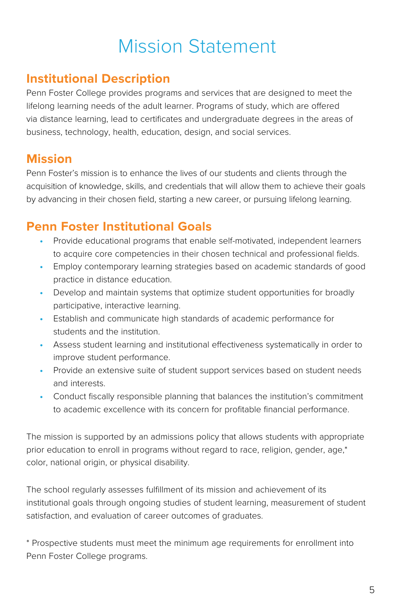## Mission Statement

### **Institutional Description**

Penn Foster College provides programs and services that are designed to meet the lifelong learning needs of the adult learner. Programs of study, which are offered via distance learning, lead to certificates and undergraduate degrees in the areas of business, technology, health, education, design, and social services.

### **Mission**

Penn Foster's mission is to enhance the lives of our students and clients through the acquisition of knowledge, skills, and credentials that will allow them to achieve their goals by advancing in their chosen field, starting a new career, or pursuing lifelong learning.

### **Penn Foster Institutional Goals**

- **•** Provide educational programs that enable self-motivated, independent learners to acquire core competencies in their chosen technical and professional fields.
- **•** Employ contemporary learning strategies based on academic standards of good practice in distance education.
- **•** Develop and maintain systems that optimize student opportunities for broadly participative, interactive learning.
- **•** Establish and communicate high standards of academic performance for students and the institution.
- **•** Assess student learning and institutional effectiveness systematically in order to improve student performance.
- **•** Provide an extensive suite of student support services based on student needs and interests.
- **•** Conduct fiscally responsible planning that balances the institution's commitment to academic excellence with its concern for profitable financial performance.

The mission is supported by an admissions policy that allows students with appropriate prior education to enroll in programs without regard to race, religion, gender, age,\* color, national origin, or physical disability.

The school regularly assesses fulfillment of its mission and achievement of its institutional goals through ongoing studies of student learning, measurement of student satisfaction, and evaluation of career outcomes of graduates.

\* Prospective students must meet the minimum age requirements for enrollment into Penn Foster College programs.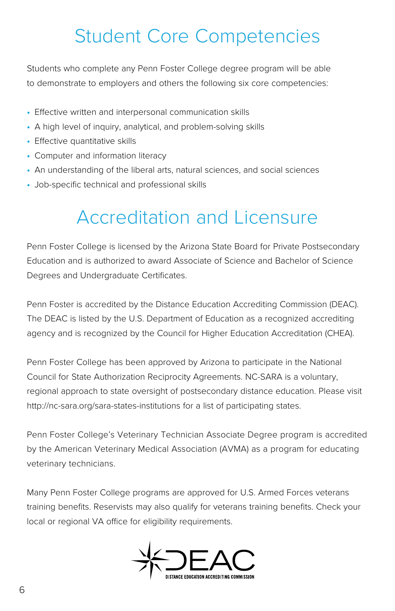## Student Core Competencies

Students who complete any Penn Foster College degree program will be able to demonstrate to employers and others the following six core competencies:

- **•** Effective written and interpersonal communication skills
- **•** A high level of inquiry, analytical, and problem-solving skills
- **•** Effective quantitative skills
- **•** Computer and information literacy
- **•** An understanding of the liberal arts, natural sciences, and social sciences
- **•** Job-specific technical and professional skills

## Accreditation and Licensure

Penn Foster College is licensed by the Arizona State Board for Private Postsecondary Education and is authorized to award Associate of Science and Bachelor of Science Degrees and Undergraduate Certificates.

Penn Foster is accredited by the Distance Education Accrediting Commission (DEAC). The DEAC is listed by the U.S. Department of Education as a recognized accrediting agency and is recognized by the Council for Higher Education Accreditation (CHEA).

Penn Foster College has been approved by Arizona to participate in the National Council for State Authorization Reciprocity Agreements. NC-SARA is a voluntary, regional approach to state oversight of postsecondary distance education. Please visit http://nc-sara.org/sara-states-institutions for a list of participating states.

Penn Foster College's Veterinary Technician Associate Degree program is accredited by the American Veterinary Medical Association (AVMA) as a program for educating veterinary technicians.

Many Penn Foster College programs are approved for U.S. Armed Forces veterans training benefits. Reservists may also qualify for veterans training benefits. Check your local or regional VA office for eligibility requirements.

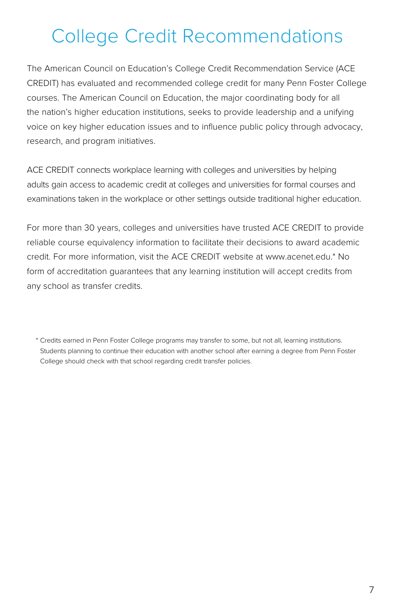## College Credit Recommendations

The American Council on Education's College Credit Recommendation Service (ACE CREDIT) has evaluated and recommended college credit for many Penn Foster College courses. The American Council on Education, the major coordinating body for all the nation's higher education institutions, seeks to provide leadership and a unifying voice on key higher education issues and to influence public policy through advocacy, research, and program initiatives.

ACE CREDIT connects workplace learning with colleges and universities by helping adults gain access to academic credit at colleges and universities for formal courses and examinations taken in the workplace or other settings outside traditional higher education.

For more than 30 years, colleges and universities have trusted ACE CREDIT to provide reliable course equivalency information to facilitate their decisions to award academic credit. For more information, visit the ACE CREDIT website at [www.acenet.edu.](http://www.acenet.edu)\* No form of accreditation guarantees that any learning institution will accept credits from any school as transfer credits.

<sup>\*</sup> Credits earned in Penn Foster College programs may transfer to some, but not all, learning institutions. Students planning to continue their education with another school after earning a degree from Penn Foster College should check with that school regarding credit transfer policies.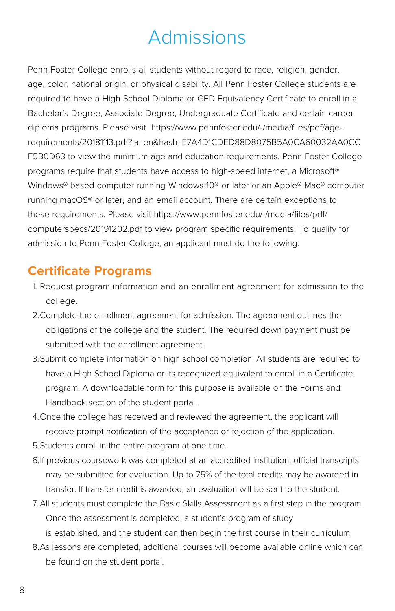## Admissions

Penn Foster College enrolls all students without regard to race, religion, gender, age, color, national origin, or physical disability. All Penn Foster College students are required to have a High School Diploma or GED Equivalency Certificate to enroll in a Bachelor's Degree, Associate Degree, Undergraduate Certificate and certain career diploma programs. Please visit https://www.pennfoster.edu/-/media/files/pdf/agerequirements/20181113.pdf?la=en&hash=E7A4D1CDED88D8075B5A0CA60032AA0CC F5B0D63 to view the minimum age and education requirements. Penn Foster College programs require that students have access to high-speed internet, a Microsoft® Windows® based computer running Windows 10® or later or an Apple® Mac® computer running macOS® or later, and an email account. There are certain exceptions to these requirements. Please visit https://www.pennfoster.edu/-/media/files/pdf/ computerspecs/20191202.pdf to view program specific requirements. To qualify for admission to Penn Foster College, an applicant must do the following:

### **Certificate Programs**

- 1. Request program information and an enrollment agreement for admission to the college.
- 2.Complete the enrollment agreement for admission. The agreement outlines the obligations of the college and the student. The required down payment must be submitted with the enrollment agreement.
- 3.Submit complete information on high school completion. All students are required to have a High School Diploma or its recognized equivalent to enroll in a Certificate program. A downloadable form for this purpose is available on the Forms and Handbook section of the student portal.
- 4.Once the college has received and reviewed the agreement, the applicant will receive prompt notification of the acceptance or rejection of the application.
- 5.Students enroll in the entire program at one time.
- 6.If previous coursework was completed at an accredited institution, official transcripts may be submitted for evaluation. Up to 75% of the total credits may be awarded in transfer. If transfer credit is awarded, an evaluation will be sent to the student.
- 7.All students must complete the Basic Skills Assessment as a first step in the program. Once the assessment is completed, a student's program of study is established, and the student can then begin the first course in their curriculum.
- 8.As lessons are completed, additional courses will become available online which can be found on the student portal.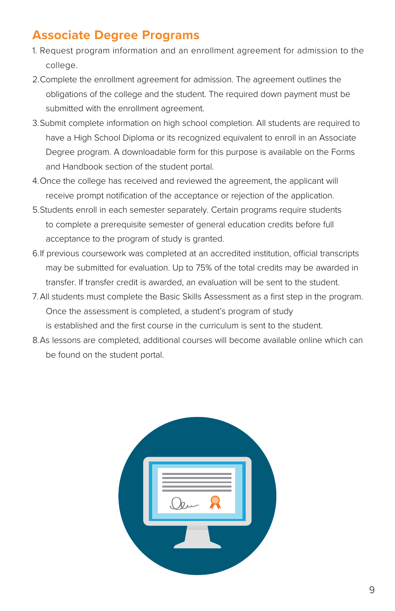### **Associate Degree Programs**

- 1. Request program information and an enrollment agreement for admission to the college.
- 2.Complete the enrollment agreement for admission. The agreement outlines the obligations of the college and the student. The required down payment must be submitted with the enrollment agreement.
- 3.Submit complete information on high school completion. All students are required to have a High School Diploma or its recognized equivalent to enroll in an Associate Degree program. A downloadable form for this purpose is available on the Forms and Handbook section of the student portal.
- 4.Once the college has received and reviewed the agreement, the applicant will receive prompt notification of the acceptance or rejection of the application.
- 5.Students enroll in each semester separately. Certain programs require students to complete a prerequisite semester of general education credits before full acceptance to the program of study is granted.
- 6.If previous coursework was completed at an accredited institution, official transcripts may be submitted for evaluation. Up to 75% of the total credits may be awarded in transfer. If transfer credit is awarded, an evaluation will be sent to the student.
- 7.All students must complete the Basic Skills Assessment as a first step in the program. Once the assessment is completed, a student's program of study is established and the first course in the curriculum is sent to the student.
- 8.As lessons are completed, additional courses will become available online which can be found on the student portal.

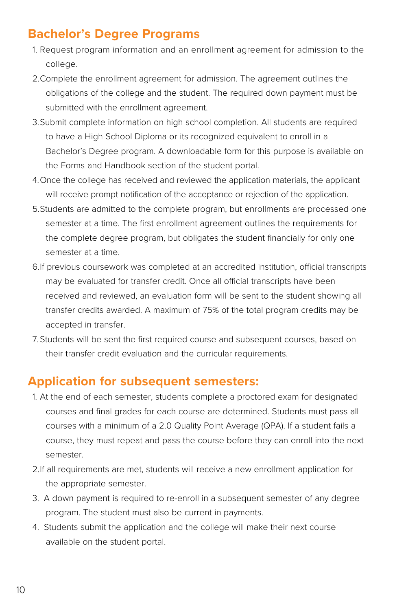### **Bachelor's Degree Programs**

- 1. Request program information and an enrollment agreement for admission to the college.
- 2.Complete the enrollment agreement for admission. The agreement outlines the obligations of the college and the student. The required down payment must be submitted with the enrollment agreement.
- 3.Submit complete information on high school completion. All students are required to have a High School Diploma or its recognized equivalent to enroll in a Bachelor's Degree program. A downloadable form for this purpose is available on the Forms and Handbook section of the student portal.
- 4.Once the college has received and reviewed the application materials, the applicant will receive prompt notification of the acceptance or rejection of the application.
- 5.Students are admitted to the complete program, but enrollments are processed one semester at a time. The first enrollment agreement outlines the requirements for the complete degree program, but obligates the student financially for only one semester at a time.
- 6.If previous coursework was completed at an accredited institution, official transcripts may be evaluated for transfer credit. Once all official transcripts have been received and reviewed, an evaluation form will be sent to the student showing all transfer credits awarded. A maximum of 75% of the total program credits may be accepted in transfer.
- 7.Students will be sent the first required course and subsequent courses, based on their transfer credit evaluation and the curricular requirements.

### **Application for subsequent semesters:**

- 1. At the end of each semester, students complete a proctored exam for designated courses and final grades for each course are determined. Students must pass all courses with a minimum of a 2.0 Quality Point Average (QPA). If a student fails a course, they must repeat and pass the course before they can enroll into the next semester.
- 2.If all requirements are met, students will receive a new enrollment application for the appropriate semester.
- 3. A down payment is required to re-enroll in a subsequent semester of any degree program. The student must also be current in payments.
- 4. Students submit the application and the college will make their next course available on the student portal.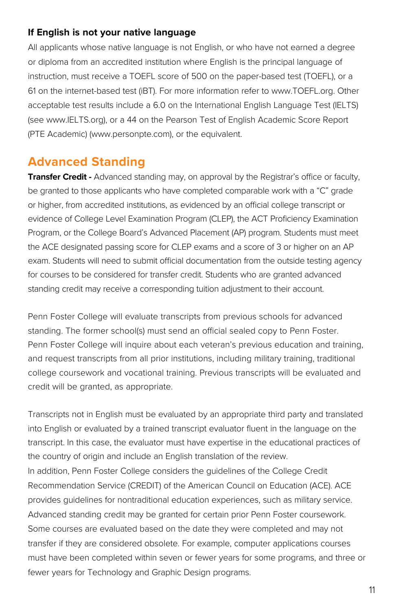#### **If English is not your native language**

All applicants whose native language is not English, or who have not earned a degree or diploma from an accredited institution where English is the principal language of instruction, must receive a TOEFL score of 500 on the paper-based test (TOEFL), or a 61 on the internet-based test (iBT). For more information refer to www.TOEFL.org. Other acceptable test results include a 6.0 on the International English Language Test (IELTS) (see www.IELTS.org), or a 44 on the Pearson Test of English Academic Score Report (PTE Academic) (www.personpte.com), or the equivalent.

### **Advanced Standing**

**Transfer Credit -** Advanced standing may, on approval by the Registrar's office or faculty, be granted to those applicants who have completed comparable work with a "C" grade or higher, from accredited institutions, as evidenced by an official college transcript or evidence of College Level Examination Program (CLEP), the ACT Proficiency Examination Program, or the College Board's Advanced Placement (AP) program. Students must meet the ACE designated passing score for CLEP exams and a score of 3 or higher on an AP exam. Students will need to submit official documentation from the outside testing agency for courses to be considered for transfer credit. Students who are granted advanced standing credit may receive a corresponding tuition adjustment to their account.

Penn Foster College will evaluate transcripts from previous schools for advanced standing. The former school(s) must send an official sealed copy to Penn Foster. Penn Foster College will inquire about each veteran's previous education and training, and request transcripts from all prior institutions, including military training, traditional college coursework and vocational training. Previous transcripts will be evaluated and credit will be granted, as appropriate.

Transcripts not in English must be evaluated by an appropriate third party and translated into English or evaluated by a trained transcript evaluator fluent in the language on the transcript. In this case, the evaluator must have expertise in the educational practices of the country of origin and include an English translation of the review. In addition, Penn Foster College considers the guidelines of the College Credit Recommendation Service (CREDIT) of the American Council on Education (ACE). ACE provides guidelines for nontraditional education experiences, such as military service. Advanced standing credit may be granted for certain prior Penn Foster coursework. Some courses are evaluated based on the date they were completed and may not transfer if they are considered obsolete. For example, computer applications courses must have been completed within seven or fewer years for some programs, and three or fewer years for Technology and Graphic Design programs.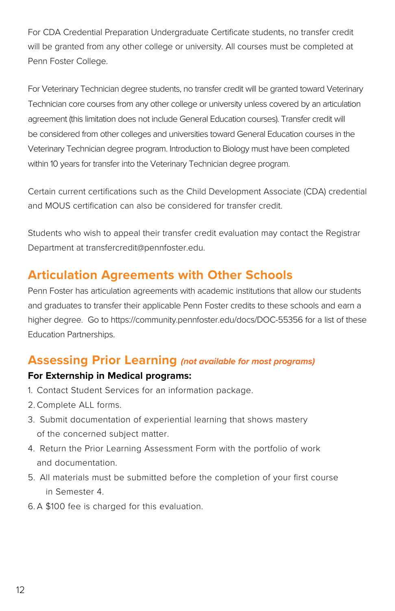For CDA Credential Preparation Undergraduate Certificate students, no transfer credit will be granted from any other college or university. All courses must be completed at Penn Foster College.

For Veterinary Technician degree students, no transfer credit will be granted toward Veterinary Technician core courses from any other college or university unless covered by an articulation agreement (this limitation does not include General Education courses). Transfer credit will be considered from other colleges and universities toward General Education courses in the Veterinary Technician degree program. Introduction to Biology must have been completed within 10 years for transfer into the Veterinary Technician degree program.

Certain current certifications such as the Child Development Associate (CDA) credential and MOUS certification can also be considered for transfer credit.

Students who wish to appeal their transfer credit evaluation may contact the Registrar Department at transfercredit@pennfoster.edu.

### **Articulation Agreements with Other Schools**

Penn Foster has articulation agreements with academic institutions that allow our students and graduates to transfer their applicable Penn Foster credits to these schools and earn a higher degree. Go to https://community.pennfoster.edu/docs/DOC-55356 for a list of these Education Partnerships.

#### **Assessing Prior Learning** *(not available for most programs)*

#### **For Externship in Medical programs:**

- 1. Contact Student Services for an information package.
- 2. Complete ALL forms.
- 3. Submit documentation of experiential learning that shows mastery of the concerned subject matter.
- 4. Return the Prior Learning Assessment Form with the portfolio of work and documentation.
- 5. All materials must be submitted before the completion of your first course in Semester 4.
- 6. A \$100 fee is charged for this evaluation.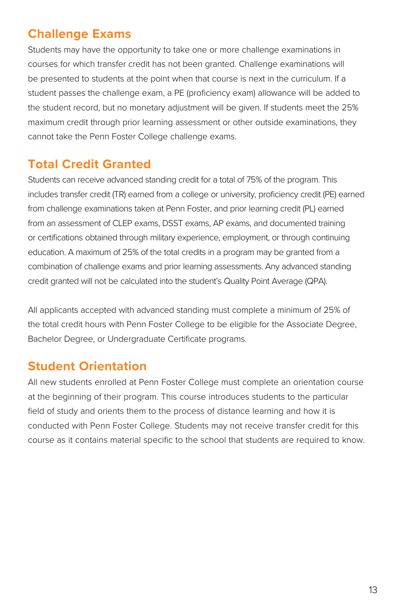### **Challenge Exams**

Students may have the opportunity to take one or more challenge examinations in courses for which transfer credit has not been granted. Challenge examinations will be presented to students at the point when that course is next in the curriculum. If a student passes the challenge exam, a PE (proficiency exam) allowance will be added to the student record, but no monetary adjustment will be given. If students meet the 25% maximum credit through prior learning assessment or other outside examinations, they cannot take the Penn Foster College challenge exams.

### **Total Credit Granted**

Students can receive advanced standing credit for a total of 75% of the program. This includes transfer credit (TR) earned from a college or university, proficiency credit (PE) earned from challenge examinations taken at Penn Foster, and prior learning credit (PL) earned from an assessment of CLEP exams, DSST exams, AP exams, and documented training or certifications obtained through military experience, employment, or through continuing education. A maximum of 25% of the total credits in a program may be granted from a combination of challenge exams and prior learning assessments. Any advanced standing credit granted will not be calculated into the student's Quality Point Average (QPA).

All applicants accepted with advanced standing must complete a minimum of 25% of the total credit hours with Penn Foster College to be eligible for the Associate Degree, Bachelor Degree, or Undergraduate Certificate programs.

### **Student Orientation**

All new students enrolled at Penn Foster College must complete an orientation course at the beginning of their program. This course introduces students to the particular field of study and orients them to the process of distance learning and how it is conducted with Penn Foster College. Students may not receive transfer credit for this course as it contains material specific to the school that students are required to know.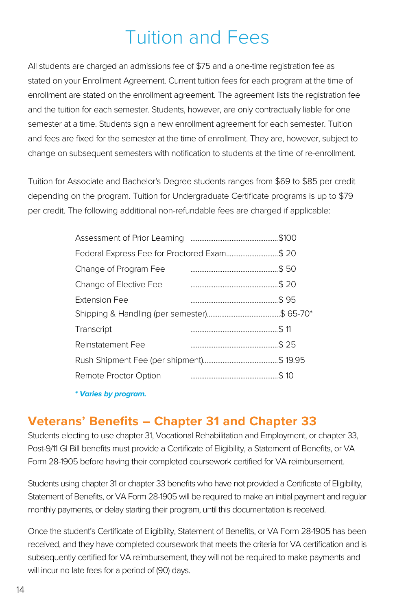## Tuition and Fees

All students are charged an admissions fee of \$75 and a one-time registration fee as stated on your Enrollment Agreement. Current tuition fees for each program at the time of enrollment are stated on the enrollment agreement. The agreement lists the registration fee and the tuition for each semester. Students, however, are only contractually liable for one semester at a time. Students sign a new enrollment agreement for each semester. Tuition and fees are fixed for the semester at the time of enrollment. They are, however, subject to change on subsequent semesters with notification to students at the time of re-enrollment.

Tuition for Associate and Bachelor's Degree students ranges from \$69 to \$85 per credit depending on the program. Tuition for Undergraduate Certificate programs is up to \$79 per credit. The following additional non-refundable fees are charged if applicable:

|                                             |  | \$100. |
|---------------------------------------------|--|--------|
| Federal Express Fee for Proctored Exam\$ 20 |  |        |
| Change of Program Fee                       |  | .\$ 50 |
| Change of Elective Fee                      |  |        |
| Extension Fee                               |  |        |
|                                             |  |        |
| Transcript                                  |  |        |
| Reinstatement Fee                           |  |        |
|                                             |  |        |
| Remote Proctor Option                       |  |        |
|                                             |  |        |

 *\* Varies by program.*

### **Veterans' Benefits – Chapter 31 and Chapter 33**

Students electing to use chapter 31, Vocational Rehabilitation and Employment, or chapter 33, Post-9/11 GI Bill benefits must provide a Certificate of Eligibility, a Statement of Benefits, or VA Form 28-1905 before having their completed coursework certified for VA reimbursement.

Students using chapter 31 or chapter 33 benefits who have not provided a Certificate of Eligibility, Statement of Benefits, or VA Form 28-1905 will be required to make an initial payment and regular monthly payments, or delay starting their program, until this documentation is received.

Once the student's Certificate of Eligibility, Statement of Benefits, or VA Form 28-1905 has been received, and they have completed coursework that meets the criteria for VA certification and is subsequently certified for VA reimbursement, they will not be required to make payments and will incur no late fees for a period of (90) days.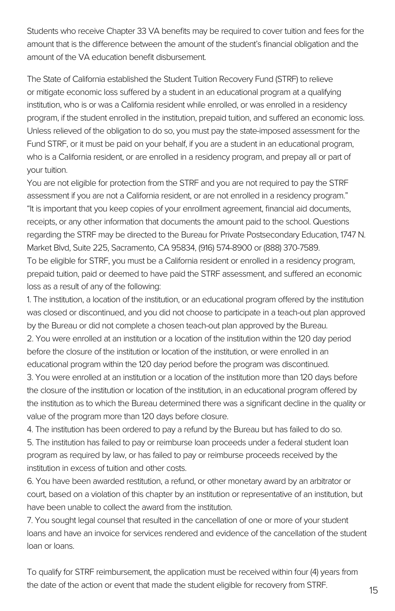Students who receive Chapter 33 VA benefits may be required to cover tuition and fees for the amount that is the difference between the amount of the student's financial obligation and the amount of the VA education benefit disbursement.

The State of California established the Student Tuition Recovery Fund (STRF) to relieve or mitigate economic loss suffered by a student in an educational program at a qualifying institution, who is or was a California resident while enrolled, or was enrolled in a residency program, if the student enrolled in the institution, prepaid tuition, and suffered an economic loss. Unless relieved of the obligation to do so, you must pay the state-imposed assessment for the Fund STRF, or it must be paid on your behalf, if you are a student in an educational program, who is a California resident, or are enrolled in a residency program, and prepay all or part of your tuition.

You are not eligible for protection from the STRF and you are not required to pay the STRF assessment if you are not a California resident, or are not enrolled in a residency program." "It is important that you keep copies of your enrollment agreement, financial aid documents, receipts, or any other information that documents the amount paid to the school. Questions regarding the STRF may be directed to the Bureau for Private Postsecondary Education, 1747 N. Market Blvd, Suite 225, Sacramento, CA 95834, (916) 574-8900 or (888) 370-7589. To be eligible for STRF, you must be a California resident or enrolled in a residency program, prepaid tuition, paid or deemed to have paid the STRF assessment, and suffered an economic loss as a result of any of the following:

1. The institution, a location of the institution, or an educational program offered by the institution was closed or discontinued, and you did not choose to participate in a teach-out plan approved by the Bureau or did not complete a chosen teach-out plan approved by the Bureau.

2. You were enrolled at an institution or a location of the institution within the 120 day period before the closure of the institution or location of the institution, or were enrolled in an educational program within the 120 day period before the program was discontinued.

3. You were enrolled at an institution or a location of the institution more than 120 days before the closure of the institution or location of the institution, in an educational program offered by the institution as to which the Bureau determined there was a significant decline in the quality or value of the program more than 120 days before closure.

4. The institution has been ordered to pay a refund by the Bureau but has failed to do so.

5. The institution has failed to pay or reimburse loan proceeds under a federal student loan program as required by law, or has failed to pay or reimburse proceeds received by the institution in excess of tuition and other costs.

6. You have been awarded restitution, a refund, or other monetary award by an arbitrator or court, based on a violation of this chapter by an institution or representative of an institution, but have been unable to collect the award from the institution.

7. You sought legal counsel that resulted in the cancellation of one or more of your student loans and have an invoice for services rendered and evidence of the cancellation of the student loan or loans.

To qualify for STRF reimbursement, the application must be received within four (4) years from the date of the action or event that made the student eligible for recovery from STRF.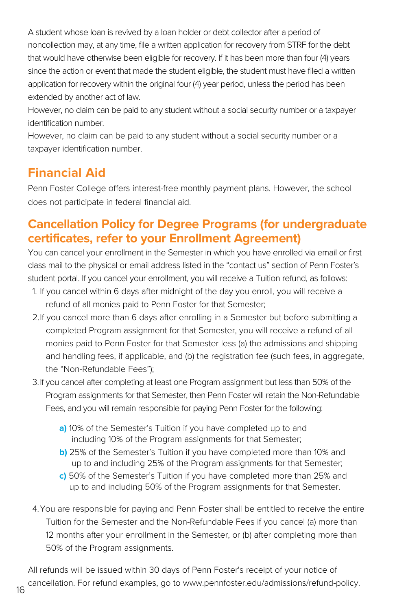A student whose loan is revived by a loan holder or debt collector after a period of noncollection may, at any time, file a written application for recovery from STRF for the debt that would have otherwise been eligible for recovery. If it has been more than four (4) years since the action or event that made the student eligible, the student must have filed a written application for recovery within the original four (4) year period, unless the period has been extended by another act of law.

However, no claim can be paid to any student without a social security number or a taxpayer identification number.

However, no claim can be paid to any student without a social security number or a taxpayer identification number.

### **Financial Aid**

Penn Foster College offers interest-free monthly payment plans. However, the school does not participate in federal financial aid.

### **Cancellation Policy for Degree Programs (for undergraduate certificates, refer to your Enrollment Agreement)**

You can cancel your enrollment in the Semester in which you have enrolled via email or first class mail to the physical or email address listed in the "contact us" section of Penn Foster's student portal. If you cancel your enrollment, you will receive a Tuition refund, as follows:

- 1. If you cancel within 6 days after midnight of the day you enroll, you will receive a refund of all monies paid to Penn Foster for that Semester;
- 2.If you cancel more than 6 days after enrolling in a Semester but before submitting a completed Program assignment for that Semester, you will receive a refund of all monies paid to Penn Foster for that Semester less (a) the admissions and shipping and handling fees, if applicable, and (b) the registration fee (such fees, in aggregate, the "Non-Refundable Fees");
- 3.If you cancel after completing at least one Program assignment but less than 50% of the Program assignments for that Semester, then Penn Foster will retain the Non-Refundable Fees, and you will remain responsible for paying Penn Foster for the following:
	- **a)** 10% of the Semester's Tuition if you have completed up to and including 10% of the Program assignments for that Semester;
	- **b)** 25% of the Semester's Tuition if you have completed more than 10% and up to and including 25% of the Program assignments for that Semester;
	- **c)** 50% of the Semester's Tuition if you have completed more than 25% and up to and including 50% of the Program assignments for that Semester.
- 4.You are responsible for paying and Penn Foster shall be entitled to receive the entire Tuition for the Semester and the Non-Refundable Fees if you cancel (a) more than 12 months after your enrollment in the Semester, or (b) after completing more than 50% of the Program assignments.

All refunds will be issued within 30 days of Penn Foster's receipt of your notice of cancellation. For refund examples, go to [www.pennfoster.edu/admissions/refund-policy](http://www.pennfoster.edu/admissions/refund-policy). <sup>16</sup>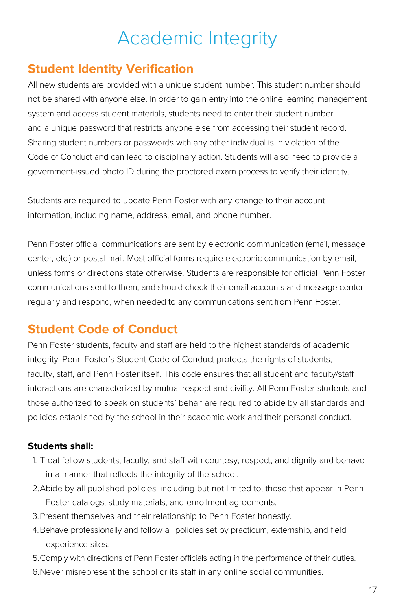## Academic Integrity

### **Student Identity Verification**

All new students are provided with a unique student number. This student number should not be shared with anyone else. In order to gain entry into the online learning management system and access student materials, students need to enter their student number and a unique password that restricts anyone else from accessing their student record. Sharing student numbers or passwords with any other individual is in violation of the Code of Conduct and can lead to disciplinary action. Students will also need to provide a government-issued photo ID during the proctored exam process to verify their identity.

Students are required to update Penn Foster with any change to their account information, including name, address, email, and phone number.

Penn Foster official communications are sent by electronic communication (email, message center, etc.) or postal mail. Most official forms require electronic communication by email, unless forms or directions state otherwise. Students are responsible for official Penn Foster communications sent to them, and should check their email accounts and message center regularly and respond, when needed to any communications sent from Penn Foster.

### **Student Code of Conduct**

Penn Foster students, faculty and staff are held to the highest standards of academic integrity. Penn Foster's Student Code of Conduct protects the rights of students, faculty, staff, and Penn Foster itself. This code ensures that all student and faculty/staff interactions are characterized by mutual respect and civility. All Penn Foster students and those authorized to speak on students' behalf are required to abide by all standards and policies established by the school in their academic work and their personal conduct.

#### **Students shall:**

- 1. Treat fellow students, faculty, and staff with courtesy, respect, and dignity and behave in a manner that reflects the integrity of the school.
- 2.Abide by all published policies, including but not limited to, those that appear in Penn Foster catalogs, study materials, and enrollment agreements.
- 3.Present themselves and their relationship to Penn Foster honestly.
- 4.Behave professionally and follow all policies set by practicum, externship, and field experience sites.
- 5.Comply with directions of Penn Foster officials acting in the performance of their duties.
- 6.Never misrepresent the school or its staff in any online social communities.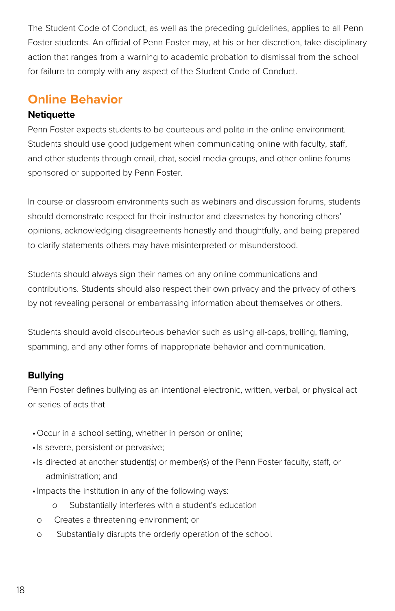The Student Code of Conduct, as well as the preceding guidelines, applies to all Penn Foster students. An official of Penn Foster may, at his or her discretion, take disciplinary action that ranges from a warning to academic probation to dismissal from the school for failure to comply with any aspect of the Student Code of Conduct.

### **Online Behavior**

#### **Netiquette**

Penn Foster expects students to be courteous and polite in the online environment. Students should use good judgement when communicating online with faculty, staff, and other students through email, chat, social media groups, and other online forums sponsored or supported by Penn Foster.

In course or classroom environments such as webinars and discussion forums, students should demonstrate respect for their instructor and classmates by honoring others' opinions, acknowledging disagreements honestly and thoughtfully, and being prepared to clarify statements others may have misinterpreted or misunderstood.

Students should always sign their names on any online communications and contributions. Students should also respect their own privacy and the privacy of others by not revealing personal or embarrassing information about themselves or others.

Students should avoid discourteous behavior such as using all-caps, trolling, flaming, spamming, and any other forms of inappropriate behavior and communication.

#### **Bullying**

Penn Foster defines bullying as an intentional electronic, written, verbal, or physical act or series of acts that

- •Occur in a school setting, whether in person or online;
- •Is severe, persistent or pervasive;
- •Is directed at another student(s) or member(s) of the Penn Foster faculty, staff, or administration; and
- •Impacts the institution in any of the following ways:
	- o Substantially interferes with a student's education
	- o Creates a threatening environment; or
	- o Substantially disrupts the orderly operation of the school.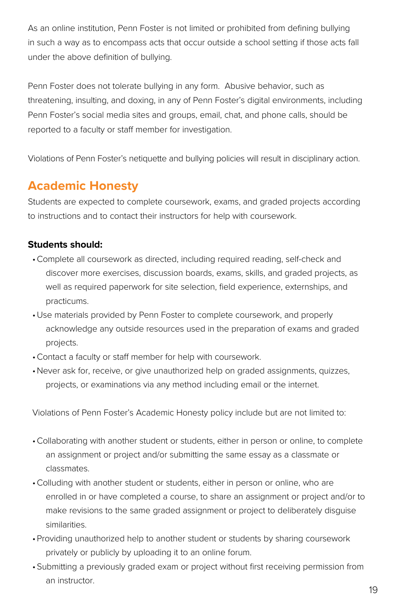As an online institution, Penn Foster is not limited or prohibited from defining bullying in such a way as to encompass acts that occur outside a school setting if those acts fall under the above definition of bullying.

Penn Foster does not tolerate bullying in any form. Abusive behavior, such as threatening, insulting, and doxing, in any of Penn Foster's digital environments, including Penn Foster's social media sites and groups, email, chat, and phone calls, should be reported to a faculty or staff member for investigation.

Violations of Penn Foster's netiquette and bullying policies will result in disciplinary action.

### **Academic Honesty**

Students are expected to complete coursework, exams, and graded projects according to instructions and to contact their instructors for help with coursework.

#### **Students should:**

- •Complete all coursework as directed, including required reading, self-check and discover more exercises, discussion boards, exams, skills, and graded projects, as well as required paperwork for site selection, field experience, externships, and practicums.
- •Use materials provided by Penn Foster to complete coursework, and properly acknowledge any outside resources used in the preparation of exams and graded projects.
- •Contact a faculty or staff member for help with coursework.
- •Never ask for, receive, or give unauthorized help on graded assignments, quizzes, projects, or examinations via any method including email or the internet.

Violations of Penn Foster's Academic Honesty policy include but are not limited to:

- •Collaborating with another student or students, either in person or online, to complete an assignment or project and/or submitting the same essay as a classmate or classmates.
- •Colluding with another student or students, either in person or online, who are enrolled in or have completed a course, to share an assignment or project and/or to make revisions to the same graded assignment or project to deliberately disguise similarities.
- •Providing unauthorized help to another student or students by sharing coursework privately or publicly by uploading it to an online forum.
- •Submitting a previously graded exam or project without first receiving permission from an instructor.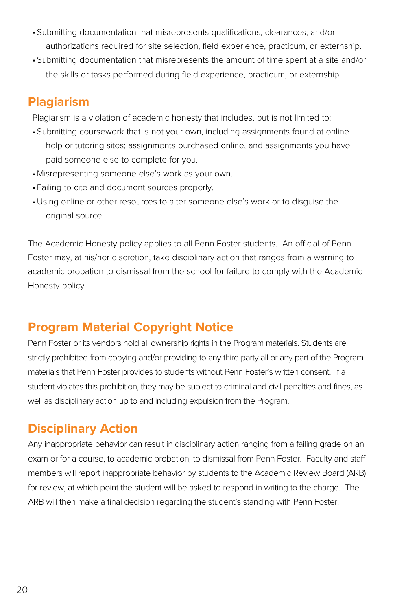- •Submitting documentation that misrepresents qualifications, clearances, and/or authorizations required for site selection, field experience, practicum, or externship.
- •Submitting documentation that misrepresents the amount of time spent at a site and/or the skills or tasks performed during field experience, practicum, or externship.

### **Plagiarism**

Plagiarism is a violation of academic honesty that includes, but is not limited to:

- •Submitting coursework that is not your own, including assignments found at online help or tutoring sites; assignments purchased online, and assignments you have paid someone else to complete for you.
- •Misrepresenting someone else's work as your own.
- Failing to cite and document sources properly.
- •Using online or other resources to alter someone else's work or to disguise the original source.

The Academic Honesty policy applies to all Penn Foster students. An official of Penn Foster may, at his/her discretion, take disciplinary action that ranges from a warning to academic probation to dismissal from the school for failure to comply with the Academic Honesty policy.

### **Program Material Copyright Notice**

Penn Foster or its vendors hold all ownership rights in the Program materials. Students are strictly prohibited from copying and/or providing to any third party all or any part of the Program materials that Penn Foster provides to students without Penn Foster's written consent. If a student violates this prohibition, they may be subject to criminal and civil penalties and fines, as well as disciplinary action up to and including expulsion from the Program.

### **Disciplinary Action**

Any inappropriate behavior can result in disciplinary action ranging from a failing grade on an exam or for a course, to academic probation, to dismissal from Penn Foster. Faculty and staff members will report inappropriate behavior by students to the Academic Review Board (ARB) for review, at which point the student will be asked to respond in writing to the charge. The ARB will then make a final decision regarding the student's standing with Penn Foster.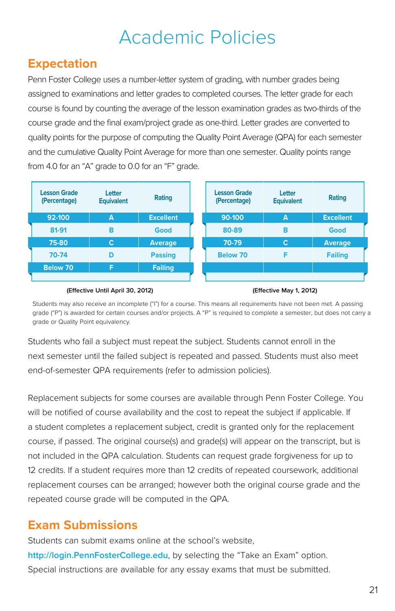## Academic Policies

### **Expectation**

Penn Foster College uses a number-letter system of grading, with number grades being assigned to examinations and letter grades to completed courses. The letter grade for each course is found by counting the average of the lesson examination grades as two-thirds of the course grade and the final exam/project grade as one-third. Letter grades are converted to quality points for the purpose of computing the Quality Point Average (QPA) for each semester and the cumulative Quality Point Average for more than one semester. Quality points range from 4.0 for an "A" grade to 0.0 for an "F" grade.

| <b>Lesson Grade</b><br>(Percentage) | Letter<br><b>Equivalent</b> | Rating           | <b>Lesson Grade</b><br>(Percentage) | Letter<br><b>Equivalent</b> | Rating           |
|-------------------------------------|-----------------------------|------------------|-------------------------------------|-----------------------------|------------------|
| 92-100                              | A                           | <b>Excellent</b> | 90-100                              | A                           | <b>Excellent</b> |
| 81-91                               | в                           | Good             | 80-89                               | в                           | Good             |
| 75-80                               | C                           | <b>Average</b>   | 70-79                               | $\mathbf C$                 | <b>Average</b>   |
| 70-74                               | D                           | <b>Passing</b>   | <b>Below 70</b>                     | F                           | <b>Failing</b>   |
| <b>Below 70</b>                     | F                           | <b>Failing</b>   |                                     |                             |                  |
|                                     |                             |                  |                                     |                             |                  |

#### **(Effective Until April 30, 2012) (Effective May 1, 2012)**

Students may also receive an incomplete ("I") for a course. This means all requirements have not been met. A passing grade ("P") is awarded for certain courses and/or projects. A "P" is required to complete a semester, but does not carry a grade or Quality Point equivalency.

Students who fail a subject must repeat the subject. Students cannot enroll in the next semester until the failed subject is repeated and passed. Students must also meet end-of-semester QPA requirements (refer to admission policies).

Replacement subjects for some courses are available through Penn Foster College. You will be notified of course availability and the cost to repeat the subject if applicable. If a student completes a replacement subject, credit is granted only for the replacement course, if passed. The original course(s) and grade(s) will appear on the transcript, but is not included in the QPA calculation. Students can request grade forgiveness for up to 12 credits. If a student requires more than 12 credits of repeated coursework, additional replacement courses can be arranged; however both the original course grade and the repeated course grade will be computed in the QPA.

### **Exam Submissions**

Students can submit exams online at the school's website, **<http://login.PennFosterCollege.edu>**, by selecting the "Take an Exam" option. Special instructions are available for any essay exams that must be submitted.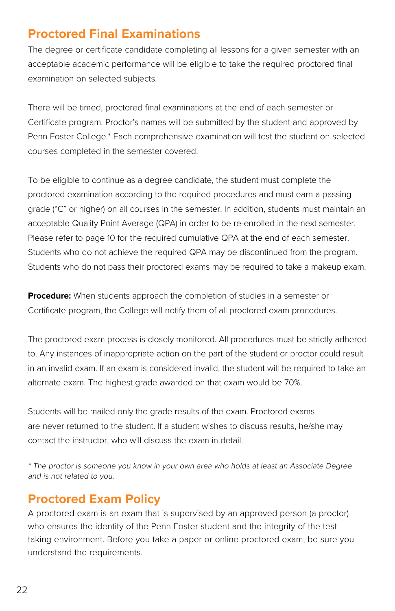### **Proctored Final Examinations**

The degree or certificate candidate completing all lessons for a given semester with an acceptable academic performance will be eligible to take the required proctored final examination on selected subjects.

There will be timed, proctored final examinations at the end of each semester or Certificate program. Proctor's names will be submitted by the student and approved by Penn Foster College.\* Each comprehensive examination will test the student on selected courses completed in the semester covered.

To be eligible to continue as a degree candidate, the student must complete the proctored examination according to the required procedures and must earn a passing grade ("C" or higher) on all courses in the semester. In addition, students must maintain an acceptable Quality Point Average (QPA) in order to be re-enrolled in the next semester. Please refer to page 10 for the required cumulative QPA at the end of each semester. Students who do not achieve the required QPA may be discontinued from the program. Students who do not pass their proctored exams may be required to take a makeup exam.

**Procedure:** When students approach the completion of studies in a semester or Certificate program, the College will notify them of all proctored exam procedures.

The proctored exam process is closely monitored. All procedures must be strictly adhered to. Any instances of inappropriate action on the part of the student or proctor could result in an invalid exam. If an exam is considered invalid, the student will be required to take an alternate exam. The highest grade awarded on that exam would be 70%.

Students will be mailed only the grade results of the exam. Proctored exams are never returned to the student. If a student wishes to discuss results, he/she may contact the instructor, who will discuss the exam in detail.

\* The proctor is someone you know in your own area who holds at least an Associate Degree and is not related to you.

### **Proctored Exam Policy**

A proctored exam is an exam that is supervised by an approved person (a proctor) who ensures the identity of the Penn Foster student and the integrity of the test taking environment. Before you take a paper or online proctored exam, be sure you understand the requirements.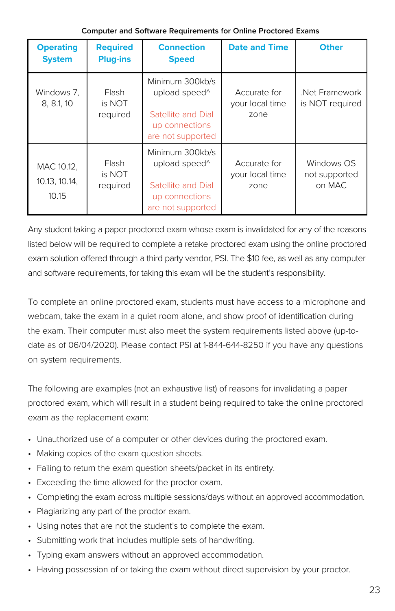| <b>Operating</b><br><b>System</b>    | <b>Required</b><br><b>Plug-ins</b> | <b>Connection</b><br><b>Speed</b>                                                                         | <b>Date and Time</b>                    | <b>Other</b>                          |
|--------------------------------------|------------------------------------|-----------------------------------------------------------------------------------------------------------|-----------------------------------------|---------------------------------------|
| Windows 7.<br>8, 8.1, 10             | <b>Flash</b><br>is NOT<br>required | Minimum 300kb/s<br>upload speed^<br>Satellite and Dial<br>up connections<br>are not supported             | Accurate for<br>your local time<br>zone | Net Framework<br>is NOT required      |
| MAC 10.12,<br>10.13, 10.14,<br>10.15 | <b>Flash</b><br>is NOT<br>required | Minimum 300kb/s<br>upload speed <sup>^</sup><br>Satellite and Dial<br>up connections<br>are not supported | Accurate for<br>your local time<br>zone | Windows OS<br>not supported<br>on MAC |

#### **Computer and Software Requirements for Online Proctored Exams**

Any student taking a paper proctored exam whose exam is invalidated for any of the reasons listed below will be required to complete a retake proctored exam using the online proctored exam solution offered through a third party vendor, PSI. The \$10 fee, as well as any computer and software requirements, for taking this exam will be the student's responsibility.

To complete an online proctored exam, students must have access to a microphone and webcam, take the exam in a quiet room alone, and show proof of identification during the exam. Their computer must also meet the system requirements listed above (up-todate as of 06/04/2020). Please contact PSI at 1-844-644-8250 if you have any questions on system requirements.

The following are examples (not an exhaustive list) of reasons for invalidating a paper proctored exam, which will result in a student being required to take the online proctored exam as the replacement exam:

- Unauthorized use of a computer or other devices during the proctored exam.
- Making copies of the exam question sheets.
- Failing to return the exam question sheets/packet in its entirety.
- Exceeding the time allowed for the proctor exam.
- Completing the exam across multiple sessions/days without an approved accommodation.
- Plagiarizing any part of the proctor exam.
- Using notes that are not the student's to complete the exam.
- Submitting work that includes multiple sets of handwriting.
- Typing exam answers without an approved accommodation.
- Having possession of or taking the exam without direct supervision by your proctor.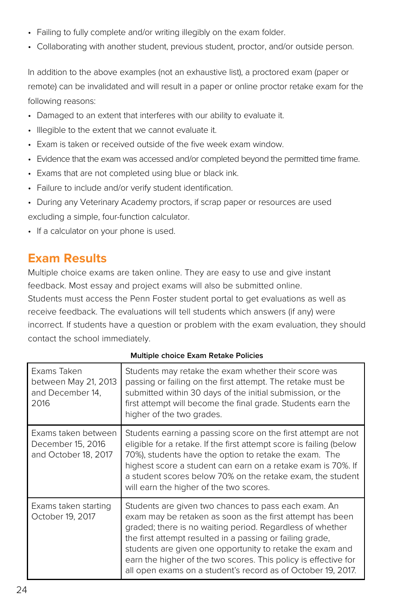- Failing to fully complete and/or writing illegibly on the exam folder.
- Collaborating with another student, previous student, proctor, and/or outside person.

In addition to the above examples (not an exhaustive list), a proctored exam (paper or remote) can be invalidated and will result in a paper or online proctor retake exam for the following reasons:

- Damaged to an extent that interferes with our ability to evaluate it.
- Illegible to the extent that we cannot evaluate it.
- Exam is taken or received outside of the five week exam window.
- Evidence that the exam was accessed and/or completed beyond the permitted time frame.
- Exams that are not completed using blue or black ink.
- Failure to include and/or verify student identification.
- During any Veterinary Academy proctors, if scrap paper or resources are used excluding a simple, four-function calculator.
- If a calculator on your phone is used.

### **Exam Results**

Multiple choice exams are taken online. They are easy to use and give instant feedback. Most essay and project exams will also be submitted online. Students must access the Penn Foster student portal to get evaluations as well as

receive feedback. The evaluations will tell students which answers (if any) were incorrect. If students have a question or problem with the exam evaluation, they should contact the school immediately.

| Exams Taken<br>between May 21, 2013<br>and December 14,<br>2016  | Students may retake the exam whether their score was<br>passing or failing on the first attempt. The retake must be<br>submitted within 30 days of the initial submission, or the<br>first attempt will become the final grade. Students earn the<br>higher of the two grades.                                                                                                                                                              |
|------------------------------------------------------------------|---------------------------------------------------------------------------------------------------------------------------------------------------------------------------------------------------------------------------------------------------------------------------------------------------------------------------------------------------------------------------------------------------------------------------------------------|
| Exams taken between<br>December 15, 2016<br>and October 18, 2017 | Students earning a passing score on the first attempt are not<br>eligible for a retake. If the first attempt score is failing (below<br>70%), students have the option to retake the exam. The<br>highest score a student can earn on a retake exam is 70%. If<br>a student scores below 70% on the retake exam, the student<br>will earn the higher of the two scores.                                                                     |
| Exams taken starting<br>October 19, 2017                         | Students are given two chances to pass each exam. An<br>exam may be retaken as soon as the first attempt has been<br>graded; there is no waiting period. Regardless of whether<br>the first attempt resulted in a passing or failing grade,<br>students are given one opportunity to retake the exam and<br>earn the higher of the two scores. This policy is effective for<br>all open exams on a student's record as of October 19, 2017. |

**Multiple choice Exam Retake Policies**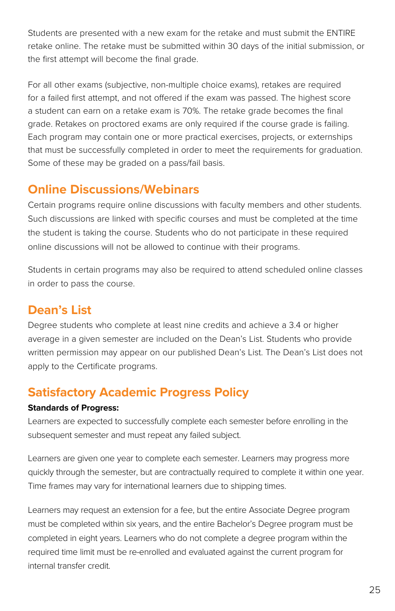Students are presented with a new exam for the retake and must submit the ENTIRE retake online. The retake must be submitted within 30 days of the initial submission, or the first attempt will become the final grade.

For all other exams (subjective, non-multiple choice exams), retakes are required for a failed first attempt, and not offered if the exam was passed. The highest score a student can earn on a retake exam is 70%. The retake grade becomes the final grade. Retakes on proctored exams are only required if the course grade is failing. Each program may contain one or more practical exercises, projects, or externships that must be successfully completed in order to meet the requirements for graduation. Some of these may be graded on a pass/fail basis.

### **Online Discussions/Webinars**

Certain programs require online discussions with faculty members and other students. Such discussions are linked with specific courses and must be completed at the time the student is taking the course. Students who do not participate in these required online discussions will not be allowed to continue with their programs.

Students in certain programs may also be required to attend scheduled online classes in order to pass the course.

### **Dean's List**

Degree students who complete at least nine credits and achieve a 3.4 or higher average in a given semester are included on the Dean's List. Students who provide written permission may appear on our published Dean's List. The Dean's List does not apply to the Certificate programs.

### **Satisfactory Academic Progress Policy**

#### **Standards of Progress:**

Learners are expected to successfully complete each semester before enrolling in the subsequent semester and must repeat any failed subject.

Learners are given one year to complete each semester. Learners may progress more quickly through the semester, but are contractually required to complete it within one year. Time frames may vary for international learners due to shipping times.

Learners may request an extension for a fee, but the entire Associate Degree program must be completed within six years, and the entire Bachelor's Degree program must be completed in eight years. Learners who do not complete a degree program within the required time limit must be re-enrolled and evaluated against the current program for internal transfer credit.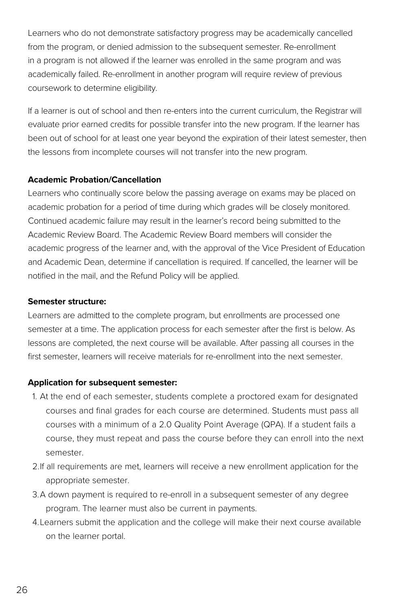Learners who do not demonstrate satisfactory progress may be academically cancelled from the program, or denied admission to the subsequent semester. Re-enrollment in a program is not allowed if the learner was enrolled in the same program and was academically failed. Re-enrollment in another program will require review of previous coursework to determine eligibility.

If a learner is out of school and then re-enters into the current curriculum, the Registrar will evaluate prior earned credits for possible transfer into the new program. If the learner has been out of school for at least one year beyond the expiration of their latest semester, then the lessons from incomplete courses will not transfer into the new program.

#### **Academic Probation/Cancellation**

Learners who continually score below the passing average on exams may be placed on academic probation for a period of time during which grades will be closely monitored. Continued academic failure may result in the learner's record being submitted to the Academic Review Board. The Academic Review Board members will consider the academic progress of the learner and, with the approval of the Vice President of Education and Academic Dean, determine if cancellation is required. If cancelled, the learner will be notified in the mail, and the Refund Policy will be applied.

#### **Semester structure:**

Learners are admitted to the complete program, but enrollments are processed one semester at a time. The application process for each semester after the first is below. As lessons are completed, the next course will be available. After passing all courses in the first semester, learners will receive materials for re-enrollment into the next semester.

#### **Application for subsequent semester:**

- 1. At the end of each semester, students complete a proctored exam for designated courses and final grades for each course are determined. Students must pass all courses with a minimum of a 2.0 Quality Point Average (QPA). If a student fails a course, they must repeat and pass the course before they can enroll into the next semester.
- 2.If all requirements are met, learners will receive a new enrollment application for the appropriate semester.
- 3.A down payment is required to re-enroll in a subsequent semester of any degree program. The learner must also be current in payments.
- 4.Learners submit the application and the college will make their next course available on the learner portal.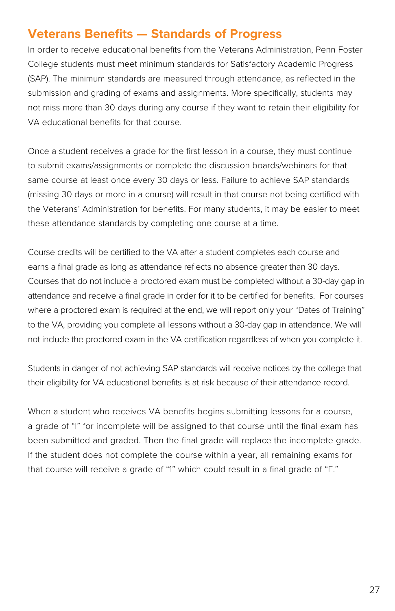### **Veterans Benefits — Standards of Progress**

In order to receive educational benefits from the Veterans Administration, Penn Foster College students must meet minimum standards for Satisfactory Academic Progress (SAP). The minimum standards are measured through attendance, as reflected in the submission and grading of exams and assignments. More specifically, students may not miss more than 30 days during any course if they want to retain their eligibility for VA educational benefits for that course.

Once a student receives a grade for the first lesson in a course, they must continue to submit exams/assignments or complete the discussion boards/webinars for that same course at least once every 30 days or less. Failure to achieve SAP standards (missing 30 days or more in a course) will result in that course not being certified with the Veterans' Administration for benefits. For many students, it may be easier to meet these attendance standards by completing one course at a time.

Course credits will be certified to the VA after a student completes each course and earns a final grade as long as attendance reflects no absence greater than 30 days. Courses that do not include a proctored exam must be completed without a 30-day gap in attendance and receive a final grade in order for it to be certified for benefits. For courses where a proctored exam is required at the end, we will report only your "Dates of Training" to the VA, providing you complete all lessons without a 30-day gap in attendance. We will not include the proctored exam in the VA certification regardless of when you complete it.

Students in danger of not achieving SAP standards will receive notices by the college that their eligibility for VA educational benefits is at risk because of their attendance record.

When a student who receives VA benefits begins submitting lessons for a course, a grade of "I" for incomplete will be assigned to that course until the final exam has been submitted and graded. Then the final grade will replace the incomplete grade. If the student does not complete the course within a year, all remaining exams for that course will receive a grade of "1" which could result in a final grade of "F."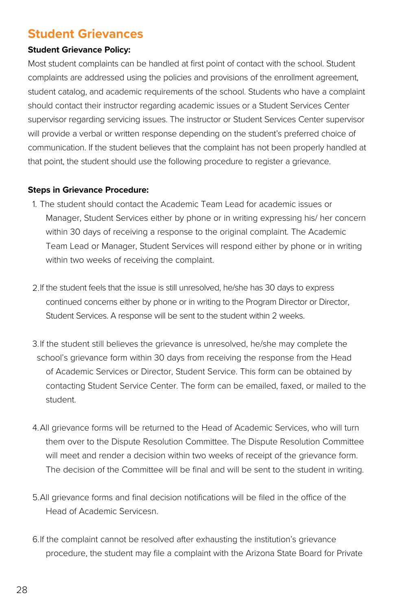### **Student Grievances**

#### **Student Grievance Policy:**

Most student complaints can be handled at first point of contact with the school. Student complaints are addressed using the policies and provisions of the enrollment agreement, student catalog, and academic requirements of the school. Students who have a complaint should contact their instructor regarding academic issues or a Student Services Center supervisor regarding servicing issues. The instructor or Student Services Center supervisor will provide a verbal or written response depending on the student's preferred choice of communication. If the student believes that the complaint has not been properly handled at that point, the student should use the following procedure to register a grievance.

#### **Steps in Grievance Procedure:**

- 1. The student should contact the Academic Team Lead for academic issues or Manager, Student Services either by phone or in writing expressing his/ her concern within 30 days of receiving a response to the original complaint. The Academic Team Lead or Manager, Student Services will respond either by phone or in writing within two weeks of receiving the complaint.
- 2.If the student feels that the issue is still unresolved, he/she has 30 days to express continued concerns either by phone or in writing to the Program Director or Director, Student Services. A response will be sent to the student within 2 weeks.
- 3.If the student still believes the grievance is unresolved, he/she may complete the school's grievance form within 30 days from receiving the response from the Head of Academic Services or Director, Student Service. This form can be obtained by contacting Student Service Center. The form can be emailed, faxed, or mailed to the student.
- 4.All grievance forms will be returned to the Head of Academic Services, who will turn them over to the Dispute Resolution Committee. The Dispute Resolution Committee will meet and render a decision within two weeks of receipt of the grievance form. The decision of the Committee will be final and will be sent to the student in writing.
- 5.All grievance forms and final decision notifications will be filed in the office of the Head of Academic Servicesn.
- 6.If the complaint cannot be resolved after exhausting the institution's grievance procedure, the student may file a complaint with the Arizona State Board for Private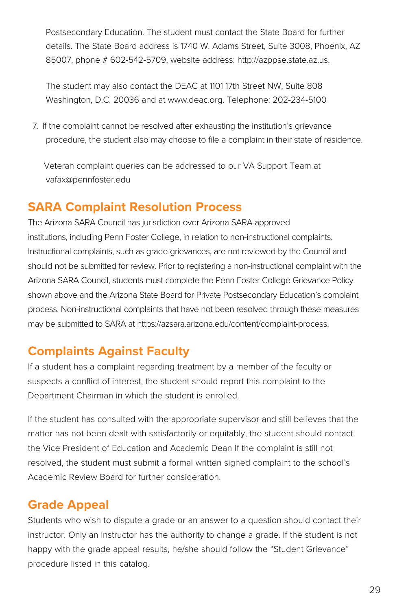Postsecondary Education. The student must contact the State Board for further details. The State Board address is 1740 W. Adams Street, Suite 3008, Phoenix, AZ 85007, phone # 602-542-5709, website address: [http://azppse.state.az.us.](http://azppse.state.az.us)

The student may also contact the DEAC at 1101 17th Street NW, Suite 808 Washington, D.C. 20036 and at [www.deac.org](http://www.deac.org). Telephone: 202-234-5100

7. If the complaint cannot be resolved after exhausting the institution's grievance procedure, the student also may choose to file a complaint in their state of residence.

 Veteran complaint queries can be addressed to our VA Support Team at vafax@pennfoster.edu

### **SARA Complaint Resolution Process**

The Arizona SARA Council has jurisdiction over Arizona SARA-approved institutions, including Penn Foster College, in relation to non-instructional complaints. Instructional complaints, such as grade grievances, are not reviewed by the Council and should not be submitted for review. Prior to registering a non-instructional complaint with the Arizona SARA Council, students must complete the Penn Foster College Grievance Policy shown above and the Arizona State Board for Private Postsecondary Education's complaint process. Non-instructional complaints that have not been resolved through these measures may be submitted to SARA at https://azsara.arizona.edu/content/complaint-process.

### **Complaints Against Faculty**

If a student has a complaint regarding treatment by a member of the faculty or suspects a conflict of interest, the student should report this complaint to the Department Chairman in which the student is enrolled.

If the student has consulted with the appropriate supervisor and still believes that the matter has not been dealt with satisfactorily or equitably, the student should contact the Vice President of Education and Academic Dean If the complaint is still not resolved, the student must submit a formal written signed complaint to the school's Academic Review Board for further consideration.

### **Grade Appeal**

Students who wish to dispute a grade or an answer to a question should contact their instructor. Only an instructor has the authority to change a grade. If the student is not happy with the grade appeal results, he/she should follow the "Student Grievance" procedure listed in this catalog.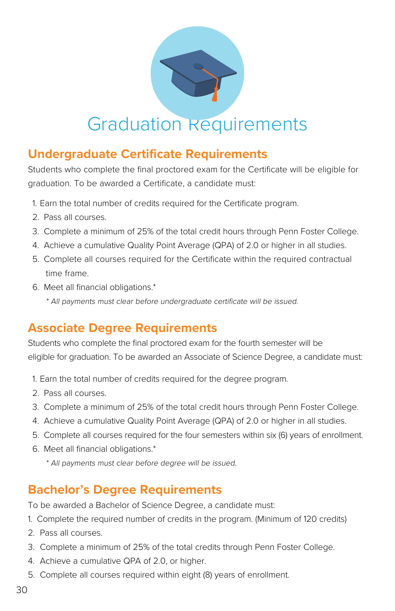

## Graduation Requirements

### **Undergraduate Certificate Requirements**

Students who complete the final proctored exam for the Certificate will be eligible for graduation. To be awarded a Certificate, a candidate must:

- 1. Earn the total number of credits required for the Certificate program.
- 2. Pass all courses.
- 3. Complete a minimum of 25% of the total credit hours through Penn Foster College.
- 4. Achieve a cumulative Quality Point Average (QPA) of 2.0 or higher in all studies.
- 5. Complete all courses required for the Certificate within the required contractual time frame.
- 6. Meet all financial obligations.\*
	- \* All payments must clear before undergraduate certificate will be issued.

### **Associate Degree Requirements**

Students who complete the final proctored exam for the fourth semester will be eligible for graduation. To be awarded an Associate of Science Degree, a candidate must:

- 1. Earn the total number of credits required for the degree program.
- 2. Pass all courses.
- 3. Complete a minimum of 25% of the total credit hours through Penn Foster College.
- 4. Achieve a cumulative Quality Point Average (QPA) of 2.0 or higher in all studies.
- 5. Complete all courses required for the four semesters within six (6) years of enrollment.
- 6. Meet all financial obligations.\*
	- \* All payments must clear before degree will be issued.

### **Bachelor's Degree Requirements**

To be awarded a Bachelor of Science Degree, a candidate must:

- 1. Complete the required number of credits in the program. (Minimum of 120 credits)
- 2. Pass all courses.
- 3. Complete a minimum of 25% of the total credits through Penn Foster College.
- 4. Achieve a cumulative QPA of 2.0, or higher.
- 5. Complete all courses required within eight (8) years of enrollment.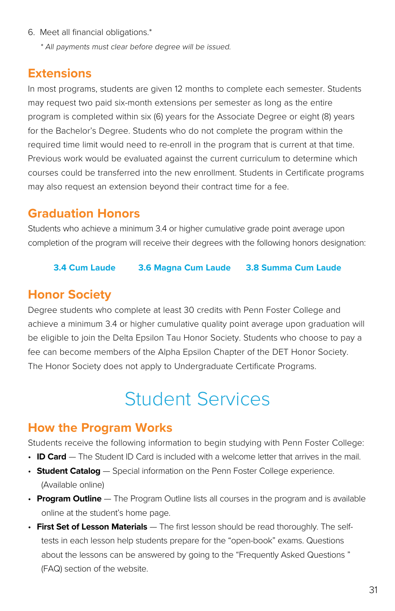6. Meet all financial obligations.\*

\* All payments must clear before degree will be issued.

### **Extensions**

In most programs, students are given 12 months to complete each semester. Students may request two paid six-month extensions per semester as long as the entire program is completed within six (6) years for the Associate Degree or eight (8) years for the Bachelor's Degree. Students who do not complete the program within the required time limit would need to re-enroll in the program that is current at that time. Previous work would be evaluated against the current curriculum to determine which courses could be transferred into the new enrollment. Students in Certificate programs may also request an extension beyond their contract time for a fee.

### **Graduation Honors**

Students who achieve a minimum 3.4 or higher cumulative grade point average upon completion of the program will receive their degrees with the following honors designation:

#### **3.4 Cum Laude 3.6 Magna Cum Laude 3.8 Summa Cum Laude**

### **Honor Society**

Degree students who complete at least 30 credits with Penn Foster College and achieve a minimum 3.4 or higher cumulative quality point average upon graduation will be eligible to join the Delta Epsilon Tau Honor Society. Students who choose to pay a fee can become members of the Alpha Epsilon Chapter of the DET Honor Society. The Honor Society does not apply to Undergraduate Certificate Programs.

## Student Services

### **How the Program Works**

Students receive the following information to begin studying with Penn Foster College:

- **ID Card** The Student ID Card is included with a welcome letter that arrives in the mail.
- **Student Catalog** Special information on the Penn Foster College experience. (Available online)
- **Program Outline** The Program Outline lists all courses in the program and is available online at the student's home page.
- **First Set of Lesson Materials** The first lesson should be read thoroughly. The selftests in each lesson help students prepare for the "open-book" exams. Questions about the lessons can be answered by going to the "Frequently Asked Questions " (FAQ) section of the website.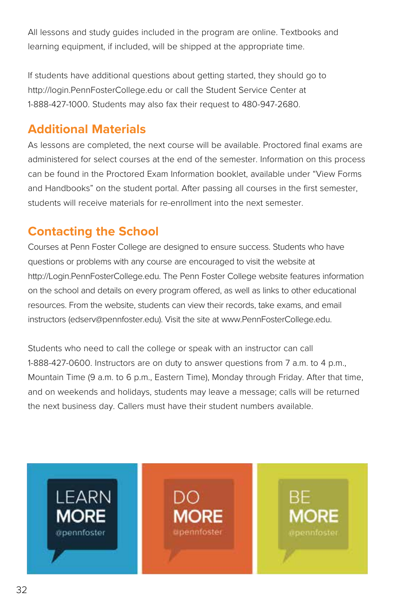All lessons and study guides included in the program are online. Textbooks and learning equipment, if included, will be shipped at the appropriate time.

If students have additional questions about getting started, they should go to http://login.PennFosterCollege.edu or call the Student Service Center at 1-888-427-1000. Students may also fax their request to 480-947-2680.

### **Additional Materials**

As lessons are completed, the next course will be available. Proctored final exams are administered for select courses at the end of the semester. Information on this process can be found in the Proctored Exam Information booklet, available under "View Forms and Handbooks" on the student portal. After passing all courses in the first semester, students will receive materials for re-enrollment into the next semester.

### **Contacting the School**

Courses at Penn Foster College are designed to ensure success. Students who have questions or problems with any course are encouraged to visit the website at http://Login.PennFosterCollege.edu. The Penn Foster College website features information on the school and details on every program offered, as well as links to other educational resources. From the website, students can view their records, take exams, and email instructors (edserv@pennfoster.edu). Visit the site at www.PennFosterCollege.edu.

Students who need to call the college or speak with an instructor can call 1-888-427-0600. Instructors are on duty to answer questions from 7 a.m. to 4 p.m., Mountain Time (9 a.m. to 6 p.m., Eastern Time), Monday through Friday. After that time, and on weekends and holidays, students may leave a message; calls will be returned the next business day. Callers must have their student numbers available.

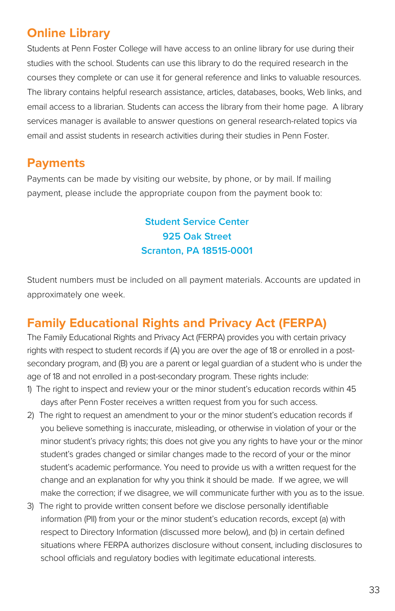### **Online Library**

Students at Penn Foster College will have access to an online library for use during their studies with the school. Students can use this library to do the required research in the courses they complete or can use it for general reference and links to valuable resources. The library contains helpful research assistance, articles, databases, books, Web links, and email access to a librarian. Students can access the library from their home page. A library services manager is available to answer questions on general research-related topics via email and assist students in research activities during their studies in Penn Foster.

### **Payments**

Payments can be made by visiting our website, by phone, or by mail. If mailing payment, please include the appropriate coupon from the payment book to:

### **Student Service Center 925 Oak Street Scranton, PA 18515-0001**

Student numbers must be included on all payment materials. Accounts are updated in approximately one week.

### **Family Educational Rights and Privacy Act (FERPA)**

The Family Educational Rights and Privacy Act (FERPA) provides you with certain privacy rights with respect to student records if (A) you are over the age of 18 or enrolled in a postsecondary program, and (B) you are a parent or legal guardian of a student who is under the age of 18 and not enrolled in a post-secondary program. These rights include:

- 1) The right to inspect and review your or the minor student's education records within 45 days after Penn Foster receives a written request from you for such access.
- 2) The right to request an amendment to your or the minor student's education records if you believe something is inaccurate, misleading, or otherwise in violation of your or the minor student's privacy rights; this does not give you any rights to have your or the minor student's grades changed or similar changes made to the record of your or the minor student's academic performance. You need to provide us with a written request for the change and an explanation for why you think it should be made. If we agree, we will make the correction; if we disagree, we will communicate further with you as to the issue.
- 3) The right to provide written consent before we disclose personally identifiable information (PII) from your or the minor student's education records, except (a) with respect to Directory Information (discussed more below), and (b) in certain defined situations where FERPA authorizes disclosure without consent, including disclosures to school officials and regulatory bodies with legitimate educational interests.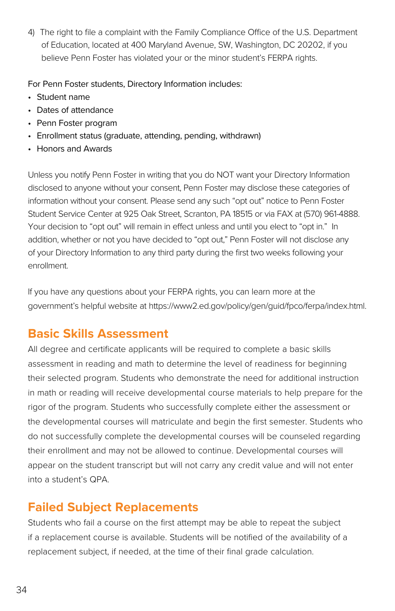4) The right to file a complaint with the Family Compliance Office of the U.S. Department of Education, located at 400 Maryland Avenue, SW, Washington, DC 20202, if you believe Penn Foster has violated your or the minor student's FERPA rights.

For Penn Foster students, Directory Information includes:

- Student name
- Dates of attendance
- Penn Foster program
- Enrollment status (graduate, attending, pending, withdrawn)
- Honors and Awards

Unless you notify Penn Foster in writing that you do NOT want your Directory Information disclosed to anyone without your consent, Penn Foster may disclose these categories of information without your consent. Please send any such "opt out" notice to Penn Foster Student Service Center at 925 Oak Street, Scranton, PA 18515 or via FAX at (570) 961-4888. Your decision to "opt out" will remain in effect unless and until you elect to "opt in." In addition, whether or not you have decided to "opt out," Penn Foster will not disclose any of your Directory Information to any third party during the first two weeks following your enrollment.

If you have any questions about your FERPA rights, you can learn more at the government's helpful website at [https://www2.ed.gov/policy/gen/guid/fpco/ferpa/index.html.](https://www2.ed.gov/policy/gen/guid/fpco/ferpa/index.html)

### **Basic Skills Assessment**

All degree and certificate applicants will be required to complete a basic skills assessment in reading and math to determine the level of readiness for beginning their selected program. Students who demonstrate the need for additional instruction in math or reading will receive developmental course materials to help prepare for the rigor of the program. Students who successfully complete either the assessment or the developmental courses will matriculate and begin the first semester. Students who do not successfully complete the developmental courses will be counseled regarding their enrollment and may not be allowed to continue. Developmental courses will appear on the student transcript but will not carry any credit value and will not enter into a student's QPA.

### **Failed Subject Replacements**

Students who fail a course on the first attempt may be able to repeat the subject if a replacement course is available. Students will be notified of the availability of a replacement subject, if needed, at the time of their final grade calculation.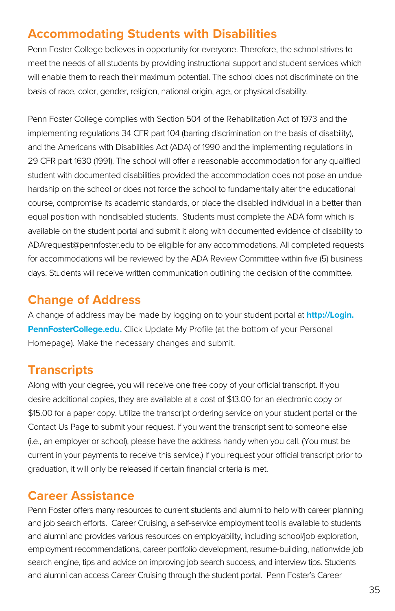### **Accommodating Students with Disabilities**

Penn Foster College believes in opportunity for everyone. Therefore, the school strives to meet the needs of all students by providing instructional support and student services which will enable them to reach their maximum potential. The school does not discriminate on the basis of race, color, gender, religion, national origin, age, or physical disability.

Penn Foster College complies with Section 504 of the Rehabilitation Act of 1973 and the implementing regulations 34 CFR part 104 (barring discrimination on the basis of disability), and the Americans with Disabilities Act (ADA) of 1990 and the implementing regulations in 29 CFR part 1630 (1991). The school will offer a reasonable accommodation for any qualified student with documented disabilities provided the accommodation does not pose an undue hardship on the school or does not force the school to fundamentally alter the educational course, compromise its academic standards, or place the disabled individual in a better than equal position with nondisabled students. Students must complete the ADA form which is available on the student portal and submit it along with documented evidence of disability to ADArequest@pennfoster.edu to be eligible for any accommodations. All completed requests for accommodations will be reviewed by the ADA Review Committee within five (5) business days. Students will receive written communication outlining the decision of the committee.

### **Change of Address**

A change of address may be made by logging on to your student portal at **[http://Login.](http://Login.PennFosterCollege.edu) [PennFosterCollege.edu.](http://Login.PennFosterCollege.edu)** Click Update My Profile (at the bottom of your Personal Homepage). Make the necessary changes and submit.

### **Transcripts**

Along with your degree, you will receive one free copy of your official transcript. If you desire additional copies, they are available at a cost of \$13.00 for an electronic copy or \$15.00 for a paper copy. Utilize the transcript ordering service on your student portal or the Contact Us Page to submit your request. If you want the transcript sent to someone else (i.e., an employer or school), please have the address handy when you call. (You must be current in your payments to receive this service.) If you request your official transcript prior to graduation, it will only be released if certain financial criteria is met.

### **Career Assistance**

Penn Foster offers many resources to current students and alumni to help with career planning and job search efforts. Career Cruising, a self-service employment tool is available to students and alumni and provides various resources on employability, including school/job exploration, employment recommendations, career portfolio development, resume-building, nationwide job search engine, tips and advice on improving job search success, and interview tips. Students and alumni can access Career Cruising through the student portal. Penn Foster's Career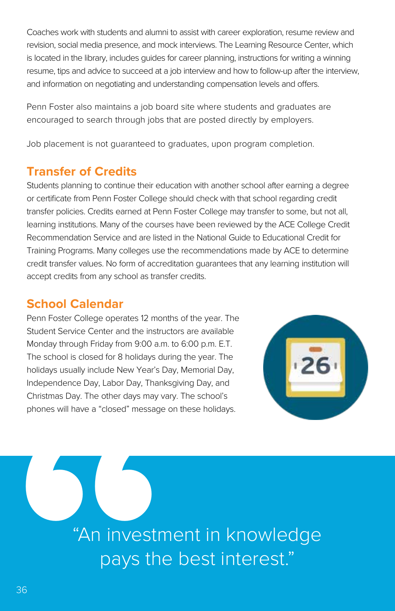Coaches work with students and alumni to assist with career exploration, resume review and revision, social media presence, and mock interviews. The Learning Resource Center, which is located in the library, includes guides for career planning, instructions for writing a winning resume, tips and advice to succeed at a job interview and how to follow-up after the interview, and information on negotiating and understanding compensation levels and offers.

Penn Foster also maintains a job board site where students and graduates are encouraged to search through jobs that are posted directly by employers.

Job placement is not guaranteed to graduates, upon program completion.

### **Transfer of Credits**

Students planning to continue their education with another school after earning a degree or certificate from Penn Foster College should check with that school regarding credit transfer policies. Credits earned at Penn Foster College may transfer to some, but not all, learning institutions. Many of the courses have been reviewed by the ACE College Credit Recommendation Service and are listed in the National Guide to Educational Credit for Training Programs. Many colleges use the recommendations made by ACE to determine credit transfer values. No form of accreditation guarantees that any learning institution will accept credits from any school as transfer credits.

### **School Calendar**

Penn Foster College operates 12 months of the year. The Student Service Center and the instructors are available Monday through Friday from 9:00 a.m. to 6:00 p.m. E.T. The school is closed for 8 holidays during the year. The holidays usually include New Year's Day, Memorial Day, Independence Day, Labor Day, Thanksgiving Day, and Christmas Day. The other days may vary. The school's phones will have a "closed" message on these holidays.



phones will have a "closed" message<br>
"An investm<br>
pays the<br>
<sup>36</sup> "An investment in knowledge pays the best interest."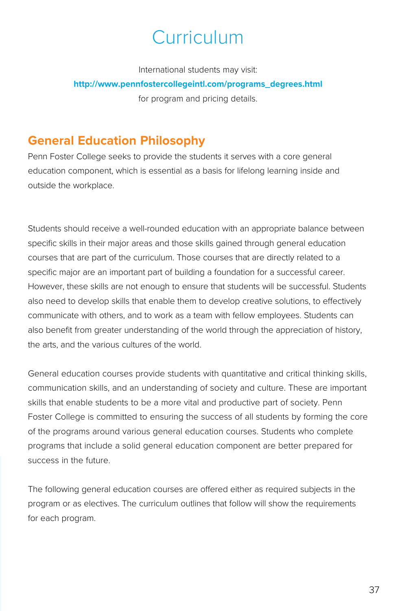# Curriculum

International students may visit:

### **[http://www.pennfostercollegeintl.com/programs\\_degrees.html](http://www.pennfostercollegeintl.com/programs_degrees.html)**

for program and pricing details.

# **General Education Philosophy**

Penn Foster College seeks to provide the students it serves with a core general education component, which is essential as a basis for lifelong learning inside and outside the workplace.

Students should receive a well-rounded education with an appropriate balance between specific skills in their major areas and those skills gained through general education courses that are part of the curriculum. Those courses that are directly related to a specific major are an important part of building a foundation for a successful career. However, these skills are not enough to ensure that students will be successful. Students also need to develop skills that enable them to develop creative solutions, to effectively communicate with others, and to work as a team with fellow employees. Students can also benefit from greater understanding of the world through the appreciation of history, the arts, and the various cultures of the world.

General education courses provide students with quantitative and critical thinking skills, communication skills, and an understanding of society and culture. These are important skills that enable students to be a more vital and productive part of society. Penn Foster College is committed to ensuring the success of all students by forming the core of the programs around various general education courses. Students who complete programs that include a solid general education component are better prepared for success in the future.

The following general education courses are offered either as required subjects in the program or as electives. The curriculum outlines that follow will show the requirements for each program.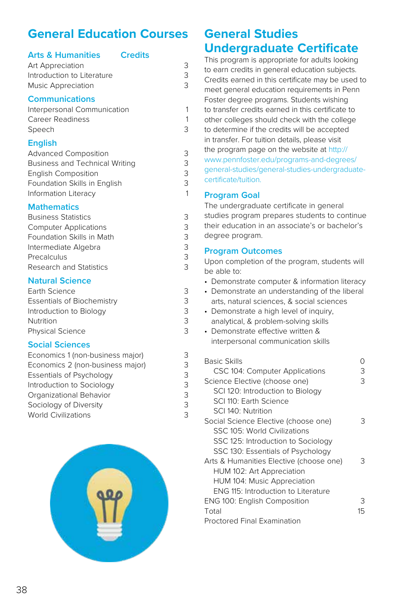# **General Education Courses**

| <b>Arts &amp; Humanities</b><br>Art Appreciation<br>Introduction to Literature<br><b>Music Appreciation</b>                                                                     | <b>Credits</b><br>3<br>3<br>3 |
|---------------------------------------------------------------------------------------------------------------------------------------------------------------------------------|-------------------------------|
| <b>Communications</b><br>Interpersonal Communication<br>Career Readiness<br>Speech                                                                                              | 1<br>1<br>3                   |
| <b>English</b><br><b>Advanced Composition</b><br><b>Business and Technical Writing</b><br><b>English Composition</b><br>Foundation Skills in English<br>Information Literacy    | 3<br>3<br>3<br>3<br>1         |
| <b>Mathematics</b><br><b>Business Statistics</b><br><b>Computer Applications</b><br>Foundation Skills in Math<br>Intermediate Algebra<br>Precalculus<br>Research and Statistics | 3<br>3<br>3<br>3<br>3<br>3    |
| <b>Natural Science</b><br>Earth Science                                                                                                                                         | 3                             |

| Laith Science              |   |
|----------------------------|---|
| Essentials of Biochemistry | 3 |
| Introduction to Biology    | 3 |
| Nutrition                  | 3 |
| <b>Physical Science</b>    | 3 |
|                            |   |

# **Social Sciences**

| Economics 1 (non-business major) | 3 |
|----------------------------------|---|
| Economics 2 (non-business major) | 3 |
| Essentials of Psychology         | 3 |
| Introduction to Sociology        | 3 |
| Organizational Behavior          | 3 |
| Sociology of Diversity           | 3 |
| <b>World Civilizations</b>       | 3 |



# **General Studies Undergraduate Certificate**

This program is appropriate for adults looking to earn credits in general education subjects. Credits earned in this certificate may be used to meet general education requirements in Penn Foster degree programs. Students wishing to transfer credits earned in this certificate to other colleges should check with the college to determine if the credits will be accepted in transfer. For tuition details, please visit the program page on the website at [http://](http://www.pennfoster.edu/programs-and-degrees/general-studies/general-studies-undergraduate-certificate/tuition) [www.pennfoster.edu/programs-and-degrees/](http://www.pennfoster.edu/programs-and-degrees/general-studies/general-studies-undergraduate-certificate/tuition) [general-studies/general-studies-undergraduate](http://www.pennfoster.edu/programs-and-degrees/general-studies/general-studies-undergraduate-certificate/tuition)[certificate/tuition](http://www.pennfoster.edu/programs-and-degrees/general-studies/general-studies-undergraduate-certificate/tuition).

# **Program Goal**

The undergraduate certificate in general studies program prepares students to continue their education in an associate's or bachelor's degree program.

### **Program Outcomes**

- Demonstrate computer & information literacy
- Demonstrate an understanding of the liberal arts, natural sciences, & social sciences
- Demonstrate a high level of inquiry, analytical, & problem-solving skills
- Demonstrate effective written & interpersonal communication skills

| Basic Skills                               |    |
|--------------------------------------------|----|
| CSC 104: Computer Applications             | З  |
| Science Elective (choose one)              | З  |
| SCI 120: Introduction to Biology           |    |
| SCI 110: Earth Science                     |    |
| SCI 140: Nutrition                         |    |
| Social Science Elective (choose one)       | 3  |
| SSC 105: World Civilizations               |    |
| SSC 125: Introduction to Sociology         |    |
| SSC 130: Essentials of Psychology          |    |
| Arts & Humanities Elective (choose one)    | З  |
| HUM 102: Art Appreciation                  |    |
| HUM 104: Music Appreciation                |    |
| <b>ENG 115: Introduction to Literature</b> |    |
| ENG 100: English Composition               | З  |
| Total                                      | 15 |
| <b>Proctored Final Examination</b>         |    |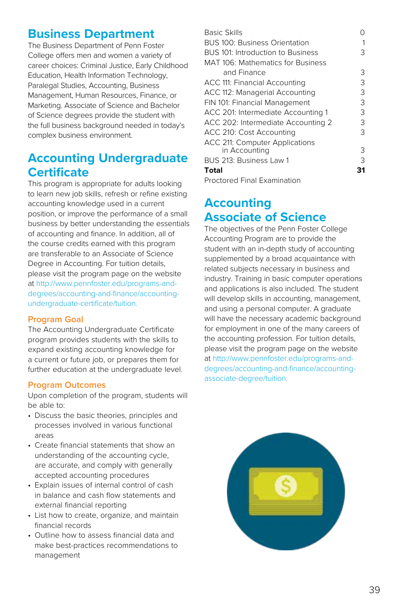# **Business Department**

The Business Department of Penn Foster College offers men and women a variety of career choices: Criminal Justice, Early Childhood Education, Health Information Technology, Paralegal Studies, Accounting, Business Management, Human Resources, Finance, or Marketing. Associate of Science and Bachelor of Science degrees provide the student with the full business background needed in today's complex business environment.

# **Accounting Undergraduate Certificate**

This program is appropriate for adults looking to learn new job skills, refresh or refine existing accounting knowledge used in a current position, or improve the performance of a small business by better understanding the essentials of accounting and finance. In addition, all of the course credits earned with this program are transferable to an Associate of Science Degree in Accounting. For tuition details, please visit the program page on the website at [http://www.pennfoster.edu/programs-and](http://www.pennfoster.edu/programs-and-degrees/accounting-and-finance/accounting-undergraduate-certificate/tuition)[degrees/accounting-and-finance/accounting](http://www.pennfoster.edu/programs-and-degrees/accounting-and-finance/accounting-undergraduate-certificate/tuition)[undergraduate-certificate/tuition](http://www.pennfoster.edu/programs-and-degrees/accounting-and-finance/accounting-undergraduate-certificate/tuition).

#### **Program Goal**

The Accounting Undergraduate Certificate program provides students with the skills to expand existing accounting knowledge for a current or future job, or prepares them for further education at the undergraduate level.

#### **Program Outcomes**

Upon completion of the program, students will be able to:

- Discuss the basic theories, principles and processes involved in various functional areas
- Create financial statements that show an understanding of the accounting cycle, are accurate, and comply with generally accepted accounting procedures
- Explain issues of internal control of cash in balance and cash flow statements and external financial reporting
- List how to create, organize, and maintain financial records
- Outline how to assess financial data and make best-practices recommendations to management

| <b>Basic Skills</b>                  |   |
|--------------------------------------|---|
| <b>BUS 100: Business Orientation</b> |   |
| BUS 101: Introduction to Business    | З |
| MAT 106: Mathematics for Business    |   |
| and Finance                          | 3 |
| ACC 111: Financial Accounting        | 3 |
| ACC 112: Managerial Accounting       | 3 |
| FIN 101: Financial Management        | 3 |
| ACC 201: Intermediate Accounting 1   | 3 |
| ACC 202: Intermediate Accounting 2   | 3 |
| ACC 210: Cost Accounting             | 3 |
| ACC 211: Computer Applications       |   |
| in Accounting                        | 3 |
| BUS 213: Business Law 1              | 3 |
| Total                                |   |

Proctored Final Examination

# **Accounting Associate of Science**

The objectives of the Penn Foster College Accounting Program are to provide the student with an in-depth study of accounting supplemented by a broad acquaintance with related subjects necessary in business and industry. Training in basic computer operations and applications is also included. The student will develop skills in accounting, management, and using a personal computer. A graduate will have the necessary academic background for employment in one of the many careers of the accounting profession. For tuition details, please visit the program page on the website at [http://www.pennfoster.edu/programs-and](http://www.pennfoster.edu/programs-and-degrees/accounting-and-finance/accounting-associate-degree/tuition)[degrees/accounting-and-finance/accounting](http://www.pennfoster.edu/programs-and-degrees/accounting-and-finance/accounting-associate-degree/tuition)[associate-degree/tuition.](http://www.pennfoster.edu/programs-and-degrees/accounting-and-finance/accounting-associate-degree/tuition)

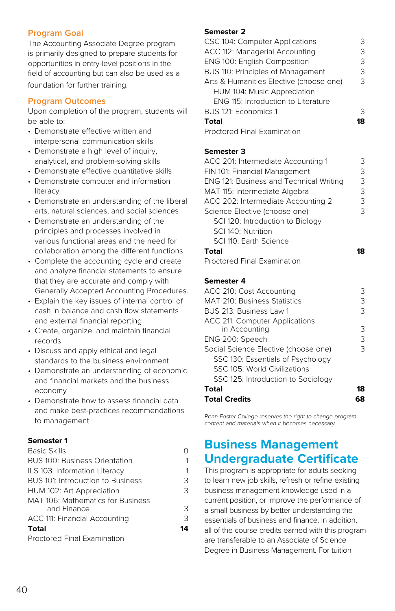### **Program Goal**

The Accounting Associate Degree program is primarily designed to prepare students for opportunities in entry-level positions in the field of accounting but can also be used as a foundation for further training.

#### **Program Outcomes**

Upon completion of the program, students will be able to:

- Demonstrate effective written and interpersonal communication skills
- Demonstrate a high level of inquiry, analytical, and problem-solving skills
- Demonstrate effective quantitative skills
- Demonstrate computer and information literacy
- Demonstrate an understanding of the liberal arts, natural sciences, and social sciences
- Demonstrate an understanding of the principles and processes involved in various functional areas and the need for collaboration among the different functions
- Complete the accounting cycle and create and analyze financial statements to ensure that they are accurate and comply with Generally Accepted Accounting Procedures.
- Explain the key issues of internal control of cash in balance and cash flow statements and external financial reporting
- Create, organize, and maintain financial records
- Discuss and apply ethical and legal standards to the business environment
- Demonstrate an understanding of economic and financial markets and the business economy
- Demonstrate how to assess financial data and make best-practices recommendations to management

#### **Semester 1**

| <b>Basic Skills</b>                  |    |
|--------------------------------------|----|
| <b>BUS 100: Business Orientation</b> | 1  |
| ILS 103: Information Literacy        | 1  |
| BUS 101: Introduction to Business    | 3  |
| HUM 102: Art Appreciation            | 3  |
| MAT 106: Mathematics for Business    |    |
| and Finance                          | 3  |
| ACC 111: Financial Accounting        | 3  |
| <b>Total</b>                         | 14 |
| <b>Proctored Final Examination</b>   |    |

#### **Semester 2**

| CSC 104: Computer Applications          | З  |
|-----------------------------------------|----|
| ACC 112: Managerial Accounting          | 3  |
| ENG 100: English Composition            | 3  |
| BUS 110: Principles of Management       | 3  |
| Arts & Humanities Elective (choose one) | 3  |
| HUM 104: Music Appreciation             |    |
| ENG 115: Introduction to Literature     |    |
| BUS 121: Economics 1                    | 3  |
| Total                                   | 18 |
| <b>Proctored Final Examination</b>      |    |

#### **Semester 3**

| ACC 201: Intermediate Accounting 1      | 3 |
|-----------------------------------------|---|
| FIN 101: Financial Management           | 3 |
| ENG 121: Business and Technical Writing | 3 |
| MAT 115: Intermediate Algebra           | 3 |
| ACC 202: Intermediate Accounting 2      | 3 |
| Science Elective (choose one)           | 3 |
| SCI 120: Introduction to Biology        |   |
| SCI 140: Nutrition                      |   |
| SCI 110: Earth Science                  |   |
| Total                                   | я |
| <b>Proctored Final Examination</b>      |   |

#### **Semester 4**

| ACC 210: Cost Accounting             | З  |
|--------------------------------------|----|
| MAT 210: Business Statistics         | З  |
| BUS 213: Business Law 1              | З  |
| ACC 211: Computer Applications       |    |
| in Accounting                        | З  |
| ENG 200: Speech                      | З  |
| Social Science Elective (choose one) | З  |
| SSC 130: Essentials of Psychology    |    |
| SSC 105: World Civilizations         |    |
| SSC 125: Introduction to Sociology   |    |
| Total                                | 18 |
| <b>Total Credits</b>                 |    |

Penn Foster College reserves the right to change program content and materials when it becomes necessary.

# **Business Management Undergraduate Certificate**

This program is appropriate for adults seeking to learn new job skills, refresh or refine existing business management knowledge used in a current position, or improve the performance of a small business by better understanding the essentials of business and finance. In addition, all of the course credits earned with this program are transferable to an Associate of Science Degree in Business Management. For tuition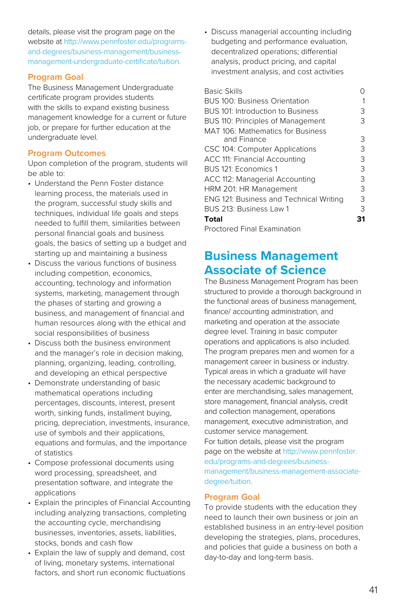details, please visit the program page on the website at [http://www.pennfoster.edu/programs](http://www.pennfoster.edu/programs-and-degrees/business-management/business-management-undergraduate-certificate/tuition)[and-degrees/business-management/business](http://www.pennfoster.edu/programs-and-degrees/business-management/business-management-undergraduate-certificate/tuition)[management-undergraduate-certificate/tuitio](http://www.pennfoster.edu/programs-and-degrees/business-management/business-management-undergraduate-certificate/tuition)n.

#### **Program Goal**

The Business Management Undergraduate certificate program provides students with the skills to expand existing business management knowledge for a current or future job, or prepare for further education at the undergraduate level.

### **Program Outcomes**

Upon completion of the program, students will be able to:

- Understand the Penn Foster distance learning process, the materials used in the program, successful study skills and techniques, individual life goals and steps needed to fulfill them, similarities between personal financial goals and business goals, the basics of setting up a budget and starting up and maintaining a business
- Discuss the various functions of business including competition, economics, accounting, technology and information systems, marketing, management through the phases of starting and growing a business, and management of financial and human resources along with the ethical and social responsibilities of business
- Discuss both the business environment and the manager's role in decision making, planning, organizing, leading, controlling, and developing an ethical perspective
- Demonstrate understanding of basic mathematical operations including percentages, discounts, interest, present worth, sinking funds, installment buying, pricing, depreciation, investments, insurance, use of symbols and their applications, equations and formulas, and the importance of statistics
- Compose professional documents using word processing, spreadsheet, and presentation software, and integrate the applications
- Explain the principles of Financial Accounting including analyzing transactions, completing the accounting cycle, merchandising businesses, inventories, assets, liabilities, stocks, bonds and cash flow
- Explain the law of supply and demand, cost of living, monetary systems, international factors, and short run economic fluctuations

• Discuss managerial accounting including budgeting and performance evaluation, decentralized operations; differential analysis, product pricing, and capital investment analysis, and cost activities

| <b>Basic Skills</b>                            |    |
|------------------------------------------------|----|
| <b>BUS 100: Business Orientation</b>           |    |
| BUS 101: Introduction to Business              | 3  |
| BUS 110: Principles of Management              | З  |
| MAT 106: Mathematics for Business              |    |
| and Finance                                    | 3  |
| CSC 104: Computer Applications                 | 3  |
| ACC 111: Financial Accounting                  | 3  |
| BUS 121: Economics 1                           | 3  |
| ACC 112: Managerial Accounting                 | З  |
| HRM 201: HR Management                         | 3  |
| <b>ENG 121: Business and Technical Writing</b> | 3  |
| BUS 213: Business Law 1                        | 3  |
| Total                                          | 31 |
| <b>Proctored Final Examination</b>             |    |

# **Business Management Associate of Science**

The Business Management Program has been structured to provide a thorough background in the functional areas of business management, finance/ accounting administration, and marketing and operation at the associate degree level. Training in basic computer operations and applications is also included. The program prepares men and women for a management career in business or industry. Typical areas in which a graduate will have the necessary academic background to enter are merchandising, sales management, store management, financial analysis, credit and collection management, operations management, executive administration, and customer service management. For tuition details, please visit the program page on the website at [http://www.pennfoster.](http://www.pennfoster.edu/programs-and-degrees/business-management/business-management-associate-degree/tuition) [edu/programs-and-degrees/business](http://www.pennfoster.edu/programs-and-degrees/business-management/business-management-associate-degree/tuition)[management/business-management-associate](http://www.pennfoster.edu/programs-and-degrees/business-management/business-management-associate-degree/tuition)[degree/tuition](http://www.pennfoster.edu/programs-and-degrees/business-management/business-management-associate-degree/tuition).

#### **Program Goal**

To provide students with the education they need to launch their own business or join an established business in an entry-level position developing the strategies, plans, procedures, and policies that guide a business on both a day-to-day and long-term basis.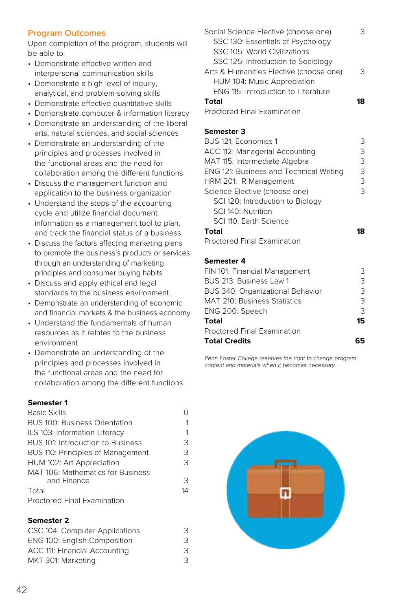# **Program Outcomes**

Upon completion of the program, students will be able to:

- Demonstrate effective written and interpersonal communication skills
- Demonstrate a high level of inquiry, analytical, and problem-solving skills
- Demonstrate effective quantitative skills
- Demonstrate computer & information literacy
- Demonstrate an understanding of the liberal arts, natural sciences, and social sciences
- Demonstrate an understanding of the principles and processes involved in the functional areas and the need for collaboration among the different functions
- Discuss the management function and application to the business organization
- Understand the steps of the accounting cycle and utilize financial document information as a management tool to plan, and track the financial status of a business
- Discuss the factors affecting marketing plans to promote the business's products or services through an understanding of marketing principles and consumer buying habits
- Discuss and apply ethical and legal standards to the business environment.
- Demonstrate an understanding of economic and financial markets & the business economy
- Understand the fundamentals of human resources as it relates to the business environment
- Demonstrate an understanding of the principles and processes involved in the functional areas and the need for collaboration among the different functions

#### **Semester 1**

| <b>Basic Skills</b>                                     | ∩  |
|---------------------------------------------------------|----|
| <b>BUS 100: Business Orientation</b>                    | 1  |
| ILS 103: Information Literacy                           | 1  |
| BUS 101: Introduction to Business                       | 3  |
| BUS 110: Principles of Management                       | 3  |
| HUM 102: Art Appreciation                               | 3  |
| <b>MAT 106: Mathematics for Business</b><br>and Finance | 3  |
| Total                                                   | 14 |
| <b>Proctored Final Examination</b>                      |    |
|                                                         |    |

### **Semester 2**

| CSC 104: Computer Applications | 3 |
|--------------------------------|---|
| ENG 100: English Composition   | 3 |
| ACC 111: Financial Accounting  | 3 |
| MKT 301: Marketing             | 3 |

| ≺ |
|---|
|   |
|   |
|   |
| 3 |
|   |
|   |
|   |
|   |

Proctored Final Examination

#### **Semester 3**

| BUS 121: Economics 1                    | З |
|-----------------------------------------|---|
| ACC 112: Managerial Accounting          | 3 |
| MAT 115: Intermediate Algebra           | 3 |
| ENG 121: Business and Technical Writing | 3 |
| HRM 201: R Management                   | 3 |
| Science Elective (choose one)           | 3 |
| SCI 120: Introduction to Biology        |   |
| SCI 140: Nutrition                      |   |
| SCI 110: Earth Science                  |   |
| Total                                   |   |
| <b>Proctored Final Examination</b>      |   |

#### **Semester 4**

| FIN 101: Financial Management    | 3  |
|----------------------------------|----|
| BUS 213: Business Law 1          | 3  |
| BUS 340: Organizational Behavior | 3  |
| MAT 210: Business Statistics     | 3  |
| ENG 200: Speech                  | 3  |
| Total                            | 15 |
| Proctored Final Examination      |    |
| <b>Total Credits</b>             |    |
|                                  |    |

Penn Foster College reserves the right to change program content and materials when it becomes necessary.

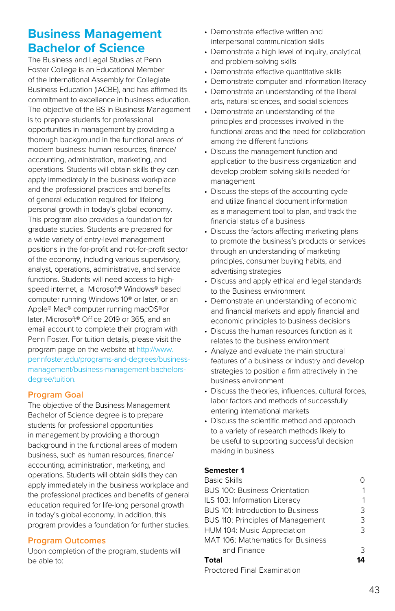# **Business Management Bachelor of Science**

The Business and Legal Studies at Penn Foster College is an Educational Member of the International Assembly for Collegiate Business Education (IACBE), and has affirmed its commitment to excellence in business education. The objective of the BS in Business Management is to prepare students for professional opportunities in management by providing a thorough background in the functional areas of modern business: human resources, finance/ accounting, administration, marketing, and operations. Students will obtain skills they can apply immediately in the business workplace and the professional practices and benefits of general education required for lifelong personal growth in today's global economy. This program also provides a foundation for graduate studies. Students are prepared for a wide variety of entry-level management positions in the for-profit and not-for-profit sector of the economy, including various supervisory, analyst, operations, administrative, and service functions. Students will need access to highspeed internet, a Microsoft® Windows® based computer running Windows 10® or later, or an Apple® Mac® computer running macOS®or later, Microsoft® Office 2019 or 365, and an email account to complete their program with Penn Foster. For tuition details, please visit the program page on the website at [http://www.](http://www.pennfoster.edu/programs-and-degrees/business-management/business-management-bachelors-degree/tuition) [pennfoster.edu/programs-and-degrees/business](http://www.pennfoster.edu/programs-and-degrees/business-management/business-management-bachelors-degree/tuition)[management/business-management-bachelors](http://www.pennfoster.edu/programs-and-degrees/business-management/business-management-bachelors-degree/tuition)[degree/tuition](http://www.pennfoster.edu/programs-and-degrees/business-management/business-management-bachelors-degree/tuition).

# **Program Goal**

The objective of the Business Management Bachelor of Science degree is to prepare students for professional opportunities in management by providing a thorough background in the functional areas of modern business, such as human resources, finance/ accounting, administration, marketing, and operations. Students will obtain skills they can apply immediately in the business workplace and the professional practices and benefits of general education required for life-long personal growth in today's global economy. In addition, this program provides a foundation for further studies.

# **Program Outcomes**

Upon completion of the program, students will be able to:

- Demonstrate effective written and interpersonal communication skills
- Demonstrate a high level of inquiry, analytical, and problem-solving skills
- Demonstrate effective quantitative skills
- Demonstrate computer and information literacy
- Demonstrate an understanding of the liberal arts, natural sciences, and social sciences
- Demonstrate an understanding of the principles and processes involved in the functional areas and the need for collaboration among the different functions
- Discuss the management function and application to the business organization and develop problem solving skills needed for management
- Discuss the steps of the accounting cycle and utilize financial document information as a management tool to plan, and track the financial status of a business
- Discuss the factors affecting marketing plans to promote the business's products or services through an understanding of marketing principles, consumer buying habits, and advertising strategies
- Discuss and apply ethical and legal standards to the Business environment
- Demonstrate an understanding of economic and financial markets and apply financial and economic principles to business decisions
- Discuss the human resources function as it relates to the business environment
- Analyze and evaluate the main structural features of a business or industry and develop strategies to position a firm attractively in the business environment
- Discuss the theories, influences, cultural forces, labor factors and methods of successfully entering international markets
- Discuss the scientific method and approach to a variety of research methods likely to be useful to supporting successful decision making in business

# **Semester 1**

| <b>Basic Skills</b>                  |    |
|--------------------------------------|----|
| <b>BUS 100: Business Orientation</b> |    |
| ILS 103: Information Literacy        | 1  |
| BUS 101: Introduction to Business    | 3  |
| BUS 110: Principles of Management    | 3  |
| HUM 104: Music Appreciation          | 3  |
| MAT 106: Mathematics for Business    |    |
| and Finance                          | 3  |
| Total                                | 14 |
| <b>Proctored Final Examination</b>   |    |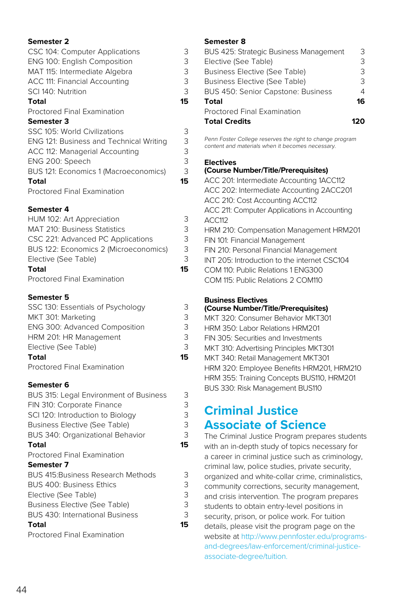| CSC 104: Computer Applications<br>ENG 100: English Composition<br>MAT 115: Intermediate Algebra<br>ACC 111: Financial Accounting<br>SCI 140: Nutrition<br>Total | 3<br>3<br>3<br>3<br>3<br>15 |
|-----------------------------------------------------------------------------------------------------------------------------------------------------------------|-----------------------------|
| <b>Proctored Final Examination</b>                                                                                                                              |                             |
| <b>Semester 3</b>                                                                                                                                               |                             |
| SSC 105: World Civilizations                                                                                                                                    | 3                           |
| ENG 121: Business and Technical Writing                                                                                                                         | 3                           |
| ACC 112: Managerial Accounting                                                                                                                                  | 3                           |
| ENG 200: Speech                                                                                                                                                 | 3                           |
| BUS 121: Economics 1 (Macroeconomics)                                                                                                                           | 3                           |
| Total                                                                                                                                                           | 15                          |
| <b>Proctored Final Examination</b>                                                                                                                              |                             |

#### **Semester 4**

| HUM 102: Art Appreciation             | 3  |
|---------------------------------------|----|
| <b>MAT 210: Business Statistics</b>   | 3  |
| CSC 221: Advanced PC Applications     | 3  |
| BUS 122: Economics 2 (Microeconomics) | 3  |
| Elective (See Table)                  | 3  |
| <b>Total</b>                          | 15 |
| Proctored Final Examination           |    |
|                                       |    |

### **Semester 5**

| SSC 130: Essentials of Psychology    | 3  |
|--------------------------------------|----|
| MKT 301: Marketing                   | 3  |
| <b>ENG 300: Advanced Composition</b> | 3  |
| HRM 201: HR Management               | 3  |
| Elective (See Table)                 | 3  |
| Total                                | 15 |
| <b>Droctorod Einal Evamination</b>   |    |

Proctored Final Examination

### **Semester 6**

| <b>BUS 315: Legal Environment of Business</b> | 3  |
|-----------------------------------------------|----|
| FIN 310: Corporate Finance                    | 3  |
| SCI 120: Introduction to Biology              | 3  |
| <b>Business Elective (See Table)</b>          | 3  |
| BUS 340: Organizational Behavior              | 3  |
| <b>Total</b>                                  | 15 |
| <b>Proctored Final Examination</b>            |    |
| Semester 7                                    |    |
| <b>BUS 415: Business Research Methods</b>     | 3  |
| <b>BUS 400: Business Ethics</b>               | 3  |
| Elective (See Table)                          | 3  |
| <b>Business Elective (See Table)</b>          | 3  |
| <b>BUS 430: International Business</b>        | 3  |
| <b>Total</b>                                  | 15 |
| <b>Proctored Final Examination</b>            |    |

# **Semester 8**

| BUS 425: Strategic Business Management    | 3  |
|-------------------------------------------|----|
| Elective (See Table)                      | 3  |
| <b>Business Elective (See Table)</b>      | З  |
| <b>Business Elective (See Table)</b>      | 3  |
| <b>BUS 450: Senior Capstone: Business</b> | 4  |
| Total                                     | 16 |
| <b>Proctored Final Examination</b>        |    |
| <b>Total Credits</b>                      |    |

Penn Foster College reserves the right to change program content and materials when it becomes necessary.

#### **Electives**

#### **(Course Number/Title/Prerequisites)**

| ACC 201: Intermediate Accounting 1ACC112     |
|----------------------------------------------|
| ACC 202: Intermediate Accounting 2ACC201     |
| ACC 210: Cost Accounting ACC112              |
| ACC 211: Computer Applications in Accounting |
| ACC112                                       |
| HRM 210: Compensation Management HRM201      |
| FIN 101: Financial Management                |
| FIN 210: Personal Financial Management       |
| INT 205: Introduction to the internet CSC104 |
| COM 110: Public Relations 1 ENG300           |
| COM 115: Public Relations 2 COM110           |

# **Business Electives**

# **(Course Number/Title/Prerequisites)** MKT 320: Consumer Behavior MKT301

HRM 350: Labor Relations HRM201 FIN 305: Securities and Investments MKT 310: Advertising Principles MKT301 MKT 340: Retail Management MKT301 HRM 320: Employee Benefits HRM201, HRM210 HRM 355: Training Concepts BUS110, HRM201 BUS 330: Risk Management BUS110

# **Criminal Justice Associate of Science**

The Criminal Justice Program prepares students with an in-depth study of topics necessary for a career in criminal justice such as criminology, criminal law, police studies, private security, organized and white-collar crime, criminalistics, community corrections, security management, and crisis intervention. The program prepares students to obtain entry-level positions in security, prison, or police work. For tuition details, please visit the program page on the website at [http://www.pennfoster.edu/programs](http://www.pennfoster.edu/programs-and-degrees/law-enforcement/criminal-justice-associate-degree/tuition)[and-degrees/law-enforcement/criminal-justice](http://www.pennfoster.edu/programs-and-degrees/law-enforcement/criminal-justice-associate-degree/tuition)[associate-degree/tuition.](http://www.pennfoster.edu/programs-and-degrees/law-enforcement/criminal-justice-associate-degree/tuition)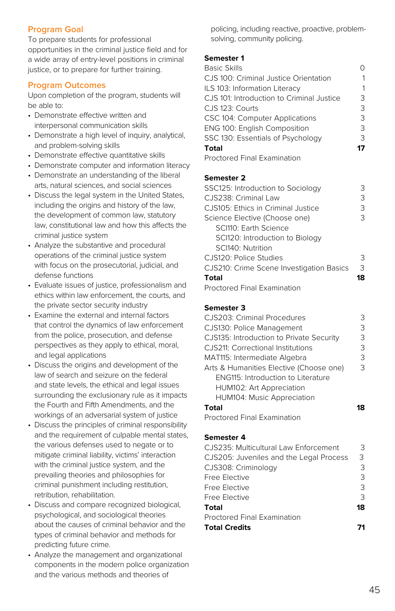# **Program Goal**

To prepare students for professional opportunities in the criminal justice field and for a wide array of entry-level positions in criminal justice, or to prepare for further training.

#### **Program Outcomes**

Upon completion of the program, students will be able to:

- Demonstrate effective written and interpersonal communication skills
- Demonstrate a high level of inquiry, analytical, and problem-solving skills
- Demonstrate effective quantitative skills
- Demonstrate computer and information literacy
- Demonstrate an understanding of the liberal arts, natural sciences, and social sciences
- Discuss the legal system in the United States, including the origins and history of the law, the development of common law, statutory law, constitutional law and how this affects the criminal justice system
- Analyze the substantive and procedural operations of the criminal justice system with focus on the prosecutorial, judicial, and defense functions
- Evaluate issues of justice, professionalism and ethics within law enforcement, the courts, and the private sector security industry
- Examine the external and internal factors that control the dynamics of law enforcement from the police, prosecution, and defense perspectives as they apply to ethical, moral, and legal applications
- Discuss the origins and development of the law of search and seizure on the federal and state levels, the ethical and legal issues surrounding the exclusionary rule as it impacts the Fourth and Fifth Amendments, and the workings of an adversarial system of justice
- Discuss the principles of criminal responsibility and the requirement of culpable mental states, the various defenses used to negate or to mitigate criminal liability, victims' interaction with the criminal justice system, and the prevailing theories and philosophies for criminal punishment including restitution, retribution, rehabilitation.
- Discuss and compare recognized biological, psychological, and sociological theories about the causes of criminal behavior and the types of criminal behavior and methods for predicting future crime.
- Analyze the management and organizational components in the modern police organization and the various methods and theories of

policing, including reactive, proactive, problemsolving, community policing.

#### **Semester 1**

| <b>Basic Skills</b>                       |    |
|-------------------------------------------|----|
| CJS 100: Criminal Justice Orientation     | 1  |
| ILS 103: Information Literacy             | 1  |
| CJS 101: Introduction to Criminal Justice | 3  |
| CJS 123: Courts                           | 3  |
| CSC 104: Computer Applications            | 3  |
| ENG 100: English Composition              | 3  |
| SSC 130: Essentials of Psychology         | 3  |
| <b>Total</b>                              | 17 |
| Proctored Final Examination               |    |
|                                           |    |

#### **Semester 2**

| SSC125: Introduction to Sociology        | 3  |
|------------------------------------------|----|
| C.JS238: Criminal Law                    | 3  |
| CJS105: Ethics in Criminal Justice       | 3  |
| Science Elective (Choose one)            | 3  |
| SCI110: Earth Science                    |    |
| SCI120: Introduction to Biology          |    |
| SCI140: Nutrition                        |    |
| CJS120: Police Studies                   | 3  |
| CJS210: Crime Scene Investigation Basics | 3  |
| <b>Total</b>                             | 18 |
|                                          |    |

Proctored Final Examination

#### **Semester 3**

| CJS203: Criminal Procedures               | 3 |
|-------------------------------------------|---|
| CJS130: Police Management                 | 3 |
| CJS135: Introduction to Private Security  | 3 |
| CJS211: Correctional Institutions         | 3 |
| MAT115: Intermediate Algebra              | 3 |
| Arts & Humanities Elective (Choose one)   | З |
| <b>ENG115: Introduction to Literature</b> |   |
| HUM102: Art Appreciation                  |   |
| HUM104: Music Appreciation                |   |
| Total                                     |   |

Proctored Final Examination

#### **Semester 4**

| CJS235: Multicultural Law Enforcement   | З  |
|-----------------------------------------|----|
| CJS205: Juveniles and the Legal Process | 3  |
| CJS308: Criminology                     | 3  |
| Free Elective                           | 3  |
| Free Elective                           | 3  |
| Free Elective                           | 3  |
| Total                                   | 18 |
| <b>Proctored Final Examination</b>      |    |
| <b>Total Credits</b>                    |    |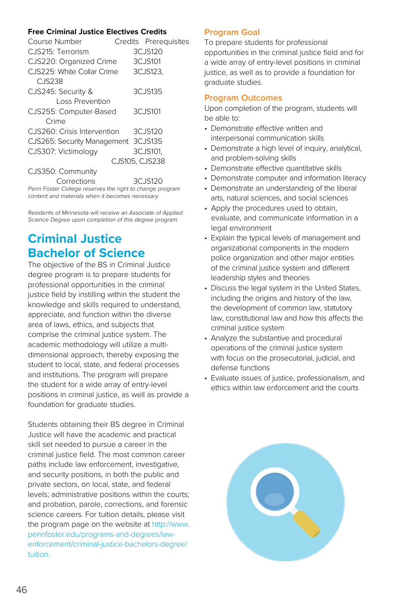# **Free Criminal Justice Electives Credits**

| Course Number                                            | Credits Prerequisites |  |
|----------------------------------------------------------|-----------------------|--|
| CJS215: Terrorism                                        | 3CJS120               |  |
| CJS220: Organized Crime                                  | 3CJS101               |  |
| CJS225: White Collar Crime<br>CJS238                     | 3CJS123.              |  |
| CJS245: Security &                                       | 3CJS135               |  |
| Loss Prevention                                          |                       |  |
| CJS255: Computer-Based                                   | 3CJS101               |  |
| Crime                                                    |                       |  |
| CJS260: Crisis Intervention                              | 3CJS120               |  |
| CJS265: Security Management 3CJS135                      |                       |  |
| CJS307: Victimology                                      | 3CJS101.              |  |
|                                                          | CJS105. CJS238        |  |
| CJS350: Community                                        |                       |  |
| Corrections                                              | 3CJS120               |  |
| Penn Foster College reserves the right to change program |                       |  |

content and materials when it becomes necessary.

Residents of Minnesota will receive an Associate of Applied Science Degree upon completion of this degree program.

# **Criminal Justice Bachelor of Science**

The objective of the BS in Criminal Justice degree program is to prepare students for professional opportunities in the criminal justice field by instilling within the student the knowledge and skills required to understand, appreciate, and function within the diverse area of laws, ethics, and subjects that comprise the criminal justice system. The academic methodology will utilize a multidimensional approach, thereby exposing the student to local, state, and federal processes and institutions. The program will prepare the student for a wide array of entry-level positions in criminal justice, as well as provide a foundation for graduate studies.

Students obtaining their BS degree in Criminal Justice will have the academic and practical skill set needed to pursue a career in the criminal justice field. The most common career paths include law enforcement, investigative, and security positions, in both the public and private sectors, on local, state, and federal levels; administrative positions within the courts; and probation, parole, corrections, and forensic science careers. For tuition details, please visit the program page on the website at [http://www.](http://www.pennfoster.edu/programs-and-degrees/law-enforcement/criminal-justice-bachelors-degree/tuition) [pennfoster.edu/programs-and-degrees/law](http://www.pennfoster.edu/programs-and-degrees/law-enforcement/criminal-justice-bachelors-degree/tuition)[enforcement/criminal-justice-bachelors-degree/](http://www.pennfoster.edu/programs-and-degrees/law-enforcement/criminal-justice-bachelors-degree/tuition) [tuition](http://www.pennfoster.edu/programs-and-degrees/law-enforcement/criminal-justice-bachelors-degree/tuition).

# **Program Goal**

To prepare students for professional opportunities in the criminal justice field and for a wide array of entry-level positions in criminal justice, as well as to provide a foundation for graduate studies.

# **Program Outcomes**

- Demonstrate effective written and interpersonal communication skills
- Demonstrate a high level of inquiry, analytical, and problem-solving skills
- Demonstrate effective quantitative skills
- Demonstrate computer and information literacy
- Demonstrate an understanding of the liberal arts, natural sciences, and social sciences
- Apply the procedures used to obtain, evaluate, and communicate information in a legal environment
- Explain the typical levels of management and organizational components in the modern police organization and other major entities of the criminal justice system and different leadership styles and theories
- Discuss the legal system in the United States, including the origins and history of the law, the development of common law, statutory law, constitutional law and how this affects the criminal justice system
- Analyze the substantive and procedural operations of the criminal justice system with focus on the prosecutorial, judicial, and defense functions
- Evaluate issues of justice, professionalism, and ethics within law enforcement and the courts

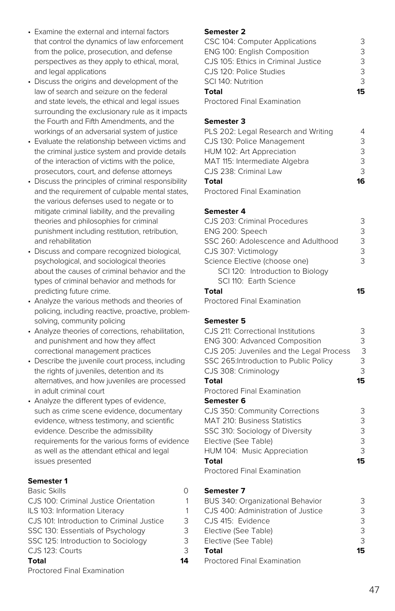- Examine the external and internal factors that control the dynamics of law enforcement from the police, prosecution, and defense perspectives as they apply to ethical, moral, and legal applications
- Discuss the origins and development of the law of search and seizure on the federal and state levels, the ethical and legal issues surrounding the exclusionary rule as it impacts the Fourth and Fifth Amendments, and the workings of an adversarial system of justice
- Evaluate the relationship between victims and the criminal justice system and provide details of the interaction of victims with the police, prosecutors, court, and defense attorneys
- Discuss the principles of criminal responsibility and the requirement of culpable mental states, the various defenses used to negate or to mitigate criminal liability, and the prevailing theories and philosophies for criminal punishment including restitution, retribution, and rehabilitation
- Discuss and compare recognized biological, psychological, and sociological theories about the causes of criminal behavior and the types of criminal behavior and methods for predicting future crime.
- Analyze the various methods and theories of policing, including reactive, proactive, problemsolving, community policing
- Analyze theories of corrections, rehabilitation, and punishment and how they affect correctional management practices
- Describe the juvenile court process, including the rights of juveniles, detention and its alternatives, and how juveniles are processed in adult criminal court
- Analyze the different types of evidence, such as crime scene evidence, documentary evidence, witness testimony, and scientific evidence. Describe the admissibility requirements for the various forms of evidence as well as the attendant ethical and legal issues presented

| <b>Basic Skills</b>                       | Ω  |
|-------------------------------------------|----|
| CJS 100: Criminal Justice Orientation     | 1  |
| ILS 103: Information Literacy             | 1  |
| CJS 101: Introduction to Criminal Justice | 3  |
| SSC 130: Essentials of Psychology         | 3  |
| SSC 125: Introduction to Sociology        | 3  |
| CJS 123: Courts                           | 3  |
| Total                                     | 14 |
| Proctored Final Examination               |    |

#### **Semester 2**

| CSC 104: Computer Applications         | 3  |
|----------------------------------------|----|
| <b>ENG 100: English Composition</b>    | 3  |
| C.J.S. 105: Ethics in Criminal Justice | २  |
| CJS 120: Police Studies                | 3  |
| SCI 140: Nutrition                     | 3  |
| Total                                  | 15 |
| Designed First Freeman and Service     |    |

Proctored Final Examination

### **Semester 3**

| PLS 202: Legal Research and Writing |    |
|-------------------------------------|----|
| CJS 130: Police Management          | 3  |
| HUM 102: Art Appreciation           | 3  |
| MAT 115: Intermediate Algebra       | 3  |
| CJS 238: Criminal Law               | २  |
| Total                               | 16 |
| <b>Droctorod Final Evamination</b>  |    |

Proctored Final Examination

### **Semester 4**

| CJS 203: Criminal Procedures       | З  |
|------------------------------------|----|
| ENG 200: Speech                    | 3  |
| SSC 260: Adolescence and Adulthood | 3  |
| CJS 307: Victimology               | 3  |
| Science Elective (choose one)      | 3  |
| SCI 120: Introduction to Biology   |    |
| SCI 110: Earth Science             |    |
| <b>Total</b>                       | 15 |
| Proctored Final Examination        |    |

# **Semester 5**

| C.J.S. 211: Correctional Institutions<br><b>ENG 300: Advanced Composition</b><br>CJS 205: Juveniles and the Legal Process<br>SSC 265: Introduction to Public Policy<br>CJS 308: Criminology | З<br>3<br>3<br>З<br>3 |
|---------------------------------------------------------------------------------------------------------------------------------------------------------------------------------------------|-----------------------|
| Total                                                                                                                                                                                       | 15                    |
| Proctored Final Examination                                                                                                                                                                 |                       |
| Semester 6                                                                                                                                                                                  |                       |
| CJS 350: Community Corrections                                                                                                                                                              | З                     |
| <b>MAT 210: Business Statistics</b>                                                                                                                                                         | 3                     |
| SSC 310: Sociology of Diversity                                                                                                                                                             | 3                     |
| Elective (See Table)                                                                                                                                                                        | 3                     |
| HUM 104: Music Appreciation                                                                                                                                                                 | 3                     |
| Total                                                                                                                                                                                       | 15                    |
| <b>Proctored Final Examination</b>                                                                                                                                                          |                       |

# **Semester 7**

| BUS 340: Organizational Behavior   |               |
|------------------------------------|---------------|
| CJS 400: Administration of Justice | З             |
| CJS 415: Evidence                  | 3             |
| Elective (See Table)               | $\mathcal{L}$ |
| Elective (See Table)               | 3             |
| Total                              | 15            |
| <b>Proctored Final Examination</b> |               |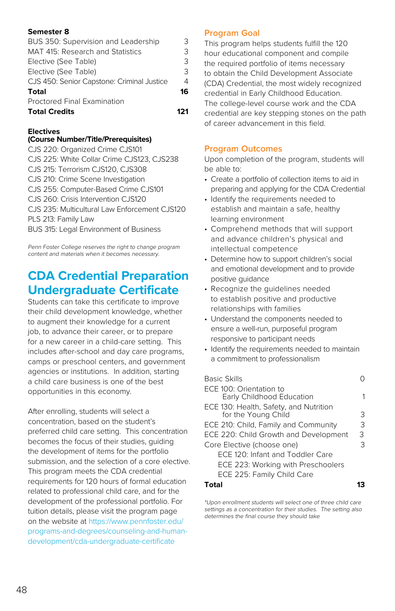| Proctored Final Examination<br><b>Total Credits</b> |    |
|-----------------------------------------------------|----|
| Total                                               | 16 |
| CJS 450: Senior Capstone: Criminal Justice          | 4  |
| Elective (See Table)                                | 3  |
| Elective (See Table)                                | 3  |
| MAT 415: Research and Statistics                    | 3  |
| BUS 350: Supervision and Leadership                 | З  |

#### **Electives**

#### **(Course Number/Title/Prerequisites)**

CJS 220: Organized Crime CJS101 CJS 225: White Collar Crime CJS123, CJS238 CJS 215: Terrorism CJS120, CJS308 CJS 210: Crime Scene Investigation CJS 255: Computer-Based Crime CJS101 CJS 260: Crisis Intervention CJS120 CJS 235: Multicultural Law Enforcement CJS120 PLS 213: Family Law BUS 315: Legal Environment of Business

Penn Foster College reserves the right to change program content and materials when it becomes necessary.

# **CDA Credential Preparation Undergraduate Certificate**

Students can take this certificate to improve their child development knowledge, whether to augment their knowledge for a current job, to advance their career, or to prepare for a new career in a child-care setting. This includes after-school and day care programs, camps or preschool centers, and government agencies or institutions. In addition, starting a child care business is one of the best opportunities in this economy.

After enrolling, students will select a concentration, based on the student's preferred child care setting. This concentration becomes the focus of their studies, guiding the development of items for the portfolio submission, and the selection of a core elective. This program meets the CDA credential requirements for 120 hours of formal education related to professional child care, and for the development of the professional portfolio. For tuition details, please visit the program page on the website at [https://www.pennfoster.edu/](https://www.pennfoster.edu/programs-and-degrees/counseling-and-human-development/cda-undergraduate-certificate) [programs-and-degrees/counseling-and-human](https://www.pennfoster.edu/programs-and-degrees/counseling-and-human-development/cda-undergraduate-certificate)[development/cda-undergraduate-certificate](https://www.pennfoster.edu/programs-and-degrees/counseling-and-human-development/cda-undergraduate-certificate)

### **Program Goal**

This program helps students fulfill the 120 hour educational component and compile the required portfolio of items necessary to obtain the Child Development Associate (CDA) Credential, the most widely recognized credential in Early Childhood Education. The college-level course work and the CDA credential are key stepping stones on the path of career advancement in this field.

# **Program Outcomes**

Upon completion of the program, students will be able to:

- Create a portfolio of collection items to aid in preparing and applying for the CDA Credential
- Identify the requirements needed to establish and maintain a safe, healthy learning environment
- Comprehend methods that will support and advance children's physical and intellectual competence
- Determine how to support children's social and emotional development and to provide positive guidance
- Recognize the guidelines needed to establish positive and productive relationships with families
- Understand the components needed to ensure a well-run, purposeful program responsive to participant needs
- Identify the requirements needed to maintain a commitment to professionalism

| 3 |
|---|
| 3 |
| २ |
| 3 |
|   |
|   |
|   |
|   |

#### **Total 13**

\*Upon enrollment students will select one of three child care settings as a concentration for their studies. The setting also determines the final course they should take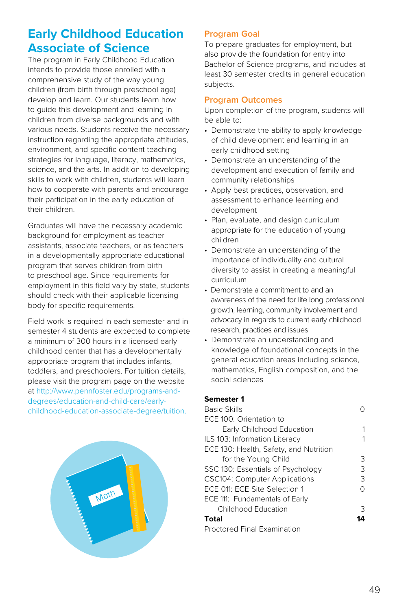# **Early Childhood Education Associate of Science**

The program in Early Childhood Education intends to provide those enrolled with a comprehensive study of the way young children (from birth through preschool age) develop and learn. Our students learn how to guide this development and learning in children from diverse backgrounds and with various needs. Students receive the necessary instruction regarding the appropriate attitudes, environment, and specific content teaching strategies for language, literacy, mathematics, science, and the arts. In addition to developing skills to work with children, students will learn how to cooperate with parents and encourage their participation in the early education of their children.

Graduates will have the necessary academic background for employment as teacher assistants, associate teachers, or as teachers in a developmentally appropriate educational program that serves children from birth to preschool age. Since requirements for employment in this field vary by state, students should check with their applicable licensing body for specific requirements.

Field work is required in each semester and in semester 4 students are expected to complete a minimum of 300 hours in a licensed early childhood center that has a developmentally appropriate program that includes infants, toddlers, and preschoolers. For tuition details, please visit the program page on the website at [http://www.pennfoster.edu/programs-and](http://www.pennfoster.edu/programs-and-degrees/education-and-child-care/early-childhood-education-associate-degree/tuition.)[degrees/education-and-child-care/early](http://www.pennfoster.edu/programs-and-degrees/education-and-child-care/early-childhood-education-associate-degree/tuition.)[childhood-education-associate-degree/tuition.](http://www.pennfoster.edu/programs-and-degrees/education-and-child-care/early-childhood-education-associate-degree/tuition.)



# **Program Goal**

To prepare graduates for employment, but also provide the foundation for entry into Bachelor of Science programs, and includes at least 30 semester credits in general education subjects.

### **Program Outcomes**

Upon completion of the program, students will be able to:

- Demonstrate the ability to apply knowledge of child development and learning in an early childhood setting
- Demonstrate an understanding of the development and execution of family and community relationships
- Apply best practices, observation, and assessment to enhance learning and development
- Plan, evaluate, and design curriculum appropriate for the education of young children
- Demonstrate an understanding of the importance of individuality and cultural diversity to assist in creating a meaningful curriculum
- Demonstrate a commitment to and an awareness of the need for life long professional growth, learning, community involvement and advocacy in regards to current early childhood research, practices and issues
- Demonstrate an understanding and knowledge of foundational concepts in the general education areas including science, mathematics, English composition, and the social sciences

# **Semester 1**

| <b>Basic Skills</b>                    |    |
|----------------------------------------|----|
| ECE 100: Orientation to                |    |
| Early Childhood Education              | 1  |
| ILS 103: Information Literacy          | 1  |
| ECE 130: Health, Safety, and Nutrition |    |
| for the Young Child                    | 3  |
| SSC 130: Essentials of Psychology      | 3  |
| <b>CSC104: Computer Applications</b>   | 3  |
| ECE 011: ECE Site Selection 1          | 0  |
| ECE 111: Fundamentals of Early         |    |
| Childhood Education                    | 3  |
| Total                                  | ıд |
| <b>Proctored Final Examination</b>     |    |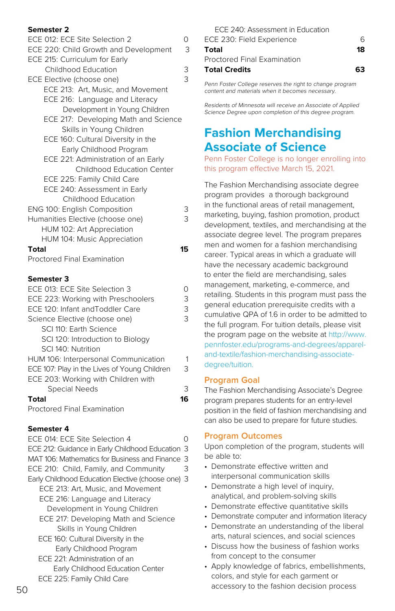| semester <i>z</i>                            |                         |
|----------------------------------------------|-------------------------|
| ECE 012: ECE Site Selection 2                | 0                       |
| ECE 220: Child Growth and Development        | 3                       |
| ECE 215: Curriculum for Early                |                         |
| Childhood Education                          | 3                       |
| ECE Elective (choose one)                    | $\overline{\mathbf{3}}$ |
| ECE 213: Art, Music, and Movement            |                         |
| ECE 216: Language and Literacy               |                         |
| Development in Young Children                |                         |
| ECE 217: Developing Math and Science         |                         |
| Skills in Young Children                     |                         |
| ECE 160: Cultural Diversity in the           |                         |
| Early Childhood Program                      |                         |
| ECE 221: Administration of an Early          |                         |
| Childhood Education Center                   |                         |
| ECE 225: Family Child Care                   |                         |
| ECE 240: Assessment in Early                 |                         |
| Childhood Education                          |                         |
| <b>ENG 100: English Composition</b>          | 3                       |
| Humanities Elective (choose one)             | 3                       |
| HUM 102: Art Appreciation                    |                         |
| HUM 104: Music Appreciation                  |                         |
| Total                                        | 15                      |
| Proctored Final Examination                  |                         |
|                                              |                         |
| <b>Semester 3</b>                            |                         |
| ECE 013: ECE Site Selection 3                | 0                       |
| ECE 223: Working with Preschoolers           | 3                       |
| ECE 120: Infant and Toddler Care             | 3                       |
| Science Elective (choose one)                | $\overline{\mathbf{3}}$ |
| SCI 110: Earth Science                       |                         |
| SCI 120: Introduction to Biology             |                         |
| SCI 140: Nutrition                           |                         |
| HUM 106: Interpersonal Communication         | 1                       |
| ECE 107: Play in the Lives of Young Children | 3                       |
| ECE 203: Working with Children with          |                         |
| Special Needs                                | 3                       |

**Total 16**

Proctored Final Examination

#### **Semester 4**

ECE 014: ECE Site Selection 4 0 ECE 212: Guidance in Early Childhood Education 3 MAT 106: Mathematics for Business and Finance 3 ECE 210: Child, Family, and Community 3 Early Childhood Education Elective (choose one) 3 ECE 213: Art, Music, and Movement ECE 216: Language and Literacy Development in Young Children ECE 217: Developing Math and Science Skills in Young Children ECE 160: Cultural Diversity in the Early Childhood Program ECE 221: Administration of an Early Childhood Education Center ECE 225: Family Child Care

| ECE 240: Assessment in Education |    |
|----------------------------------|----|
| ECE 230: Field Experience        |    |
| Total                            | 18 |
| Proctored Final Examination      |    |
| <b>Total Credits</b>             | 63 |

Penn Foster College reserves the right to change program content and materials when it becomes necessary.

Residents of Minnesota will receive an Associate of Applied Science Degree upon completion of this degree program.

# **Fashion Merchandising Associate of Science**

Penn Foster College is no longer enrolling into this program effective March 15, 2021.

The Fashion Merchandising associate degree program provides a thorough background in the functional areas of retail management, marketing, buying, fashion promotion, product development, textiles, and merchandising at the associate degree level. The program prepares men and women for a fashion merchandising career. Typical areas in which a graduate will have the necessary academic background to enter the field are merchandising, sales management, marketing, e-commerce, and retailing. Students in this program must pass the general education prerequisite credits with a cumulative QPA of 1.6 in order to be admitted to the full program. For tuition details, please visit the program page on the website at [http://www.](http://www.pennfoster.edu/programs-and-degrees/apparel-and-textile/fashion-merchandising-associate-degree/tuition) [pennfoster.edu/programs-and-degrees/apparel](http://www.pennfoster.edu/programs-and-degrees/apparel-and-textile/fashion-merchandising-associate-degree/tuition)[and-textile/fashion-merchandising-associate](http://www.pennfoster.edu/programs-and-degrees/apparel-and-textile/fashion-merchandising-associate-degree/tuition)[degree/tuition](http://www.pennfoster.edu/programs-and-degrees/apparel-and-textile/fashion-merchandising-associate-degree/tuition).

#### **Program Goal**

The Fashion Merchandising Associate's Degree program prepares students for an entry-level position in the field of fashion merchandising and can also be used to prepare for future studies.

### **Program Outcomes**

- Demonstrate effective written and interpersonal communication skills
- Demonstrate a high level of inquiry, analytical, and problem-solving skills
- Demonstrate effective quantitative skills
- Demonstrate computer and information literacy
- Demonstrate an understanding of the liberal arts, natural sciences, and social sciences
- Discuss how the business of fashion works from concept to the consumer
- Apply knowledge of fabrics, embellishments, colors, and style for each garment or accessory to the fashion decision process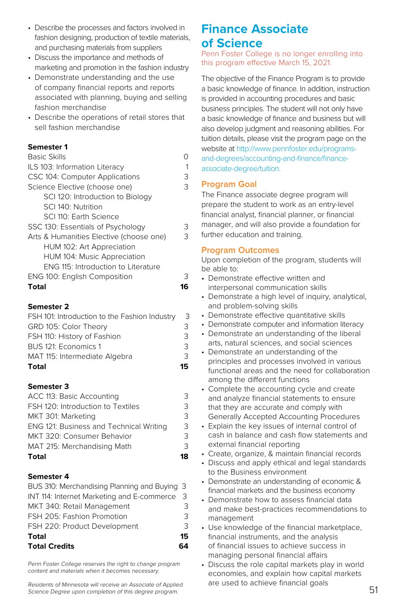- Describe the processes and factors involved in fashion designing, production of textile materials, and purchasing materials from suppliers
- Discuss the importance and methods of marketing and promotion in the fashion industry
- Demonstrate understanding and the use of company financial reports and reports associated with planning, buying and selling fashion merchandise
- Describe the operations of retail stores that sell fashion merchandise

| <b>ENG 100: English Composition</b>     | 3 |
|-----------------------------------------|---|
| ENG 115: Introduction to Literature     |   |
| HUM 104: Music Appreciation             |   |
| HUM 102: Art Appreciation               |   |
| Arts & Humanities Elective (choose one) | 3 |
| SSC 130: Essentials of Psychology       | 3 |
| SCI 110: Earth Science                  |   |
| SCI 140: Nutrition                      |   |
| SCI 120: Introduction to Biology        |   |
| Science Elective (choose one)           | 3 |
| CSC 104: Computer Applications          | 3 |
| ILS 103: Information Literacy           | 1 |
| <b>Basic Skills</b>                     |   |

### **Semester 2**

| FSH 101: Introduction to the Fashion Industry | 3   |
|-----------------------------------------------|-----|
| GRD 105: Color Theory                         | 3   |
| FSH 110: History of Fashion                   | 3   |
| BUS 121: Economics 1                          | 3   |
| MAT 115: Intermediate Algebra                 | 3   |
| Total                                         | 15. |

#### **Semester 3**

| <b>Total</b>                            | 18 |
|-----------------------------------------|----|
| MAT 215: Merchandising Math             | 3  |
| MKT 320: Consumer Behavior              | 3  |
| ENG 121: Business and Technical Writing | 3  |
| MKT 301: Marketing                      | 3  |
| FSH 120: Introduction to Textiles       | 3  |
| ACC 113: Basic Accounting               | 3  |

#### **Semester 4**

| <b>Total Credits</b>                         | 64 |
|----------------------------------------------|----|
| Total                                        | 15 |
| FSH 220: Product Development                 | 3  |
| FSH 205: Fashion Promotion                   | 3  |
| MKT 340: Retail Management                   | 3  |
| INT 114: Internet Marketing and E-commerce 3 |    |
| BUS 310: Merchandising Planning and Buying 3 |    |

Penn Foster College reserves the right to change program content and materials when it becomes necessary.

Residents of Minnesota will receive an Associate of Applied Science Degree upon completion of this degree program.

# **Finance Associate of Science**

Penn Foster College is no longer enrolling into this program effective March 15, 2021.

The objective of the Finance Program is to provide a basic knowledge of finance. In addition, instruction is provided in accounting procedures and basic business principles. The student will not only have a basic knowledge of finance and business but will also develop judgment and reasoning abilities. For tuition details, please visit the program page on the website at [http://www.pennfoster.edu/programs](http://www.pennfoster.edu/programs-and-degrees/accounting-and-finance/finance-associate-degree/tuition)[and-degrees/accounting-and-finance/finance](http://www.pennfoster.edu/programs-and-degrees/accounting-and-finance/finance-associate-degree/tuition)[associate-degree/tuition.](http://www.pennfoster.edu/programs-and-degrees/accounting-and-finance/finance-associate-degree/tuition)

### **Program Goal**

The Finance associate degree program will prepare the student to work as an entry-level financial analyst, financial planner, or financial manager, and will also provide a foundation for further education and training.

#### **Program Outcomes**

- Demonstrate effective written and interpersonal communication skills
- Demonstrate a high level of inquiry, analytical, and problem-solving skills
- Demonstrate effective quantitative skills
- Demonstrate computer and information literacy
- Demonstrate an understanding of the liberal arts, natural sciences, and social sciences
- Demonstrate an understanding of the principles and processes involved in various functional areas and the need for collaboration among the different functions
- Complete the accounting cycle and create and analyze financial statements to ensure that they are accurate and comply with Generally Accepted Accounting Procedures
- Explain the key issues of internal control of cash in balance and cash flow statements and external financial reporting
- Create, organize, & maintain financial records
- Discuss and apply ethical and legal standards to the Business environment
- Demonstrate an understanding of economic & financial markets and the business economy
- Demonstrate how to assess financial data and make best-practices recommendations to management
- Use knowledge of the financial marketplace, financial instruments, and the analysis of financial issues to achieve success in managing personal financial affairs
- Discuss the role capital markets play in world economies, and explain how capital markets are used to achieve financial goals<br>51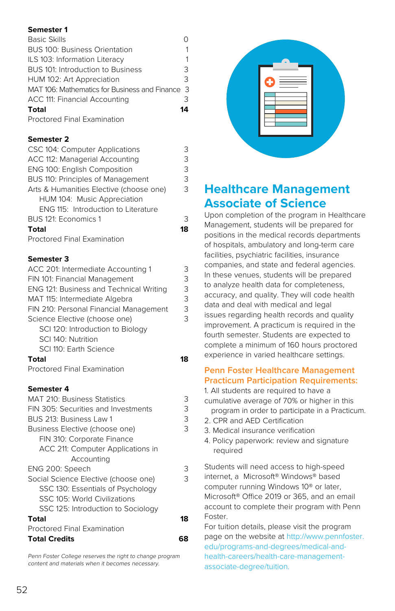| <b>Basic Skills</b>                             |    |
|-------------------------------------------------|----|
| <b>BUS 100: Business Orientation</b>            |    |
| ILS 103: Information Literacy                   |    |
| BUS 101: Introduction to Business               | 3  |
| HUM 102: Art Appreciation                       | 3  |
| MAT 106: Mathematics for Business and Finance 3 |    |
| ACC 111: Financial Accounting                   | 3  |
| Total                                           | 14 |
| Proctored Final Examination                     |    |

### **Semester 2**

| CSC 104: Computer Applications          | 3  |
|-----------------------------------------|----|
| ACC 112: Managerial Accounting          | 3  |
| ENG 100: English Composition            | 3  |
| BUS 110: Principles of Management       | 3  |
| Arts & Humanities Elective (choose one) | 3  |
| HUM 104: Music Appreciation             |    |
| ENG 115: Introduction to Literature     |    |
| BUS 121: Economics 1                    | 3  |
| <b>Total</b>                            | 18 |
| <b>Proctored Final Examination</b>      |    |

### **Semester 3**

| ACC 201: Intermediate Accounting 1      | 3  |
|-----------------------------------------|----|
| FIN 101: Financial Management           | 3  |
| ENG 121: Business and Technical Writing | 3  |
| MAT 115: Intermediate Algebra           | 3  |
| FIN 210: Personal Financial Management  | 3  |
| Science Elective (choose one)           | 3  |
| SCI 120: Introduction to Biology        |    |
| SCI 140: Nutrition                      |    |
| SCI 110: Earth Science                  |    |
| Total                                   | 18 |
| Proctored Final Examination             |    |
|                                         |    |
| Semester 4                              |    |
| <b>MAT 210: Business Statistics</b>     | 3  |
| FIN 305: Securities and Investments     | 3  |
| BUS 213: Business Law 1                 | 3  |
| Business Elective (choose one)          | 3  |
| FIN 310: Corporate Finance              |    |
| ACC 211: Computer Applications in       |    |
| Accounting                              |    |
| ENG 200: Speech                         | 3  |
| Social Science Elective (choose one)    | 3  |
|                                         |    |

| Total                              | 18 |
|------------------------------------|----|
| SSC 125: Introduction to Sociology |    |
| SSC 105: World Civilizations       |    |
| SSC 130: Essentials of Psychology  |    |
|                                    |    |

# Proctored Final Examination **Total Credits 68**

Penn Foster College reserves the right to change program content and materials when it becomes necessary.



# **Healthcare Management Associate of Science**

Upon completion of the program in Healthcare Management, students will be prepared for positions in the medical records departments of hospitals, ambulatory and long-term care facilities, psychiatric facilities, insurance companies, and state and federal agencies. In these venues, students will be prepared to analyze health data for completeness, accuracy, and quality. They will code health data and deal with medical and legal issues regarding health records and quality improvement. A practicum is required in the fourth semester. Students are expected to complete a minimum of 160 hours proctored experience in varied healthcare settings.

# **Penn Foster Healthcare Management Practicum Participation Requirements:**

1. All students are required to have a cumulative average of 70% or higher in this program in order to participate in a Practicum. 2. CPR and AED Certification 3. Medical insurance verification 4. Policy paperwork: review and signature required Students will need access to high-speed internet, a Microsoft® Windows® based computer running Windows 10® or later, Microsoft® Office 2019 or 365, and an email account to complete their program with Penn Foster.

For tuition details, please visit the program page on the website at [http://www.pennfoster.](http://www.pennfoster.edu/programs-and-degrees/medical-and-health-careers/health-care-management-associate-degree/tuition) [edu/programs-and-degrees/medical-and](http://www.pennfoster.edu/programs-and-degrees/medical-and-health-careers/health-care-management-associate-degree/tuition)[health-careers/health-care-management](http://www.pennfoster.edu/programs-and-degrees/medical-and-health-careers/health-care-management-associate-degree/tuition)[associate-degree/tuition.](http://www.pennfoster.edu/programs-and-degrees/medical-and-health-careers/health-care-management-associate-degree/tuition)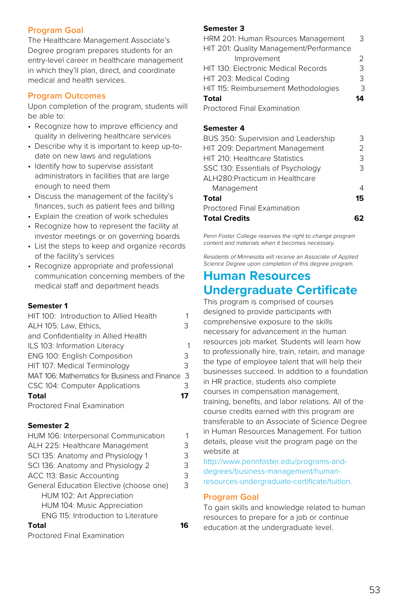### **Program Goal**

The Healthcare Management Associate's Degree program prepares students for an entry-level career in healthcare management in which they'll plan, direct, and coordinate medical and health services.

#### **Program Outcomes**

Upon completion of the program, students will be able to:

- Recognize how to improve efficiency and quality in delivering healthcare services
- Describe why it is important to keep up-todate on new laws and regulations
- Identify how to supervise assistant administrators in facilities that are large enough to need them
- Discuss the management of the facility's finances, such as patient fees and billing
- Explain the creation of work schedules
- Recognize how to represent the facility at investor meetings or on governing boards
- List the steps to keep and organize records of the facility's services
- Recognize appropriate and professional communication concerning members of the medical staff and department heads

#### **Semester 1**

| HIT 100: Introduction to Allied Health        |    |
|-----------------------------------------------|----|
| ALH 105: Law, Ethics,                         | 3  |
| and Confidentiality in Allied Health          |    |
| ILS 103: Information Literacy                 |    |
| ENG 100: English Composition                  | 3  |
| HIT 107: Medical Terminology                  | 3  |
| MAT 106: Mathematics for Business and Finance | -3 |
| CSC 104: Computer Applications                | 3  |
| <b>Total</b>                                  | 17 |
| <b>Proctored Final Examination</b>            |    |
|                                               |    |

#### **Semester 2**

| HUM 106: Interpersonal Communication       | 1 |
|--------------------------------------------|---|
| ALH 225: Healthcare Management             | 3 |
| SCI 135: Anatomy and Physiology 1          | 3 |
| SCI 136: Anatomy and Physiology 2          | 3 |
| ACC 113: Basic Accounting                  | 3 |
| General Education Elective (choose one)    | 3 |
| HUM 102: Art Appreciation                  |   |
| HUM 104: Music Appreciation                |   |
| <b>ENG 115: Introduction to Literature</b> |   |
| Total                                      |   |
|                                            |   |

Proctored Final Examination

#### **Semester 3**

| HRM 201: Human Rsources Management      | З  |
|-----------------------------------------|----|
| HIT 201: Quality Management/Performance |    |
| Improvement                             |    |
| HIT 130: Electronic Medical Records     | 3  |
| HIT 203: Medical Coding                 | Κ  |
| HIT 115: Reimbursement Methodologies    | З  |
| <b>Total</b>                            | 14 |
| <b>Proctored Final Examination</b>      |    |

#### **Semester 4**

| 3  |
|----|
| フ  |
| 3  |
| З  |
|    |
| 4  |
| 15 |
|    |
|    |
|    |

Penn Foster College reserves the right to change program content and materials when it becomes necessary.

Residents of Minnesota will receive an Associate of Applied Science Degree upon completion of this degree program.

# **Human Resources Undergraduate Certificate**

This program is comprised of courses designed to provide participants with comprehensive exposure to the skills necessary for advancement in the human resources job market. Students will learn how to professionally hire, train, retain, and manage the type of employee talent that will help their businesses succeed. In addition to a foundation in HR practice, students also complete courses in compensation management, training, benefits, and labor relations. All of the course credits earned with this program are transferable to an Associate of Science Degree in Human Resources Management. For tuition details, please visit the program page on the website at

[http://www.pennfoster.edu/programs-and](http://www.pennfoster.edu/programs-and-degrees/business-management/human-resources-undergraduate-certificate/tuition)[degrees/business-management/human](http://www.pennfoster.edu/programs-and-degrees/business-management/human-resources-undergraduate-certificate/tuition)[resources-undergraduate-certificate/tuition](http://www.pennfoster.edu/programs-and-degrees/business-management/human-resources-undergraduate-certificate/tuition).

#### **Program Goal**

To gain skills and knowledge related to human resources to prepare for a job or continue education at the undergraduate level.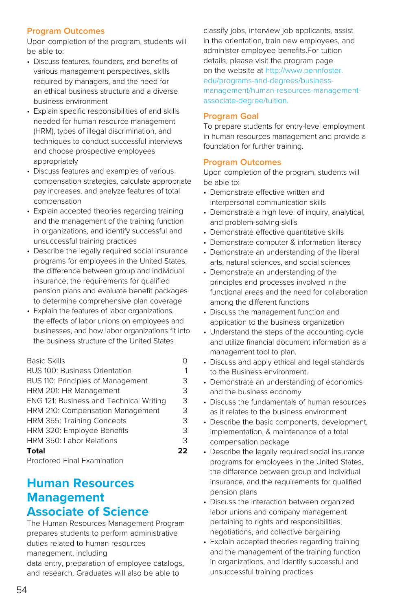# **Program Outcomes**

Upon completion of the program, students will be able to:

- Discuss features, founders, and benefits of various management perspectives, skills required by managers, and the need for an ethical business structure and a diverse business environment
- Explain specific responsibilities of and skills needed for human resource management (HRM), types of illegal discrimination, and techniques to conduct successful interviews and choose prospective employees appropriately
- Discuss features and examples of various compensation strategies, calculate appropriate pay increases, and analyze features of total compensation
- Explain accepted theories regarding training and the management of the training function in organizations, and identify successful and unsuccessful training practices
- Describe the legally required social insurance programs for employees in the United States, the difference between group and individual insurance; the requirements for qualified pension plans and evaluate benefit packages to determine comprehensive plan coverage
- Explain the features of labor organizations, the effects of labor unions on employees and businesses, and how labor organizations fit into the business structure of the United States

| <b>Basic Skills</b>                     |    |
|-----------------------------------------|----|
| <b>BUS 100: Business Orientation</b>    | 1  |
| BUS 110: Principles of Management       | 3  |
| HRM 201: HR Management                  | 3  |
| ENG 121: Business and Technical Writing | 3  |
| HRM 210: Compensation Management        | 3  |
| HRM 355: Training Concepts              | 3  |
| HRM 320: Employee Benefits              | 3  |
| HRM 350: Labor Relations                | 3  |
| Total                                   | フフ |
|                                         |    |

Proctored Final Examination

# **Human Resources Management Associate of Science**

The Human Resources Management Program prepares students to perform administrative duties related to human resources management, including

data entry, preparation of employee catalogs, and research. Graduates will also be able to

classify jobs, interview job applicants, assist in the orientation, train new employees, and administer employee benefits.For tuition details, please visit the program page on the website at [http://www.pennfoster.](http://www.pennfoster.edu/programs-and-degrees/business-management/human-resources-management-associate-degree/tuition) [edu/programs-and-degrees/business](http://www.pennfoster.edu/programs-and-degrees/business-management/human-resources-management-associate-degree/tuition)[management/human-resources-management](http://www.pennfoster.edu/programs-and-degrees/business-management/human-resources-management-associate-degree/tuition)[associate-degree/tuition.](http://www.pennfoster.edu/programs-and-degrees/business-management/human-resources-management-associate-degree/tuition)

### **Program Goal**

To prepare students for entry-level employment in human resources management and provide a foundation for further training.

# **Program Outcomes**

- Demonstrate effective written and interpersonal communication skills
- Demonstrate a high level of inquiry, analytical, and problem-solving skills
- Demonstrate effective quantitative skills
- Demonstrate computer & information literacy
- Demonstrate an understanding of the liberal arts, natural sciences, and social sciences
- Demonstrate an understanding of the principles and processes involved in the functional areas and the need for collaboration among the different functions
- Discuss the management function and application to the business organization
- Understand the steps of the accounting cycle and utilize financial document information as a management tool to plan.
- Discuss and apply ethical and legal standards to the Business environment.
- Demonstrate an understanding of economics and the business economy
- Discuss the fundamentals of human resources as it relates to the business environment
- Describe the basic components, development, implementation, & maintenance of a total compensation package
- Describe the legally required social insurance programs for employees in the United States, the difference between group and individual insurance, and the requirements for qualified pension plans
- Discuss the interaction between organized labor unions and company management pertaining to rights and responsibilities, negotiations, and collective bargaining
- Explain accepted theories regarding training and the management of the training function in organizations, and identify successful and unsuccessful training practices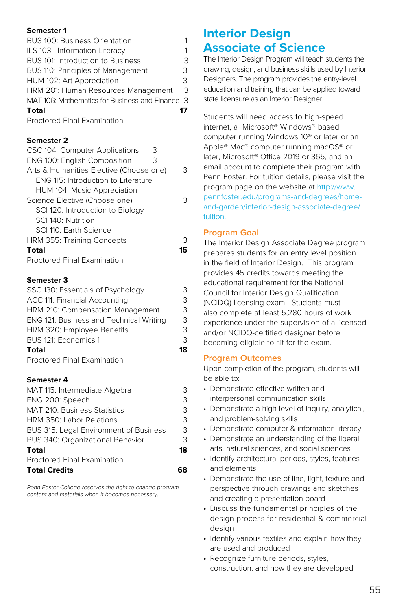| BUS 100: Business Orientation                   | 1  |
|-------------------------------------------------|----|
| ILS 103: Information Literacy                   | 1  |
| BUS 101: Introduction to Business               | 3  |
| BUS 110: Principles of Management               | 3  |
| HUM 102: Art Appreciation                       | 3  |
| HRM 201: Human Resources Management             | 3  |
| MAT 106: Mathematics for Business and Finance 3 |    |
| <b>Total</b>                                    | 17 |
| <b>Proctored Final Examination</b>              |    |

### **Semester 2**

| CSC 104: Computer Applications<br>З     |    |
|-----------------------------------------|----|
| ENG 100: English Composition<br>3       |    |
| Arts & Humanities Elective (Choose one) | 3  |
| ENG 115: Introduction to Literature     |    |
| HUM 104: Music Appreciation             |    |
| Science Elective (Choose one)           | 3  |
| SCI 120: Introduction to Biology        |    |
| SCI 140 <sup>.</sup> Nutrition          |    |
| SCI 110: Earth Science                  |    |
| HRM 355: Training Concepts              | 3  |
| <b>Total</b>                            | 15 |
| <b>Proctored Final Examination</b>      |    |

### **Semester 3**

| <b>Total</b>                            | 18 |
|-----------------------------------------|----|
| BUS 121: Economics 1                    | 3  |
| HRM 320: Employee Benefits              | 3  |
| ENG 121: Business and Technical Writing | 3  |
| HRM 210: Compensation Management        | 3  |
| ACC 111: Financial Accounting           | 3  |
| SSC 130: Essentials of Psychology       | 3  |

Proctored Final Examination

#### **Semester 4**

| MAT 115: Intermediate Algebra          | २  |
|----------------------------------------|----|
| ENG 200: Speech                        | 3  |
| <b>MAT 210: Business Statistics</b>    | 3  |
| HRM 350: Labor Relations               | 3  |
| BUS 315: Legal Environment of Business | 3  |
| BUS 340: Organizational Behavior       | 3  |
| Total                                  | 18 |
| Proctored Final Examination            |    |
| <b>Total Credits</b>                   |    |

Penn Foster College reserves the right to change program content and materials when it becomes necessary.

# **Interior Design Associate of Science**

The Interior Design Program will teach students the drawing, design, and business skills used by Interior Designers. The program provides the entry-level education and training that can be applied toward state licensure as an Interior Designer.

Students will need access to high-speed internet, a Microsoft® Windows® based computer running Windows 10® or later or an Apple® Mac® computer running macOS® or later, Microsoft® Office 2019 or 365, and an email account to complete their program with Penn Foster. For tuition details, please visit the program page on the website at [http://www.](http://www.pennfoster.edu/programs-and-degrees/home-and-garden/interior-design-associate-degree/tuition) [pennfoster.edu/programs-and-degrees/home](http://www.pennfoster.edu/programs-and-degrees/home-and-garden/interior-design-associate-degree/tuition)[and-garden/interior-design-associate-degree/](http://www.pennfoster.edu/programs-and-degrees/home-and-garden/interior-design-associate-degree/tuition) [tuition](http://www.pennfoster.edu/programs-and-degrees/home-and-garden/interior-design-associate-degree/tuition).

### **Program Goal**

The Interior Design Associate Degree program prepares students for an entry level position in the field of Interior Design. This program provides 45 credits towards meeting the educational requirement for the National Council for Interior Design Qualification (NCIDQ) licensing exam. Students must also complete at least 5,280 hours of work experience under the supervision of a licensed and/or NCIDQ-certified designer before becoming eligible to sit for the exam.

# **Program Outcomes**

- Demonstrate effective written and interpersonal communication skills
- Demonstrate a high level of inquiry, analytical, and problem-solving skills
- Demonstrate computer & information literacy
- Demonstrate an understanding of the liberal arts, natural sciences, and social sciences
- Identify architectural periods, styles, features and elements
- Demonstrate the use of line, light, texture and perspective through drawings and sketches and creating a presentation board
- Discuss the fundamental principles of the design process for residential & commercial design
- Identify various textiles and explain how they are used and produced
- Recognize furniture periods, styles, construction, and how they are developed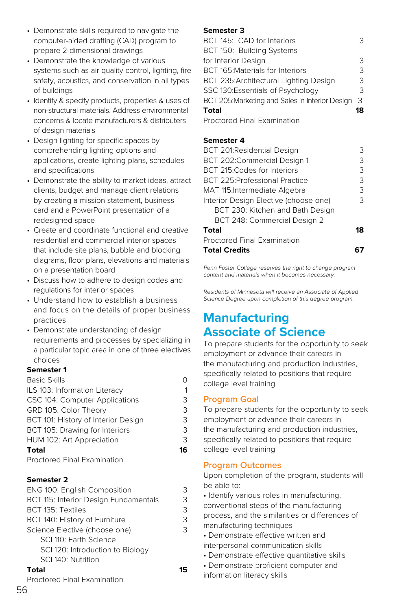- Demonstrate skills required to navigate the computer-aided drafting (CAD) program to prepare 2-dimensional drawings
- Demonstrate the knowledge of various systems such as air quality control, lighting, fire safety, acoustics, and conservation in all types of buildings
- Identify & specify products, properties & uses of non-structural materials. Address environmental concerns & locate manufacturers & distributers of design materials
- Design lighting for specific spaces by comprehending lighting options and applications, create lighting plans, schedules and specifications
- Demonstrate the ability to market ideas, attract clients, budget and manage client relations by creating a mission statement, business card and a PowerPoint presentation of a redesigned space
- Create and coordinate functional and creative residential and commercial interior spaces that include site plans, bubble and blocking diagrams, floor plans, elevations and materials on a presentation board
- Discuss how to adhere to design codes and regulations for interior spaces
- Understand how to establish a business and focus on the details of proper business practices
- Demonstrate understanding of design requirements and processes by specializing in a particular topic area in one of three electives choices

| <b>Basic Skills</b>                 | Ω  |
|-------------------------------------|----|
| ILS 103: Information Literacy       | 1  |
| CSC 104: Computer Applications      | 3  |
| GRD 105: Color Theory               | 3  |
| BCT 101: History of Interior Design | 3  |
| BCT 105: Drawing for Interiors      | 3  |
| HUM 102: Art Appreciation           | 3  |
| <b>Total</b>                        | 16 |
| Proctored Final Examination         |    |

#### **Semester 2**

| ENG 100: English Composition          | 3  |
|---------------------------------------|----|
| BCT 115: Interior Design Fundamentals | 3  |
| BCT 135: Textiles                     | 3  |
| BCT 140: History of Furniture         | 3  |
| Science Elective (choose one)         | 3  |
| SCI 110: Earth Science                |    |
| SCI 120: Introduction to Biology      |    |
| SCI 140: Nutrition                    |    |
| <b>Total</b>                          | 15 |
| Proctored Final Examination           |    |

### **Semester 3**

| BCT 145: CAD for Interiors                      | З  |
|-------------------------------------------------|----|
| BCT 150: Building Systems                       |    |
| for Interior Design                             | 3  |
| BCT 165: Materials for Interiors                | 3  |
| BCT 235: Architectural Lighting Design          | 3  |
| SSC 130:Essentials of Psychology                | 3  |
| BCT 205: Marketing and Sales in Interior Design | 3  |
| <b>Total</b>                                    | 18 |
| <b>Proctored Final Examination</b>              |    |

# **Semester 4**

| <b>BCT 201:Residential Design</b>     | 3  |
|---------------------------------------|----|
| BCT 202:Commercial Design 1           | 3  |
| BCT 215: Codes for Interiors          | 3  |
| <b>BCT 225:Professional Practice</b>  | 3  |
| MAT 115: Intermediate Algebra         | 3  |
| Interior Design Elective (choose one) | З  |
| BCT 230: Kitchen and Bath Design      |    |
| BCT 248: Commercial Design 2          |    |
| Total                                 | 18 |
| <b>Proctored Final Examination</b>    |    |
| <b>Total Credits</b>                  |    |

Penn Foster College reserves the right to change program content and materials when it becomes necessary.

Residents of Minnesota will receive an Associate of Applied Science Degree upon completion of this degree program.

# **Manufacturing Associate of Science**

To prepare students for the opportunity to seek employment or advance their careers in the manufacturing and production industries, specifically related to positions that require college level training

# **Program Goal**

To prepare students for the opportunity to seek employment or advance their careers in the manufacturing and production industries, specifically related to positions that require college level training

# **Program Outcomes**

Upon completion of the program, students will be able to:

- Identify various roles in manufacturing,
- conventional steps of the manufacturing
- process, and the similarities or differences of manufacturing techniques
- Demonstrate effective written and
- interpersonal communication skills
- Demonstrate effective quantitative skills
- Demonstrate proficient computer and information literacy skills

56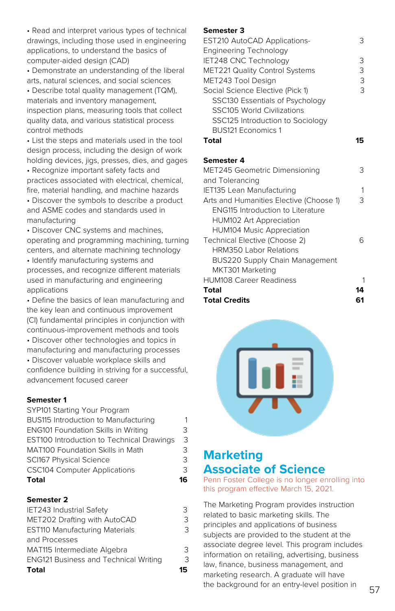• Read and interpret various types of technical drawings, including those used in engineering applications, to understand the basics of computer-aided design (CAD)

• Demonstrate an understanding of the liberal arts, natural sciences, and social sciences

• Describe total quality management (TQM), materials and inventory management, inspection plans, measuring tools that collect quality data, and various statistical process control methods

• List the steps and materials used in the tool design process, including the design of work holding devices, jigs, presses, dies, and gages

• Recognize important safety facts and practices associated with electrical, chemical, fire, material handling, and machine hazards • Discover the symbols to describe a product and ASME codes and standards used in

manufacturing

• Discover CNC systems and machines, operating and programming machining, turning centers, and alternate machining technology

• Identify manufacturing systems and processes, and recognize different materials used in manufacturing and engineering applications

• Define the basics of lean manufacturing and the key lean and continuous improvement (CI) fundamental principles in conjunction with continuous-improvement methods and tools

• Discover other technologies and topics in manufacturing and manufacturing processes

• Discover valuable workplace skills and confidence building in striving for a successful, advancement focused career

### **Semester 1**

| Total                                            | lr |
|--------------------------------------------------|----|
| <b>CSC104 Computer Applications</b>              | 3  |
| <b>SCI167 Physical Science</b>                   | 3  |
| <b>MAT100 Foundation Skills in Math</b>          | 3  |
| <b>EST100 Introduction to Technical Drawings</b> | 3  |
| <b>ENG101 Foundation Skills in Writing</b>       | З  |
| BUS115 Introduction to Manufacturing             | 1  |
| SYP101 Starting Your Program                     |    |

#### **Semester 2**

| IET243 Industrial Safety                     | २   |
|----------------------------------------------|-----|
| MET202 Drafting with AutoCAD                 | 3   |
| <b>EST110 Manufacturing Materials</b>        | 3   |
| and Processes                                |     |
| MAT115 Intermediate Algebra                  | 3   |
| <b>ENG121 Business and Technical Writing</b> | 3   |
| <b>Total</b>                                 | 15. |

#### **Semester 3**

| <b>EST210 AutoCAD Applications-</b>      | 3  |
|------------------------------------------|----|
| <b>Engineering Technology</b>            |    |
| IET248 CNC Technology                    | 3  |
| <b>MET221 Quality Control Systems</b>    | 3  |
| MET243 Tool Design                       | 3  |
| Social Science Elective (Pick 1)         | 3  |
| SSC130 Essentials of Psychology          |    |
| <b>SSC105 World Civilizations</b>        |    |
| SSC125 Introduction to Sociology         |    |
| <b>BUS121 Economics 1</b>                |    |
| Total                                    | 15 |
|                                          |    |
| Semester 4                               |    |
| MET245 Geometric Dimensioning            | 3  |
| and Tolerancing                          |    |
| <b>IET135 Lean Manufacturing</b>         | 1  |
| Arts and Humanities Elective (Choose 1)  | 3  |
| <b>ENG115 Introduction to Literature</b> |    |
| HUM102 Art Appreciation                  |    |
| <b>HUM104 Music Appreciation</b>         |    |
| Technical Elective (Choose 2)            | 6  |
| <b>HRM350 Labor Relations</b>            |    |
| BUS220 Supply Chain Management           |    |
| MKT301 Marketing                         |    |
|                                          |    |
| <b>HUM108 Career Readiness</b>           | 1  |
| Total                                    | 14 |
| <b>Total Credits</b>                     | 61 |



# **Marketing Associate of Science**

Penn Foster College is no longer enrolling into this program effective March 15, 2021.

The Marketing Program provides instruction related to basic marketing skills. The principles and applications of business subjects are provided to the student at the associate degree level. This program includes information on retailing, advertising, business law, finance, business management, and marketing research. A graduate will have the background for an entry-level position in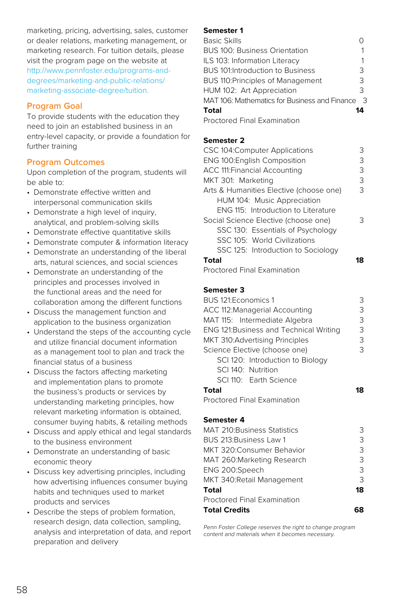marketing, pricing, advertising, sales, customer or dealer relations, marketing management, or marketing research. For tuition details, please visit the program page on the website at [http://www.pennfoster.edu/programs-and](http://www.pennfoster.edu/programs-and-degrees/marketing-and-public-relations/marketing-associate-degree/tuition)[degrees/marketing-and-public-relations/](http://www.pennfoster.edu/programs-and-degrees/marketing-and-public-relations/marketing-associate-degree/tuition) [marketing-associate-degree/tuition](http://www.pennfoster.edu/programs-and-degrees/marketing-and-public-relations/marketing-associate-degree/tuition).

# **Program Goal**

To provide students with the education they need to join an established business in an entry-level capacity, or provide a foundation for further training

# **Program Outcomes**

Upon completion of the program, students will be able to:

- Demonstrate effective written and interpersonal communication skills
- Demonstrate a high level of inquiry, analytical, and problem-solving skills
- Demonstrate effective quantitative skills
- Demonstrate computer & information literacy
- Demonstrate an understanding of the liberal arts, natural sciences, and social sciences
- Demonstrate an understanding of the principles and processes involved in the functional areas and the need for collaboration among the different functions
- Discuss the management function and application to the business organization
- Understand the steps of the accounting cycle and utilize financial document information as a management tool to plan and track the financial status of a business
- Discuss the factors affecting marketing and implementation plans to promote the business's products or services by understanding marketing principles, how relevant marketing information is obtained, consumer buying habits, & retailing methods
- Discuss and apply ethical and legal standards to the business environment
- Demonstrate an understanding of basic economic theory
- Discuss key advertising principles, including how advertising influences consumer buying habits and techniques used to market products and services
- Describe the steps of problem formation, research design, data collection, sampling, analysis and interpretation of data, and report preparation and delivery

#### **Semester 1**

| <b>Basic Skills</b>                           |    |
|-----------------------------------------------|----|
| <b>BUS 100: Business Orientation</b>          |    |
| ILS 103: Information Literacy                 |    |
| <b>BUS 101:Introduction to Business</b>       | 3  |
| BUS 110: Principles of Management             | 3  |
| HUM 102: Art Appreciation                     | 3  |
| MAT 106: Mathematics for Business and Finance | 3  |
| Total                                         | 14 |
| <b>Proctored Final Examination</b>            |    |

# **Semester 2**

| CSC 104: Computer Applications          | 3 |
|-----------------------------------------|---|
| <b>ENG 100: English Composition</b>     | 3 |
| <b>ACC 111: Financial Accounting</b>    | 3 |
| MKT 301: Marketing                      | 3 |
| Arts & Humanities Elective (choose one) | 3 |
| HUM 104: Music Appreciation             |   |
| ENG 115: Introduction to Literature     |   |
| Social Science Elective (choose one)    | 3 |
| SSC 130: Essentials of Psychology       |   |
| SSC 105: World Civilizations            |   |
| SSC 125: Introduction to Sociology      |   |
| <b>Total</b>                            | я |
| <b>Proctored Final Examination</b>      |   |

#### **Semester 3**

| BUS 121: Economics 1                   | З |
|----------------------------------------|---|
| ACC 112: Managerial Accounting         | З |
| MAT 115: Intermediate Algebra          | 3 |
| ENG 121:Business and Technical Writing | 3 |
| MKT 310:Advertising Principles         | 3 |
| Science Elective (choose one)          | 3 |
| SCI 120: Introduction to Biology       |   |
| SCI 140: Nutrition                     |   |
| SCI 110: Earth Science                 |   |
|                                        |   |

Proctored Final Examination

#### **Semester 4**

| <b>MAT 210: Business Statistics</b> | 3  |
|-------------------------------------|----|
| BUS 213: Business Law 1             | З  |
| MKT 320: Consumer Behavior          | 3  |
| MAT 260: Marketing Research         | 3  |
| ENG 200:Speech                      | 3  |
| MKT 340: Retail Management          | 3  |
| Total                               | 18 |
| Proctored Final Examination         |    |
| <b>Total Credits</b>                |    |

Penn Foster College reserves the right to change program content and materials when it becomes necessary.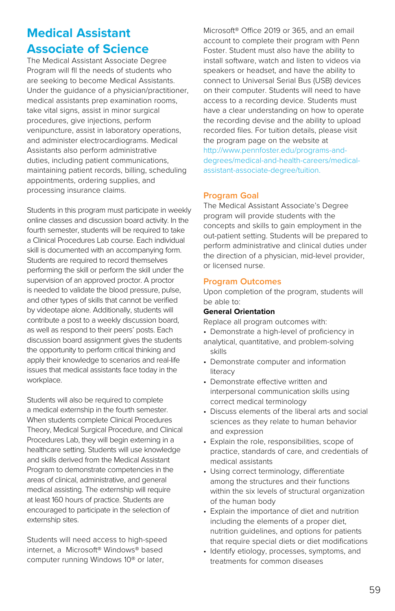# **Medical Assistant Associate of Science**

The Medical Assistant Associate Degree Program will fll the needs of students who are seeking to become Medical Assistants. Under the guidance of a physician/practitioner, medical assistants prep examination rooms, take vital signs, assist in minor surgical procedures, give injections, perform venipuncture, assist in laboratory operations, and administer electrocardiograms. Medical Assistants also perform administrative duties, including patient communications, maintaining patient records, billing, scheduling appointments, ordering supplies, and processing insurance claims.

Students in this program must participate in weekly online classes and discussion board activity. In the fourth semester, students will be required to take a Clinical Procedures Lab course. Each individual skill is documented with an accompanying form. Students are required to record themselves performing the skill or perform the skill under the supervision of an approved proctor. A proctor is needed to validate the blood pressure, pulse, and other types of skills that cannot be verified by videotape alone. Additionally, students will contribute a post to a weekly discussion board, as well as respond to their peers' posts. Each discussion board assignment gives the students the opportunity to perform critical thinking and apply their knowledge to scenarios and real-life issues that medical assistants face today in the workplace.

Students will also be required to complete a medical externship in the fourth semester. When students complete Clinical Procedures Theory, Medical Surgical Procedure, and Clinical Procedures Lab, they will begin externing in a healthcare setting. Students will use knowledge and skills derived from the Medical Assistant Program to demonstrate competencies in the areas of clinical, administrative, and general medical assisting. The externship will require at least 160 hours of practice. Students are encouraged to participate in the selection of externship sites.

Students will need access to high-speed internet, a Microsoft® Windows® based computer running Windows 10® or later,

Microsoft® Office 2019 or 365, and an email account to complete their program with Penn Foster. Student must also have the ability to install software, watch and listen to videos via speakers or headset, and have the ability to connect to Universal Serial Bus (USB) devices on their computer. Students will need to have access to a recording device. Students must have a clear understanding on how to operate the recording devise and the ability to upload recorded files. For tuition details, please visit the program page on the website at [http://www.pennfoster.edu/programs-and](http://www.pennfoster.edu/programs-and-degrees/medical-and-health-careers/medical-assistant-associate-degree/tuition)[degrees/medical-and-health-careers/medical](http://www.pennfoster.edu/programs-and-degrees/medical-and-health-careers/medical-assistant-associate-degree/tuition)[assistant-associate-degree/tuition.](http://www.pennfoster.edu/programs-and-degrees/medical-and-health-careers/medical-assistant-associate-degree/tuition)

# **Program Goal**

The Medical Assistant Associate's Degree program will provide students with the concepts and skills to gain employment in the out-patient setting. Students will be prepared to perform administrative and clinical duties under the direction of a physician, mid-level provider, or licensed nurse.

# **Program Outcomes**

Upon completion of the program, students will be able to:

#### **General Orientation**

Replace all program outcomes with:

- Demonstrate a high-level of proficiency in
- analytical, quantitative, and problem-solving skills
- Demonstrate computer and information literacy
- Demonstrate effective written and interpersonal communication skills using correct medical terminology
- Discuss elements of the liberal arts and social sciences as they relate to human behavior and expression
- Explain the role, responsibilities, scope of practice, standards of care, and credentials of medical assistants
- Using correct terminology, differentiate among the structures and their functions within the six levels of structural organization of the human body
- Explain the importance of diet and nutrition including the elements of a proper diet, nutrition guidelines, and options for patients that require special diets or diet modifications
- Identify etiology, processes, symptoms, and treatments for common diseases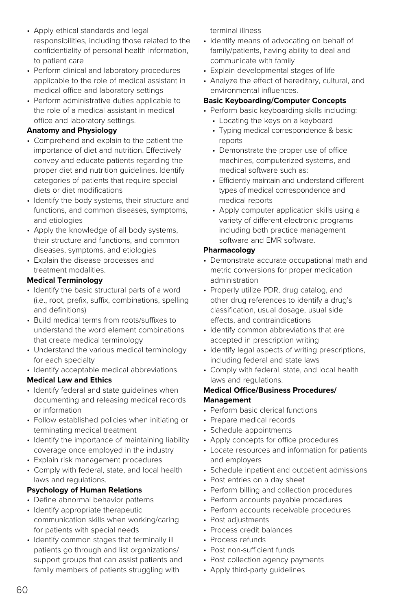- Apply ethical standards and legal responsibilities, including those related to the confidentiality of personal health information, to patient care
- Perform clinical and laboratory procedures applicable to the role of medical assistant in medical office and laboratory settings
- Perform administrative duties applicable to the role of a medical assistant in medical office and laboratory settings.

#### **Anatomy and Physiology**

- Comprehend and explain to the patient the importance of diet and nutrition. Effectively convey and educate patients regarding the proper diet and nutrition guidelines. Identify categories of patients that require special diets or diet modifications
- Identify the body systems, their structure and functions, and common diseases, symptoms, and etiologies
- Apply the knowledge of all body systems, their structure and functions, and common diseases, symptoms, and etiologies
- Explain the disease processes and treatment modalities.

### **Medical Terminology**

- Identify the basic structural parts of a word (i.e., root, prefix, suffix, combinations, spelling and definitions)
- Build medical terms from roots/suffixes to understand the word element combinations that create medical terminology
- Understand the various medical terminology for each specialty
- Identify acceptable medical abbreviations.

# **Medical Law and Ethics**

- Identify federal and state guidelines when documenting and releasing medical records or information
- Follow established policies when initiating or terminating medical treatment
- Identify the importance of maintaining liability coverage once employed in the industry
- Explain risk management procedures
- Comply with federal, state, and local health laws and regulations.

# **Psychology of Human Relations**

- Define abnormal behavior patterns
- Identify appropriate therapeutic communication skills when working/caring for patients with special needs
- Identify common stages that terminally ill patients go through and list organizations/ support groups that can assist patients and family members of patients struggling with

terminal illness

- Identify means of advocating on behalf of family/patients, having ability to deal and communicate with family
- Explain developmental stages of life
- Analyze the effect of hereditary, cultural, and environmental influences.

### **Basic Keyboarding/Computer Concepts**

- Perform basic keyboarding skills including:
	- Locating the keys on a keyboard
	- Typing medical correspondence & basic reports
	- Demonstrate the proper use of office machines, computerized systems, and medical software such as:
	- Efficiently maintain and understand different types of medical correspondence and medical reports
	- Apply computer application skills using a variety of different electronic programs including both practice management software and EMR software.

### **Pharmacology**

- Demonstrate accurate occupational math and metric conversions for proper medication administration
- Properly utilize PDR, drug catalog, and other drug references to identify a drug's classification, usual dosage, usual side effects, and contraindications
- Identify common abbreviations that are accepted in prescription writing
- Identify legal aspects of writing prescriptions. including federal and state laws
- Comply with federal, state, and local health laws and regulations.

# **Medical Office/Business Procedures/ Management**

- Perform basic clerical functions
- Prepare medical records
- Schedule appointments
- Apply concepts for office procedures
- Locate resources and information for patients and employers
- Schedule inpatient and outpatient admissions
- Post entries on a day sheet
- Perform billing and collection procedures
- Perform accounts payable procedures
- Perform accounts receivable procedures
- Post adjustments
- Process credit balances
- Process refunds
- Post non-sufficient funds
- Post collection agency payments
- Apply third-party guidelines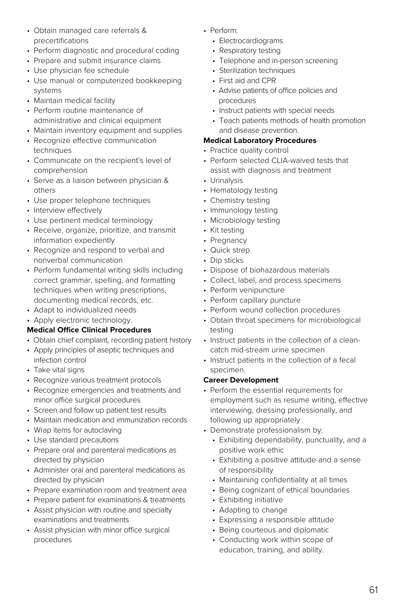- Obtain managed care referrals & precertifications
- Perform diagnostic and procedural coding
- Prepare and submit insurance claims
- Use physician fee schedule
- Use manual or computerized bookkeeping systems
- Maintain medical facility
- Perform routine maintenance of administrative and clinical equipment
- Maintain inventory equipment and supplies
- Recognize effective communication techniques
- Communicate on the recipient's level of comprehension
- Serve as a liaison between physician & others
- Use proper telephone techniques
- Interview effectively
- Use pertinent medical terminology
- Receive, organize, prioritize, and transmit information expediently
- Recognize and respond to verbal and nonverbal communication
- Perform fundamental writing skills including correct grammar, spelling, and formatting techniques when writing prescriptions, documenting medical records, etc.
- Adapt to individualized needs
- Apply electronic technology.

#### **Medical Office Clinical Procedures**

- Obtain chief complaint, recording patient history
- Apply principles of aseptic techniques and infection control
- Take vital signs
- Recognize various treatment protocols
- Recognize emergencies and treatments and minor office surgical procedures
- Screen and follow up patient test results
- Maintain medication and immunization records
- Wrap items for autoclaving
- Use standard precautions
- Prepare oral and parenteral medications as directed by physician
- Administer oral and parenteral medications as directed by physician
- Prepare examination room and treatment area
- Prepare patient for examinations & treatments • Assist physician with routine and specialty
- examinations and treatments
- Assist physician with minor office surgical procedures
- Perform:
	- Electrocardiograms
	- Respiratory testing
	- Telephone and in-person screening
	- Sterilization techniques
	- First aid and CPR
	- Advise patients of office policies and procedures
	- Instruct patients with special needs
	- Teach patients methods of health promotion and disease prevention.

### **Medical Laboratory Procedures**

- Practice quality control
- Perform selected CLIA-waived tests that assist with diagnosis and treatment
- Urinalysis
- Hematology testing
- Chemistry testing
- Immunology testing
- Microbiology testing
- Kit testing
- Pregnancy
- Quick strep
- Dip sticks
- Dispose of biohazardous materials
- Collect, label, and process specimens
- Perform venipuncture
- Perform capillary puncture
- Perform wound collection procedures
- Obtain throat specimens for microbiological testing
- Instruct patients in the collection of a cleancatch mid-stream urine specimen
- Instruct patients in the collection of a fecal specimen.

#### **Career Development**

- Perform the essential requirements for employment such as resume writing, effective interviewing, dressing professionally, and following up appropriately
- Demonstrate professionalism by:
	- Exhibiting dependability, punctuality, and a positive work ethic
	- Exhibiting a positive attitude and a sense of responsibility
	- Maintaining confidentiality at all times
	- Being cognizant of ethical boundaries
	- Exhibiting initiative
	- Adapting to change
	- Expressing a responsible attitude
	- Being courteous and diplomatic
	- Conducting work within scope of education, training, and ability.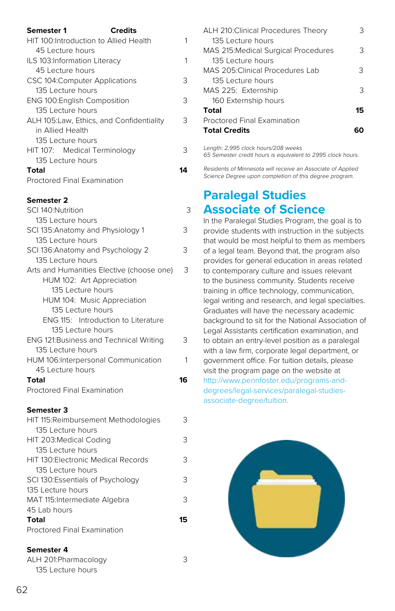| Semester 1<br><b>Credits</b>              |   |
|-------------------------------------------|---|
| HIT 100: Introduction to Allied Health    | 1 |
| 45 Lecture hours                          |   |
| ILS 103:Information Literacy              | 1 |
| 45 Lecture hours                          |   |
| CSC 104:Computer Applications             | 3 |
| 135 Lecture hours                         |   |
| <b>ENG 100: English Composition</b>       | 3 |
| 135 Lecture hours                         |   |
| ALH 105: Law, Ethics, and Confidentiality | 3 |
| in Allied Health                          |   |
| 135 Lecture hours                         |   |
| HIT 107: Medical Terminology              | 3 |
| 135 Lecture hours                         |   |
| Total                                     | Δ |
| Proctored Final Examination               |   |

| SCI 140:Nutrition                         | 3  |
|-------------------------------------------|----|
| 135 Lecture hours                         |    |
| SCI 135: Anatomy and Physiology 1         | 3  |
| 135 Lecture hours                         |    |
| SCI 136: Anatomy and Psychology 2         | 3  |
| 135 Lecture hours                         |    |
| Arts and Humanities Elective (choose one) | 3  |
| HUM 102: Art Appreciation                 |    |
| 135 Lecture hours                         |    |
| HUM 104: Music Appreciation               |    |
| 135 Lecture hours                         |    |
| ENG 115: Introduction to Literature       |    |
| 135 Lecture hours                         |    |
| ENG 121: Business and Technical Writing   | З  |
| 135 Lecture hours                         |    |
| HUM 106: Interpersonal Communication      | 1  |
| 45 Lecture hours                          |    |
| Total                                     | 16 |
| Proctored Final Examination               |    |

#### **Semester 3**

| HIT 115: Reimbursement Methodologies | っ  |
|--------------------------------------|----|
| 135 Lecture hours                    |    |
| HIT 203: Medical Coding              | 3  |
| 135 Lecture hours                    |    |
| HIT 130 Flectronic Medical Records   | 3  |
| 135 Lecture hours                    |    |
| SCI 130: Essentials of Psychology    | 3  |
| 135 Lecture hours                    |    |
| MAT 115: Intermediate Algebra        | 3  |
| 45 Lab hours                         |    |
| Total                                | 15 |
| Proctored Final Examination          |    |
|                                      |    |

#### **Semester 4**

ALH 201:Pharmacology 3 135 Lecture hours

| ALH 210: Clinical Procedures Theory         |    |
|---------------------------------------------|----|
| 135 Lecture hours                           |    |
| <b>MAS 215: Medical Surgical Procedures</b> | З  |
| 135 Lecture hours                           |    |
| MAS 205 Clinical Procedures Lab             | З  |
| 135 Lecture hours                           |    |
| MAS 225: Externship                         | 3  |
| 160 Externship hours                        |    |
| Total                                       | 15 |
| <b>Proctored Final Examination</b>          |    |
| <b>Total Credits</b>                        |    |
|                                             |    |

Length: 2,995 clock hours/208 weeks 65 Semester credit hours is equivalent to 2995 clock hours.

Residents of Minnesota will receive an Associate of Applied Science Degree upon completion of this degree program.

# **Paralegal Studies Associate of Science**

In the Paralegal Studies Program, the goal is to provide students with instruction in the subjects that would be most helpful to them as members of a legal team. Beyond that, the program also provides for general education in areas related to contemporary culture and issues relevant to the business community. Students receive training in office technology, communication, legal writing and research, and legal specialties. Graduates will have the necessary academic background to sit for the National Association of Legal Assistants certification examination, and to obtain an entry-level position as a paralegal with a law firm, corporate legal department, or government office. For tuition details, please visit the program page on the website at [http://www.pennfoster.edu/programs-and](http://www.pennfoster.edu/programs-and-degrees/legal-services/paralegal-studies-associate-degree/tuition)[degrees/legal-services/paralegal-studies](http://www.pennfoster.edu/programs-and-degrees/legal-services/paralegal-studies-associate-degree/tuition)[associate-degree/tuition.](http://www.pennfoster.edu/programs-and-degrees/legal-services/paralegal-studies-associate-degree/tuition)

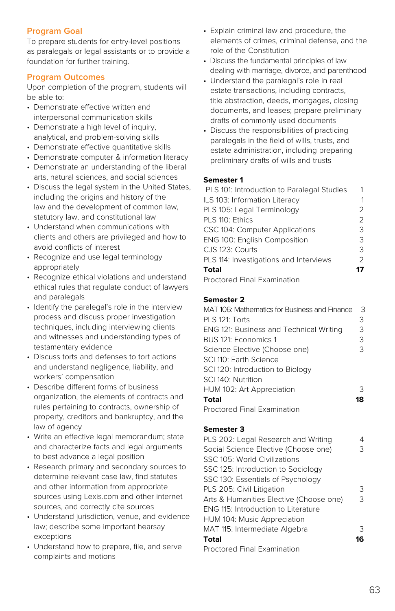# **Program Goal**

To prepare students for entry-level positions as paralegals or legal assistants or to provide a foundation for further training.

# **Program Outcomes**

Upon completion of the program, students will be able to:

- Demonstrate effective written and interpersonal communication skills
- Demonstrate a high level of inquiry, analytical, and problem-solving skills
- Demonstrate effective quantitative skills
- Demonstrate computer & information literacy
- Demonstrate an understanding of the liberal arts, natural sciences, and social sciences
- Discuss the legal system in the United States, including the origins and history of the law and the development of common law, statutory law, and constitutional law
- Understand when communications with clients and others are privileged and how to avoid conflicts of interest
- Recognize and use legal terminology appropriately
- Recognize ethical violations and understand ethical rules that regulate conduct of lawyers and paralegals
- Identify the paralegal's role in the interview process and discuss proper investigation techniques, including interviewing clients and witnesses and understanding types of testamentary evidence
- Discuss torts and defenses to tort actions and understand negligence, liability, and workers' compensation
- Describe different forms of business organization, the elements of contracts and rules pertaining to contracts, ownership of property, creditors and bankruptcy, and the law of agency
- Write an effective legal memorandum; state and characterize facts and legal arguments to best advance a legal position
- Research primary and secondary sources to determine relevant case law, find statutes and other information from appropriate sources using Lexis.com and other internet sources, and correctly cite sources
- Understand jurisdiction, venue, and evidence law; describe some important hearsay exceptions
- Understand how to prepare, file, and serve complaints and motions
- Explain criminal law and procedure, the elements of crimes, criminal defense, and the role of the Constitution
- Discuss the fundamental principles of law dealing with marriage, divorce, and parenthood
- Understand the paralegal's role in real estate transactions, including contracts, title abstraction, deeds, mortgages, closing documents, and leases; prepare preliminary drafts of commonly used documents
- Discuss the responsibilities of practicing paralegals in the field of wills, trusts, and estate administration, including preparing preliminary drafts of wills and trusts

# **Semester 1**

| PLS 101: Introduction to Paralegal Studies |               |
|--------------------------------------------|---------------|
| ILS 103: Information Literacy              |               |
| PLS 105: Legal Terminology                 | 2             |
| PLS 110: Ethics                            | $\mathcal{P}$ |
| CSC 104: Computer Applications             | 3             |
| ENG 100: English Composition               | 3             |
| CJS 123: Courts                            | 3             |
| PLS 114: Investigations and Interviews     | $\mathcal{P}$ |
| <b>Total</b>                               | 17            |
| Drastored Final Evemination                |               |

Proctored Final Examination

# **Semester 2**

| MAT 106: Mathematics for Business and Finance | 3  |
|-----------------------------------------------|----|
| PLS 121: Torts                                | З  |
| ENG 121: Business and Technical Writing       | 3  |
| BUS 121: Economics 1                          | 3  |
| Science Elective (Choose one)                 | З  |
| SCI 110: Farth Science                        |    |
| SCI 120: Introduction to Biology              |    |
| SCI 140: Nutrition                            |    |
| HUM 102: Art Appreciation                     | 3  |
| Total                                         | 18 |
| <b>Proctored Final Examination</b>            |    |

# **Semester 3**

| PLS 202: Legal Research and Writing     |    |
|-----------------------------------------|----|
| Social Science Elective (Choose one)    | 3  |
| SSC 105: World Civilizations            |    |
| SSC 125: Introduction to Sociology      |    |
| SSC 130: Essentials of Psychology       |    |
| PLS 205: Civil Litigation               | З  |
| Arts & Humanities Elective (Choose one) | З  |
| ENG 115: Introduction to Literature     |    |
| HUM 104: Music Appreciation             |    |
| MAT 115: Intermediate Algebra           | 3  |
| Total                                   | 16 |
| Proctored Final Examination             |    |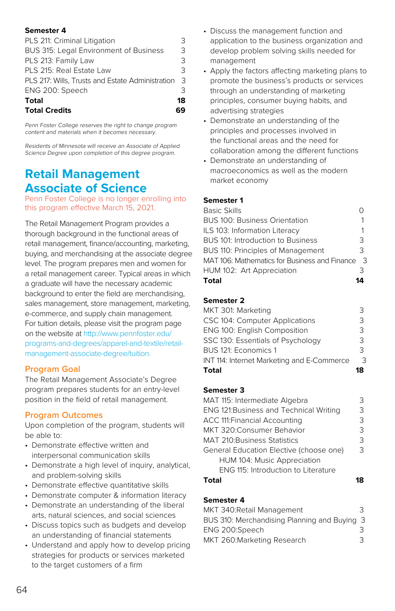| PLS 211: Criminal Litigation                     | 3  |
|--------------------------------------------------|----|
| BUS 315: Legal Environment of Business           | 3  |
| PLS 213: Family Law                              | 3  |
| PLS 215: Real Estate Law                         | 3  |
| PLS 217: Wills, Trusts and Estate Administration | 3  |
| ENG 200: Speech                                  | Κ  |
| Total                                            | 18 |
| <b>Total Credits</b>                             |    |

Penn Foster College reserves the right to change program content and materials when it becomes necessary.

Residents of Minnesota will receive an Associate of Applied Science Degree upon completion of this degree program.

# **Retail Management Associate of Science**

Penn Foster College is no longer enrolling into this program effective March 15, 2021.

The Retail Management Program provides a thorough background in the functional areas of retail management, finance/accounting, marketing, buying, and merchandising at the associate degree level. The program prepares men and women for a retail management career. Typical areas in which a graduate will have the necessary academic background to enter the field are merchandising, sales management, store management, marketing, e-commerce, and supply chain management. For tuition details, please visit the program page on the website at [http://www.pennfoster.edu/](http://www.pennfoster.edu/programs-and-degrees/apparel-and-textile/retail-management-associate-degree/tuition) [programs-and-degrees/apparel-and-textile/retail](http://www.pennfoster.edu/programs-and-degrees/apparel-and-textile/retail-management-associate-degree/tuition)[management-associate-degree/tuition](http://www.pennfoster.edu/programs-and-degrees/apparel-and-textile/retail-management-associate-degree/tuition).

#### **Program Goal**

The Retail Management Associate's Degree program prepares students for an entry-level position in the field of retail management.

#### **Program Outcomes**

Upon completion of the program, students will be able to:

- Demonstrate effective written and interpersonal communication skills
- Demonstrate a high level of inquiry, analytical, and problem-solving skills
- Demonstrate effective quantitative skills
- Demonstrate computer & information literacy
- Demonstrate an understanding of the liberal arts, natural sciences, and social sciences
- Discuss topics such as budgets and develop an understanding of financial statements
- Understand and apply how to develop pricing strategies for products or services marketed to the target customers of a firm
- Discuss the management function and application to the business organization and develop problem solving skills needed for management
- Apply the factors affecting marketing plans to promote the business's products or services through an understanding of marketing principles, consumer buying habits, and advertising strategies
- Demonstrate an understanding of the principles and processes involved in the functional areas and the need for collaboration among the different functions
- Demonstrate an understanding of macroeconomics as well as the modern market economy

#### **Semester 1**

| <b>Basic Skills</b>                           |   |
|-----------------------------------------------|---|
| <b>BUS 100: Business Orientation</b>          |   |
| ILS 103: Information Literacy                 | 1 |
| BUS 101: Introduction to Business             | 3 |
| BUS 110: Principles of Management             | 3 |
| MAT 106: Mathematics for Business and Finance | 3 |
| HUM 102: Art Appreciation                     | З |
| <b>Total</b>                                  |   |

#### **Semester 2**

| MKT 301: Marketing                         |               |
|--------------------------------------------|---------------|
| CSC 104: Computer Applications             | Κ             |
| ENG 100: English Composition               | 3             |
| SSC 130: Essentials of Psychology          | 3             |
| BUS 121: Economics 1                       | $\mathcal{R}$ |
| INT 114: Internet Marketing and E-Commerce | հ             |
| Total                                      | 18            |

#### **Semester 3**

| MAT 115: Intermediate Algebra              | Κ |
|--------------------------------------------|---|
| ENG 121: Business and Technical Writing    | З |
| ACC 111: Financial Accounting              | 3 |
| MKT 320: Consumer Behavior                 | 3 |
| <b>MAT 210: Business Statistics</b>        | 3 |
| General Education Elective (choose one)    | 3 |
| HUM 104: Music Appreciation                |   |
| <b>ENG 115: Introduction to Literature</b> |   |
|                                            |   |

#### **Semester 4**

| MKT 340: Retail Management                   | 3 |
|----------------------------------------------|---|
| BUS 310: Merchandising Planning and Buying 3 |   |
| ENG 200:Speech                               | 3 |
| MKT 260: Marketing Research                  | 3 |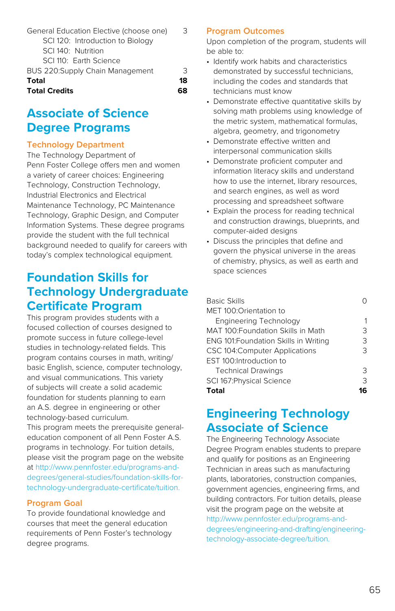| SCI 140: Nutrition              |    |
|---------------------------------|----|
| SCI 110: Earth Science          |    |
| BUS 220:Supply Chain Management | 3  |
| Total                           | 18 |
| <b>Total Credits</b>            |    |

# **Associate of Science Degree Programs**

# **Technology Department**

The Technology Department of Penn Foster College offers men and women a variety of career choices: Engineering Technology, Construction Technology, Industrial Electronics and Electrical Maintenance Technology, PC Maintenance Technology, Graphic Design, and Computer Information Systems. These degree programs provide the student with the full technical background needed to qualify for careers with today's complex technological equipment.

# **Foundation Skills for Technology Undergraduate Certificate Program**

This program provides students with a focused collection of courses designed to promote success in future college-level studies in technology-related fields. This program contains courses in math, writing/ basic English, science, computer technology, and visual communications. This variety of subjects will create a solid academic foundation for students planning to earn an A.S. degree in engineering or other technology-based curriculum. This program meets the prerequisite general-

education component of all Penn Foster A.S. programs in technology. For tuition details, please visit the program page on the website at [http://www.pennfoster.edu/programs-and](http://www.pennfoster.edu/programs-and-degrees/general-studies/foundation-skills-for-technology-undergraduate-certificate/tuition)[degrees/general-studies/foundation-skills-for](http://www.pennfoster.edu/programs-and-degrees/general-studies/foundation-skills-for-technology-undergraduate-certificate/tuition)[technology-undergraduate-certificate/tuition.](http://www.pennfoster.edu/programs-and-degrees/general-studies/foundation-skills-for-technology-undergraduate-certificate/tuition)

# **Program Goal**

To provide foundational knowledge and courses that meet the general education requirements of Penn Foster's technology degree programs.

### **Program Outcomes**

Upon completion of the program, students will be able to:

- Identify work habits and characteristics demonstrated by successful technicians, including the codes and standards that technicians must know
- Demonstrate effective quantitative skills by solving math problems using knowledge of the metric system, mathematical formulas, algebra, geometry, and trigonometry
- Demonstrate effective written and interpersonal communication skills
- Demonstrate proficient computer and information literacy skills and understand how to use the internet, library resources, and search engines, as well as word processing and spreadsheet software
- Explain the process for reading technical and construction drawings, blueprints, and computer-aided designs
- Discuss the principles that define and govern the physical universe in the areas of chemistry, physics, as well as earth and space sciences

| <b>Basic Skills</b>                   |   |
|---------------------------------------|---|
| MET 100:Orientation to                |   |
| <b>Engineering Technology</b>         |   |
| MAT 100: Foundation Skills in Math    | З |
| ENG 101: Foundation Skills in Writing | З |
| CSC 104: Computer Applications        | 3 |
| EST 100:Introduction to               |   |
| <b>Technical Drawings</b>             | Κ |
| SCI 167: Physical Science             | 3 |
| Total                                 |   |

# **Engineering Technology Associate of Science**

The Engineering Technology Associate Degree Program enables students to prepare and qualify for positions as an Engineering Technician in areas such as manufacturing plants, laboratories, construction companies, government agencies, engineering firms, and building contractors. For tuition details, please visit the program page on the website at [http://www.pennfoster.edu/programs-and](http://www.pennfoster.edu/programs-and-degrees/engineering-and-drafting/engineering-technology-associate-degree/tuition.)[degrees/engineering-and-drafting/engineering](http://www.pennfoster.edu/programs-and-degrees/engineering-and-drafting/engineering-technology-associate-degree/tuition.)[technology-associate-degree/tuition.](http://www.pennfoster.edu/programs-and-degrees/engineering-and-drafting/engineering-technology-associate-degree/tuition.)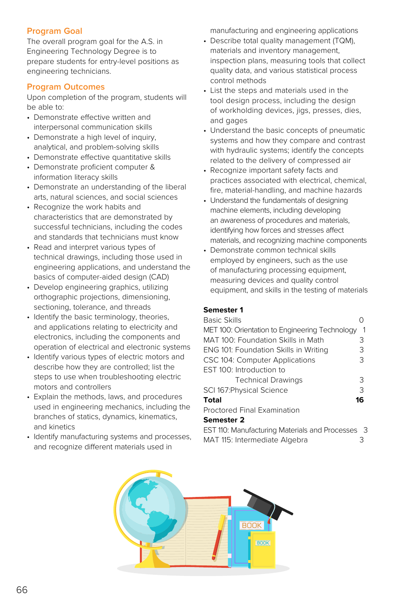# **Program Goal**

The overall program goal for the A.S. in Engineering Technology Degree is to prepare students for entry-level positions as engineering technicians.

### **Program Outcomes**

Upon completion of the program, students will be able to:

- Demonstrate effective written and interpersonal communication skills
- Demonstrate a high level of inquiry, analytical, and problem-solving skills
- Demonstrate effective quantitative skills
- Demonstrate proficient computer & information literacy skills
- Demonstrate an understanding of the liberal arts, natural sciences, and social sciences
- Recognize the work habits and characteristics that are demonstrated by successful technicians, including the codes and standards that technicians must know
- Read and interpret various types of technical drawings, including those used in engineering applications, and understand the basics of computer-aided design (CAD)
- Develop engineering graphics, utilizing orthographic projections, dimensioning, sectioning, tolerance, and threads
- Identify the basic terminology, theories, and applications relating to electricity and electronics, including the components and operation of electrical and electronic systems
- Identify various types of electric motors and describe how they are controlled; list the steps to use when troubleshooting electric motors and controllers
- Explain the methods, laws, and procedures used in engineering mechanics, including the branches of statics, dynamics, kinematics, and kinetics
- Identify manufacturing systems and processes, and recognize different materials used in

manufacturing and engineering applications

- Describe total quality management (TQM), materials and inventory management, inspection plans, measuring tools that collect quality data, and various statistical process control methods
- List the steps and materials used in the tool design process, including the design of workholding devices, jigs, presses, dies, and gages
- Understand the basic concepts of pneumatic systems and how they compare and contrast with hydraulic systems; identify the concepts related to the delivery of compressed air
- Recognize important safety facts and practices associated with electrical, chemical, fire, material-handling, and machine hazards
- Understand the fundamentals of designing machine elements, including developing an awareness of procedures and materials, identifying how forces and stresses affect materials, and recognizing machine components
- Demonstrate common technical skills employed by engineers, such as the use of manufacturing processing equipment, measuring devices and quality control equipment, and skills in the testing of materials

#### **Semester 1**

| <b>Basic Skills</b>                              |    |
|--------------------------------------------------|----|
| MET 100: Orientation to Engineering Technology   | 1  |
| MAT 100: Foundation Skills in Math               | 3  |
| <b>ENG 101: Foundation Skills in Writing</b>     | 3  |
| CSC 104: Computer Applications                   | 3  |
| EST 100: Introduction to                         |    |
| <b>Technical Drawings</b>                        | З  |
| SCI 167: Physical Science                        | 3  |
| Total                                            | 16 |
| Proctored Final Examination                      |    |
| <b>Semester 2</b>                                |    |
| EST 110: Manufacturing Materials and Processes 3 |    |

MAT 115: Intermediate Algebra 3

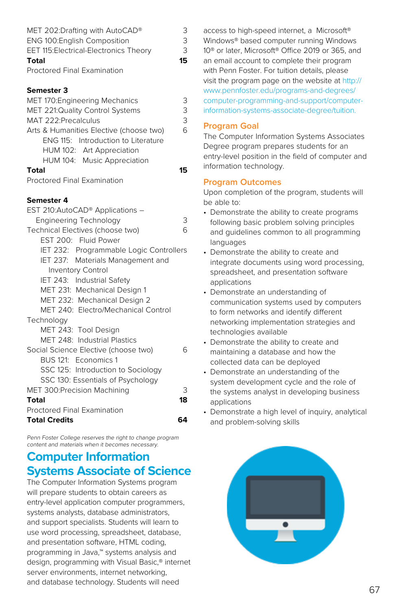| MET 202:Drafting with AutoCAD®          | 3  |
|-----------------------------------------|----|
| ENG 100: English Composition            | 3  |
| EET 115: Electrical-Electronics Theory  | 3  |
| Total                                   | 15 |
| <b>Proctored Final Examination</b>      |    |
| Semester 3                              |    |
| MET 170: Engineering Mechanics          | 3  |
| MET 221:Quality Control Systems         | 3  |
| MAT 222:Precalculus                     | 3  |
| Arts & Humanities Elective (choose two) | 6  |
| ENG 115: Introduction to Literature     |    |
| HUM 102: Art Appreciation               |    |
| HUM 104: Music Appreciation             |    |
| Total                                   | 15 |
| <b>Proctored Final Examination</b>      |    |
| Semester 4                              |    |
| EST 210:AutoCAD® Applications -         |    |
| <b>Engineering Technology</b>           | 3  |
| Technical Electives (choose two)        | 6  |
| EST 200: Fluid Power                    |    |
| IET 232: Programmable Logic Controllers |    |
| IET 237: Materials Management and       |    |
| <b>Inventory Control</b>                |    |
| IET 243: Industrial Safety              |    |
| MET 231: Mechanical Design 1            |    |
| MET 232: Mechanical Design 2            |    |
| MET 240: Electro/Mechanical Control     |    |
| Technology                              |    |
| MET 243: Tool Design                    |    |
| MET 248: Industrial Plastics            |    |
| Social Science Elective (choose two)    | 6  |
| BUS 121: Economics 1                    |    |
| SSC 125: Introduction to Sociology      |    |
| SSC 130: Essentials of Psychology       |    |
| MET 300:Precision Machining             | 3  |
| Total                                   | 18 |
| Proctored Final Examination             |    |
| <b>Total Credits</b>                    | 64 |

Penn Foster College reserves the right to change program content and materials when it becomes necessary.

# **Computer Information Systems Associate of Science**

The Computer Information Systems program will prepare students to obtain careers as entry-level application computer programmers, systems analysts, database administrators, and support specialists. Students will learn to use word processing, spreadsheet, database, and presentation software, HTML coding, programming in Java,™ systems analysis and design, programming with Visual Basic,® internet server environments, internet networking, and database technology. Students will need

access to high-speed internet, a Microsoft® Windows® based computer running Windows 10® or later, Microsoft® Office 2019 or 365, and an email account to complete their program with Penn Foster. For tuition details, please visit the program page on the website at [http://](http://www.pennfoster.edu/programs-and-degrees/computer-programming-and-support/computer-information-systems-associate-degree/tuition) [www.pennfoster.edu/programs-and-degrees/](http://www.pennfoster.edu/programs-and-degrees/computer-programming-and-support/computer-information-systems-associate-degree/tuition) [computer-programming-and-support/computer](http://www.pennfoster.edu/programs-and-degrees/computer-programming-and-support/computer-information-systems-associate-degree/tuition)[information-systems-associate-degree/tuition](http://www.pennfoster.edu/programs-and-degrees/computer-programming-and-support/computer-information-systems-associate-degree/tuition).

# **Program Goal**

The Computer Information Systems Associates Degree program prepares students for an entry-level position in the field of computer and information technology.

# **Program Outcomes**

- Demonstrate the ability to create programs following basic problem solving principles and guidelines common to all programming languages
- Demonstrate the ability to create and integrate documents using word processing, spreadsheet, and presentation software applications
- Demonstrate an understanding of communication systems used by computers to form networks and identify different networking implementation strategies and technologies available
- Demonstrate the ability to create and maintaining a database and how the collected data can be deployed
- Demonstrate an understanding of the system development cycle and the role of the systems analyst in developing business applications
- Demonstrate a high level of inquiry, analytical and problem-solving skills

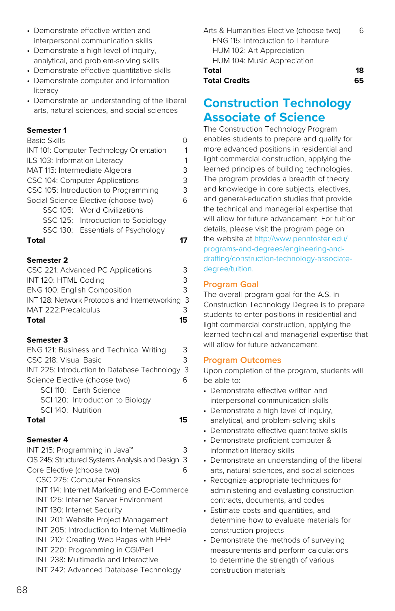- Demonstrate effective written and interpersonal communication skills
- Demonstrate a high level of inquiry, analytical, and problem-solving skills
- Demonstrate effective quantitative skills
- Demonstrate computer and information literacy
- Demonstrate an understanding of the liberal arts, natural sciences, and social sciences

| <b>Basic Skills</b>                      | Λ |
|------------------------------------------|---|
| INT 101: Computer Technology Orientation | 1 |
| ILS 103: Information Literacy            | 1 |
| MAT 115: Intermediate Algebra            | 3 |
| CSC 104: Computer Applications           | 3 |
| CSC 105: Introduction to Programming     | 3 |
| Social Science Elective (choose two)     | 6 |
| SSC 105: World Civilizations             |   |
| SSC 125: Introduction to Sociology       |   |
| SSC 130: Essentials of Psychology        |   |
| Total                                    |   |

# **Semester 2**

| Total                                            | 15. |
|--------------------------------------------------|-----|
| MAT 222: Precalculus                             | 3   |
| INT 128: Network Protocols and Internetworking 3 |     |
| <b>ENG 100: English Composition</b>              | 3   |
| INT 120: HTML Coding                             | 3   |
| CSC 221: Advanced PC Applications                | ੨   |

#### **Semester 3**

| ENG 121: Business and Technical Writing        | 3 |
|------------------------------------------------|---|
| CSC 218: Visual Basic                          | २ |
| INT 225: Introduction to Database Technology 3 |   |
| Science Elective (choose two)                  |   |
| SCI 110: Earth Science                         |   |
| SCI 120: Introduction to Biology               |   |
| SCI 140: Nutrition                             |   |
| Total                                          |   |

# **Semester 4**

| INT 215: Programming in Java™                   |    |
|-------------------------------------------------|----|
| CIS 245: Structured Systems Analysis and Design | -3 |
| Core Elective (choose two)                      | ีค |
| CSC 275: Computer Forensics                     |    |
| INT 114: Internet Marketing and E-Commerce      |    |
| INT 125: Internet Server Environment            |    |
| INT 130: Internet Security                      |    |
| INT 201: Website Project Management             |    |
| INT 205: Introduction to Internet Multimedia    |    |
| INT 210: Creating Web Pages with PHP            |    |
| INT 220: Programming in CGI/Perl                |    |
| INT 238: Multimedia and Interactive             |    |
| INT 242: Advanced Database Technology           |    |

Arts & Humanities Elective (choose two) 6 ENG 115: Introduction to Literature HUM 102: Art Appreciation HUM 104: Music Appreciation

# **Total 18**

# **Total Credits 65**

# **Construction Technology Associate of Science**

The Construction Technology Program enables students to prepare and qualify for more advanced positions in residential and light commercial construction, applying the learned principles of building technologies. The program provides a breadth of theory and knowledge in core subjects, electives, and general-education studies that provide the technical and managerial expertise that will allow for future advancement. For tuition details, please visit the program page on the website at [http://www.pennfoster.edu/](http://www.pennfoster.edu/programs-and-degrees/engineering-and-drafting/construction-technology-associate-degree/tuition) [programs-and-degrees/engineering-and](http://www.pennfoster.edu/programs-and-degrees/engineering-and-drafting/construction-technology-associate-degree/tuition)[drafting/construction-technology-associate](http://www.pennfoster.edu/programs-and-degrees/engineering-and-drafting/construction-technology-associate-degree/tuition)[degree/tuition.](http://www.pennfoster.edu/programs-and-degrees/engineering-and-drafting/construction-technology-associate-degree/tuition)

# **Program Goal**

The overall program goal for the A.S. in Construction Technology Degree is to prepare students to enter positions in residential and light commercial construction, applying the learned technical and managerial expertise that will allow for future advancement.

# **Program Outcomes**

- Demonstrate effective written and interpersonal communication skills
- Demonstrate a high level of inquiry, analytical, and problem-solving skills
- Demonstrate effective quantitative skills
- Demonstrate proficient computer & information literacy skills
- Demonstrate an understanding of the liberal arts, natural sciences, and social sciences
- Recognize appropriate techniques for administering and evaluating construction contracts, documents, and codes
- Estimate costs and quantities, and determine how to evaluate materials for construction projects
- Demonstrate the methods of surveying measurements and perform calculations to determine the strength of various construction materials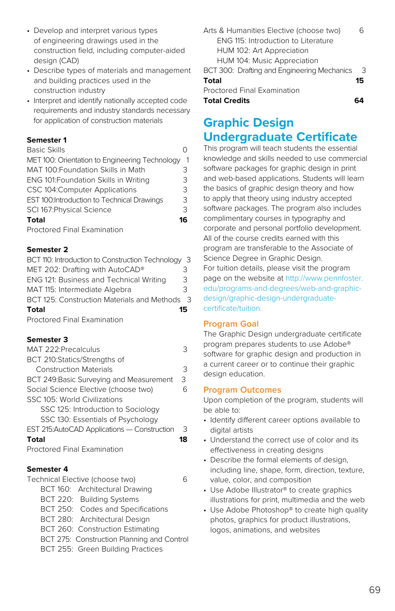- Develop and interpret various types of engineering drawings used in the construction field, including computer-aided design (CAD)
- Describe types of materials and management and building practices used in the construction industry
- Interpret and identify nationally accepted code requirements and industry standards necessary for application of construction materials

| <b>Basic Skills</b>                               |    |
|---------------------------------------------------|----|
| MET 100: Orientation to Engineering Technology    |    |
| MAT 100: Foundation Skills in Math                | З  |
| ENG 101: Foundation Skills in Writing             | 3  |
| CSC 104:Computer Applications                     | 3  |
| <b>EST 100:Introduction to Technical Drawings</b> | 3  |
| SCI 167: Physical Science                         | 3  |
| Total                                             | 16 |
| <b>Proctored Final Examination</b>                |    |

### **Semester 2**

| BCT 110: Introduction to Construction Technology 3 |     |
|----------------------------------------------------|-----|
| MET 202: Drafting with AutoCAD®                    | 3   |
| ENG 121: Business and Technical Writing            | 3   |
| MAT 115: Intermediate Algebra                      | Κ   |
| BCT 125: Construction Materials and Methods        | - 3 |
| Total                                              | 15  |
| Department Final Funnaination                      |     |

Proctored Final Examination

# **Semester 3**

| MAT 222: Precalculus                         |   |
|----------------------------------------------|---|
| BCT 210:Statics/Strengths of                 |   |
| <b>Construction Materials</b>                | 3 |
| BCT 249: Basic Surveying and Measurement     | 3 |
| Social Science Elective (choose two)         | ี |
| SSC 105: World Civilizations                 |   |
| SSC 125: Introduction to Sociology           |   |
| SSC 130: Essentials of Psychology            |   |
| EST 215: AutoCAD Applications - Construction | 3 |
| Total                                        |   |

Proctored Final Examination

# **Semester 4**

Technical Elective (choose two) 6 BCT 160: Architectural Drawing BCT 220: Building Systems BCT 250: Codes and Specifications BCT 280: Architectural Design BCT 260: Construction Estimating BCT 275: Construction Planning and Control BCT 255: Green Building Practices

| Arts & Humanities Elective (choose two)     | h  |
|---------------------------------------------|----|
| ENG 115: Introduction to Literature         |    |
| HUM 102: Art Appreciation                   |    |
| HUM 104: Music Appreciation                 |    |
| BCT 300: Drafting and Engineering Mechanics | -3 |
| Total                                       | 15 |
| Proctored Final Examination                 |    |
| <b>Total Credits</b>                        |    |

# **Graphic Design Undergraduate Certificate**

This program will teach students the essential knowledge and skills needed to use commercial software packages for graphic design in print and web-based applications. Students will learn the basics of graphic design theory and how to apply that theory using industry accepted software packages. The program also includes complimentary courses in typography and corporate and personal portfolio development. All of the course credits earned with this program are transferable to the Associate of Science Degree in Graphic Design. For tuition details, please visit the program page on the website at [http://www.pennfoster.](http://www.pennfoster.edu/programs-and-degrees/web-and-graphic-design/graphic-design-undergraduate-certificate/tuition) [edu/programs-and-degrees/web-and-graphic](http://www.pennfoster.edu/programs-and-degrees/web-and-graphic-design/graphic-design-undergraduate-certificate/tuition)[design/graphic-design-undergraduate](http://www.pennfoster.edu/programs-and-degrees/web-and-graphic-design/graphic-design-undergraduate-certificate/tuition)[certificate/tuition.](http://www.pennfoster.edu/programs-and-degrees/web-and-graphic-design/graphic-design-undergraduate-certificate/tuition)

# **Program Goal**

The Graphic Design undergraduate certificate program prepares students to use Adobe® software for graphic design and production in a current career or to continue their graphic design education.

# **Program Outcomes**

- Identify different career options available to digital artists
- Understand the correct use of color and its effectiveness in creating designs
- Describe the formal elements of design, including line, shape, form, direction, texture, value, color, and composition
- Use Adobe Illustrator® to create graphics illustrations for print, multimedia and the web
- Use Adobe Photoshop® to create high quality photos, graphics for product illustrations, logos, animations, and websites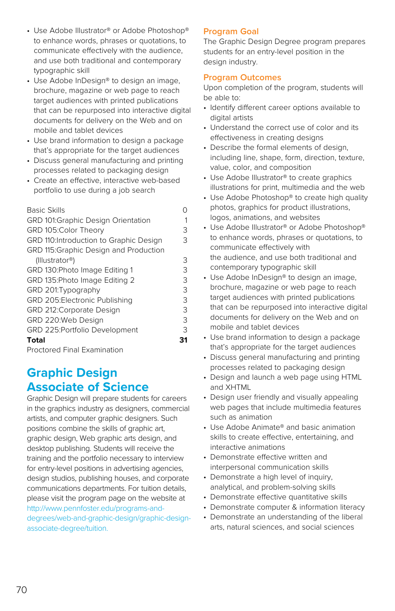- Use Adobe Illustrator® or Adobe Photoshop® to enhance words, phrases or quotations, to communicate effectively with the audience, and use both traditional and contemporary typographic skill
- Use Adobe InDesign® to design an image, brochure, magazine or web page to reach target audiences with printed publications that can be repurposed into interactive digital documents for delivery on the Web and on mobile and tablet devices
- Use brand information to design a package that's appropriate for the target audiences
- Discuss general manufacturing and printing processes related to packaging design
- Create an effective, interactive web-based portfolio to use during a job search

| <b>Basic Skills</b>                       |   |
|-------------------------------------------|---|
| <b>GRD 101:Graphic Design Orientation</b> |   |
| GRD 105:Color Theory                      | З |
| GRD 110: Introduction to Graphic Design   | З |
| GRD 115: Graphic Design and Production    |   |
| (Illustrator®)                            | З |
| GRD 130: Photo Image Editing 1            | 3 |
| GRD 135: Photo Image Editing 2            | 3 |
| GRD 201: Typography                       | 3 |
| GRD 205: Electronic Publishing            | 3 |
| GRD 212: Corporate Design                 | З |
| GRD 220:Web Design                        | 3 |
| GRD 225: Portfolio Development            | З |
| Total                                     |   |

Proctored Final Examination

# **Graphic Design Associate of Science**

Graphic Design will prepare students for careers in the graphics industry as designers, commercial artists, and computer graphic designers. Such positions combine the skills of graphic art, graphic design, Web graphic arts design, and desktop publishing. Students will receive the training and the portfolio necessary to interview for entry-level positions in advertising agencies, design studios, publishing houses, and corporate communications departments. For tuition details, please visit the program page on the website at [http://www.pennfoster.edu/programs-and](http://www.pennfoster.edu/programs-and-degrees/web-and-graphic-design/graphic-design-associate-degree/tuition)[degrees/web-and-graphic-design/graphic-design](http://www.pennfoster.edu/programs-and-degrees/web-and-graphic-design/graphic-design-associate-degree/tuition)[associate-degree/tuition.](http://www.pennfoster.edu/programs-and-degrees/web-and-graphic-design/graphic-design-associate-degree/tuition)

# **Program Goal**

The Graphic Design Degree program prepares students for an entry-level position in the design industry.

# **Program Outcomes**

- Identify different career options available to digital artists
- Understand the correct use of color and its effectiveness in creating designs
- Describe the formal elements of design, including line, shape, form, direction, texture, value, color, and composition
- Use Adobe Illustrator® to create graphics illustrations for print, multimedia and the web
- Use Adobe Photoshop® to create high quality photos, graphics for product illustrations, logos, animations, and websites
- Use Adobe Illustrator® or Adobe Photoshop® to enhance words, phrases or quotations, to communicate effectively with the audience, and use both traditional and contemporary typographic skill
- Use Adobe InDesign® to design an image, brochure, magazine or web page to reach target audiences with printed publications that can be repurposed into interactive digital documents for delivery on the Web and on mobile and tablet devices
- Use brand information to design a package that's appropriate for the target audiences
- Discuss general manufacturing and printing processes related to packaging design
- Design and launch a web page using HTML and XHTML
- Design user friendly and visually appealing web pages that include multimedia features such as animation
- Use Adobe Animate® and basic animation skills to create effective, entertaining, and interactive animations
- Demonstrate effective written and interpersonal communication skills
- Demonstrate a high level of inquiry, analytical, and problem-solving skills
- Demonstrate effective quantitative skills
- Demonstrate computer & information literacy
- Demonstrate an understanding of the liberal arts, natural sciences, and social sciences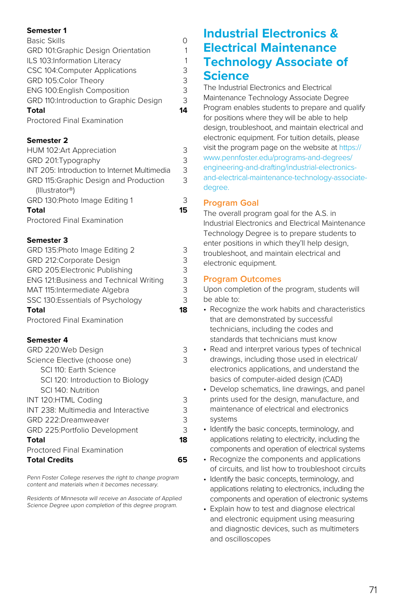| <b>Basic Skills</b>                    | ი  |
|----------------------------------------|----|
| GRD 101:Graphic Design Orientation     | 1  |
| ILS 103:Information Literacy           | 1  |
| CSC 104: Computer Applications         | 3  |
| GRD 105:Color Theory                   | 3  |
| ENG 100: English Composition           | 3  |
| GRD 110:Introduction to Graphic Design | 3  |
| <b>Total</b>                           | 14 |
| Proctored Final Examination            |    |

### **Semester 2**

| Total                                        | 15 |
|----------------------------------------------|----|
| GRD 130: Photo Image Editing 1               | 3  |
| (Illustrator®)                               |    |
| GRD 115: Graphic Design and Production       | 3  |
| INT 205: Introduction to Internet Multimedia | 3  |
| GRD 201: Typography                          | 3  |
| HUM 102:Art Appreciation                     | 3  |

Proctored Final Examination

### **Semester 3**

| GRD 135: Photo Image Editing 2                 | 3  |
|------------------------------------------------|----|
| GRD 212: Corporate Design                      | 3  |
| GRD 205:Electronic Publishing                  | 3  |
| <b>ENG 121: Business and Technical Writing</b> | 3  |
| MAT 115: Intermediate Algebra                  | 3  |
| SSC 130:Essentials of Psychology               | 3  |
| Total                                          | 18 |
| <b>Proctored Final Examination</b>             |    |
| Semester 4                                     |    |
| GRD 220:Web Design                             | 3  |
| Science Elective (choose one)                  | 3  |
| SCI 110: Earth Science                         |    |
| SCI 120: Introduction to Biology               |    |
| SCI 140: Nutrition                             |    |
| INT 120:HTML Coding                            | 3  |
| INT 238: Multimedia and Interactive            | 3  |
| GRD 222:Dreamweaver                            | 3  |
| GRD 225: Portfolio Development                 | 3  |
| Total                                          | 18 |
| <b>Proctored Final Examination</b>             |    |
| <b>Total Credits</b>                           | 65 |

Penn Foster College reserves the right to change program content and materials when it becomes necessary.

Residents of Minnesota will receive an Associate of Applied Science Degree upon completion of this degree program.

# **Industrial Electronics & Electrical Maintenance Technology Associate of Science**

The Industrial Electronics and Electrical Maintenance Technology Associate Degree Program enables students to prepare and qualify for positions where they will be able to help design, troubleshoot, and maintain electrical and electronic equipment. For tuition details, please visit the program page on the website at [https://](https://www.pennfoster.edu/programs-and-degrees/engineering-and-drafting/industrial-electronics-and-electrical-maintenance-technology-associate-degree) [www.pennfoster.edu/programs-and-degrees/](https://www.pennfoster.edu/programs-and-degrees/engineering-and-drafting/industrial-electronics-and-electrical-maintenance-technology-associate-degree) [engineering-and-drafting/industrial-electronics](https://www.pennfoster.edu/programs-and-degrees/engineering-and-drafting/industrial-electronics-and-electrical-maintenance-technology-associate-degree)[and-electrical-maintenance-technology-associate](https://www.pennfoster.edu/programs-and-degrees/engineering-and-drafting/industrial-electronics-and-electrical-maintenance-technology-associate-degree)[degree](https://www.pennfoster.edu/programs-and-degrees/engineering-and-drafting/industrial-electronics-and-electrical-maintenance-technology-associate-degree).

# **Program Goal**

The overall program goal for the A.S. in Industrial Electronics and Electrical Maintenance Technology Degree is to prepare students to enter positions in which they'll help design, troubleshoot, and maintain electrical and electronic equipment.

# **Program Outcomes**

- Recognize the work habits and characteristics that are demonstrated by successful technicians, including the codes and standards that technicians must know
- Read and interpret various types of technical drawings, including those used in electrical/ electronics applications, and understand the basics of computer-aided design (CAD)
- Develop schematics, line drawings, and panel prints used for the design, manufacture, and maintenance of electrical and electronics systems
- Identify the basic concepts, terminology, and applications relating to electricity, including the components and operation of electrical systems
- Recognize the components and applications of circuits, and list how to troubleshoot circuits
- Identify the basic concepts, terminology, and applications relating to electronics, including the components and operation of electronic systems
- Explain how to test and diagnose electrical and electronic equipment using measuring and diagnostic devices, such as multimeters and oscilloscopes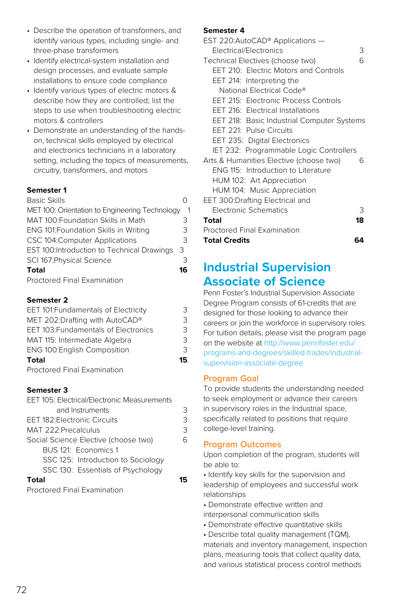- Describe the operation of transformers, and identify various types, including single- and three-phase transformers
- Identify electrical-system installation and design processes, and evaluate sample installations to ensure code compliance
- Identify various types of electric motors & describe how they are controlled; list the steps to use when troubleshooting electric motors & controllers
- Demonstrate an understanding of the handson, technical skills employed by electrical and electronics technicians in a laboratory setting, including the topics of measurements, circuitry, transformers, and motors

#### Basic Skills 0

| MET 100: Orientation to Engineering Technology |    |
|------------------------------------------------|----|
| MAT 100: Foundation Skills in Math             | З  |
| ENG 101: Foundation Skills in Writing          | 3  |
| CSC 104: Computer Applications                 | 3  |
| EST 100: Introduction to Technical Drawings    | 3  |
| SCI 167: Physical Science                      | З  |
| <b>Total</b>                                   | 16 |
| Proctored Einal Evamination                    |    |

Proctored Final Examination

### **Semester 2**

| EET 101: Fundamentals of Electricity | 3  |
|--------------------------------------|----|
| MET 202:Drafting with AutoCAD®       | 3  |
| EET 103: Fundamentals of Electronics | 3  |
| MAT 115: Intermediate Algebra        | 3  |
| <b>ENG 100: English Composition</b>  | 3  |
| <b>Total</b>                         | 15 |
|                                      |    |

Proctored Final Examination

#### **Semester 3**

| EET 105: Electrical/Electronic Measurements |   |
|---------------------------------------------|---|
| and Instruments                             | 3 |
| <b>EET 182: Electronic Circuits</b>         | 3 |
| MAT 222: Precalculus                        | 3 |
| Social Science Elective (choose two)        | հ |
| BUS 121: Economics 1                        |   |
| SSC 125: Introduction to Sociology          |   |
| SSC 130: Essentials of Psychology           |   |
|                                             |   |

Proctored Final Examination

#### **Semester 4**

| EST 220:AutoCAD® Applications -            |    |
|--------------------------------------------|----|
| Electrical/Electronics                     | 3  |
| Technical Electives (choose two)           | հ  |
| EET 210: Electric Motors and Controls      |    |
| EET 214: Interpreting the                  |    |
| National Electrical Code®                  |    |
| EET 215: Electronic Process Controls       |    |
| <b>EET 216: Electrical Installations</b>   |    |
| EET 218: Basic Industrial Computer Systems |    |
| EET 221: Pulse Circuits                    |    |
| EET 235: Digital Electronics               |    |
| IET 232: Programmable Logic Controllers    |    |
| Arts & Humanities Elective (choose two)    | ี  |
| ENG 115: Introduction to Literature        |    |
| HUM 102: Art Appreciation                  |    |
| HUM 104: Music Appreciation                |    |
| EET 300:Drafting Electrical and            |    |
| <b>Electronic Schematics</b>               | З  |
| Total                                      | 18 |
| Proctored Final Examination                |    |
| <b>Total Credits</b><br>64                 |    |

# **Industrial Supervision Associate of Science**

Penn Foster's Industrial Supervision Associate Degree Program consists of 61-credits that are designed for those looking to advance their careers or join the workforce in supervisory roles. For tuition details, please visit the program page on the website at [http://www.pennfoster.edu/](http://www.pennfoster.edu/programs-and-degrees/skilled-trades/industrial-supervision-associate-degree) [programs-and-degrees/skilled-trades/industrial](http://www.pennfoster.edu/programs-and-degrees/skilled-trades/industrial-supervision-associate-degree)[supervision-associate-degree.](http://www.pennfoster.edu/programs-and-degrees/skilled-trades/industrial-supervision-associate-degree)

# **Program Goal**

To provide students the understanding needed to seek employment or advance their careers in supervisory roles in the Industrial space, specifically related to positions that require college-level training.

# **Program Outcomes**

Upon completion of the program, students will be able to:

• Identify key skills for the supervision and leadership of employees and successful work relationships

- Demonstrate effective written and interpersonal communication skills
- Demonstrate effective quantitative skills
- Describe total quality management (TQM),

materials and inventory management, inspection plans, measuring tools that collect quality data, and various statistical process control methods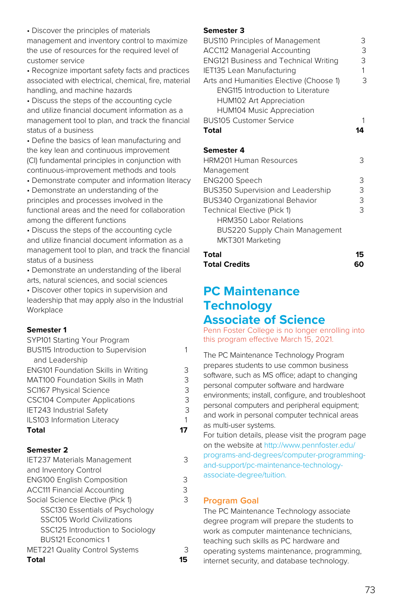• Discover the principles of materials management and inventory control to maximize the use of resources for the required level of customer service

• Recognize important safety facts and practices associated with electrical, chemical, fire, material handling, and machine hazards

• Discuss the steps of the accounting cycle and utilize financial document information as a management tool to plan, and track the financial status of a business

• Define the basics of lean manufacturing and the key lean and continuous improvement (CI) fundamental principles in conjunction with continuous-improvement methods and tools

• Demonstrate computer and information literacy

• Demonstrate an understanding of the principles and processes involved in the functional areas and the need for collaboration among the different functions

• Discuss the steps of the accounting cycle and utilize financial document information as a management tool to plan, and track the financial status of a business

• Demonstrate an understanding of the liberal arts, natural sciences, and social sciences • Discover other topics in supervision and leadership that may apply also in the Industrial **Workplace** 

#### **Semester 1**

| SYP101 Starting Your Program               |   |
|--------------------------------------------|---|
| BUS115 Introduction to Supervision         |   |
| and Leadership                             |   |
| <b>ENG101 Foundation Skills in Writing</b> | З |
| MAT100 Foundation Skills in Math           | 3 |
| <b>SCI167 Physical Science</b>             | 3 |
| <b>CSC104 Computer Applications</b>        | 3 |
| IET243 Industrial Safety                   | 3 |
| ILS103 Information Literacy                |   |
| Total                                      |   |

#### **Semester 2**

| З |
|---|
|   |
| 3 |
| 3 |
| 3 |
|   |
|   |
|   |
|   |
| З |
|   |
|   |

#### **Semester 3**

| <b>BUS110 Principles of Management</b>       | З |
|----------------------------------------------|---|
| <b>ACC112 Managerial Accounting</b>          | З |
| <b>ENG121 Business and Technical Writing</b> | З |
| IET135 Lean Manufacturing                    | 1 |
| Arts and Humanities Elective (Choose 1)      | 3 |
| <b>ENG115 Introduction to Literature</b>     |   |
| <b>HUM102 Art Appreciation</b>               |   |
| <b>HUM104 Music Appreciation</b>             |   |
| <b>BUS105 Customer Service</b>               |   |
| Total                                        |   |
|                                              |   |

#### **Semester 4**

| <b>HRM201 Human Resources</b>            | 3 |
|------------------------------------------|---|
| Management                               |   |
| ENG200 Speech                            | З |
| <b>BUS350 Supervision and Leadership</b> | З |
| BUS340 Organizational Behavior           | З |
| Technical Elective (Pick 1)              | २ |
| <b>HRM350 Labor Relations</b>            |   |
| BUS220 Supply Chain Management           |   |
| MKT301 Marketing                         |   |
| Total                                    |   |

**Total Credits 60**

### **PC Maintenance Technology Associate of Science**

Penn Foster College is no longer enrolling into this program effective March 15, 2021.

The PC Maintenance Technology Program prepares students to use common business software, such as MS office; adapt to changing personal computer software and hardware environments; install, configure, and troubleshoot personal computers and peripheral equipment; and work in personal computer technical areas as multi-user systems.

For tuition details, please visit the program page on the website at [http://www.pennfoster.edu/](http://www.pennfoster.edu/programs-and-degrees/computer-programming-and-support/pc-maintenance-technology-associate-degree/tuition.) [programs-and-degrees/computer-programming](http://www.pennfoster.edu/programs-and-degrees/computer-programming-and-support/pc-maintenance-technology-associate-degree/tuition.)[and-support/pc-maintenance-technology](http://www.pennfoster.edu/programs-and-degrees/computer-programming-and-support/pc-maintenance-technology-associate-degree/tuition.)[associate-degree/tuition.](http://www.pennfoster.edu/programs-and-degrees/computer-programming-and-support/pc-maintenance-technology-associate-degree/tuition.)

#### **Program Goal**

The PC Maintenance Technology associate degree program will prepare the students to work as computer maintenance technicians, teaching such skills as PC hardware and operating systems maintenance, programming, internet security, and database technology.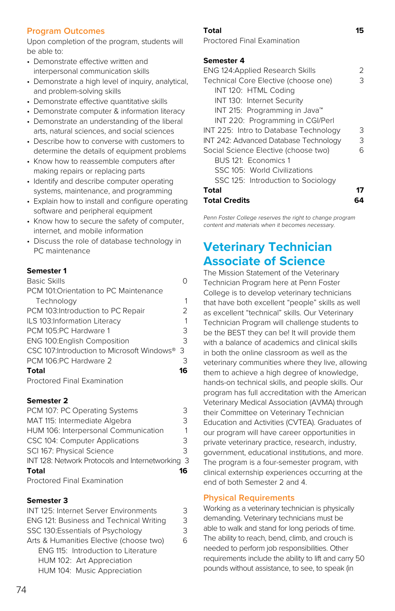#### **Program Outcomes**

Upon completion of the program, students will be able to:

- Demonstrate effective written and interpersonal communication skills
- Demonstrate a high level of inquiry, analytical, and problem-solving skills
- Demonstrate effective quantitative skills
- Demonstrate computer & information literacy • Demonstrate an understanding of the liberal arts, natural sciences, and social sciences
- Describe how to converse with customers to determine the details of equipment problems
- Know how to reassemble computers after making repairs or replacing parts
- Identify and describe computer operating systems, maintenance, and programming
- Explain how to install and configure operating software and peripheral equipment
- Know how to secure the safety of computer, internet, and mobile information
- Discuss the role of database technology in PC maintenance

#### **Semester 1**

| <b>Basic Skills</b>                         |    |
|---------------------------------------------|----|
| PCM 101:Orientation to PC Maintenance       |    |
| Technology                                  |    |
| PCM 103: Introduction to PC Repair          | フ  |
| ILS 103:Information Literacy                |    |
| PCM 105:PC Hardware 1                       | 3  |
| <b>ENG 100:English Composition</b>          | 3  |
| CSC 107: Introduction to Microsoft Windows® | 3  |
| PCM 106:PC Hardware 2                       | 3  |
| Total                                       | 16 |
| <b>Proctored Final Examination</b>          |    |

#### **Semester 2**

| PCM 107: PC Operating Systems                    | っ  |
|--------------------------------------------------|----|
| MAT 115: Intermediate Algebra                    | 3  |
| HUM 106: Interpersonal Communication             |    |
| CSC 104: Computer Applications                   | 3  |
| SCI 167: Physical Science                        | 3  |
| INT 128: Network Protocols and Internetworking 3 |    |
| <b>Total</b>                                     | 16 |
| Proctored Final Examination                      |    |

#### **Semester 3**

| INT 125: Internet Server Environments   | っ |
|-----------------------------------------|---|
| ENG 121: Business and Technical Writing | 3 |
| SSC 130:Essentials of Psychology        | 3 |
| Arts & Humanities Elective (choose two) | 6 |
| ENG 115: Introduction to Literature     |   |
| HUM 102: Art Appreciation               |   |
| HUM 104: Music Appreciation             |   |

#### **Total 15**

Proctored Final Examination

#### **Semester 4**

| <b>ENG 124: Applied Research Skills</b>   | フ |
|-------------------------------------------|---|
| Technical Core Elective (choose one)      | З |
| INT 120: HTML Coding                      |   |
| INT 130: Internet Security                |   |
| INT 215: Programming in Java <sup>™</sup> |   |
| INT 220: Programming in CGI/Perl          |   |
| INT 225: Intro to Database Technology     | 3 |
| INT 242: Advanced Database Technology     | 3 |
| Social Science Elective (choose two)      | 6 |
| BUS 121: Economics 1                      |   |
| SSC 105: World Civilizations              |   |
| SSC 125: Introduction to Sociology        |   |
| Total                                     |   |
| Total Credits                             |   |

Penn Foster College reserves the right to change program content and materials when it becomes necessary.

### **Veterinary Technician Associate of Science**

The Mission Statement of the Veterinary Technician Program here at Penn Foster College is to develop veterinary technicians that have both excellent "people" skills as well as excellent "technical" skills. Our Veterinary Technician Program will challenge students to be the BEST they can be! It will provide them with a balance of academics and clinical skills in both the online classroom as well as the veterinary communities where they live, allowing them to achieve a high degree of knowledge. hands-on technical skills, and people skills. Our program has full accreditation with the American Veterinary Medical Association (AVMA) through their Committee on Veterinary Technician Education and Activities (CVTEA). Graduates of our program will have career opportunities in private veterinary practice, research, industry, government, educational institutions, and more. The program is a four-semester program, with clinical externship experiences occurring at the end of both Semester 2 and 4.

#### **Physical Requirements**

Working as a veterinary technician is physically demanding. Veterinary technicians must be able to walk and stand for long periods of time. The ability to reach, bend, climb, and crouch is needed to perform job responsibilities. Other requirements include the ability to lift and carry 50 pounds without assistance, to see, to speak (in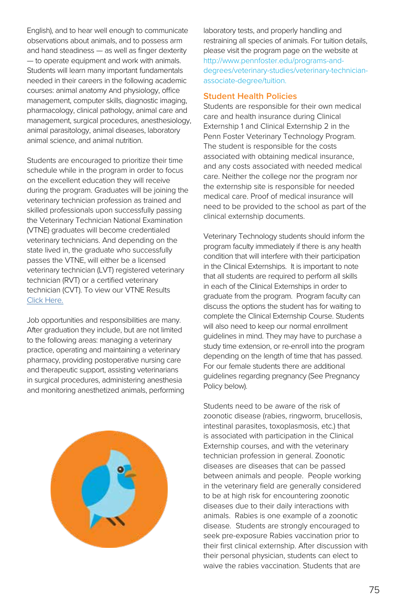English), and to hear well enough to communicate observations about animals, and to possess arm and hand steadiness — as well as finger dexterity — to operate equipment and work with animals. Students will learn many important fundamentals needed in their careers in the following academic courses: animal anatomy And physiology, office management, computer skills, diagnostic imaging, pharmacology, clinical pathology, animal care and management, surgical procedures, anesthesiology, animal parasitology, animal diseases, laboratory animal science, and animal nutrition.

Students are encouraged to prioritize their time schedule while in the program in order to focus on the excellent education they will receive during the program. Graduates will be joining the veterinary technician profession as trained and skilled professionals upon successfully passing the Veterinary Technician National Examination (VTNE) graduates will become credentialed veterinary technicians. And depending on the state lived in, the graduate who successfully passes the VTNE, will either be a licensed veterinary technician (LVT) registered veterinary technician (RVT) or a certified veterinary technician (CVT). To view our VTNE Results [Click Here.](https://www.pennfoster.edu/~/media/files/pdf/vtne-test-results.pdf?v=20170905)

Job opportunities and responsibilities are many. After graduation they include, but are not limited to the following areas: managing a veterinary practice, operating and maintaining a veterinary pharmacy, providing postoperative nursing care and therapeutic support, assisting veterinarians in surgical procedures, administering anesthesia and monitoring anesthetized animals, performing



laboratory tests, and properly handling and restraining all species of animals. For tuition details, please visit the program page on the website at [http://www.pennfoster.edu/programs-and](http://www.pennfoster.edu/programs-and-degrees/veterinary-studies/veterinary-technician-associate-degree/tuition)[degrees/veterinary-studies/veterinary-technician](http://www.pennfoster.edu/programs-and-degrees/veterinary-studies/veterinary-technician-associate-degree/tuition)[associate-degree/tuition.](http://www.pennfoster.edu/programs-and-degrees/veterinary-studies/veterinary-technician-associate-degree/tuition)

#### **Student Health Policies**

Students are responsible for their own medical care and health insurance during Clinical Externship 1 and Clinical Externship 2 in the Penn Foster Veterinary Technology Program. The student is responsible for the costs associated with obtaining medical insurance, and any costs associated with needed medical care. Neither the college nor the program nor the externship site is responsible for needed medical care. Proof of medical insurance will need to be provided to the school as part of the clinical externship documents.

Veterinary Technology students should inform the program faculty immediately if there is any health condition that will interfere with their participation in the Clinical Externships. It is important to note that all students are required to perform all skills in each of the Clinical Externships in order to graduate from the program. Program faculty can discuss the options the student has for waiting to complete the Clinical Externship Course. Students will also need to keep our normal enrollment guidelines in mind. They may have to purchase a study time extension, or re-enroll into the program depending on the length of time that has passed. For our female students there are additional guidelines regarding pregnancy (See Pregnancy Policy below).

Students need to be aware of the risk of zoonotic disease (rabies, ringworm, brucellosis, intestinal parasites, toxoplasmosis, etc.) that is associated with participation in the Clinical Externship courses, and with the veterinary technician profession in general. Zoonotic diseases are diseases that can be passed between animals and people. People working in the veterinary field are generally considered to be at high risk for encountering zoonotic diseases due to their daily interactions with animals. Rabies is one example of a zoonotic disease. Students are strongly encouraged to seek pre-exposure Rabies vaccination prior to their first clinical externship. After discussion with their personal physician, students can elect to waive the rabies vaccination. Students that are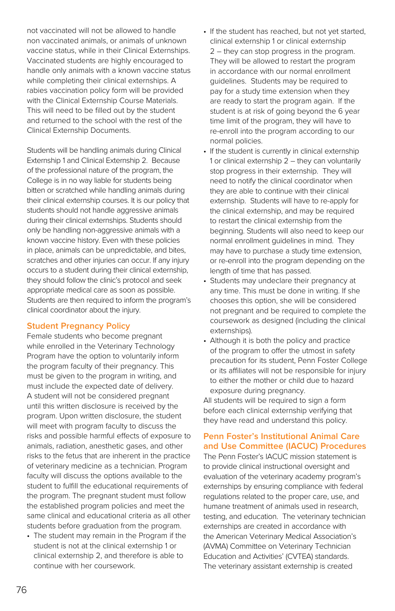not vaccinated will not be allowed to handle non vaccinated animals, or animals of unknown vaccine status, while in their Clinical Externships. Vaccinated students are highly encouraged to handle only animals with a known vaccine status while completing their clinical externships. A rabies vaccination policy form will be provided with the Clinical Externship Course Materials. This will need to be filled out by the student and returned to the school with the rest of the Clinical Externship Documents.

Students will be handling animals during Clinical Externship 1 and Clinical Externship 2. Because of the professional nature of the program, the College is in no way liable for students being bitten or scratched while handling animals during their clinical externship courses. It is our policy that students should not handle aggressive animals during their clinical externships. Students should only be handling non-aggressive animals with a known vaccine history. Even with these policies in place, animals can be unpredictable, and bites, scratches and other injuries can occur. If any injury occurs to a student during their clinical externship, they should follow the clinic's protocol and seek appropriate medical care as soon as possible. Students are then required to inform the program's clinical coordinator about the injury.

#### **Student Pregnancy Policy**

Female students who become pregnant while enrolled in the Veterinary Technology Program have the option to voluntarily inform the program faculty of their pregnancy. This must be given to the program in writing, and must include the expected date of delivery. A student will not be considered pregnant until this written disclosure is received by the program. Upon written disclosure, the student will meet with program faculty to discuss the risks and possible harmful effects of exposure to animals, radiation, anesthetic gases, and other risks to the fetus that are inherent in the practice of veterinary medicine as a technician. Program faculty will discuss the options available to the student to fulfill the educational requirements of the program. The pregnant student must follow the established program policies and meet the same clinical and educational criteria as all other students before graduation from the program.

• The student may remain in the Program if the student is not at the clinical externship 1 or clinical externship 2, and therefore is able to continue with her coursework.

- If the student has reached, but not yet started, clinical externship 1 or clinical externship 2 – they can stop progress in the program. They will be allowed to restart the program in accordance with our normal enrollment guidelines. Students may be required to pay for a study time extension when they are ready to start the program again. If the student is at risk of going beyond the 6 year time limit of the program, they will have to re-enroll into the program according to our normal policies.
- If the student is currently in clinical externship 1 or clinical externship 2 – they can voluntarily stop progress in their externship. They will need to notify the clinical coordinator when they are able to continue with their clinical externship. Students will have to re-apply for the clinical externship, and may be required to restart the clinical externship from the beginning. Students will also need to keep our normal enrollment guidelines in mind. They may have to purchase a study time extension, or re-enroll into the program depending on the length of time that has passed.
- Students may undeclare their pregnancy at any time. This must be done in writing. If she chooses this option, she will be considered not pregnant and be required to complete the coursework as designed (including the clinical externships).
- Although it is both the policy and practice of the program to offer the utmost in safety precaution for its student, Penn Foster College or its affiliates will not be responsible for injury to either the mother or child due to hazard exposure during pregnancy.

All students will be required to sign a form before each clinical externship verifying that they have read and understand this policy.

#### **Penn Foster's Institutional Animal Care and Use Committee (IACUC) Procedures**

The Penn Foster's IACUC mission statement is to provide clinical instructional oversight and evaluation of the veterinary academy program's externships by ensuring compliance with federal regulations related to the proper care, use, and humane treatment of animals used in research, testing, and education. The veterinary technician externships are created in accordance with the American Veterinary Medical Association's (AVMA) Committee on Veterinary Technician Education and Activities' (CVTEA) standards. The veterinary assistant externship is created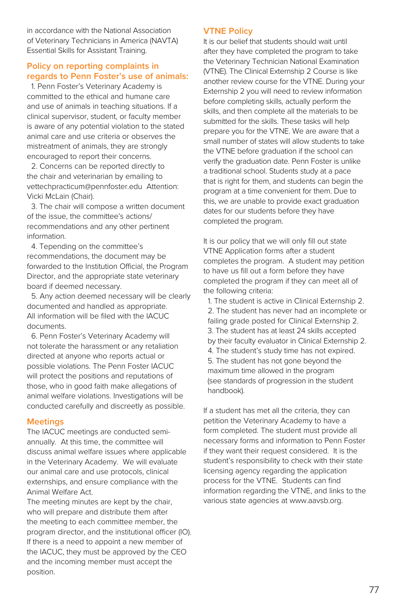in accordance with the National Association of Veterinary Technicians in America (NAVTA) Essential Skills for Assistant Training.

#### **Policy on reporting complaints in regards to Penn Foster's use of animals:**

 1. Penn Foster's Veterinary Academy is committed to the ethical and humane care and use of animals in teaching situations. If a clinical supervisor, student, or faculty member is aware of any potential violation to the stated animal care and use criteria or observes the mistreatment of animals, they are strongly encouraged to report their concerns.

 2. Concerns can be reported directly to the chair and veterinarian by emailing to vettechpracticum@pennfoster.edu Attention: Vicki McLain (Chair).

 3. The chair will compose a written document of the issue, the committee's actions/ recommendations and any other pertinent information.

 4. Tepending on the committee's recommendations, the document may be forwarded to the Institution Official, the Program Director, and the appropriate state veterinary board if deemed necessary.

 5. Any action deemed necessary will be clearly documented and handled as appropriate. All information will be filed with the IACUC documents.

 6. Penn Foster's Veterinary Academy will not tolerate the harassment or any retaliation directed at anyone who reports actual or possible violations. The Penn Foster IACUC will protect the positions and reputations of those, who in good faith make allegations of animal welfare violations. Investigations will be conducted carefully and discreetly as possible.

#### **Meetings**

The IACUC meetings are conducted semiannually. At this time, the committee will discuss animal welfare issues where applicable in the Veterinary Academy. We will evaluate our animal care and use protocols, clinical externships, and ensure compliance with the Animal Welfare Act.

The meeting minutes are kept by the chair, who will prepare and distribute them after the meeting to each committee member, the program director, and the institutional officer (IO). If there is a need to appoint a new member of the IACUC, they must be approved by the CEO and the incoming member must accept the position.

#### **VTNE Policy**

It is our belief that students should wait until after they have completed the program to take the Veterinary Technician National Examination (VTNE). The Clinical Externship 2 Course is like another review course for the VTNE. During your Externship 2 you will need to review information before completing skills, actually perform the skills, and then complete all the materials to be submitted for the skills. These tasks will help prepare you for the VTNE. We are aware that a small number of states will allow students to take the VTNE before graduation if the school can verify the graduation date. Penn Foster is unlike a traditional school. Students study at a pace that is right for them, and students can begin the program at a time convenient for them. Due to this, we are unable to provide exact graduation dates for our students before they have completed the program.

It is our policy that we will only fill out state VTNE Application forms after a student completes the program. A student may petition to have us fill out a form before they have completed the program if they can meet all of the following criteria:

 1. The student is active in Clinical Externship 2. 2. The student has never had an incomplete or failing grade posted for Clinical Externship 2. 3. The student has at least 24 skills accepted by their faculty evaluator in Clinical Externship 2. 4. The student's study time has not expired. 5. The student has not gone beyond the maximum time allowed in the program (see standards of progression in the student handbook).

If a student has met all the criteria, they can petition the Veterinary Academy to have a form completed. The student must provide all necessary forms and information to Penn Foster if they want their request considered. It is the student's responsibility to check with their state licensing agency regarding the application process for the VTNE. Students can find information regarding the VTNE, and links to the various state agencies at www.aavsb.org.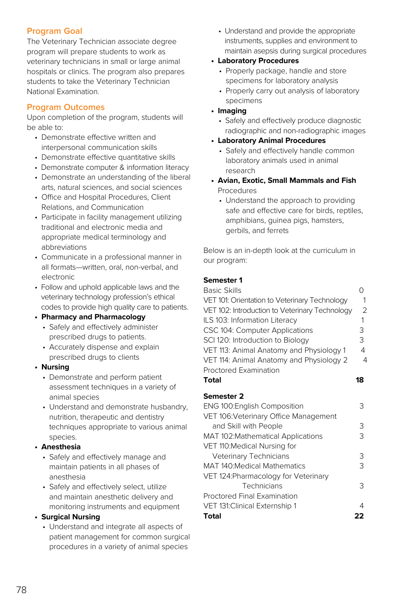#### **Program Goal**

The Veterinary Technician associate degree program will prepare students to work as veterinary technicians in small or large animal hospitals or clinics. The program also prepares students to take the Veterinary Technician National Examination.

#### **Program Outcomes**

Upon completion of the program, students will be able to:

- • Demonstrate effective written and interpersonal communication skills
- Demonstrate effective quantitative skills
- Demonstrate computer & information literacy
- • Demonstrate an understanding of the liberal arts, natural sciences, and social sciences
- • Office and Hospital Procedures, Client Relations, and Communication
- • Participate in facility management utilizing traditional and electronic media and appropriate medical terminology and abbreviations
- • Communicate in a professional manner in all formats—written, oral, non-verbal, and electronic
- • Follow and uphold applicable laws and the veterinary technology profession's ethical codes to provide high quality care to patients.

#### **• Pharmacy and Pharmacology**

- Safely and effectively administer prescribed drugs to patients.
- Accurately dispense and explain prescribed drugs to clients
- **• Nursing**
	- Demonstrate and perform patient assessment techniques in a variety of animal species
	- Understand and demonstrate husbandry, nutrition, therapeutic and dentistry techniques appropriate to various animal species.
- **• Anesthesia**
	- Safely and effectively manage and maintain patients in all phases of anesthesia
	- Safely and effectively select, utilize and maintain anesthetic delivery and monitoring instruments and equipment

#### **• Surgical Nursing**

 • Understand and integrate all aspects of patient management for common surgical procedures in a variety of animal species

 • Understand and provide the appropriate instruments, supplies and environment to maintain asepsis during surgical procedures

#### **• Laboratory Procedures**

- Properly package, handle and store specimens for laboratory analysis
- Properly carry out analysis of laboratory specimens

#### **• Imaging**

 • Safely and effectively produce diagnostic radiographic and non-radiographic images

#### **• Laboratory Animal Procedures**

- Safely and effectively handle common laboratory animals used in animal research
- **• Avian, Exotic, Small Mammals and Fish**  Procedures
	- Understand the approach to providing safe and effective care for birds, reptiles, amphibians, guinea pigs, hamsters, gerbils, and ferrets

Below is an in-depth look at the curriculum in our program:

#### **Semester 1**

| <b>Basic Skills</b>                            | ∩              |
|------------------------------------------------|----------------|
| VET 101: Orientation to Veterinary Technology  | 1              |
| VET 102: Introduction to Veterinary Technology | 2              |
| ILS 103: Information Literacy                  | 1              |
| CSC 104: Computer Applications                 | 3              |
| SCI 120: Introduction to Biology               | 3              |
| VET 113: Animal Anatomy and Physiology 1       | 4              |
| VET 114: Animal Anatomy and Physiology 2       | $\overline{4}$ |
| <b>Proctored Examination</b>                   |                |
| <b>Total</b>                                   | 18             |
| Semester 2                                     |                |
| ENG 100: English Composition                   | 3              |
| VET 106: Veterinary Office Management          |                |
| and Skill with People                          | 3              |
| MAT 102: Mathematical Applications             | 3              |
| VET 110: Medical Nursing for                   |                |
| Veterinary Technicians                         | 3              |
| <b>MAT 140:Medical Mathematics</b>             | 3              |
| VET 124: Pharmacology for Veterinary           |                |
| Technicians                                    | 3              |
| <b>Proctored Final Examination</b>             |                |
| VET 131: Clinical Externship 1                 | 4              |
|                                                |                |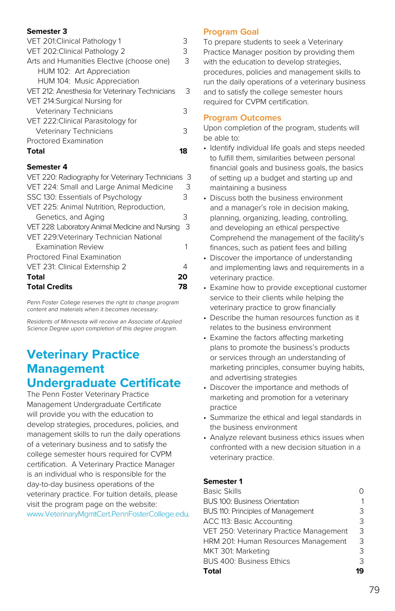#### **Semester 3**

| VET 201: Clinical Pathology 1                  |   |
|------------------------------------------------|---|
| VET 202: Clinical Pathology 2                  | З |
| Arts and Humanities Elective (choose one)      | З |
| HUM 102: Art Appreciation                      |   |
| HUM 104: Music Appreciation                    |   |
| VET 212: Anesthesia for Veterinary Technicians | 3 |
| VET 214: Surgical Nursing for                  |   |
| Veterinary Technicians                         | 3 |
| VET 222: Clinical Parasitology for             |   |
| Veterinary Technicians                         | 3 |
| Proctored Examination                          |   |
| Total                                          |   |

#### **Semester 4**

| VET 220: Radiography for Veterinary Technicians 3 |    |
|---------------------------------------------------|----|
| VET 224: Small and Large Animal Medicine          | 3  |
| SSC 130: Essentials of Psychology                 | 3  |
| VET 225: Animal Nutrition, Reproduction,          |    |
| Genetics, and Aging                               | З  |
| VET 228: Laboratory Animal Medicine and Nursing   | -3 |
| VET 229: Veterinary Technician National           |    |
| <b>Examination Review</b>                         | 1  |
| Proctored Final Examination                       |    |
| VET 231: Clinical Externship 2                    | 4  |
| Total                                             | 20 |
| <b>Total Credits</b>                              |    |

Penn Foster College reserves the right to change program content and materials when it becomes necessary.

Residents of Minnesota will receive an Associate of Applied Science Degree upon completion of this degree program.

### **Veterinary Practice Management Undergraduate Certificate**

The Penn Foster Veterinary Practice Management Undergraduate Certificate will provide you with the education to develop strategies, procedures, policies, and management skills to run the daily operations of a veterinary business and to satisfy the college semester hours required for CVPM certification. A Veterinary Practice Manager is an individual who is responsible for the day-to-day business operations of the veterinary practice. For tuition details, please visit the program page on the website: [www.VeterinaryMgmtCert.PennFosterCollege.edu.](http://www.VeterinaryMgmtCert.PennFosterCollege.edu)

#### **Program Goal**

To prepare students to seek a Veterinary Practice Manager position by providing them with the education to develop strategies, procedures, policies and management skills to run the daily operations of a veterinary business and to satisfy the college semester hours required for CVPM certification.

#### **Program Outcomes**

Upon completion of the program, students will be able to:

- Identify individual life goals and steps needed to fulfill them, similarities between personal financial goals and business goals, the basics of setting up a budget and starting up and maintaining a business
- Discuss both the business environment and a manager's role in decision making, planning, organizing, leading, controlling, and developing an ethical perspective Comprehend the management of the facility's finances, such as patient fees and billing
- Discover the importance of understanding and implementing laws and requirements in a veterinary practice.
- Examine how to provide exceptional customer service to their clients while helping the veterinary practice to grow financially
- Describe the human resources function as it relates to the business environment
- Examine the factors affecting marketing plans to promote the business's products or services through an understanding of marketing principles, consumer buying habits, and advertising strategies
- Discover the importance and methods of marketing and promotion for a veterinary practice
- Summarize the ethical and legal standards in the business environment
- Analyze relevant business ethics issues when confronted with a new decision situation in a veterinary practice.

#### **Semester 1**

| Total                                    |   |
|------------------------------------------|---|
| <b>BUS 400: Business Ethics</b>          | 3 |
| MKT 301: Marketing                       | 3 |
| HRM 201: Human Resources Management      | 3 |
| VET 250: Veterinary Practice Management  | 3 |
| ACC 113: Basic Accounting                | 3 |
| <b>BUS 110: Principles of Management</b> | 3 |
| <b>BUS 100: Business Orientation</b>     |   |
| <b>Basic Skills</b>                      |   |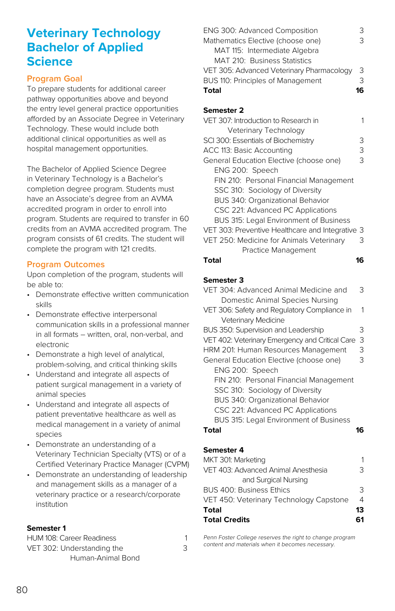### **Veterinary Technology Bachelor of Applied Science**

#### **Program Goal**

To prepare students for additional career pathway opportunities above and beyond the entry level general practice opportunities afforded by an Associate Degree in Veterinary Technology. These would include both additional clinical opportunities as well as hospital management opportunities.

The Bachelor of Applied Science Degree in Veterinary Technology is a Bachelor's completion degree program. Students must have an Associate's degree from an AVMA accredited program in order to enroll into program. Students are required to transfer in 60 credits from an AVMA accredited program. The program consists of 61 credits. The student will complete the program with 121 credits.

#### **Program Outcomes**

Upon completion of the program, students will be able to:

- Demonstrate effective written communication skills
- Demonstrate effective interpersonal communication skills in a professional manner in all formats – written, oral, non-verbal, and electronic
- Demonstrate a high level of analytical, problem-solving, and critical thinking skills
- Understand and integrate all aspects of patient surgical management in a variety of animal species
- Understand and integrate all aspects of patient preventative healthcare as well as medical management in a variety of animal species
- Demonstrate an understanding of a Veterinary Technician Specialty (VTS) or of a Certified Veterinary Practice Manager (CVPM)
- Demonstrate an understanding of leadership and management skills as a manager of a veterinary practice or a research/corporate institution

#### **Semester 1**

| <b>HUM 108: Career Readiness</b> |  |
|----------------------------------|--|
| VET 302: Understanding the       |  |
| Human-Animal Bond                |  |

| ENG 300: Advanced Composition             | - ⊱ |
|-------------------------------------------|-----|
| Mathematics Elective (choose one)         | 3   |
| MAT 115: Intermediate Algebra             |     |
| MAT 210: Business Statistics              |     |
| VET 305: Advanced Veterinary Pharmacology | 3   |
| BUS 110: Principles of Management         | 3   |
| Total                                     |     |

#### **Semester 2**

| VET 307: Introduction to Research in             |   |
|--------------------------------------------------|---|
| Veterinary Technology                            |   |
| SCI 300: Essentials of Biochemistry              | З |
| ACC 113: Basic Accounting                        | З |
| General Education Elective (choose one)          | З |
| ENG 200: Speech                                  |   |
| FIN 210: Personal Financial Management           |   |
| SSC 310: Sociology of Diversity                  |   |
| BUS 340: Organizational Behavior                 |   |
| CSC 221: Advanced PC Applications                |   |
| <b>BUS 315: Legal Environment of Business</b>    |   |
| VET 303: Preventive Healthcare and Integrative 3 |   |
| VET 250: Medicine for Animals Veterinary         | 3 |
| Practice Management                              |   |

#### **Total 16**

#### **Semester 3**

| VET 304: Advanced Animal Medicine and           | 3  |
|-------------------------------------------------|----|
| Domestic Animal Species Nursing                 |    |
| VET 306: Safety and Regulatory Compliance in    | 1  |
| Veterinary Medicine                             |    |
| <b>BUS 350: Supervision and Leadership</b>      | З  |
| VET 402: Veterinary Emergency and Critical Care | 3  |
| HRM 201: Human Resources Management             | 3  |
| General Education Elective (choose one)         | 3  |
| ENG 200: Speech                                 |    |
| FIN 210: Personal Financial Management          |    |
| SSC 310: Sociology of Diversity                 |    |
| BUS 340: Organizational Behavior                |    |
| CSC 221: Advanced PC Applications               |    |
| BUS 315: Legal Environment of Business          |    |
| Total                                           | 16 |
|                                                 |    |
|                                                 |    |

#### **Semester 4**

| <b>Total Credits</b>                    | 61            |
|-----------------------------------------|---------------|
| Total                                   | 13            |
| VET 450: Veterinary Technology Capstone | 4             |
| <b>BUS 400: Business Ethics</b>         | $\mathcal{R}$ |
| and Surgical Nursing                    |               |
| VET 403: Advanced Animal Anesthesia     | २             |
| MKT 301: Marketing                      |               |

Penn Foster College reserves the right to change program content and materials when it becomes necessary.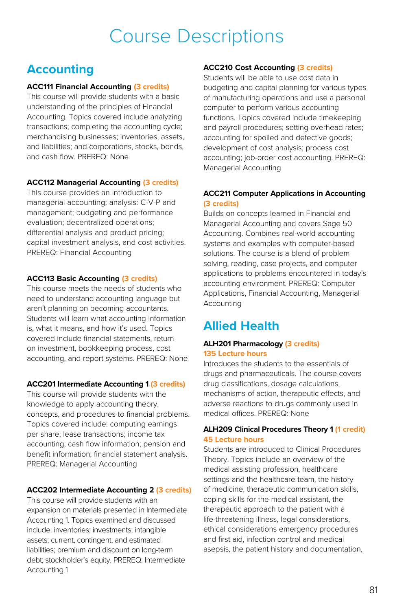# Course Descriptions

### **Accounting**

#### **ACC111 Financial Accounting (3 credits)**

This course will provide students with a basic understanding of the principles of Financial Accounting. Topics covered include analyzing transactions; completing the accounting cycle; merchandising businesses; inventories, assets, and liabilities; and corporations, stocks, bonds, and cash flow. PREREQ: None

#### **ACC112 Managerial Accounting (3 credits)**

This course provides an introduction to managerial accounting; analysis: C-V-P and management; budgeting and performance evaluation; decentralized operations; differential analysis and product pricing; capital investment analysis, and cost activities. PREREQ: Financial Accounting

#### **ACC113 Basic Accounting (3 credits)**

This course meets the needs of students who need to understand accounting language but aren't planning on becoming accountants. Students will learn what accounting information is, what it means, and how it's used. Topics covered include financial statements, return on investment, bookkeeping process, cost accounting, and report systems. PREREQ: None

#### **ACC201 Intermediate Accounting 1 (3 credits)**

This course will provide students with the knowledge to apply accounting theory, concepts, and procedures to financial problems. Topics covered include: computing earnings per share; lease transactions; income tax accounting; cash flow information; pension and benefit information; financial statement analysis. PREREQ: Managerial Accounting

#### **ACC202 Intermediate Accounting 2 (3 credits)**

This course will provide students with an expansion on materials presented in Intermediate Accounting 1. Topics examined and discussed include: inventories; investments; intangible assets; current, contingent, and estimated liabilities; premium and discount on long-term debt; stockholder's equity. PREREQ: Intermediate Accounting 1

#### **ACC210 Cost Accounting (3 credits)**

Students will be able to use cost data in budgeting and capital planning for various types of manufacturing operations and use a personal computer to perform various accounting functions. Topics covered include timekeeping and payroll procedures; setting overhead rates; accounting for spoiled and defective goods; development of cost analysis; process cost accounting; job-order cost accounting. PREREQ: Managerial Accounting

#### **ACC211 Computer Applications in Accounting (3 credits)**

Builds on concepts learned in Financial and Managerial Accounting and covers Sage 50 Accounting. Combines real-world accounting systems and examples with computer-based solutions. The course is a blend of problem solving, reading, case projects, and computer applications to problems encountered in today's accounting environment. PREREQ: Computer Applications, Financial Accounting, Managerial Accounting

### **Allied Health**

#### **ALH201 Pharmacology (3 credits) 135 Lecture hours**

Introduces the students to the essentials of drugs and pharmaceuticals. The course covers drug classifications, dosage calculations, mechanisms of action, therapeutic effects, and adverse reactions to drugs commonly used in medical offices. PREREQ: None

#### **ALH209 Clinical Procedures Theory 1 (1 credit) 45 Lecture hours**

Students are introduced to Clinical Procedures Theory. Topics include an overview of the medical assisting profession, healthcare settings and the healthcare team, the history of medicine, therapeutic communication skills, coping skills for the medical assistant, the therapeutic approach to the patient with a life-threatening illness, legal considerations, ethical considerations emergency procedures and first aid, infection control and medical asepsis, the patient history and documentation,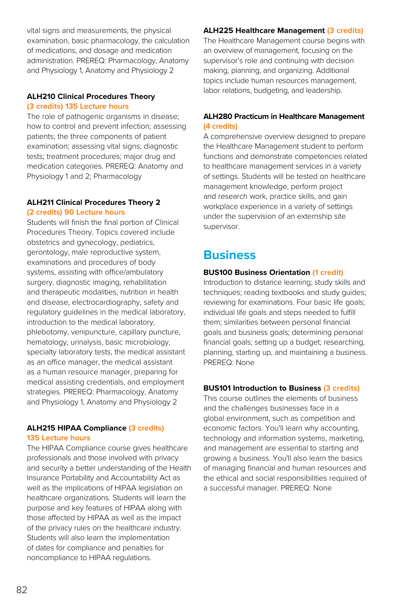vital signs and measurements, the physical examination, basic pharmacology, the calculation of medications, and dosage and medication administration. PREREQ: Pharmacology, Anatomy and Physiology 1, Anatomy and Physiology 2

#### **ALH210 Clinical Procedures Theory**

#### **(3 credits) 135 Lecture hours**

The role of pathogenic organisms in disease; how to control and prevent infection; assessing patients; the three components of patient examination; assessing vital signs; diagnostic tests; treatment procedures; major drug and medication categories. PREREQ: Anatomy and Physiology 1 and 2; Pharmacology

#### **ALH211 Clinical Procedures Theory 2 (2 credits) 90 Lecture hours**

Students will finish the final portion of Clinical Procedures Theory. Topics covered include obstetrics and gynecology, pediatrics, gerontology, male reproductive system, examinations and procedures of body systems, assisting with office/ambulatory surgery, diagnostic imaging, rehabilitation and therapeutic modalities, nutrition in health and disease, electrocardiography, safety and regulatory guidelines in the medical laboratory, introduction to the medical laboratory, phlebotomy, venipuncture, capillary puncture, hematology, urinalysis, basic microbiology, specialty laboratory tests, the medical assistant as an office manager, the medical assistant as a human resource manager, preparing for medical assisting credentials, and employment strategies. PREREQ: Pharmacology, Anatomy and Physiology 1, Anatomy and Physiology 2

#### **ALH215 HIPAA Compliance (3 credits) 135 Lecture hours**

The HIPAA Compliance course gives healthcare professionals and those involved with privacy and security a better understanding of the Health Insurance Portability and Accountability Act as well as the implications of HIPAA legislation on healthcare organizations. Students will learn the purpose and key features of HIPAA along with those affected by HIPAA as well as the impact of the privacy rules on the healthcare industry. Students will also learn the implementation of dates for compliance and penalties for noncompliance to HIPAA regulations.

### **ALH225 Healthcare Management (3 credits)**

The Healthcare Management course begins with an overview of management, focusing on the supervisor's role and continuing with decision making, planning, and organizing. Additional topics include human resources management, labor relations, budgeting, and leadership.

#### **ALH280 Practicum in Healthcare Management (4 credits)**

A comprehensive overview designed to prepare the Healthcare Management student to perform functions and demonstrate competencies related to healthcare management services in a variety of settings. Students will be tested on healthcare management knowledge, perform project and research work, practice skills, and gain workplace experience in a variety of settings under the supervision of an externship site supervisor.

### **Business**

#### **BUS100 Business Orientation (1 credit)**

Introduction to distance learning; study skills and techniques; reading textbooks and study guides; reviewing for examinations. Four basic life goals; individual life goals and steps needed to fulfill them; similarities between personal financial goals and business goals; determining personal financial goals; setting up a budget; researching, planning, starting up, and maintaining a business. PREREQ: None

#### **BUS101 Introduction to Business (3 credits)**

This course outlines the elements of business and the challenges businesses face in a global environment, such as competition and economic factors. You'll learn why accounting, technology and information systems, marketing, and management are essential to starting and growing a business. You'll also learn the basics of managing financial and human resources and the ethical and social responsibilities required of a successful manager. PREREQ: None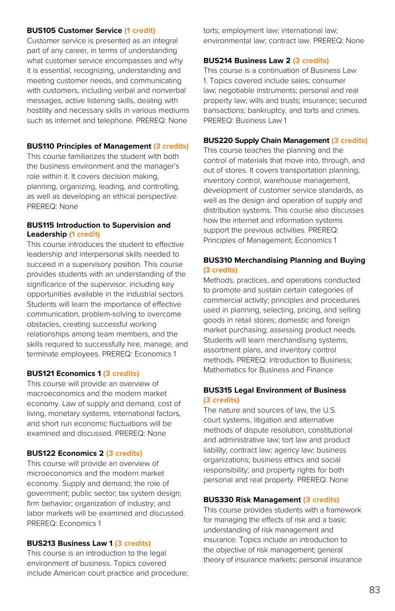#### **BUS105 Customer Service (1 credit)**

Customer service is presented as an integral part of any career, in terms of understanding what customer service encompasses and why it is essential, recognizing, understanding and meeting customer needs, and communicating with customers, including verbal and nonverbal messages, active listening skills, dealing with hostility and necessary skills in various mediums such as internet and telephone. PREREQ: None

#### **BUS110 Principles of Management (3 credits)**

This course familiarizes the student with both the business environment and the manager's role within it. It covers decision making, planning, organizing, leading, and controlling, as well as developing an ethical perspective. PREREQ: None

#### **BUS115 Introduction to Supervision and Leadership (1 credit)**

This course introduces the student to effective leadership and interpersonal skills needed to succeed in a supervisory position. This course provides students with an understanding of the significance of the supervisor, including key opportunities available in the industrial sectors. Students will learn the importance of effective communication, problem-solving to overcome obstacles, creating successful working relationships among team members, and the skills required to successfully hire, manage, and terminate employees. PREREQ: Economics 1

#### **BUS121 Economics 1 (3 credits)**

This course will provide an overview of macroeconomics and the modern market economy. Law of supply and demand, cost of living, monetary systems, international factors, and short run economic fluctuations will be examined and discussed. PREREQ: None

#### **BUS122 Economics 2 (3 credits)**

This course will provide an overview of microeconomics and the modern market economy. Supply and demand; the role of government; public sector; tax system design; firm behavior; organization of industry; and labor markets will be examined and discussed. PREREQ: Economics 1

#### **BUS213 Business Law 1 (3 credits)**

This course is an introduction to the legal environment of business. Topics covered include American court practice and procedure; torts; employment law; international law; environmental law; contract law. PREREQ: None

#### **BUS214 Business Law 2 (3 credits)**

This course is a continuation of Business Law 1. Topics covered include sales; consumer law; negotiable instruments; personal and real property law; wills and trusts; insurance; secured transactions; bankruptcy, and torts and crimes. PREREQ: Business Law 1

#### **BUS220 Supply Chain Management (3 credits)**

This course teaches the planning and the control of materials that move into, through, and out of stores. It covers transportation planning, inventory control, warehouse management, development of customer service standards, as well as the design and operation of supply and distribution systems. This course also discusses how the internet and information systems support the previous activities. PREREQ: Principles of Management; Economics 1

#### **BUS310 Merchandising Planning and Buying (3 credits)**

Methods, practices, and operations conducted to promote and sustain certain categories of commercial activity; principles and procedures used in planning, selecting, pricing, and selling goods in retail stores; domestic and foreign market purchasing; assessing product needs. Students will learn merchandising systems, assortment plans, and inventory control methods. PREREQ: Introduction to Business; Mathematics for Business and Finance

#### **BUS315 Legal Environment of Business (3 credits)**

The nature and sources of law, the U.S. court systems, litigation and alternative methods of dispute resolution, constitutional and administrative law; tort law and product liability; contract law; agency law; business organizations; business ethics and social responsibility; and property rights for both personal and real property. PREREQ: None

#### **BUS330 Risk Management (3 credits)**

This course provides students with a framework for managing the effects of risk and a basic understanding of risk management and insurance. Topics include an introduction to the objective of risk management; general theory of insurance markets; personal insurance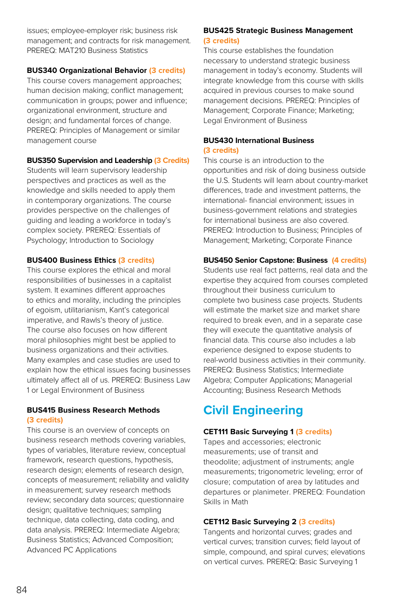issues; employee-employer risk; business risk management; and contracts for risk management. PREREQ: MAT210 Business Statistics

#### **BUS340 Organizational Behavior (3 credits)**

This course covers management approaches; human decision making; conflict management; communication in groups; power and influence; organizational environment, structure and design; and fundamental forces of change. PREREQ: Principles of Management or similar management course

#### **BUS350 Supervision and Leadership (3 Credits)**

Students will learn supervisory leadership perspectives and practices as well as the knowledge and skills needed to apply them in contemporary organizations. The course provides perspective on the challenges of guiding and leading a workforce in today's complex society. PREREQ: Essentials of Psychology; Introduction to Sociology

#### **BUS400 Business Ethics (3 credits)**

This course explores the ethical and moral responsibilities of businesses in a capitalist system. It examines different approaches to ethics and morality, including the principles of egoism, utilitarianism, Kant's categorical imperative, and Rawls's theory of justice. The course also focuses on how different moral philosophies might best be applied to business organizations and their activities. Many examples and case studies are used to explain how the ethical issues facing businesses ultimately affect all of us. PREREQ: Business Law 1 or Legal Environment of Business

#### **BUS415 Business Research Methods (3 credits)**

This course is an overview of concepts on business research methods covering variables, types of variables, literature review, conceptual framework, research questions, hypothesis, research design; elements of research design, concepts of measurement; reliability and validity in measurement; survey research methods review; secondary data sources; questionnaire design; qualitative techniques; sampling technique, data collecting, data coding, and data analysis. PREREQ: Intermediate Algebra; Business Statistics; Advanced Composition; Advanced PC Applications

#### **BUS425 Strategic Business Management (3 credits)**

This course establishes the foundation necessary to understand strategic business management in today's economy. Students will integrate knowledge from this course with skills acquired in previous courses to make sound management decisions. PREREQ: Principles of Management; Corporate Finance; Marketing; Legal Environment of Business

#### **BUS430 International Business (3 credits)**

This course is an introduction to the opportunities and risk of doing business outside the U.S. Students will learn about country-market differences, trade and investment patterns, the international- financial environment; issues in business-government relations and strategies for international business are also covered. PREREQ: Introduction to Business; Principles of Management; Marketing; Corporate Finance

#### **BUS450 Senior Capstone: Business (4 credits)**

Students use real fact patterns, real data and the expertise they acquired from courses completed throughout their business curriculum to complete two business case projects. Students will estimate the market size and market share required to break even, and in a separate case they will execute the quantitative analysis of financial data. This course also includes a lab experience designed to expose students to real-world business activities in their community. PREREQ: Business Statistics; Intermediate Algebra; Computer Applications; Managerial Accounting; Business Research Methods

## **Civil Engineering**

#### **CET111 Basic Surveying 1 (3 credits)**

Tapes and accessories; electronic measurements; use of transit and theodolite; adjustment of instruments; angle measurements; trigonometric leveling; error of closure; computation of area by latitudes and departures or planimeter. PREREQ: Foundation Skills in Math

#### **CET112 Basic Surveying 2 (3 credits)**

Tangents and horizontal curves; grades and vertical curves; transition curves; field layout of simple, compound, and spiral curves; elevations on vertical curves. PREREQ: Basic Surveying 1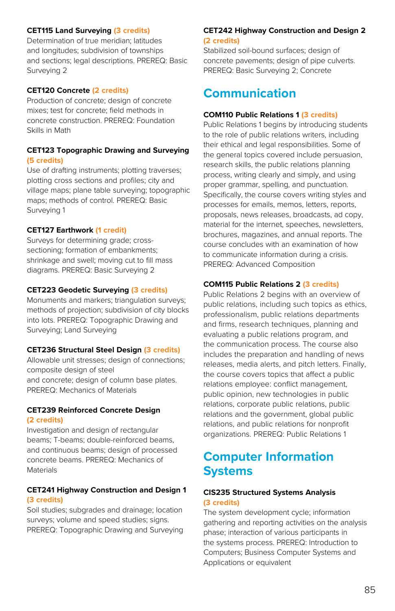#### **CET115 Land Surveying (3 credits)**

Determination of true meridian; latitudes and longitudes; subdivision of townships and sections; legal descriptions. PREREQ: Basic Surveying 2

#### **CET120 Concrete (2 credits)**

Production of concrete; design of concrete mixes; test for concrete; field methods in concrete construction. PREREQ: Foundation Skills in Math

#### **CET123 Topographic Drawing and Surveying (5 credits)**

Use of drafting instruments; plotting traverses; plotting cross sections and profiles; city and village maps; plane table surveying; topographic maps; methods of control. PREREQ: Basic Surveying 1

#### **CET127 Earthwork (1 credit)**

Surveys for determining grade; crosssectioning; formation of embankments; shrinkage and swell; moving cut to fill mass diagrams. PREREQ: Basic Surveying 2

#### **CET223 Geodetic Surveying (3 credits)**

Monuments and markers; triangulation surveys; methods of projection; subdivision of city blocks into lots. PREREQ: Topographic Drawing and Surveying; Land Surveying

#### **CET236 Structural Steel Design (3 credits)**

Allowable unit stresses; design of connections; composite design of steel and concrete; design of column base plates. PREREQ: Mechanics of Materials

#### **CET239 Reinforced Concrete Design (2 credits)**

Investigation and design of rectangular beams; T-beams; double-reinforced beams, and continuous beams; design of processed concrete beams. PREREQ: Mechanics of Materials

#### **CET241 Highway Construction and Design 1 (3 credits)**

Soil studies; subgrades and drainage; location surveys; volume and speed studies; signs. PREREQ: Topographic Drawing and Surveying

#### **CET242 Highway Construction and Design 2 (2 credits)**

Stabilized soil-bound surfaces; design of concrete pavements; design of pipe culverts. PREREQ: Basic Surveying 2; Concrete

### **Communication**

#### **COM110 Public Relations 1 (3 credits)**

Public Relations 1 begins by introducing students to the role of public relations writers, including their ethical and legal responsibilities. Some of the general topics covered include persuasion, research skills, the public relations planning process, writing clearly and simply, and using proper grammar, spelling, and punctuation. Specifically, the course covers writing styles and processes for emails, memos, letters, reports, proposals, news releases, broadcasts, ad copy, material for the internet, speeches, newsletters, brochures, magazines, and annual reports. The course concludes with an examination of how to communicate information during a crisis. PREREQ: Advanced Composition

#### **COM115 Public Relations 2 (3 credits)**

Public Relations 2 begins with an overview of public relations, including such topics as ethics, professionalism, public relations departments and firms, research techniques, planning and evaluating a public relations program, and the communication process. The course also includes the preparation and handling of news releases, media alerts, and pitch letters. Finally, the course covers topics that affect a public relations employee: conflict management, public opinion, new technologies in public relations, corporate public relations, public relations and the government, global public relations, and public relations for nonprofit organizations. PREREQ: Public Relations 1

### **Computer Information Systems**

#### **CIS235 Structured Systems Analysis (3 credits)**

The system development cycle; information gathering and reporting activities on the analysis phase; interaction of various participants in the systems process. PREREQ: Introduction to Computers; Business Computer Systems and Applications or equivalent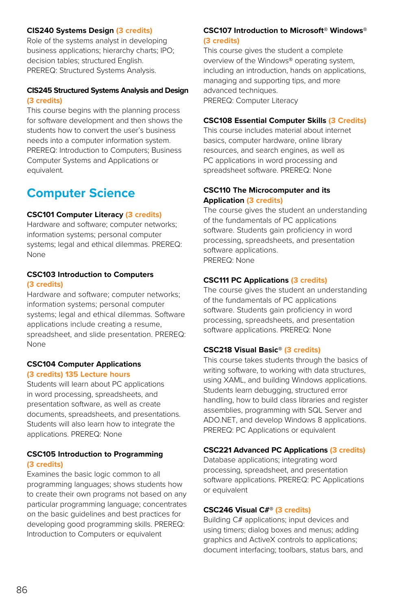#### **CIS240 Systems Design (3 credits)**

Role of the systems analyst in developing business applications; hierarchy charts; IPO; decision tables; structured English. PREREQ: Structured Systems Analysis.

#### **CIS245 Structured Systems Analysis and Design (3 credits)**

This course begins with the planning process for software development and then shows the students how to convert the user's business needs into a computer information system. PREREQ: Introduction to Computers; Business Computer Systems and Applications or equivalent.

### **Computer Science**

#### **CSC101 Computer Literacy (3 credits)**

Hardware and software; computer networks; information systems; personal computer systems; legal and ethical dilemmas. PREREQ: None

#### **CSC103 Introduction to Computers (3 credits)**

Hardware and software; computer networks; information systems; personal computer systems; legal and ethical dilemmas. Software applications include creating a resume, spreadsheet, and slide presentation. PREREQ: None

#### **CSC104 Computer Applications (3 credits) 135 Lecture hours**

Students will learn about PC applications in word processing, spreadsheets, and presentation software, as well as create documents, spreadsheets, and presentations. Students will also learn how to integrate the applications. PREREQ: None

#### **CSC105 Introduction to Programming (3 credits)**

Examines the basic logic common to all programming languages; shows students how to create their own programs not based on any particular programming language; concentrates on the basic guidelines and best practices for developing good programming skills. PREREQ: Introduction to Computers or equivalent

#### **CSC107 Introduction to Microsoft® Windows® (3 credits)**

This course gives the student a complete overview of the Windows® operating system, including an introduction, hands on applications, managing and supporting tips, and more advanced techniques. PREREQ: Computer Literacy

#### **CSC108 Essential Computer Skills (3 Credits)**

This course includes material about internet basics, computer hardware, online library resources, and search engines, as well as PC applications in word processing and spreadsheet software. PREREQ: None

#### **CSC110 The Microcomputer and its Application (3 credits)**

The course gives the student an understanding of the fundamentals of PC applications software. Students gain proficiency in word processing, spreadsheets, and presentation software applications. PREREQ: None

#### **CSC111 PC Applications (3 credits)**

The course gives the student an understanding of the fundamentals of PC applications software. Students gain proficiency in word processing, spreadsheets, and presentation software applications. PREREQ: None

#### **CSC218 Visual Basic® (3 credits)**

This course takes students through the basics of writing software, to working with data structures, using XAML, and building Windows applications. Students learn debugging, structured error handling, how to build class libraries and register assemblies, programming with SQL Server and ADO.NET, and develop Windows 8 applications. PREREQ: PC Applications or equivalent

#### **CSC221 Advanced PC Applications (3 credits)**

Database applications; integrating word processing, spreadsheet, and presentation software applications. PREREQ: PC Applications or equivalent

#### **CSC246 Visual C#® (3 credits)**

Building C# applications; input devices and using timers; dialog boxes and menus; adding graphics and ActiveX controls to applications; document interfacing; toolbars, status bars, and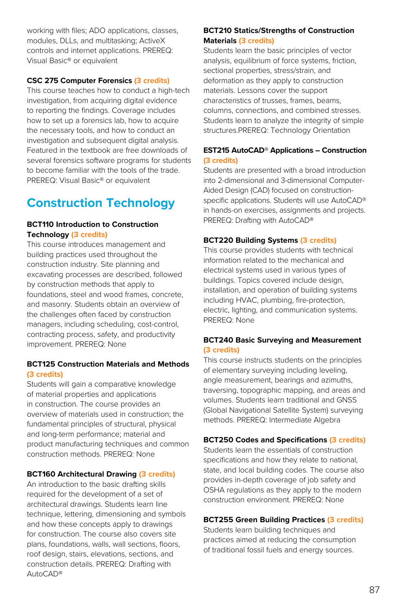working with files; ADO applications, classes, modules, DLLs, and multitasking; ActiveX controls and internet applications. PREREQ: Visual Basic® or equivalent

#### **CSC 275 Computer Forensics (3 credits)**

This course teaches how to conduct a high-tech investigation, from acquiring digital evidence to reporting the findings. Coverage includes how to set up a forensics lab, how to acquire the necessary tools, and how to conduct an investigation and subsequent digital analysis. Featured in the textbook are free downloads of several forensics software programs for students to become familiar with the tools of the trade. PREREQ: Visual Basic® or equivalent

### **Construction Technology**

#### **BCT110 Introduction to Construction Technology (3 credits)**

This course introduces management and building practices used throughout the construction industry. Site planning and excavating processes are described, followed by construction methods that apply to foundations, steel and wood frames, concrete, and masonry. Students obtain an overview of the challenges often faced by construction managers, including scheduling, cost-control, contracting process, safety, and productivity improvement. PREREQ: None

#### **BCT125 Construction Materials and Methods (3 credits)**

Students will gain a comparative knowledge of material properties and applications in construction. The course provides an overview of materials used in construction; the fundamental principles of structural, physical and long-term performance; material and product manufacturing techniques and common construction methods. PREREQ: None

#### **BCT160 Architectural Drawing (3 credits)**

An introduction to the basic drafting skills required for the development of a set of architectural drawings. Students learn line technique, lettering, dimensioning and symbols and how these concepts apply to drawings for construction. The course also covers site plans, foundations, walls, wall sections, floors, roof design, stairs, elevations, sections, and construction details. PREREQ: Drafting with AutoCAD®

#### **BCT210 Statics/Strengths of Construction Materials (3 credits)**

Students learn the basic principles of vector analysis, equilibrium of force systems, friction, sectional properties, stress/strain, and deformation as they apply to construction materials. Lessons cover the support characteristics of trusses, frames, beams, columns, connections, and combined stresses. Students learn to analyze the integrity of simple structures.PREREQ: Technology Orientation

#### **EST215 AutoCAD® Applications – Construction (3 credits)**

Students are presented with a broad introduction into 2-dimensional and 3-dimensional Computer-Aided Design (CAD) focused on constructionspecific applications. Students will use AutoCAD® in hands-on exercises, assignments and projects. PREREQ: Drafting with AutoCAD®

#### **BCT220 Building Systems (3 credits)**

This course provides students with technical information related to the mechanical and electrical systems used in various types of buildings. Topics covered include design, installation, and operation of building systems including HVAC, plumbing, fire-protection, electric, lighting, and communication systems. PREREQ: None

#### **BCT240 Basic Surveying and Measurement (3 credits)**

This course instructs students on the principles of elementary surveying including leveling, angle measurement, bearings and azimuths, traversing, topographic mapping, and areas and volumes. Students learn traditional and GNSS (Global Navigational Satellite System) surveying methods. PREREQ: Intermediate Algebra

#### **BCT250 Codes and Specifications (3 credits)**

Students learn the essentials of construction specifications and how they relate to national, state, and local building codes. The course also provides in-depth coverage of job safety and OSHA regulations as they apply to the modern construction environment. PREREQ: None

#### **BCT255 Green Building Practices (3 credits)**

Students learn building techniques and practices aimed at reducing the consumption of traditional fossil fuels and energy sources.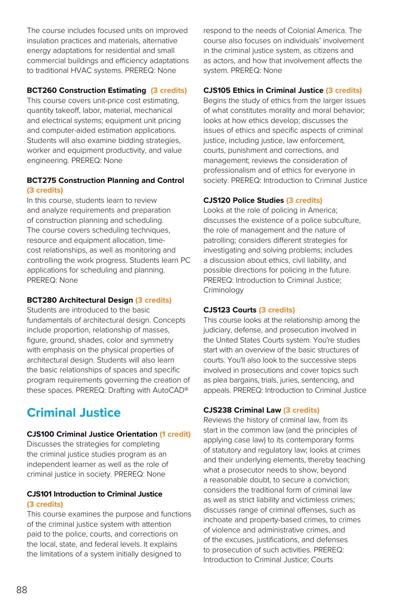The course includes focused units on improved insulation practices and materials, alternative energy adaptations for residential and small commercial buildings and efficiency adaptations to traditional HVAC systems. PREREQ: None

#### **BCT260 Construction Estimating (3 credits)**

This course covers unit-price cost estimating, quantity takeoff, labor, material, mechanical and electrical systems; equipment unit pricing and computer-aided estimation applications. Students will also examine bidding strategies, worker and equipment productivity, and value engineering. PREREQ: None

#### **BCT275 Construction Planning and Control (3 credits)**

In this course, students learn to review and analyze requirements and preparation of construction planning and scheduling. The course covers scheduling techniques, resource and equipment allocation, timecost relationships, as well as monitoring and controlling the work progress. Students learn PC applications for scheduling and planning. PREREQ: None

#### **BCT280 Architectural Design (3 credits)**

Students are introduced to the basic fundamentals of architectural design. Concepts include proportion, relationship of masses, figure, ground, shades, color and symmetry with emphasis on the physical properties of architectural design. Students will also learn the basic relationships of spaces and specific program requirements governing the creation of these spaces. PREREQ: Drafting with AutoCAD®

### **Criminal Justice**

#### **CJS100 Criminal Justice Orientation (1 credit)**

Discusses the strategies for completing the criminal justice studies program as an independent learner as well as the role of criminal justice in society. PREREQ: None

#### **CJS101 Introduction to Criminal Justice (3 credits)**

This course examines the purpose and functions of the criminal justice system with attention paid to the police, courts, and corrections on the local, state, and federal levels. It explains the limitations of a system initially designed to

respond to the needs of Colonial America. The course also focuses on individuals' involvement in the criminal justice system, as citizens and as actors, and how that involvement affects the system. PREREQ: None

#### **CJS105 Ethics in Criminal Justice (3 credits)**

Begins the study of ethics from the larger issues of what constitutes morality and moral behavior; looks at how ethics develop; discusses the issues of ethics and specific aspects of criminal justice, including justice, law enforcement, courts, punishment and corrections, and management; reviews the consideration of professionalism and of ethics for everyone in society. PREREQ: Introduction to Criminal Justice

#### **CJS120 Police Studies (3 credits)**

Looks at the role of policing in America; discusses the existence of a police subculture, the role of management and the nature of patrolling; considers different strategies for investigating and solving problems; includes a discussion about ethics, civil liability, and possible directions for policing in the future. PREREQ: Introduction to Criminal Justice; Criminology

#### **CJS123 Courts (3 credits)**

This course looks at the relationship among the judiciary, defense, and prosecution involved in the United States Courts system. You're studies start with an overview of the basic structures of courts. You'll also look to the successive steps involved in prosecutions and cover topics such as plea bargains, trials, juries, sentencing, and appeals. PREREQ: Introduction to Criminal Justice

#### **CJS238 Criminal Law (3 credits)**

Reviews the history of criminal law, from its start in the common law (and the principles of applying case law) to its contemporary forms of statutory and regulatory law; looks at crimes and their underlying elements, thereby teaching what a prosecutor needs to show, beyond a reasonable doubt, to secure a conviction; considers the traditional form of criminal law as well as strict liability and victimless crimes; discusses range of criminal offenses, such as inchoate and property-based crimes, to crimes of violence and administrative crimes, and of the excuses, justifications, and defenses to prosecution of such activities. PREREQ: Introduction to Criminal Justice; Courts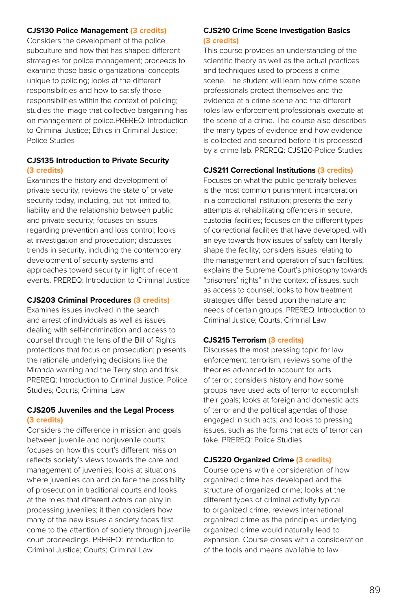#### **CJS130 Police Management (3 credits)**

Considers the development of the police subculture and how that has shaped different strategies for police management; proceeds to examine those basic organizational concepts unique to policing; looks at the different responsibilities and how to satisfy those responsibilities within the context of policing; studies the image that collective bargaining has on management of police.PREREQ: Introduction to Criminal Justice; Ethics in Criminal Justice; Police Studies

#### **CJS135 Introduction to Private Security (3 credits)**

Examines the history and development of private security; reviews the state of private security today, including, but not limited to, liability and the relationship between public and private security; focuses on issues regarding prevention and loss control; looks at investigation and prosecution; discusses trends in security, including the contemporary development of security systems and approaches toward security in light of recent events. PREREQ: Introduction to Criminal Justice

#### **CJS203 Criminal Procedures (3 credits)**

Examines issues involved in the search and arrest of individuals as well as issues dealing with self-incrimination and access to counsel through the lens of the Bill of Rights protections that focus on prosecution; presents the rationale underlying decisions like the Miranda warning and the Terry stop and frisk. PREREQ: Introduction to Criminal Justice; Police Studies; Courts; Criminal Law

#### **CJS205 Juveniles and the Legal Process (3 credits)**

Considers the difference in mission and goals between juvenile and nonjuvenile courts; focuses on how this court's different mission reflects society's views towards the care and management of juveniles; looks at situations where juveniles can and do face the possibility of prosecution in traditional courts and looks at the roles that different actors can play in processing juveniles; it then considers how many of the new issues a society faces first come to the attention of society through juvenile court proceedings. PREREQ: Introduction to Criminal Justice; Courts; Criminal Law

#### **CJS210 Crime Scene Investigation Basics (3 credits)**

This course provides an understanding of the scientific theory as well as the actual practices and techniques used to process a crime scene. The student will learn how crime scene professionals protect themselves and the evidence at a crime scene and the different roles law enforcement professionals execute at the scene of a crime. The course also describes the many types of evidence and how evidence is collected and secured before it is processed by a crime lab. PREREQ: CJS120-Police Studies

#### **CJS211 Correctional Institutions (3 credits)**

Focuses on what the public generally believes is the most common punishment: incarceration in a correctional institution; presents the early attempts at rehabilitating offenders in secure, custodial facilities; focuses on the different types of correctional facilities that have developed, with an eye towards how issues of safety can literally shape the facility; considers issues relating to the management and operation of such facilities; explains the Supreme Court's philosophy towards "prisoners' rights" in the context of issues, such as access to counsel; looks to how treatment strategies differ based upon the nature and needs of certain groups. PREREQ: Introduction to Criminal Justice; Courts; Criminal Law

#### **CJS215 Terrorism (3 credits)**

Discusses the most pressing topic for law enforcement: terrorism; reviews some of the theories advanced to account for acts of terror; considers history and how some groups have used acts of terror to accomplish their goals; looks at foreign and domestic acts of terror and the political agendas of those engaged in such acts; and looks to pressing issues, such as the forms that acts of terror can take. PREREQ: Police Studies

#### **CJS220 Organized Crime (3 credits)**

Course opens with a consideration of how organized crime has developed and the structure of organized crime; looks at the different types of criminal activity typical to organized crime; reviews international organized crime as the principles underlying organized crime would naturally lead to expansion. Course closes with a consideration of the tools and means available to law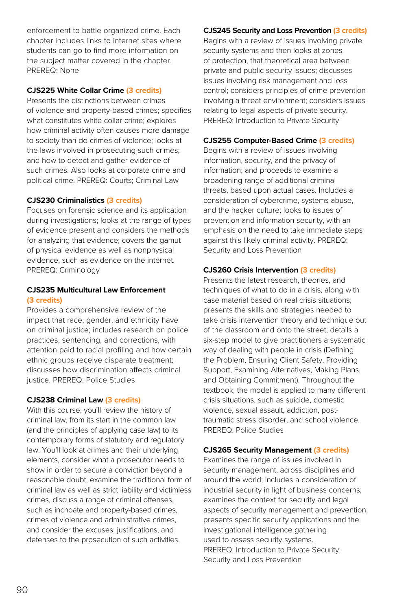enforcement to battle organized crime. Each chapter includes links to internet sites where students can go to find more information on the subject matter covered in the chapter. PREREQ: None

#### **CJS225 White Collar Crime (3 credits)**

Presents the distinctions between crimes of violence and property-based crimes; specifies what constitutes white collar crime; explores how criminal activity often causes more damage to society than do crimes of violence; looks at the laws involved in prosecuting such crimes; and how to detect and gather evidence of such crimes. Also looks at corporate crime and political crime. PREREQ: Courts; Criminal Law

#### **CJS230 Criminalistics (3 credits)**

Focuses on forensic science and its application during investigations; looks at the range of types of evidence present and considers the methods for analyzing that evidence; covers the gamut of physical evidence as well as nonphysical evidence, such as evidence on the internet. PREREQ: Criminology

#### **CJS235 Multicultural Law Enforcement (3 credits)**

Provides a comprehensive review of the impact that race, gender, and ethnicity have on criminal justice; includes research on police practices, sentencing, and corrections, with attention paid to racial profiling and how certain ethnic groups receive disparate treatment; discusses how discrimination affects criminal justice. PREREQ: Police Studies

#### **CJS238 Criminal Law (3 credits)**

With this course, you'll review the history of criminal law, from its start in the common law (and the principles of applying case law) to its contemporary forms of statutory and regulatory law. You'll look at crimes and their underlying elements, consider what a prosecutor needs to show in order to secure a conviction beyond a reasonable doubt, examine the traditional form of criminal law as well as strict liability and victimless crimes, discuss a range of criminal offenses, such as inchoate and property-based crimes, crimes of violence and administrative crimes, and consider the excuses, justifications, and defenses to the prosecution of such activities.

#### **CJS245 Security and Loss Prevention (3 credits)**

Begins with a review of issues involving private security systems and then looks at zones of protection, that theoretical area between private and public security issues; discusses issues involving risk management and loss control; considers principles of crime prevention involving a threat environment; considers issues relating to legal aspects of private security. PREREQ: Introduction to Private Security

#### **CJS255 Computer-Based Crime (3 credits)**

Begins with a review of issues involving information, security, and the privacy of information; and proceeds to examine a broadening range of additional criminal threats, based upon actual cases. Includes a consideration of cybercrime, systems abuse, and the hacker culture; looks to issues of prevention and information security, with an emphasis on the need to take immediate steps against this likely criminal activity. PREREQ: Security and Loss Prevention

#### **CJS260 Crisis Intervention (3 credits)**

Presents the latest research, theories, and techniques of what to do in a crisis, along with case material based on real crisis situations; presents the skills and strategies needed to take crisis intervention theory and technique out of the classroom and onto the street; details a six-step model to give practitioners a systematic way of dealing with people in crisis (Defining the Problem, Ensuring Client Safety, Providing Support, Examining Alternatives, Making Plans, and Obtaining Commitment). Throughout the textbook, the model is applied to many different crisis situations, such as suicide, domestic violence, sexual assault, addiction, posttraumatic stress disorder, and school violence. PREREQ: Police Studies

#### **CJS265 Security Management (3 credits)**

Examines the range of issues involved in security management, across disciplines and around the world; includes a consideration of industrial security in light of business concerns; examines the context for security and legal aspects of security management and prevention; presents specific security applications and the investigational intelligence gathering used to assess security systems. PREREQ: Introduction to Private Security; Security and Loss Prevention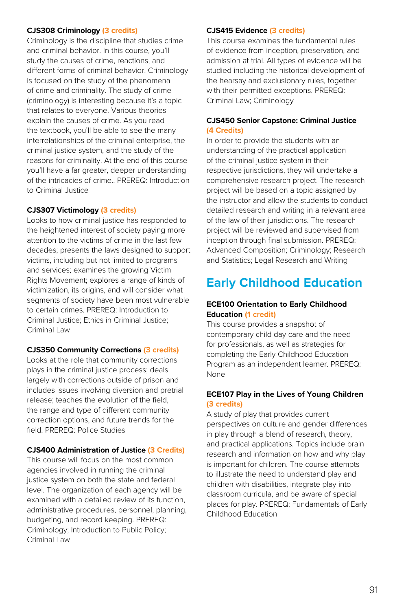#### **CJS308 Criminology (3 credits)**

Criminology is the discipline that studies crime and criminal behavior. In this course, you'll study the causes of crime, reactions, and different forms of criminal behavior. Criminology is focused on the study of the phenomena of crime and criminality. The study of crime (criminology) is interesting because it's a topic that relates to everyone. Various theories explain the causes of crime. As you read the textbook, you'll be able to see the many interrelationships of the criminal enterprise, the criminal justice system, and the study of the reasons for criminality. At the end of this course you'll have a far greater, deeper understanding of the intricacies of crime.. PREREQ: Introduction to Criminal Justice

#### **CJS307 Victimology (3 credits)**

Looks to how criminal justice has responded to the heightened interest of society paying more attention to the victims of crime in the last few decades; presents the laws designed to support victims, including but not limited to programs and services; examines the growing Victim Rights Movement; explores a range of kinds of victimization, its origins, and will consider what segments of society have been most vulnerable to certain crimes. PREREQ: Introduction to Criminal Justice; Ethics in Criminal Justice; Criminal Law

#### **CJS350 Community Corrections (3 credits)**

Looks at the role that community corrections plays in the criminal justice process; deals largely with corrections outside of prison and includes issues involving diversion and pretrial release; teaches the evolution of the field, the range and type of different community correction options, and future trends for the field. PREREQ: Police Studies

#### **CJS400 Administration of Justice (3 Credits)**

This course will focus on the most common agencies involved in running the criminal justice system on both the state and federal level. The organization of each agency will be examined with a detailed review of its function, administrative procedures, personnel, planning, budgeting, and record keeping. PREREQ: Criminology; Introduction to Public Policy; Criminal Law

#### **CJS415 Evidence (3 credits)**

This course examines the fundamental rules of evidence from inception, preservation, and admission at trial. All types of evidence will be studied including the historical development of the hearsay and exclusionary rules, together with their permitted exceptions. PREREQ: Criminal Law; Criminology

#### **CJS450 Senior Capstone: Criminal Justice (4 Credits)**

In order to provide the students with an understanding of the practical application of the criminal justice system in their respective jurisdictions, they will undertake a comprehensive research project. The research project will be based on a topic assigned by the instructor and allow the students to conduct detailed research and writing in a relevant area of the law of their jurisdictions. The research project will be reviewed and supervised from inception through final submission. PREREQ: Advanced Composition; Criminology; Research and Statistics; Legal Research and Writing

### **Early Childhood Education**

#### **ECE100 Orientation to Early Childhood Education (1 credit)**

This course provides a snapshot of contemporary child day care and the need for professionals, as well as strategies for completing the Early Childhood Education Program as an independent learner. PREREQ: None

#### **ECE107 Play in the Lives of Young Children (3 credits)**

A study of play that provides current perspectives on culture and gender differences in play through a blend of research, theory, and practical applications. Topics include brain research and information on how and why play is important for children. The course attempts to illustrate the need to understand play and children with disabilities, integrate play into classroom curricula, and be aware of special places for play. PREREQ: Fundamentals of Early Childhood Education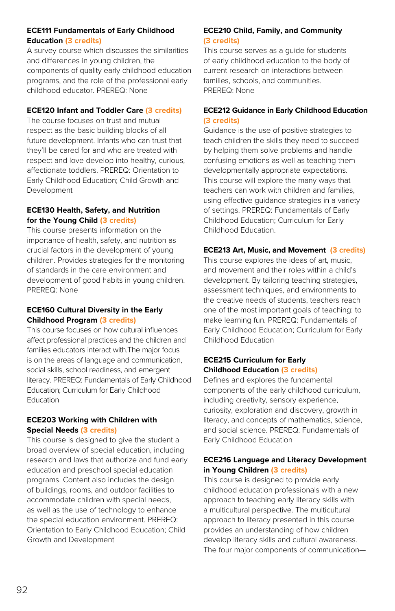#### **ECE111 Fundamentals of Early Childhood Education (3 credits)**

A survey course which discusses the similarities and differences in young children, the components of quality early childhood education programs, and the role of the professional early childhood educator. PREREQ: None

#### **ECE120 Infant and Toddler Care (3 credits)**

The course focuses on trust and mutual respect as the basic building blocks of all future development. Infants who can trust that they'll be cared for and who are treated with respect and love develop into healthy, curious, affectionate toddlers. PREREQ: Orientation to Early Childhood Education; Child Growth and Development

#### **ECE130 Health, Safety, and Nutrition for the Young Child (3 credits)**

This course presents information on the importance of health, safety, and nutrition as crucial factors in the development of young children. Provides strategies for the monitoring of standards in the care environment and development of good habits in young children. PREREQ: None

#### **ECE160 Cultural Diversity in the Early Childhood Program (3 credits)**

This course focuses on how cultural influences affect professional practices and the children and families educators interact with.The major focus is on the areas of language and communication, social skills, school readiness, and emergent literacy. PREREQ: Fundamentals of Early Childhood Education; Curriculum for Early Childhood **Education** 

#### **ECE203 Working with Children with Special Needs (3 credits)**

This course is designed to give the student a broad overview of special education, including research and laws that authorize and fund early education and preschool special education programs. Content also includes the design of buildings, rooms, and outdoor facilities to accommodate children with special needs, as well as the use of technology to enhance the special education environment. PREREQ: Orientation to Early Childhood Education; Child Growth and Development

#### **ECE210 Child, Family, and Community (3 credits)**

This course serves as a guide for students of early childhood education to the body of current research on interactions between families, schools, and communities. PREREQ: None

#### **ECE212 Guidance in Early Childhood Education (3 credits)**

Guidance is the use of positive strategies to teach children the skills they need to succeed by helping them solve problems and handle confusing emotions as well as teaching them developmentally appropriate expectations. This course will explore the many ways that teachers can work with children and families, using effective guidance strategies in a variety of settings. PREREQ: Fundamentals of Early Childhood Education; Curriculum for Early Childhood Education.

#### **ECE213 Art, Music, and Movement (3 credits)**

This course explores the ideas of art, music, and movement and their roles within a child's development. By tailoring teaching strategies, assessment techniques, and environments to the creative needs of students, teachers reach one of the most important goals of teaching: to make learning fun. PREREQ: Fundamentals of Early Childhood Education; Curriculum for Early Childhood Education

#### **ECE215 Curriculum for Early Childhood Education (3 credits)**

Defines and explores the fundamental components of the early childhood curriculum, including creativity, sensory experience, curiosity, exploration and discovery, growth in literacy, and concepts of mathematics, science, and social science. PREREQ: Fundamentals of Early Childhood Education

#### **ECE216 Language and Literacy Development in Young Children (3 credits)**

This course is designed to provide early childhood education professionals with a new approach to teaching early literacy skills with a multicultural perspective. The multicultural approach to literacy presented in this course provides an understanding of how children develop literacy skills and cultural awareness. The four major components of communication—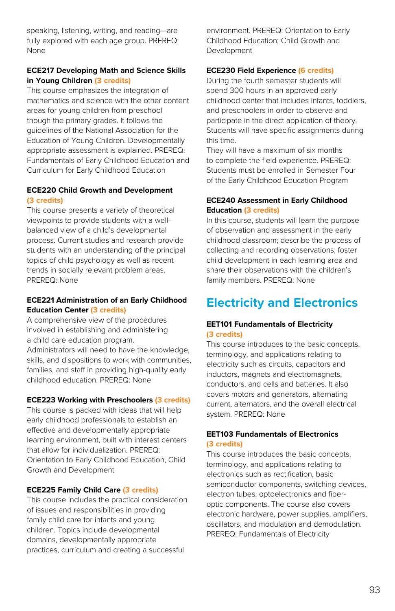speaking, listening, writing, and reading—are fully explored with each age group. PREREQ: None

#### **ECE217 Developing Math and Science Skills in Young Children (3 credits)**

This course emphasizes the integration of mathematics and science with the other content areas for young children from preschool though the primary grades. It follows the guidelines of the National Association for the Education of Young Children. Developmentally appropriate assessment is explained. PREREQ: Fundamentals of Early Childhood Education and Curriculum for Early Childhood Education

#### **ECE220 Child Growth and Development (3 credits)**

This course presents a variety of theoretical viewpoints to provide students with a wellbalanced view of a child's developmental process. Current studies and research provide students with an understanding of the principal topics of child psychology as well as recent trends in socially relevant problem areas. PREREQ: None

#### **ECE221 Administration of an Early Childhood Education Center (3 credits)**

A comprehensive view of the procedures involved in establishing and administering a child care education program. Administrators will need to have the knowledge, skills, and dispositions to work with communities, families, and staff in providing high-quality early childhood education. PREREQ: None

#### **ECE223 Working with Preschoolers (3 credits)**

This course is packed with ideas that will help early childhood professionals to establish an effective and developmentally appropriate learning environment, built with interest centers that allow for individualization. PREREQ: Orientation to Early Childhood Education, Child Growth and Development

#### **ECE225 Family Child Care (3 credits)**

This course includes the practical consideration of issues and responsibilities in providing family child care for infants and young children. Topics include developmental domains, developmentally appropriate practices, curriculum and creating a successful

environment. PREREQ: Orientation to Early Childhood Education; Child Growth and Development

#### **ECE230 Field Experience (6 credits)**

During the fourth semester students will spend 300 hours in an approved early childhood center that includes infants, toddlers, and preschoolers in order to observe and participate in the direct application of theory. Students will have specific assignments during this time.

They will have a maximum of six months to complete the field experience. PREREQ: Students must be enrolled in Semester Four of the Early Childhood Education Program

#### **ECE240 Assessment in Early Childhood Education (3 credits)**

In this course, students will learn the purpose of observation and assessment in the early childhood classroom; describe the process of collecting and recording observations; foster child development in each learning area and share their observations with the children's family members. PREREQ: None

## **Electricity and Electronics**

#### **EET101 Fundamentals of Electricity (3 credits)**

This course introduces to the basic concepts, terminology, and applications relating to electricity such as circuits, capacitors and inductors, magnets and electromagnets, conductors, and cells and batteries. It also covers motors and generators, alternating current, alternators, and the overall electrical system. PREREQ: None

#### **EET103 Fundamentals of Electronics (3 credits)**

This course introduces the basic concepts, terminology, and applications relating to electronics such as rectification, basic semiconductor components, switching devices, electron tubes, optoelectronics and fiberoptic components. The course also covers electronic hardware, power supplies, amplifiers, oscillators, and modulation and demodulation. PREREQ: Fundamentals of Electricity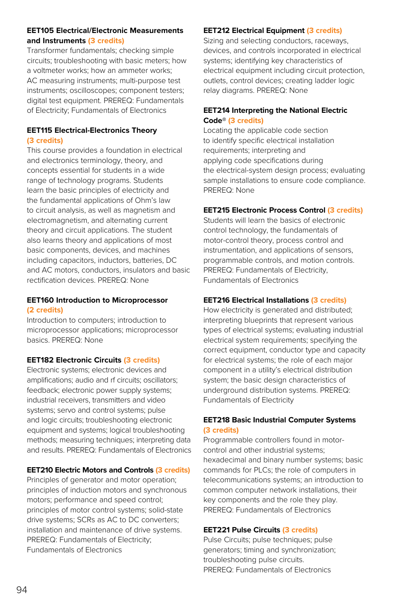#### **EET105 Electrical/Electronic Measurements and Instruments (3 credits)**

Transformer fundamentals; checking simple circuits; troubleshooting with basic meters; how a voltmeter works; how an ammeter works; AC measuring instruments; multi-purpose test instruments; oscilloscopes; component testers; digital test equipment. PREREQ: Fundamentals of Electricity; Fundamentals of Electronics

#### **EET115 Electrical-Electronics Theory (3 credits)**

This course provides a foundation in electrical and electronics terminology, theory, and concepts essential for students in a wide range of technology programs. Students learn the basic principles of electricity and the fundamental applications of Ohm's law to circuit analysis, as well as magnetism and electromagnetism, and alternating current theory and circuit applications. The student also learns theory and applications of most basic components, devices, and machines including capacitors, inductors, batteries, DC and AC motors, conductors, insulators and basic rectification devices. PREREQ: None

#### **EET160 Introduction to Microprocessor (2 credits)**

Introduction to computers; introduction to microprocessor applications; microprocessor basics. PREREQ: None

#### **EET182 Electronic Circuits (3 credits)**

Electronic systems; electronic devices and amplifications; audio and rf circuits; oscillators; feedback; electronic power supply systems; industrial receivers, transmitters and video systems; servo and control systems; pulse and logic circuits; troubleshooting electronic equipment and systems; logical troubleshooting methods; measuring techniques; interpreting data and results. PREREQ: Fundamentals of Electronics

#### **EET210 Electric Motors and Controls (3 credits)**

Principles of generator and motor operation; principles of induction motors and synchronous motors; performance and speed control; principles of motor control systems; solid-state drive systems; SCRs as AC to DC converters; installation and maintenance of drive systems. PREREQ: Fundamentals of Electricity; Fundamentals of Electronics

#### **EET212 Electrical Equipment (3 credits)**

Sizing and selecting conductors, raceways, devices, and controls incorporated in electrical systems; identifying key characteristics of electrical equipment including circuit protection, outlets, control devices; creating ladder logic relay diagrams. PREREQ: None

#### **EET214 Interpreting the National Electric Code® (3 credits)**

Locating the applicable code section to identify specific electrical installation requirements; interpreting and applying code specifications during the electrical-system design process; evaluating sample installations to ensure code compliance. PREREQ: None

#### **EET215 Electronic Process Control (3 credits)**

Students will learn the basics of electronic control technology, the fundamentals of motor-control theory, process control and instrumentation, and applications of sensors, programmable controls, and motion controls. PREREQ: Fundamentals of Electricity, Fundamentals of Electronics

#### **EET216 Electrical Installations (3 credits)**

How electricity is generated and distributed; interpreting blueprints that represent various types of electrical systems; evaluating industrial electrical system requirements; specifying the correct equipment, conductor type and capacity for electrical systems; the role of each major component in a utility's electrical distribution system; the basic design characteristics of underground distribution systems. PREREQ: Fundamentals of Electricity

#### **EET218 Basic Industrial Computer Systems (3 credits)**

Programmable controllers found in motorcontrol and other industrial systems; hexadecimal and binary number systems; basic commands for PLCs; the role of computers in telecommunications systems; an introduction to common computer network installations, their key components and the role they play. PREREQ: Fundamentals of Electronics

#### **EET221 Pulse Circuits (3 credits)**

Pulse Circuits; pulse techniques; pulse generators; timing and synchronization; troubleshooting pulse circuits. PREREQ: Fundamentals of Electronics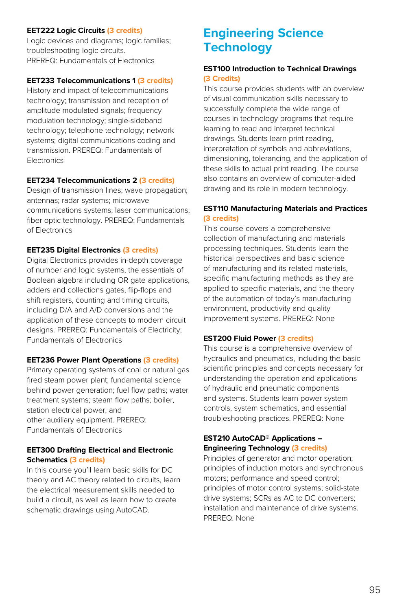#### **EET222 Logic Circuits (3 credits)**

Logic devices and diagrams; logic families; troubleshooting logic circuits. PREREQ: Fundamentals of Electronics

#### **EET233 Telecommunications 1 (3 credits)**

History and impact of telecommunications technology; transmission and reception of amplitude modulated signals; frequency modulation technology; single-sideband technology; telephone technology; network systems; digital communications coding and transmission. PREREQ: Fundamentals of **Electronics** 

#### **EET234 Telecommunications 2 (3 credits)**

Design of transmission lines; wave propagation; antennas; radar systems; microwave communications systems; laser communications; fiber optic technology. PREREQ: Fundamentals of Electronics

#### **EET235 Digital Electronics (3 credits)**

Digital Electronics provides in-depth coverage of number and logic systems, the essentials of Boolean algebra including OR gate applications, adders and collections gates, flip-flops and shift registers, counting and timing circuits, including D/A and A/D conversions and the application of these concepts to modern circuit designs. PREREQ: Fundamentals of Electricity; Fundamentals of Electronics

#### **EET236 Power Plant Operations (3 credits)**

Primary operating systems of coal or natural gas fired steam power plant; fundamental science behind power generation; fuel flow paths; water treatment systems; steam flow paths; boiler, station electrical power, and other auxiliary equipment. PREREQ: Fundamentals of Electronics

#### **EET300 Drafting Electrical and Electronic Schematics (3 credits)**

In this course you'll learn basic skills for DC theory and AC theory related to circuits, learn the electrical measurement skills needed to build a circuit, as well as learn how to create schematic drawings using AutoCAD.

### **Engineering Science Technology**

#### **EST100 Introduction to Technical Drawings (3 Credits)**

This course provides students with an overview of visual communication skills necessary to successfully complete the wide range of courses in technology programs that require learning to read and interpret technical drawings. Students learn print reading, interpretation of symbols and abbreviations, dimensioning, tolerancing, and the application of these skills to actual print reading. The course also contains an overview of computer-aided drawing and its role in modern technology.

#### **EST110 Manufacturing Materials and Practices (3 credits)**

This course covers a comprehensive collection of manufacturing and materials processing techniques. Students learn the historical perspectives and basic science of manufacturing and its related materials, specific manufacturing methods as they are applied to specific materials, and the theory of the automation of today's manufacturing environment, productivity and quality improvement systems. PREREQ: None

#### **EST200 Fluid Power (3 credits)**

This course is a comprehensive overview of hydraulics and pneumatics, including the basic scientific principles and concepts necessary for understanding the operation and applications of hydraulic and pneumatic components and systems. Students learn power system controls, system schematics, and essential troubleshooting practices. PREREQ: None

#### **EST210 AutoCAD® Applications – Engineering Technology (3 credits)**

Principles of generator and motor operation; principles of induction motors and synchronous motors; performance and speed control; principles of motor control systems; solid-state drive systems; SCRs as AC to DC converters; installation and maintenance of drive systems. PREREQ: None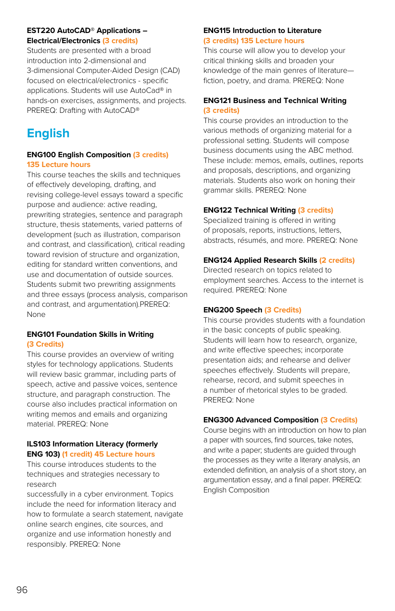#### **EST220 AutoCAD® Applications – Electrical/Electronics (3 credits)**

Students are presented with a broad introduction into 2-dimensional and 3-dimensional Computer-Aided Design (CAD) focused on electrical/electronics - specific applications. Students will use AutoCad® in hands-on exercises, assignments, and projects. PREREQ: Drafting with AutoCAD®

## **English**

#### **ENG100 English Composition (3 credits) 135 Lecture hours**

This course teaches the skills and techniques of effectively developing, drafting, and revising college-level essays toward a specific purpose and audience: active reading, prewriting strategies, sentence and paragraph structure, thesis statements, varied patterns of development (such as illustration, comparison and contrast, and classification), critical reading toward revision of structure and organization, editing for standard written conventions, and use and documentation of outside sources. Students submit two prewriting assignments and three essays (process analysis, comparison and contrast, and argumentation).PREREQ: None

#### **ENG101 Foundation Skills in Writing (3 Credits)**

This course provides an overview of writing styles for technology applications. Students will review basic grammar, including parts of speech, active and passive voices, sentence structure, and paragraph construction. The course also includes practical information on writing memos and emails and organizing material. PREREQ: None

#### **ILS103 Information Literacy (formerly ENG 103) (1 credit) 45 Lecture hours**

This course introduces students to the techniques and strategies necessary to research

successfully in a cyber environment. Topics include the need for information literacy and how to formulate a search statement, navigate online search engines, cite sources, and organize and use information honestly and responsibly. PREREQ: None

#### **ENG115 Introduction to Literature (3 credits) 135 Lecture hours**

This course will allow you to develop your critical thinking skills and broaden your knowledge of the main genres of literature fiction, poetry, and drama. PREREQ: None

#### **ENG121 Business and Technical Writing (3 credits)**

This course provides an introduction to the various methods of organizing material for a professional setting. Students will compose business documents using the ABC method. These include: memos, emails, outlines, reports and proposals, descriptions, and organizing materials. Students also work on honing their grammar skills. PREREQ: None

#### **ENG122 Technical Writing (3 credits)**

Specialized training is offered in writing of proposals, reports, instructions, letters, abstracts, résumés, and more. PREREQ: None

#### **ENG124 Applied Research Skills (2 credits)**

Directed research on topics related to employment searches. Access to the internet is required. PREREQ: None

#### **ENG200 Speech (3 Credits)**

This course provides students with a foundation in the basic concepts of public speaking. Students will learn how to research, organize, and write effective speeches; incorporate presentation aids; and rehearse and deliver speeches effectively. Students will prepare, rehearse, record, and submit speeches in a number of rhetorical styles to be graded. PREREQ: None

#### **ENG300 Advanced Composition (3 Credits)**

Course begins with an introduction on how to plan a paper with sources, find sources, take notes, and write a paper; students are guided through the processes as they write a literary analysis, an extended definition, an analysis of a short story, an argumentation essay, and a final paper. PREREQ: English Composition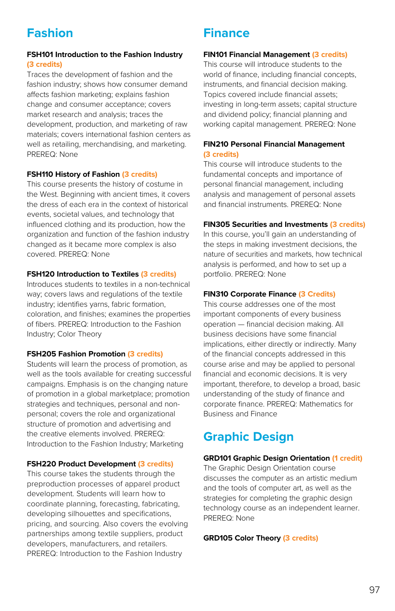## **Fashion**

#### **FSH101 Introduction to the Fashion Industry (3 credits)**

Traces the development of fashion and the fashion industry; shows how consumer demand affects fashion marketing; explains fashion change and consumer acceptance; covers market research and analysis; traces the development, production, and marketing of raw materials; covers international fashion centers as well as retailing, merchandising, and marketing. PREREQ: None

#### **FSH110 History of Fashion (3 credits)**

This course presents the history of costume in the West. Beginning with ancient times, it covers the dress of each era in the context of historical events, societal values, and technology that influenced clothing and its production, how the organization and function of the fashion industry changed as it became more complex is also covered. PREREQ: None

#### **FSH120 Introduction to Textiles (3 credits)**

Introduces students to textiles in a non-technical way; covers laws and regulations of the textile industry; identifies yarns, fabric formation, coloration, and finishes; examines the properties of fibers. PREREQ: Introduction to the Fashion Industry; Color Theory

#### **FSH205 Fashion Promotion (3 credits)**

Students will learn the process of promotion, as well as the tools available for creating successful campaigns. Emphasis is on the changing nature of promotion in a global marketplace; promotion strategies and techniques, personal and nonpersonal; covers the role and organizational structure of promotion and advertising and the creative elements involved. PREREQ: Introduction to the Fashion Industry; Marketing

#### **FSH220 Product Development (3 credits)**

This course takes the students through the preproduction processes of apparel product development. Students will learn how to coordinate planning, forecasting, fabricating, developing silhouettes and specifications, pricing, and sourcing. Also covers the evolving partnerships among textile suppliers, product developers, manufacturers, and retailers. PREREQ: Introduction to the Fashion Industry

### **Finance**

#### **FIN101 Financial Management (3 credits)**

This course will introduce students to the world of finance, including financial concepts, instruments, and financial decision making. Topics covered include financial assets; investing in long-term assets; capital structure and dividend policy; financial planning and working capital management. PREREQ: None

#### **FIN210 Personal Financial Management (3 credits)**

This course will introduce students to the fundamental concepts and importance of personal financial management, including analysis and management of personal assets and financial instruments. PREREQ: None

#### **FIN305 Securities and Investments (3 credits)**

In this course, you'll gain an understanding of the steps in making investment decisions, the nature of securities and markets, how technical analysis is performed, and how to set up a portfolio. PREREQ: None

#### **FIN310 Corporate Finance (3 Credits)**

This course addresses one of the most important components of every business operation — financial decision making. All business decisions have some financial implications, either directly or indirectly. Many of the financial concepts addressed in this course arise and may be applied to personal financial and economic decisions. It is very important, therefore, to develop a broad, basic understanding of the study of finance and corporate finance. PREREQ: Mathematics for Business and Finance

### **Graphic Design**

#### **GRD101 Graphic Design Orientation (1 credit)**

The Graphic Design Orientation course discusses the computer as an artistic medium and the tools of computer art, as well as the strategies for completing the graphic design technology course as an independent learner. PREREQ: None

#### **GRD105 Color Theory (3 credits)**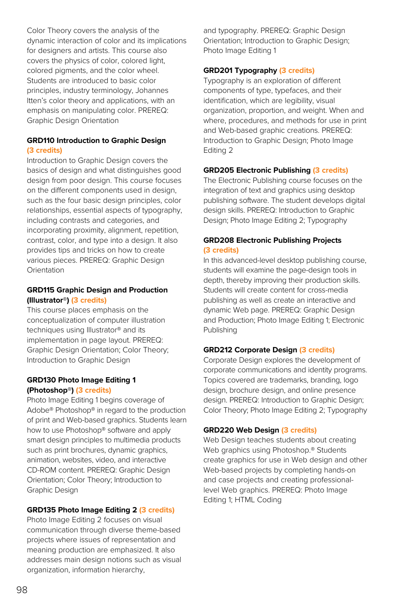Color Theory covers the analysis of the dynamic interaction of color and its implications for designers and artists. This course also covers the physics of color, colored light, colored pigments, and the color wheel. Students are introduced to basic color principles, industry terminology, Johannes Itten's color theory and applications, with an emphasis on manipulating color. PREREQ: Graphic Design Orientation

#### **GRD110 Introduction to Graphic Design (3 credits)**

Introduction to Graphic Design covers the basics of design and what distinguishes good design from poor design. This course focuses on the different components used in design, such as the four basic design principles, color relationships, essential aspects of typography, including contrasts and categories, and incorporating proximity, alignment, repetition, contrast, color, and type into a design. It also provides tips and tricks on how to create various pieces. PREREQ: Graphic Design **Orientation** 

#### **GRD115 Graphic Design and Production (Illustrator®) (3 credits)**

This course places emphasis on the conceptualization of computer illustration techniques using Illustrator® and its implementation in page layout. PREREQ: Graphic Design Orientation; Color Theory; Introduction to Graphic Design

#### **GRD130 Photo Image Editing 1 (Photoshop®) (3 credits)**

Photo Image Editing 1 begins coverage of Adobe® Photoshop® in regard to the production of print and Web-based graphics. Students learn how to use Photoshop® software and apply smart design principles to multimedia products such as print brochures, dynamic graphics, animation, websites, video, and interactive CD-ROM content. PREREQ: Graphic Design Orientation; Color Theory; Introduction to Graphic Design

#### **GRD135 Photo Image Editing 2 (3 credits)**

Photo Image Editing 2 focuses on visual communication through diverse theme-based projects where issues of representation and meaning production are emphasized. It also addresses main design notions such as visual organization, information hierarchy,

and typography. PREREQ: Graphic Design Orientation; Introduction to Graphic Design; Photo Image Editing 1

#### **GRD201 Typography (3 credits)**

Typography is an exploration of different components of type, typefaces, and their identification, which are legibility, visual organization, proportion, and weight. When and where, procedures, and methods for use in print and Web-based graphic creations. PREREQ: Introduction to Graphic Design; Photo Image Editing 2

#### **GRD205 Electronic Publishing (3 credits)**

The Electronic Publishing course focuses on the integration of text and graphics using desktop publishing software. The student develops digital design skills. PREREQ: Introduction to Graphic Design; Photo Image Editing 2; Typography

#### **GRD208 Electronic Publishing Projects (3 credits)**

In this advanced-level desktop publishing course, students will examine the page-design tools in depth, thereby improving their production skills. Students will create content for cross-media publishing as well as create an interactive and dynamic Web page. PREREQ: Graphic Design and Production; Photo Image Editing 1; Electronic Publishing

#### **GRD212 Corporate Design (3 credits)**

Corporate Design explores the development of corporate communications and identity programs. Topics covered are trademarks, branding, logo design, brochure design, and online presence design. PREREQ: Introduction to Graphic Design; Color Theory; Photo Image Editing 2; Typography

#### **GRD220 Web Design (3 credits)**

Web Design teaches students about creating Web graphics using Photoshop.® Students create graphics for use in Web design and other Web-based projects by completing hands-on and case projects and creating professionallevel Web graphics. PREREQ: Photo Image Editing 1; HTML Coding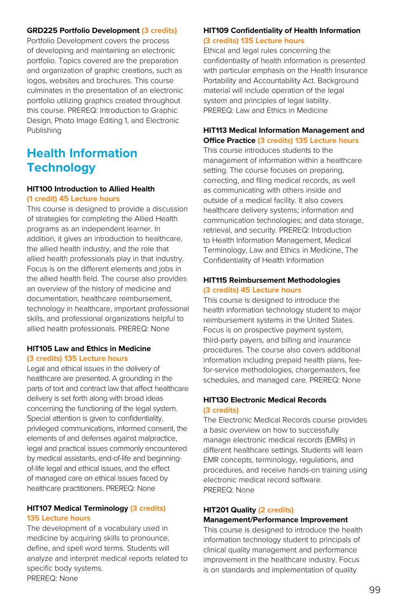#### **GRD225 Portfolio Development (3 credits)**

Portfolio Development covers the process of developing and maintaining an electronic portfolio. Topics covered are the preparation and organization of graphic creations, such as logos, websites and brochures. This course culminates in the presentation of an electronic portfolio utilizing graphics created throughout this course. PREREQ: Introduction to Graphic Design, Photo Image Editing 1, and Electronic Publishing

### **Health Information Technology**

#### **HIT100 Introduction to Allied Health (1 credit) 45 Lecture hours**

This course is designed to provide a discussion of strategies for completing the Allied Health programs as an independent learner. In addition, it gives an introduction to healthcare, the allied health industry, and the role that allied health professionals play in that industry. Focus is on the different elements and jobs in the allied health field. The course also provides an overview of the history of medicine and documentation, healthcare reimbursement, technology in healthcare, important professional skills, and professional organizations helpful to allied health professionals. PREREQ: None

#### **HIT105 Law and Ethics in Medicine (3 credits) 135 Lecture hours**

Legal and ethical issues in the delivery of healthcare are presented. A grounding in the parts of tort and contract law that affect healthcare delivery is set forth along with broad ideas concerning the functioning of the legal system. Special attention is given to confidentiality, privileged communications, informed consent, the elements of and defenses against malpractice, legal and practical issues commonly encountered by medical assistants, end-of-life and beginningof-life legal and ethical issues, and the effect of managed care on ethical issues faced by healthcare practitioners. PREREQ: None

#### **HIT107 Medical Terminology (3 credits) 135 Lecture hours**

The development of a vocabulary used in medicine by acquiring skills to pronounce, define, and spell word terms. Students will analyze and interpret medical reports related to specific body systems. PREREQ: None

#### **HIT109 Confidentiality of Health Information (3 credits) 135 Lecture hours**

Ethical and legal rules concerning the confidentiality of health information is presented with particular emphasis on the Health Insurance Portability and Accountability Act. Background material will include operation of the legal system and principles of legal liability. PREREQ: Law and Ethics in Medicine

#### **HIT113 Medical Information Management and Office Practice (3 credits) 135 Lecture hours**

This course introduces students to the management of information within a healthcare setting. The course focuses on preparing, correcting, and filing medical records, as well as communicating with others inside and outside of a medical facility. It also covers healthcare delivery systems; information and communication technologies; and data storage, retrieval, and security. PREREQ: Introduction to Health Information Management, Medical Terminology, Law and Ethics in Medicine, The Confidentiality of Health Information

#### **HIT115 Reimbursement Methodologies (3 credits) 45 Lecture hours**

This course is designed to introduce the health information technology student to major reimbursement systems in the United States. Focus is on prospective payment system, third-party payers, and billing and insurance procedures. The course also covers additional information including prepaid health plans, feefor-service methodologies, chargemasters, fee schedules, and managed care. PREREQ: None

#### **HIT130 Electronic Medical Records (3 credits)**

The Electronic Medical Records course provides a basic overview on how to successfully manage electronic medical records (EMRs) in different healthcare settings. Students will learn EMR concepts, terminology, regulations, and procedures, and receive hands-on training using electronic medical record software. PREREQ: None

#### **HIT201 Quality (2 credits)**

#### **Management/Performance Improvement**

This course is designed to introduce the health information technology student to principals of clinical quality management and performance improvement in the healthcare industry. Focus is on standards and implementation of quality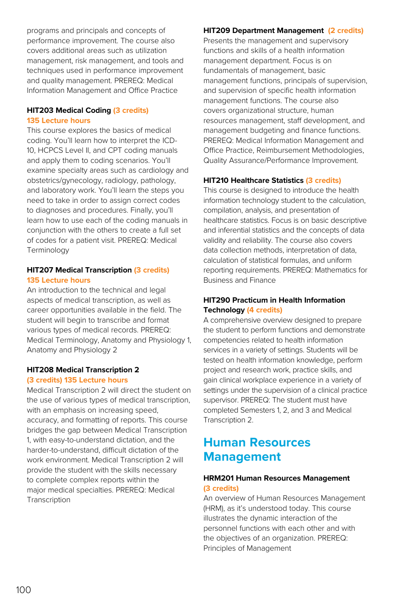programs and principals and concepts of performance improvement. The course also covers additional areas such as utilization management, risk management, and tools and techniques used in performance improvement and quality management. PREREQ: Medical Information Management and Office Practice

#### **HIT203 Medical Coding (3 credits) 135 Lecture hours**

This course explores the basics of medical coding. You'll learn how to interpret the ICD-10, HCPCS Level II, and CPT coding manuals and apply them to coding scenarios. You'll examine specialty areas such as cardiology and obstetrics/gynecology, radiology, pathology, and laboratory work. You'll learn the steps you need to take in order to assign correct codes to diagnoses and procedures. Finally, you'll learn how to use each of the coding manuals in conjunction with the others to create a full set of codes for a patient visit. PREREQ: Medical Terminology

#### **HIT207 Medical Transcription (3 credits) 135 Lecture hours**

An introduction to the technical and legal aspects of medical transcription, as well as career opportunities available in the field. The student will begin to transcribe and format various types of medical records. PREREQ: Medical Terminology, Anatomy and Physiology 1, Anatomy and Physiology 2

#### **HIT208 Medical Transcription 2 (3 credits) 135 Lecture hours**

Medical Transcription 2 will direct the student on the use of various types of medical transcription, with an emphasis on increasing speed, accuracy, and formatting of reports. This course bridges the gap between Medical Transcription 1, with easy-to-understand dictation, and the harder-to-understand, difficult dictation of the work environment. Medical Transcription 2 will provide the student with the skills necessary to complete complex reports within the major medical specialties. PREREQ: Medical Transcription

#### **HIT209 Department Management (2 credits)**

Presents the management and supervisory functions and skills of a health information management department. Focus is on fundamentals of management, basic management functions, principals of supervision, and supervision of specific health information management functions. The course also covers organizational structure, human resources management, staff development, and management budgeting and finance functions. PREREQ: Medical Information Management and Office Practice, Reimbursement Methodologies, Quality Assurance/Performance Improvement.

#### **HIT210 Healthcare Statistics (3 credits)**

This course is designed to introduce the health information technology student to the calculation, compilation, analysis, and presentation of healthcare statistics. Focus is on basic descriptive and inferential statistics and the concepts of data validity and reliability. The course also covers data collection methods, interpretation of data, calculation of statistical formulas, and uniform reporting requirements. PREREQ: Mathematics for Business and Finance

#### **HIT290 Practicum in Health Information Technology (4 credits)**

A comprehensive overview designed to prepare the student to perform functions and demonstrate competencies related to health information services in a variety of settings. Students will be tested on health information knowledge, perform project and research work, practice skills, and gain clinical workplace experience in a variety of settings under the supervision of a clinical practice supervisor. PREREQ: The student must have completed Semesters 1, 2, and 3 and Medical Transcription 2.

### **Human Resources Management**

#### **HRM201 Human Resources Management (3 credits)**

An overview of Human Resources Management (HRM), as it's understood today. This course illustrates the dynamic interaction of the personnel functions with each other and with the objectives of an organization. PREREQ: Principles of Management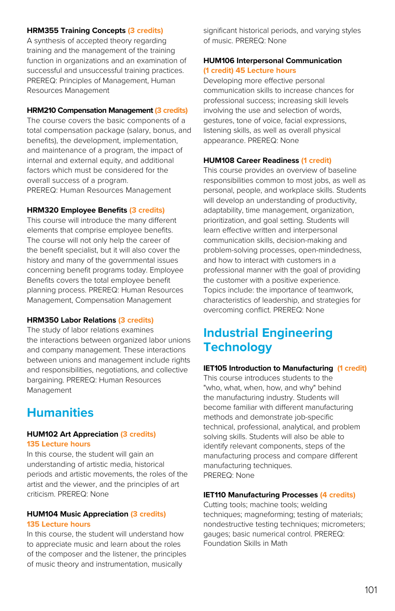#### **HRM355 Training Concepts (3 credits)**

A synthesis of accepted theory regarding training and the management of the training function in organizations and an examination of successful and unsuccessful training practices. PREREQ: Principles of Management, Human Resources Management

#### **HRM210 Compensation Management (3 credits)**

The course covers the basic components of a total compensation package (salary, bonus, and benefits), the development, implementation, and maintenance of a program, the impact of internal and external equity, and additional factors which must be considered for the overall success of a program. PREREQ: Human Resources Management

#### **HRM320 Employee Benefits (3 credits)**

This course will introduce the many different elements that comprise employee benefits. The course will not only help the career of the benefit specialist, but it will also cover the history and many of the governmental issues concerning benefit programs today. Employee Benefits covers the total employee benefit planning process. PREREQ: Human Resources Management, Compensation Management

#### **HRM350 Labor Relations (3 credits)**

The study of labor relations examines the interactions between organized labor unions and company management. These interactions between unions and management include rights and responsibilities, negotiations, and collective bargaining. PREREQ: Human Resources Management

### **Humanities**

#### **HUM102 Art Appreciation (3 credits) 135 Lecture hours**

In this course, the student will gain an understanding of artistic media, historical periods and artistic movements, the roles of the artist and the viewer, and the principles of art criticism. PREREQ: None

#### **HUM104 Music Appreciation (3 credits) 135 Lecture hours**

In this course, the student will understand how to appreciate music and learn about the roles of the composer and the listener, the principles of music theory and instrumentation, musically

significant historical periods, and varying styles of music. PREREQ: None

#### **HUM106 Interpersonal Communication (1 credit) 45 Lecture hours**

Developing more effective personal communication skills to increase chances for professional success; increasing skill levels involving the use and selection of words, gestures, tone of voice, facial expressions, listening skills, as well as overall physical appearance. PREREQ: None

#### **HUM108 Career Readiness (1 credit)**

This course provides an overview of baseline responsibilities common to most jobs, as well as personal, people, and workplace skills. Students will develop an understanding of productivity, adaptability, time management, organization, prioritization, and goal setting. Students will learn effective written and interpersonal communication skills, decision-making and problem-solving processes, open-mindedness, and how to interact with customers in a professional manner with the goal of providing the customer with a positive experience. Topics include: the importance of teamwork, characteristics of leadership, and strategies for overcoming conflict. PREREQ: None

### **Industrial Engineering Technology**

#### **IET105 Introduction to Manufacturing (1 credit)**

This course introduces students to the "who, what, when, how, and why" behind the manufacturing industry. Students will become familiar with different manufacturing methods and demonstrate job-specific technical, professional, analytical, and problem solving skills. Students will also be able to identify relevant components, steps of the manufacturing process and compare different manufacturing techniques. PREREQ: None

#### **IET110 Manufacturing Processes (4 credits)**

Cutting tools; machine tools; welding techniques; magneforming; testing of materials; nondestructive testing techniques; micrometers; gauges; basic numerical control. PREREQ: Foundation Skills in Math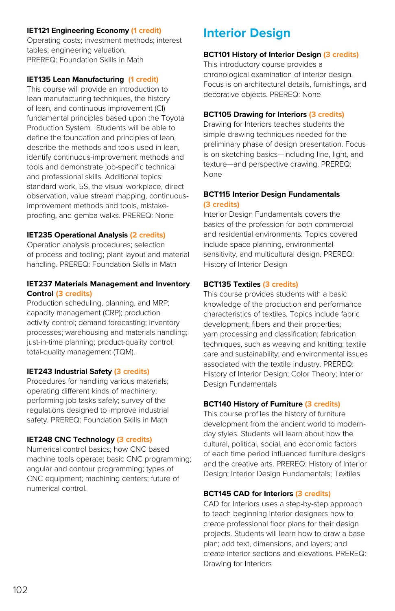#### **IET121 Engineering Economy (1 credit)**

Operating costs; investment methods; interest tables; engineering valuation. PREREQ: Foundation Skills in Math

#### **IET135 Lean Manufacturing (1 credit)**

This course will provide an introduction to lean manufacturing techniques, the history of lean, and continuous improvement (CI) fundamental principles based upon the Toyota Production System. Students will be able to define the foundation and principles of lean, describe the methods and tools used in lean, identify continuous-improvement methods and tools and demonstrate job-specific technical and professional skills. Additional topics: standard work, 5S, the visual workplace, direct observation, value stream mapping, continuousimprovement methods and tools, mistakeproofing, and gemba walks. PREREQ: None

#### **IET235 Operational Analysis (2 credits)**

Operation analysis procedures; selection of process and tooling; plant layout and material handling. PREREQ: Foundation Skills in Math

#### **IET237 Materials Management and Inventory Control (3 credits)**

Production scheduling, planning, and MRP; capacity management (CRP); production activity control; demand forecasting; inventory processes; warehousing and materials handling; just-in-time planning; product-quality control; total-quality management (TQM).

#### **IET243 Industrial Safety (3 credits)**

Procedures for handling various materials; operating different kinds of machinery; performing job tasks safely; survey of the regulations designed to improve industrial safety. PREREQ: Foundation Skills in Math

#### **IET248 CNC Technology (3 credits)**

Numerical control basics; how CNC based machine tools operate; basic CNC programming; angular and contour programming; types of CNC equipment; machining centers; future of numerical control.

### **Interior Design**

#### **BCT101 History of Interior Design (3 credits)**

This introductory course provides a chronological examination of interior design. Focus is on architectural details, furnishings, and decorative objects. PREREQ: None

#### **BCT105 Drawing for Interiors (3 credits)**

Drawing for Interiors teaches students the simple drawing techniques needed for the preliminary phase of design presentation. Focus is on sketching basics—including line, light, and texture—and perspective drawing. PREREQ: None

#### **BCT115 Interior Design Fundamentals (3 credits)**

Interior Design Fundamentals covers the basics of the profession for both commercial and residential environments. Topics covered include space planning, environmental sensitivity, and multicultural design. PREREQ: History of Interior Design

#### **BCT135 Textiles (3 credits)**

This course provides students with a basic knowledge of the production and performance characteristics of textiles. Topics include fabric development; fibers and their properties; yarn processing and classification; fabrication techniques, such as weaving and knitting; textile care and sustainability; and environmental issues associated with the textile industry. PREREQ: History of Interior Design; Color Theory; Interior Design Fundamentals

#### **BCT140 History of Furniture (3 credits)**

This course profiles the history of furniture development from the ancient world to modernday styles. Students will learn about how the cultural, political, social, and economic factors of each time period influenced furniture designs and the creative arts. PREREQ: History of Interior Design; Interior Design Fundamentals; Textiles

#### **BCT145 CAD for Interiors (3 credits)**

CAD for Interiors uses a step-by-step approach to teach beginning interior designers how to create professional floor plans for their design projects. Students will learn how to draw a base plan; add text, dimensions, and layers; and create interior sections and elevations. PREREQ: Drawing for Interiors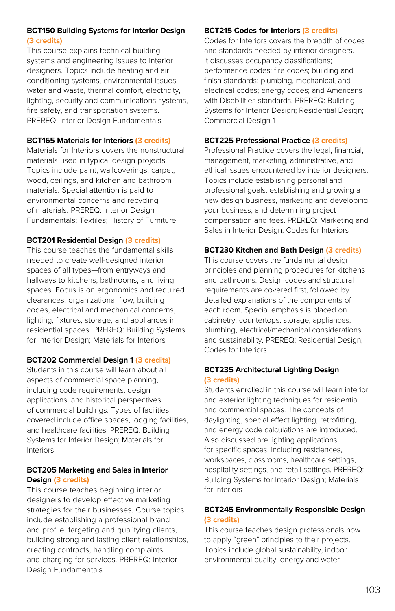#### **BCT150 Building Systems for Interior Design (3 credits)**

This course explains technical building systems and engineering issues to interior designers. Topics include heating and air conditioning systems, environmental issues, water and waste, thermal comfort, electricity, lighting, security and communications systems, fire safety, and transportation systems. PREREQ: Interior Design Fundamentals

#### **BCT165 Materials for Interiors (3 credits)**

Materials for Interiors covers the nonstructural materials used in typical design projects. Topics include paint, wallcoverings, carpet, wood, ceilings, and kitchen and bathroom materials. Special attention is paid to environmental concerns and recycling of materials. PREREQ: Interior Design Fundamentals; Textiles; History of Furniture

#### **BCT201 Residential Design (3 credits)**

This course teaches the fundamental skills needed to create well-designed interior spaces of all types—from entryways and hallways to kitchens, bathrooms, and living spaces. Focus is on ergonomics and required clearances, organizational flow, building codes, electrical and mechanical concerns, lighting, fixtures, storage, and appliances in residential spaces. PREREQ: Building Systems for Interior Design; Materials for Interiors

#### **BCT202 Commercial Design 1 (3 credits)**

Students in this course will learn about all aspects of commercial space planning, including code requirements, design applications, and historical perspectives of commercial buildings. Types of facilities covered include office spaces, lodging facilities, and healthcare facilities. PREREQ: Building Systems for Interior Design; Materials for Interiors

#### **BCT205 Marketing and Sales in Interior Design (3 credits)**

This course teaches beginning interior designers to develop effective marketing strategies for their businesses. Course topics include establishing a professional brand and profile, targeting and qualifying clients, building strong and lasting client relationships, creating contracts, handling complaints, and charging for services. PREREQ: Interior Design Fundamentals

#### **BCT215 Codes for Interiors (3 credits)**

Codes for Interiors covers the breadth of codes and standards needed by interior designers. It discusses occupancy classifications; performance codes; fire codes; building and finish standards; plumbing, mechanical, and electrical codes; energy codes; and Americans with Disabilities standards. PREREQ: Building Systems for Interior Design; Residential Design; Commercial Design 1

#### **BCT225 Professional Practice (3 credits)**

Professional Practice covers the legal, financial, management, marketing, administrative, and ethical issues encountered by interior designers. Topics include establishing personal and professional goals, establishing and growing a new design business, marketing and developing your business, and determining project compensation and fees. PREREQ: Marketing and Sales in Interior Design; Codes for Interiors

#### **BCT230 Kitchen and Bath Design (3 credits)**

This course covers the fundamental design principles and planning procedures for kitchens and bathrooms. Design codes and structural requirements are covered first, followed by detailed explanations of the components of each room. Special emphasis is placed on cabinetry, countertops, storage, appliances, plumbing, electrical/mechanical considerations, and sustainability. PREREQ: Residential Design; Codes for Interiors

#### **BCT235 Architectural Lighting Design (3 credits)**

Students enrolled in this course will learn interior and exterior lighting techniques for residential and commercial spaces. The concepts of daylighting, special effect lighting, retrofitting, and energy code calculations are introduced. Also discussed are lighting applications for specific spaces, including residences, workspaces, classrooms, healthcare settings, hospitality settings, and retail settings. PREREQ: Building Systems for Interior Design; Materials for Interiors

#### **BCT245 Environmentally Responsible Design (3 credits)**

This course teaches design professionals how to apply "green" principles to their projects. Topics include global sustainability, indoor environmental quality, energy and water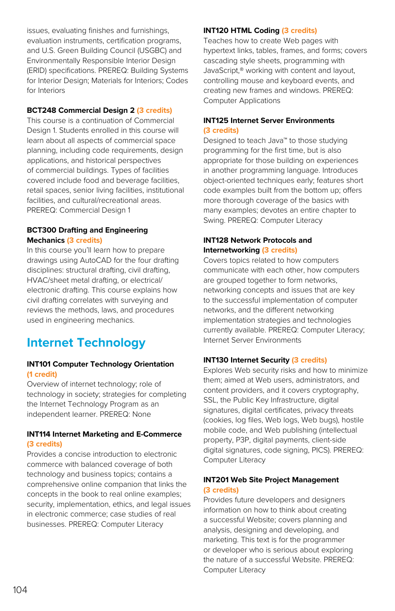issues, evaluating finishes and furnishings, evaluation instruments, certification programs, and U.S. Green Building Council (USGBC) and Environmentally Responsible Interior Design (ERID) specifications. PREREQ: Building Systems for Interior Design; Materials for Interiors; Codes for Interiors

#### **BCT248 Commercial Design 2 (3 credits)**

This course is a continuation of Commercial Design 1. Students enrolled in this course will learn about all aspects of commercial space planning, including code requirements, design applications, and historical perspectives of commercial buildings. Types of facilities covered include food and beverage facilities, retail spaces, senior living facilities, institutional facilities, and cultural/recreational areas. PREREQ: Commercial Design 1

#### **BCT300 Drafting and Engineering Mechanics (3 credits)**

In this course you'll learn how to prepare drawings using AutoCAD for the four drafting disciplines: structural drafting, civil drafting, HVAC/sheet metal drafting, or electrical/ electronic drafting. This course explains how civil drafting correlates with surveying and reviews the methods, laws, and procedures used in engineering mechanics.

### **Internet Technology**

#### **INT101 Computer Technology Orientation (1 credit)**

Overview of internet technology; role of technology in society; strategies for completing the Internet Technology Program as an independent learner. PREREQ: None

#### **INT114 Internet Marketing and E-Commerce (3 credits)**

Provides a concise introduction to electronic commerce with balanced coverage of both technology and business topics; contains a comprehensive online companion that links the concepts in the book to real online examples; security, implementation, ethics, and legal issues in electronic commerce; case studies of real businesses. PREREQ: Computer Literacy

#### **INT120 HTML Coding (3 credits)**

Teaches how to create Web pages with hypertext links, tables, frames, and forms; covers cascading style sheets, programming with JavaScript,® working with content and layout, controlling mouse and keyboard events, and creating new frames and windows. PREREQ: Computer Applications

#### **INT125 Internet Server Environments (3 credits)**

Designed to teach Java™ to those studying programming for the first time, but is also appropriate for those building on experiences in another programming language. Introduces object-oriented techniques early; features short code examples built from the bottom up; offers more thorough coverage of the basics with many examples; devotes an entire chapter to Swing. PREREQ: Computer Literacy

#### **INT128 Network Protocols and Internetworking (3 credits)**

Covers topics related to how computers communicate with each other, how computers are grouped together to form networks, networking concepts and issues that are key to the successful implementation of computer networks, and the different networking implementation strategies and technologies currently available. PREREQ: Computer Literacy; Internet Server Environments

#### **INT130 Internet Security (3 credits)**

Explores Web security risks and how to minimize them; aimed at Web users, administrators, and content providers, and it covers cryptography, SSL, the Public Key Infrastructure, digital signatures, digital certificates, privacy threats (cookies, log files, Web logs, Web bugs), hostile mobile code, and Web publishing (intellectual property, P3P, digital payments, client-side digital signatures, code signing, PICS). PREREQ: Computer Literacy

#### **INT201 Web Site Project Management (3 credits)**

Provides future developers and designers information on how to think about creating a successful Website; covers planning and analysis, designing and developing, and marketing. This text is for the programmer or developer who is serious about exploring the nature of a successful Website. PREREQ: Computer Literacy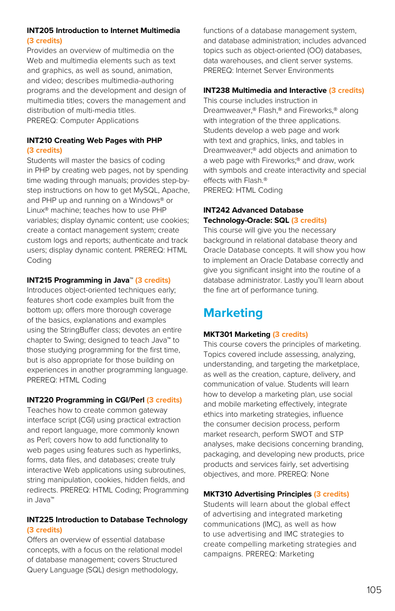#### **INT205 Introduction to Internet Multimedia (3 credits)**

Provides an overview of multimedia on the Web and multimedia elements such as text and graphics, as well as sound, animation, and video; describes multimedia-authoring programs and the development and design of multimedia titles; covers the management and distribution of multi-media titles. PREREQ: Computer Applications

#### **INT210 Creating Web Pages with PHP (3 credits)**

Students will master the basics of coding in PHP by creating web pages, not by spending time wading through manuals; provides step-bystep instructions on how to get MySQL, Apache, and PHP up and running on a Windows® or Linux® machine; teaches how to use PHP variables; display dynamic content; use cookies; create a contact management system; create custom logs and reports; authenticate and track users; display dynamic content. PREREQ: HTML Coding

#### **INT215 Programming in Java™ (3 credits)**

Introduces object-oriented techniques early; features short code examples built from the bottom up; offers more thorough coverage of the basics, explanations and examples using the StringBuffer class; devotes an entire chapter to Swing; designed to teach Java™ to those studying programming for the first time, but is also appropriate for those building on experiences in another programming language. PREREQ: HTML Coding

#### **INT220 Programming in CGI/Perl (3 credits)**

Teaches how to create common gateway interface script (CGI) using practical extraction and report language, more commonly known as Perl; covers how to add functionality to web pages using features such as hyperlinks, forms, data files, and databases; create truly interactive Web applications using subroutines, string manipulation, cookies, hidden fields, and redirects. PREREQ: HTML Coding; Programming in Java™

#### **INT225 Introduction to Database Technology (3 credits)**

Offers an overview of essential database concepts, with a focus on the relational model of database management; covers Structured Query Language (SQL) design methodology,

functions of a database management system. and database administration; includes advanced topics such as object-oriented (OO) databases, data warehouses, and client server systems. PREREQ: Internet Server Environments

#### **INT238 Multimedia and Interactive (3 credits)**

This course includes instruction in Dreamweaver,® Flash,® and Fireworks,® along with integration of the three applications. Students develop a web page and work with text and graphics, links, and tables in Dreamweaver;® add objects and animation to a web page with Fireworks;® and draw, work with symbols and create interactivity and special effects with Flash.® PREREQ: HTML Coding

#### **INT242 Advanced Database Technology-Oracle: SQL (3 credits)**

This course will give you the necessary background in relational database theory and Oracle Database concepts. It will show you how to implement an Oracle Database correctly and give you significant insight into the routine of a database administrator. Lastly you'll learn about the fine art of performance tuning.

## **Marketing**

#### **MKT301 Marketing (3 credits)**

This course covers the principles of marketing. Topics covered include assessing, analyzing, understanding, and targeting the marketplace, as well as the creation, capture, delivery, and communication of value. Students will learn how to develop a marketing plan, use social and mobile marketing effectively, integrate ethics into marketing strategies, influence the consumer decision process, perform market research, perform SWOT and STP analyses, make decisions concerning branding, packaging, and developing new products, price products and services fairly, set advertising objectives, and more. PREREQ: None

#### **MKT310 Advertising Principles (3 credits)**

Students will learn about the global effect of advertising and integrated marketing communications (IMC), as well as how to use advertising and IMC strategies to create compelling marketing strategies and campaigns. PREREQ: Marketing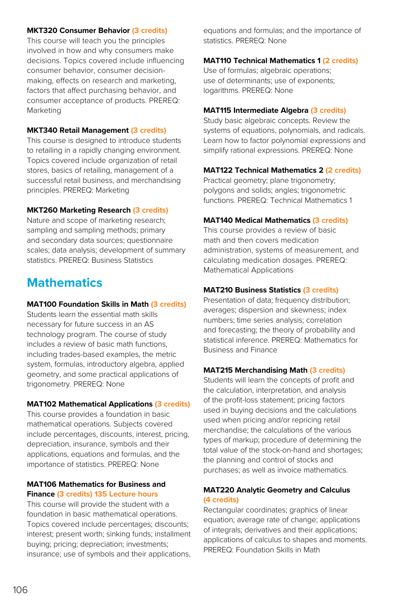#### **MKT320 Consumer Behavior (3 credits)**

This course will teach you the principles involved in how and why consumers make decisions. Topics covered include influencing consumer behavior, consumer decisionmaking, effects on research and marketing, factors that affect purchasing behavior, and consumer acceptance of products. PREREQ: Marketing

#### **MKT340 Retail Management (3 credits)**

This course is designed to introduce students to retailing in a rapidly changing environment. Topics covered include organization of retail stores, basics of retailing, management of a successful retail business, and merchandising principles. PREREQ: Marketing

#### **MKT260 Marketing Research (3 credits)**

Nature and scope of marketing research; sampling and sampling methods; primary and secondary data sources; questionnaire scales; data analysis; development of summary statistics. PREREQ: Business Statistics

### **Mathematics**

#### **MAT100 Foundation Skills in Math (3 credits)**

Students learn the essential math skills necessary for future success in an AS technology program. The course of study includes a review of basic math functions, including trades-based examples, the metric system, formulas, introductory algebra, applied geometry, and some practical applications of trigonometry. PREREQ: None

#### **MAT102 Mathematical Applications (3 credits)**

This course provides a foundation in basic mathematical operations. Subjects covered include percentages, discounts, interest, pricing, depreciation, insurance, symbols and their applications, equations and formulas, and the importance of statistics. PREREQ: None

#### **MAT106 Mathematics for Business and Finance (3 credits) 135 Lecture hours**

This course will provide the student with a foundation in basic mathematical operations. Topics covered include percentages; discounts; interest; present worth; sinking funds; installment buying; pricing; depreciation; investments; insurance; use of symbols and their applications, equations and formulas; and the importance of statistics. PREREQ: None

#### **MAT110 Technical Mathematics 1 (2 credits)**

Use of formulas; algebraic operations; use of determinants; use of exponents; logarithms. PREREQ: None

#### **MAT115 Intermediate Algebra (3 credits)**

Study basic algebraic concepts. Review the systems of equations, polynomials, and radicals. Learn how to factor polynomial expressions and simplify rational expressions. PREREQ: None

#### **MAT122 Technical Mathematics 2 (2 credits)**

Practical geometry; plane trigonometry; polygons and solids; angles; trigonometric functions. PREREQ: Technical Mathematics 1

#### **MAT140 Medical Mathematics (3 credits)**

This course provides a review of basic math and then covers medication administration, systems of measurement, and calculating medication dosages. PREREQ: Mathematical Applications

#### **MAT210 Business Statistics (3 credits)**

Presentation of data; frequency distribution; averages; dispersion and skewness; index numbers; time series analysis; correlation and forecasting; the theory of probability and statistical inference. PREREQ: Mathematics for Business and Finance

#### **MAT215 Merchandising Math (3 credits)**

Students will learn the concepts of profit and the calculation, interpretation, and analysis of the profit-loss statement; pricing factors used in buying decisions and the calculations used when pricing and/or repricing retail merchandise; the calculations of the various types of markup; procedure of determining the total value of the stock-on-hand and shortages; the planning and control of stocks and purchases; as well as invoice mathematics.

#### **MAT220 Analytic Geometry and Calculus (4 credits)**

Rectangular coordinates; graphics of linear equation; average rate of change; applications of integrals; derivatives and their applications; applications of calculus to shapes and moments. PREREQ: Foundation Skills in Math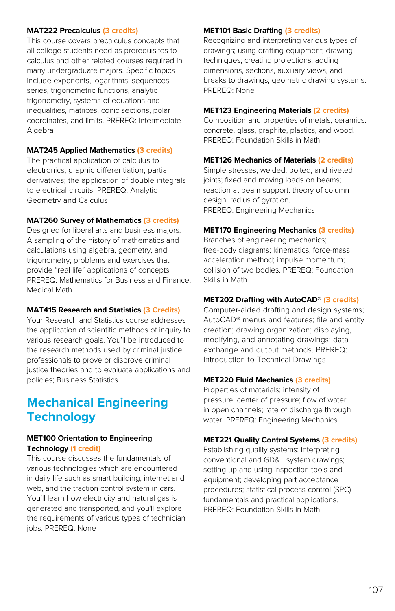#### **MAT222 Precalculus (3 credits)**

This course covers precalculus concepts that all college students need as prerequisites to calculus and other related courses required in many undergraduate majors. Specific topics include exponents, logarithms, sequences, series, trigonometric functions, analytic trigonometry, systems of equations and inequalities, matrices, conic sections, polar coordinates, and limits. PREREQ: Intermediate Algebra

#### **MAT245 Applied Mathematics (3 credits)**

The practical application of calculus to electronics; graphic differentiation; partial derivatives; the application of double integrals to electrical circuits. PREREQ: Analytic Geometry and Calculus

#### **MAT260 Survey of Mathematics (3 credits)**

Designed for liberal arts and business majors. A sampling of the history of mathematics and calculations using algebra, geometry, and trigonometry; problems and exercises that provide "real life" applications of concepts. PREREQ: Mathematics for Business and Finance, Medical Math

#### **MAT415 Research and Statistics (3 Credits)**

Your Research and Statistics course addresses the application of scientific methods of inquiry to various research goals. You'll be introduced to the research methods used by criminal justice professionals to prove or disprove criminal justice theories and to evaluate applications and policies; Business Statistics

### **Mechanical Engineering Technology**

#### **MET100 Orientation to Engineering Technology (1 credit)**

This course discusses the fundamentals of various technologies which are encountered in daily life such as smart building, internet and web, and the traction control system in cars. You'll learn how electricity and natural gas is generated and transported, and you'll explore the requirements of various types of technician jobs. PREREQ: None

#### **MET101 Basic Drafting (3 credits)**

Recognizing and interpreting various types of drawings; using drafting equipment; drawing techniques; creating projections; adding dimensions, sections, auxiliary views, and breaks to drawings; geometric drawing systems. PREREQ: None

#### **MET123 Engineering Materials (2 credits)**

Composition and properties of metals, ceramics, concrete, glass, graphite, plastics, and wood. PREREQ: Foundation Skills in Math

#### **MET126 Mechanics of Materials (2 credits)**

Simple stresses; welded, bolted, and riveted joints; fixed and moving loads on beams; reaction at beam support; theory of column design; radius of gyration. PREREQ: Engineering Mechanics

#### **MET170 Engineering Mechanics (3 credits)**

Branches of engineering mechanics; free-body diagrams; kinematics; force-mass acceleration method; impulse momentum; collision of two bodies. PREREQ: Foundation Skills in Math

#### **MET202 Drafting with AutoCAD® (3 credits)**

Computer-aided drafting and design systems; AutoCAD® menus and features; file and entity creation; drawing organization; displaying, modifying, and annotating drawings; data exchange and output methods. PREREQ: Introduction to Technical Drawings

#### **MET220 Fluid Mechanics (3 credits)**

Properties of materials; intensity of pressure; center of pressure; flow of water in open channels; rate of discharge through water. PREREQ: Engineering Mechanics

#### **MET221 Quality Control Systems (3 credits)**

Establishing quality systems; interpreting conventional and GD&T system drawings; setting up and using inspection tools and equipment; developing part acceptance procedures; statistical process control (SPC) fundamentals and practical applications. PREREQ: Foundation Skills in Math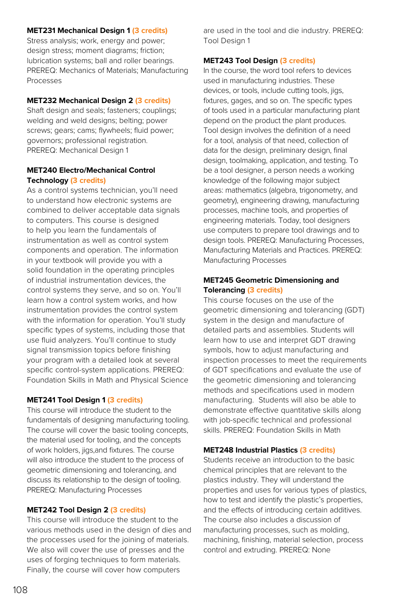#### **MET231 Mechanical Design 1 (3 credits)**

Stress analysis; work, energy and power; design stress; moment diagrams; friction; lubrication systems; ball and roller bearings. PREREQ: Mechanics of Materials; Manufacturing Processes

#### **MET232 Mechanical Design 2 (3 credits)**

Shaft design and seals; fasteners; couplings; welding and weld designs; belting; power screws; gears; cams; flywheels; fluid power; governors; professional registration. PREREQ: Mechanical Design 1

#### **MET240 Electro/Mechanical Control Technology (3 credits)**

As a control systems technician, you'll need to understand how electronic systems are combined to deliver acceptable data signals to computers. This course is designed to help you learn the fundamentals of instrumentation as well as control system components and operation. The information in your textbook will provide you with a solid foundation in the operating principles of industrial instrumentation devices, the control systems they serve, and so on. You'll learn how a control system works, and how instrumentation provides the control system with the information for operation. You'll study specific types of systems, including those that use fluid analyzers. You'll continue to study signal transmission topics before finishing your program with a detailed look at several specific control-system applications. PREREQ: Foundation Skills in Math and Physical Science

#### **MET241 Tool Design 1 (3 credits)**

This course will introduce the student to the fundamentals of designing manufacturing tooling. The course will cover the basic tooling concepts, the material used for tooling, and the concepts of work holders, jigs,and fixtures. The course will also introduce the student to the process of geometric dimensioning and tolerancing, and discuss its relationship to the design of tooling. PREREQ: Manufacturing Processes

#### **MET242 Tool Design 2 (3 credits)**

This course will introduce the student to the various methods used in the design of dies and the processes used for the joining of materials. We also will cover the use of presses and the uses of forging techniques to form materials. Finally, the course will cover how computers

are used in the tool and die industry. PREREQ: Tool Design 1

#### **MET243 Tool Design (3 credits)**

In the course, the word tool refers to devices used in manufacturing industries. These devices, or tools, include cutting tools, jigs, fixtures, gages, and so on. The specific types of tools used in a particular manufacturing plant depend on the product the plant produces. Tool design involves the definition of a need for a tool, analysis of that need, collection of data for the design, preliminary design, final design, toolmaking, application, and testing. To be a tool designer, a person needs a working knowledge of the following major subject areas: mathematics (algebra, trigonometry, and geometry), engineering drawing, manufacturing processes, machine tools, and properties of engineering materials. Today, tool designers use computers to prepare tool drawings and to design tools. PREREQ: Manufacturing Processes, Manufacturing Materials and Practices. PREREQ: Manufacturing Processes

#### **MET245 Geometric Dimensioning and Tolerancing (3 credits)**

This course focuses on the use of the geometric dimensioning and tolerancing (GDT) system in the design and manufacture of detailed parts and assemblies. Students will learn how to use and interpret GDT drawing symbols, how to adjust manufacturing and inspection processes to meet the requirements of GDT specifications and evaluate the use of the geometric dimensioning and tolerancing methods and specifications used in modern manufacturing. Students will also be able to demonstrate effective quantitative skills along with job-specific technical and professional skills. PREREQ: Foundation Skills in Math

#### **MET248 Industrial Plastics (3 credits)**

Students receive an introduction to the basic chemical principles that are relevant to the plastics industry. They will understand the properties and uses for various types of plastics, how to test and identify the plastic's properties, and the effects of introducing certain additives. The course also includes a discussion of manufacturing processes, such as molding, machining, finishing, material selection, process control and extruding. PREREQ: None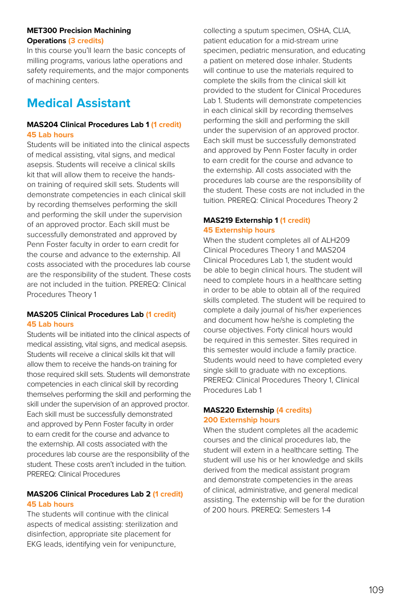#### **MET300 Precision Machining Operations (3 credits)**

In this course you'll learn the basic concepts of milling programs, various lathe operations and safety requirements, and the major components of machining centers.

# **Medical Assistant**

#### **MAS204 Clinical Procedures Lab 1 (1 credit) 45 Lab hours**

Students will be initiated into the clinical aspects of medical assisting, vital signs, and medical asepsis. Students will receive a clinical skills kit that will allow them to receive the handson training of required skill sets. Students will demonstrate competencies in each clinical skill by recording themselves performing the skill and performing the skill under the supervision of an approved proctor. Each skill must be successfully demonstrated and approved by Penn Foster faculty in order to earn credit for the course and advance to the externship. All costs associated with the procedures lab course are the responsibility of the student. These costs are not included in the tuition. PREREQ: Clinical Procedures Theory 1

#### **MAS205 Clinical Procedures Lab (1 credit) 45 Lab hours**

Students will be initiated into the clinical aspects of medical assisting, vital signs, and medical asepsis. Students will receive a clinical skills kit that will allow them to receive the hands-on training for those required skill sets. Students will demonstrate competencies in each clinical skill by recording themselves performing the skill and performing the skill under the supervision of an approved proctor. Each skill must be successfully demonstrated and approved by Penn Foster faculty in order to earn credit for the course and advance to the externship. All costs associated with the procedures lab course are the responsibility of the student. These costs aren't included in the tuition. PREREQ: Clinical Procedures

# **MAS206 Clinical Procedures Lab 2 (1 credit) 45 Lab hours**

The students will continue with the clinical aspects of medical assisting: sterilization and disinfection, appropriate site placement for EKG leads, identifying vein for venipuncture,

collecting a sputum specimen, OSHA, CLIA, patient education for a mid-stream urine specimen, pediatric mensuration, and educating a patient on metered dose inhaler. Students will continue to use the materials required to complete the skills from the clinical skill kit provided to the student for Clinical Procedures Lab 1. Students will demonstrate competencies in each clinical skill by recording themselves performing the skill and performing the skill under the supervision of an approved proctor. Each skill must be successfully demonstrated and approved by Penn Foster faculty in order to earn credit for the course and advance to the externship. All costs associated with the procedures lab course are the responsibility of the student. These costs are not included in the tuition. PREREQ: Clinical Procedures Theory 2

#### **MAS219 Externship 1 (1 credit) 45 Externship hours**

When the student completes all of ALH209 Clinical Procedures Theory 1 and MAS204 Clinical Procedures Lab 1, the student would be able to begin clinical hours. The student will need to complete hours in a healthcare setting in order to be able to obtain all of the required skills completed. The student will be required to complete a daily journal of his/her experiences and document how he/she is completing the course objectives. Forty clinical hours would be required in this semester. Sites required in this semester would include a family practice. Students would need to have completed every single skill to graduate with no exceptions. PREREQ: Clinical Procedures Theory 1, Clinical Procedures Lab 1

#### **MAS220 Externship (4 credits) 200 Externship hours**

When the student completes all the academic courses and the clinical procedures lab, the student will extern in a healthcare setting. The student will use his or her knowledge and skills derived from the medical assistant program and demonstrate competencies in the areas of clinical, administrative, and general medical assisting. The externship will be for the duration of 200 hours. PREREQ: Semesters 1-4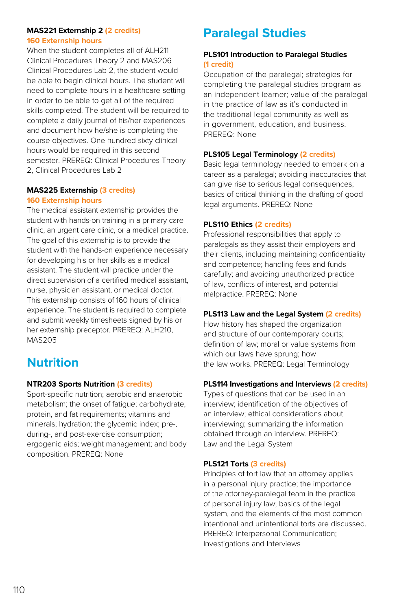#### **MAS221 Externship 2 (2 credits) 160 Externship hours**

When the student completes all of ALH211 Clinical Procedures Theory 2 and MAS206 Clinical Procedures Lab 2, the student would be able to begin clinical hours. The student will need to complete hours in a healthcare setting in order to be able to get all of the required skills completed. The student will be required to complete a daily journal of his/her experiences and document how he/she is completing the course objectives. One hundred sixty clinical hours would be required in this second semester. PREREQ: Clinical Procedures Theory 2, Clinical Procedures Lab 2

#### **MAS225 Externship (3 credits) 160 Externship hours**

The medical assistant externship provides the student with hands-on training in a primary care clinic, an urgent care clinic, or a medical practice. The goal of this externship is to provide the student with the hands-on experience necessary for developing his or her skills as a medical assistant. The student will practice under the direct supervision of a certified medical assistant, nurse, physician assistant, or medical doctor. This externship consists of 160 hours of clinical experience. The student is required to complete and submit weekly timesheets signed by his or her externship preceptor. PREREQ: ALH210, MAS205

# **Nutrition**

# **NTR203 Sports Nutrition (3 credits)**

Sport-specific nutrition; aerobic and anaerobic metabolism; the onset of fatigue; carbohydrate, protein, and fat requirements; vitamins and minerals; hydration; the glycemic index; pre-, during-, and post-exercise consumption; ergogenic aids; weight management; and body composition. PREREQ: None

# **Paralegal Studies**

# **PLS101 Introduction to Paralegal Studies (1 credit)**

Occupation of the paralegal; strategies for completing the paralegal studies program as an independent learner; value of the paralegal in the practice of law as it's conducted in the traditional legal community as well as in government, education, and business. PREREQ: None

# **PLS105 Legal Terminology (2 credits)**

Basic legal terminology needed to embark on a career as a paralegal; avoiding inaccuracies that can give rise to serious legal consequences; basics of critical thinking in the drafting of good legal arguments. PREREQ: None

# **PLS110 Ethics (2 credits)**

Professional responsibilities that apply to paralegals as they assist their employers and their clients, including maintaining confidentiality and competence; handling fees and funds carefully; and avoiding unauthorized practice of law, conflicts of interest, and potential malpractice. PREREQ: None

# **PLS113 Law and the Legal System (2 credits)**

How history has shaped the organization and structure of our contemporary courts; definition of law; moral or value systems from which our laws have sprung; how the law works. PREREQ: Legal Terminology

# **PLS114 Investigations and Interviews (2 credits)**

Types of questions that can be used in an interview; identification of the objectives of an interview; ethical considerations about interviewing; summarizing the information obtained through an interview. PREREQ: Law and the Legal System

# **PLS121 Torts (3 credits)**

Principles of tort law that an attorney applies in a personal injury practice; the importance of the attorney-paralegal team in the practice of personal injury law; basics of the legal system, and the elements of the most common intentional and unintentional torts are discussed. PREREQ: Interpersonal Communication; Investigations and Interviews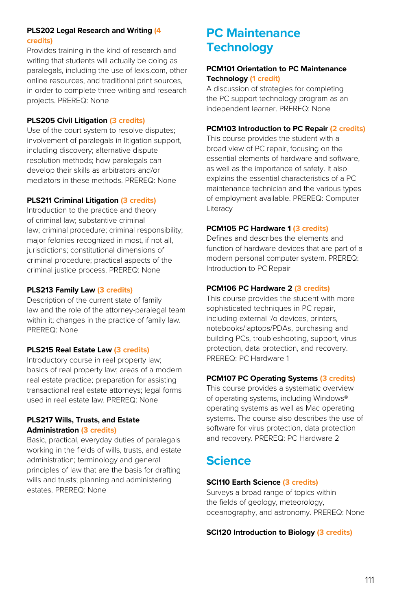# **PLS202 Legal Research and Writing (4 credits)**

Provides training in the kind of research and writing that students will actually be doing as paralegals, including the use of lexis.com, other online resources, and traditional print sources, in order to complete three writing and research projects. PREREQ: None

#### **PLS205 Civil Litigation (3 credits)**

Use of the court system to resolve disputes; involvement of paralegals in litigation support, including discovery; alternative dispute resolution methods; how paralegals can develop their skills as arbitrators and/or mediators in these methods. PREREQ: None

#### **PLS211 Criminal Litigation (3 credits)**

Introduction to the practice and theory of criminal law; substantive criminal law; criminal procedure; criminal responsibility; major felonies recognized in most, if not all, jurisdictions; constitutional dimensions of criminal procedure; practical aspects of the criminal justice process. PREREQ: None

# **PLS213 Family Law (3 credits)**

Description of the current state of family law and the role of the attorney-paralegal team within it; changes in the practice of family law. PREREQ: None

#### **PLS215 Real Estate Law (3 credits)**

Introductory course in real property law; basics of real property law; areas of a modern real estate practice; preparation for assisting transactional real estate attorneys; legal forms used in real estate law. PREREQ: None

#### **PLS217 Wills, Trusts, and Estate Administration (3 credits)**

Basic, practical, everyday duties of paralegals working in the fields of wills, trusts, and estate administration; terminology and general principles of law that are the basis for drafting wills and trusts; planning and administering estates. PREREQ: None

# **PC Maintenance Technology**

#### **PCM101 Orientation to PC Maintenance Technology (1 credit)**

A discussion of strategies for completing the PC support technology program as an independent learner. PREREQ: None

#### **PCM103 Introduction to PC Repair (2 credits)**

This course provides the student with a broad view of PC repair, focusing on the essential elements of hardware and software, as well as the importance of safety. It also explains the essential characteristics of a PC maintenance technician and the various types of employment available. PREREQ: Computer Literacy

#### **PCM105 PC Hardware 1 (3 credits)**

Defines and describes the elements and function of hardware devices that are part of a modern personal computer system. PREREQ: Introduction to PC Repair

# **PCM106 PC Hardware 2 (3 credits)**

This course provides the student with more sophisticated techniques in PC repair, including external i/o devices, printers, notebooks/laptops/PDAs, purchasing and building PCs, troubleshooting, support, virus protection, data protection, and recovery. PREREQ: PC Hardware 1

# **PCM107 PC Operating Systems (3 credits)**

This course provides a systematic overview of operating systems, including Windows® operating systems as well as Mac operating systems. The course also describes the use of software for virus protection, data protection and recovery. PREREQ: PC Hardware 2

# **Science**

# **SCI110 Earth Science (3 credits)**

Surveys a broad range of topics within the fields of geology, meteorology, oceanography, and astronomy. PREREQ: None

# **SCI120 Introduction to Biology (3 credits)**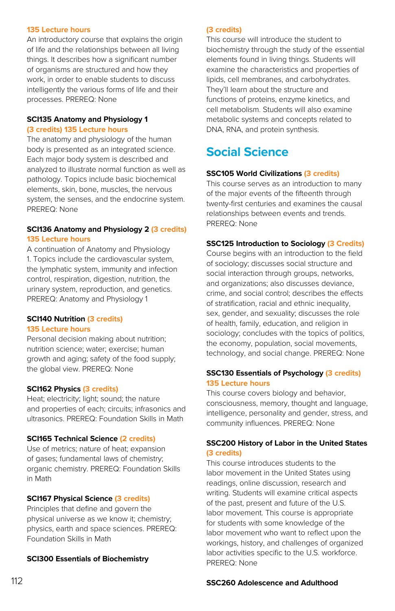#### **135 Lecture hours**

An introductory course that explains the origin of life and the relationships between all living things. It describes how a significant number of organisms are structured and how they work, in order to enable students to discuss intelligently the various forms of life and their processes. PREREQ: None

#### **SCI135 Anatomy and Physiology 1 (3 credits) 135 Lecture hours**

The anatomy and physiology of the human body is presented as an integrated science. Each major body system is described and analyzed to illustrate normal function as well as pathology. Topics include basic biochemical elements, skin, bone, muscles, the nervous system, the senses, and the endocrine system. PREREQ: None

#### **SCI136 Anatomy and Physiology 2 (3 credits) 135 Lecture hours**

A continuation of Anatomy and Physiology 1. Topics include the cardiovascular system, the lymphatic system, immunity and infection control, respiration, digestion, nutrition, the urinary system, reproduction, and genetics. PREREQ: Anatomy and Physiology 1

#### **SCI140 Nutrition (3 credits) 135 Lecture hours**

Personal decision making about nutrition; nutrition science; water; exercise; human growth and aging; safety of the food supply; the global view. PREREQ: None

#### **SCI162 Physics (3 credits)**

Heat; electricity; light; sound; the nature and properties of each; circuits; infrasonics and ultrasonics. PREREQ: Foundation Skills in Math

#### **SCI165 Technical Science (2 credits)**

Use of metrics; nature of heat; expansion of gases; fundamental laws of chemistry; organic chemistry. PREREQ: Foundation Skills in Math

#### **SCI167 Physical Science (3 credits)**

Principles that define and govern the physical universe as we know it; chemistry; physics, earth and space sciences. PREREQ: Foundation Skills in Math

#### **SCI300 Essentials of Biochemistry**

#### **(3 credits)**

This course will introduce the student to biochemistry through the study of the essential elements found in living things. Students will examine the characteristics and properties of lipids, cell membranes, and carbohydrates. They'll learn about the structure and functions of proteins, enzyme kinetics, and cell metabolism. Students will also examine metabolic systems and concepts related to DNA, RNA, and protein synthesis.

# **Social Science**

#### **SSC105 World Civilizations (3 credits)**

This course serves as an introduction to many of the major events of the fifteenth through twenty-first centuries and examines the causal relationships between events and trends. PREREQ: None

#### **SSC125 Introduction to Sociology (3 Credits)**

Course begins with an introduction to the field of sociology; discusses social structure and social interaction through groups, networks, and organizations; also discusses deviance, crime, and social control; describes the effects of stratification, racial and ethnic inequality, sex, gender, and sexuality; discusses the role of health, family, education, and religion in sociology; concludes with the topics of politics, the economy, population, social movements, technology, and social change. PREREQ: None

#### **SSC130 Essentials of Psychology (3 credits) 135 Lecture hours**

This course covers biology and behavior, consciousness, memory, thought and language, intelligence, personality and gender, stress, and community influences. PREREQ: None

#### **SSC200 History of Labor in the United States (3 credits)**

This course introduces students to the labor movement in the United States using readings, online discussion, research and writing. Students will examine critical aspects of the past, present and future of the U.S. labor movement. This course is appropriate for students with some knowledge of the labor movement who want to reflect upon the workings, history, and challenges of organized labor activities specific to the U.S. workforce. PREREQ: None

#### **SSC260 Adolescence and Adulthood**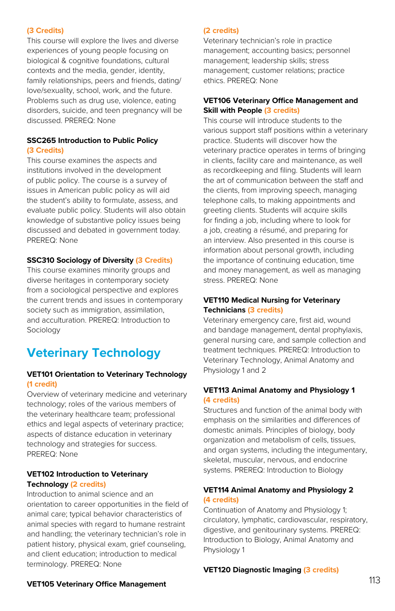#### **(3 Credits)**

This course will explore the lives and diverse experiences of young people focusing on biological & cognitive foundations, cultural contexts and the media, gender, identity, family relationships, peers and friends, dating/ love/sexuality, school, work, and the future. Problems such as drug use, violence, eating disorders, suicide, and teen pregnancy will be discussed. PREREQ: None

#### **SSC265 Introduction to Public Policy (3 Credits)**

This course examines the aspects and institutions involved in the development of public policy. The course is a survey of issues in American public policy as will aid the student's ability to formulate, assess, and evaluate public policy. Students will also obtain knowledge of substantive policy issues being discussed and debated in government today. PREREQ: None

#### **SSC310 Sociology of Diversity (3 Credits)**

This course examines minority groups and diverse heritages in contemporary society from a sociological perspective and explores the current trends and issues in contemporary society such as immigration, assimilation, and acculturation. PREREQ: Introduction to Sociology

# **Veterinary Technology**

#### **VET101 Orientation to Veterinary Technology (1 credit)**

Overview of veterinary medicine and veterinary technology; roles of the various members of the veterinary healthcare team; professional ethics and legal aspects of veterinary practice; aspects of distance education in veterinary technology and strategies for success. PREREQ: None

#### **VET102 Introduction to Veterinary Technology (2 credits)**

Introduction to animal science and an orientation to career opportunities in the field of animal care; typical behavior characteristics of animal species with regard to humane restraint and handling; the veterinary technician's role in patient history, physical exam, grief counseling, and client education; introduction to medical terminology. PREREQ: None

#### **(2 credits)**

Veterinary technician's role in practice management; accounting basics; personnel management; leadership skills; stress management; customer relations; practice ethics. PREREQ: None

#### **VET106 Veterinary Office Management and Skill with People (3 credits)**

This course will introduce students to the various support staff positions within a veterinary practice. Students will discover how the veterinary practice operates in terms of bringing in clients, facility care and maintenance, as well as recordkeeping and filing. Students will learn the art of communication between the staff and the clients, from improving speech, managing telephone calls, to making appointments and greeting clients. Students will acquire skills for finding a job, including where to look for a job, creating a résumé, and preparing for an interview. Also presented in this course is information about personal growth, including the importance of continuing education, time and money management, as well as managing stress. PREREQ: None

#### **VET110 Medical Nursing for Veterinary Technicians (3 credits)**

Veterinary emergency care, first aid, wound and bandage management, dental prophylaxis, general nursing care, and sample collection and treatment techniques. PREREQ: Introduction to Veterinary Technology, Animal Anatomy and Physiology 1 and 2

#### **VET113 Animal Anatomy and Physiology 1 (4 credits)**

Structures and function of the animal body with emphasis on the similarities and differences of domestic animals. Principles of biology, body organization and metabolism of cells, tissues, and organ systems, including the integumentary, skeletal, muscular, nervous, and endocrine systems. PREREQ: Introduction to Biology

#### **VET114 Animal Anatomy and Physiology 2 (4 credits)**

Continuation of Anatomy and Physiology 1; circulatory, lymphatic, cardiovascular, respiratory, digestive, and genitourinary systems. PREREQ: Introduction to Biology, Animal Anatomy and Physiology 1

#### **VET120 Diagnostic Imaging (3 credits)**

#### **VET105 Veterinary Office Management**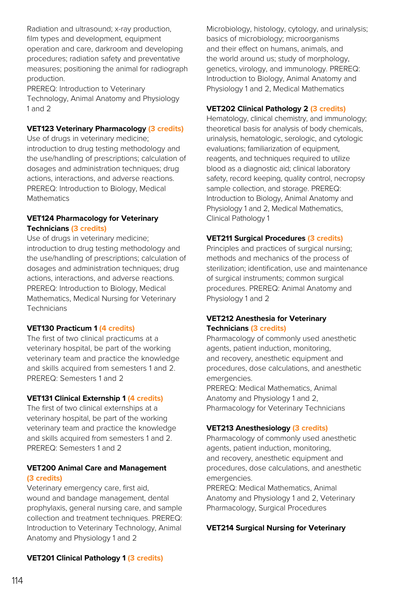Radiation and ultrasound; x-ray production, film types and development, equipment operation and care, darkroom and developing procedures; radiation safety and preventative measures; positioning the animal for radiograph production.

PREREQ: Introduction to Veterinary Technology, Animal Anatomy and Physiology 1 and 2

#### **VET123 Veterinary Pharmacology (3 credits)**

Use of drugs in veterinary medicine; introduction to drug testing methodology and the use/handling of prescriptions; calculation of dosages and administration techniques; drug actions, interactions, and adverse reactions. PREREQ: Introduction to Biology, Medical Mathematics

#### **VET124 Pharmacology for Veterinary Technicians (3 credits)**

Use of drugs in veterinary medicine; introduction to drug testing methodology and the use/handling of prescriptions; calculation of dosages and administration techniques; drug actions, interactions, and adverse reactions. PREREQ: Introduction to Biology, Medical Mathematics, Medical Nursing for Veterinary Technicians

#### **VET130 Practicum 1 (4 credits)**

The first of two clinical practicums at a veterinary hospital, be part of the working veterinary team and practice the knowledge and skills acquired from semesters 1 and 2. PREREQ: Semesters 1 and 2

#### **VET131 Clinical Externship 1 (4 credits)**

The first of two clinical externships at a veterinary hospital, be part of the working veterinary team and practice the knowledge and skills acquired from semesters 1 and 2. PREREQ: Semesters 1 and 2

#### **VET200 Animal Care and Management (3 credits)**

Veterinary emergency care, first aid, wound and bandage management, dental prophylaxis, general nursing care, and sample collection and treatment techniques. PREREQ: Introduction to Veterinary Technology, Animal Anatomy and Physiology 1 and 2

#### **VET201 Clinical Pathology 1 (3 credits)**

Microbiology, histology, cytology, and urinalysis; basics of microbiology; microorganisms and their effect on humans, animals, and the world around us; study of morphology, genetics, virology, and immunology. PREREQ: Introduction to Biology, Animal Anatomy and Physiology 1 and 2, Medical Mathematics

#### **VET202 Clinical Pathology 2 (3 credits)**

Hematology, clinical chemistry, and immunology; theoretical basis for analysis of body chemicals, urinalysis, hematologic, serologic, and cytologic evaluations; familiarization of equipment, reagents, and techniques required to utilize blood as a diagnostic aid; clinical laboratory safety, record keeping, quality control, necropsy sample collection, and storage. PREREQ: Introduction to Biology, Animal Anatomy and Physiology 1 and 2, Medical Mathematics, Clinical Pathology 1

#### **VET211 Surgical Procedures (3 credits)**

Principles and practices of surgical nursing; methods and mechanics of the process of sterilization; identification, use and maintenance of surgical instruments; common surgical procedures. PREREQ: Animal Anatomy and Physiology 1 and 2

#### **VET212 Anesthesia for Veterinary Technicians (3 credits)**

Pharmacology of commonly used anesthetic agents, patient induction, monitoring, and recovery, anesthetic equipment and procedures, dose calculations, and anesthetic emergencies. PREREQ: Medical Mathematics, Animal Anatomy and Physiology 1 and 2, Pharmacology for Veterinary Technicians

#### **VET213 Anesthesiology (3 credits)**

Pharmacology of commonly used anesthetic agents, patient induction, monitoring, and recovery, anesthetic equipment and procedures, dose calculations, and anesthetic emergencies.

PREREQ: Medical Mathematics, Animal Anatomy and Physiology 1 and 2, Veterinary Pharmacology, Surgical Procedures

#### **VET214 Surgical Nursing for Veterinary**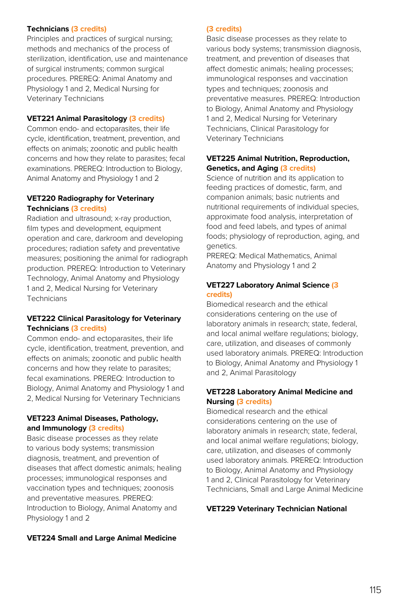#### **Technicians (3 credits)**

Principles and practices of surgical nursing; methods and mechanics of the process of sterilization, identification, use and maintenance of surgical instruments; common surgical procedures. PREREQ: Animal Anatomy and Physiology 1 and 2, Medical Nursing for Veterinary Technicians

#### **VET221 Animal Parasitology (3 credits)**

Common endo- and ectoparasites, their life cycle, identification, treatment, prevention, and effects on animals; zoonotic and public health concerns and how they relate to parasites; fecal examinations. PREREQ: Introduction to Biology, Animal Anatomy and Physiology 1 and 2

#### **VET220 Radiography for Veterinary Technicians (3 credits)**

Radiation and ultrasound; x-ray production, film types and development, equipment operation and care, darkroom and developing procedures; radiation safety and preventative measures; positioning the animal for radiograph production. PREREQ: Introduction to Veterinary Technology, Animal Anatomy and Physiology 1 and 2, Medical Nursing for Veterinary **Technicians** 

#### **VET222 Clinical Parasitology for Veterinary Technicians (3 credits)**

Common endo- and ectoparasites, their life cycle, identification, treatment, prevention, and effects on animals; zoonotic and public health concerns and how they relate to parasites; fecal examinations. PREREQ: Introduction to Biology, Animal Anatomy and Physiology 1 and 2, Medical Nursing for Veterinary Technicians

#### **VET223 Animal Diseases, Pathology, and Immunology (3 credits)**

Basic disease processes as they relate to various body systems; transmission diagnosis, treatment, and prevention of diseases that affect domestic animals; healing processes; immunological responses and vaccination types and techniques; zoonosis and preventative measures. PREREQ: Introduction to Biology, Animal Anatomy and Physiology 1 and 2

#### **VET224 Small and Large Animal Medicine**

#### **(3 credits)**

Basic disease processes as they relate to various body systems; transmission diagnosis, treatment, and prevention of diseases that affect domestic animals; healing processes; immunological responses and vaccination types and techniques; zoonosis and preventative measures. PREREQ: Introduction to Biology, Animal Anatomy and Physiology 1 and 2, Medical Nursing for Veterinary Technicians, Clinical Parasitology for Veterinary Technicians

#### **VET225 Animal Nutrition, Reproduction, Genetics, and Aging (3 credits)**

Science of nutrition and its application to feeding practices of domestic, farm, and companion animals; basic nutrients and nutritional requirements of individual species, approximate food analysis, interpretation of food and feed labels, and types of animal foods; physiology of reproduction, aging, and genetics.

PREREQ: Medical Mathematics, Animal Anatomy and Physiology 1 and 2

#### **VET227 Laboratory Animal Science (3 credits)**

Biomedical research and the ethical considerations centering on the use of laboratory animals in research; state, federal, and local animal welfare regulations; biology, care, utilization, and diseases of commonly used laboratory animals. PREREQ: Introduction to Biology, Animal Anatomy and Physiology 1 and 2, Animal Parasitology

#### **VET228 Laboratory Animal Medicine and Nursing (3 credits)**

Biomedical research and the ethical considerations centering on the use of laboratory animals in research; state, federal, and local animal welfare regulations; biology, care, utilization, and diseases of commonly used laboratory animals. PREREQ: Introduction to Biology, Animal Anatomy and Physiology 1 and 2, Clinical Parasitology for Veterinary Technicians, Small and Large Animal Medicine

#### **VET229 Veterinary Technician National**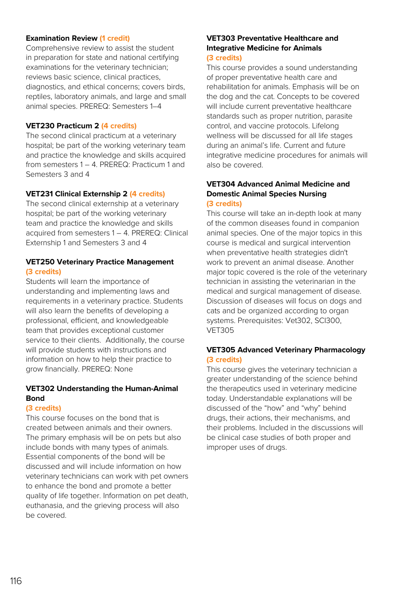#### **Examination Review (1 credit)**

Comprehensive review to assist the student in preparation for state and national certifying examinations for the veterinary technician; reviews basic science, clinical practices, diagnostics, and ethical concerns; covers birds, reptiles, laboratory animals, and large and small animal species. PREREQ: Semesters 1–4

#### **VET230 Practicum 2 (4 credits)**

The second clinical practicum at a veterinary hospital; be part of the working veterinary team and practice the knowledge and skills acquired from semesters 1 – 4. PREREQ: Practicum 1 and Semesters 3 and 4

#### **VET231 Clinical Externship 2 (4 credits)**

The second clinical externship at a veterinary hospital; be part of the working veterinary team and practice the knowledge and skills acquired from semesters 1 – 4. PREREQ: Clinical Externship 1 and Semesters 3 and 4

#### **VET250 Veterinary Practice Management (3 credits)**

Students will learn the importance of understanding and implementing laws and requirements in a veterinary practice. Students will also learn the benefits of developing a professional, efficient, and knowledgeable team that provides exceptional customer service to their clients. Additionally, the course will provide students with instructions and information on how to help their practice to grow financially. PREREQ: None

#### **VET302 Understanding the Human-Animal Bond**

#### **(3 credits)**

This course focuses on the bond that is created between animals and their owners. The primary emphasis will be on pets but also include bonds with many types of animals. Essential components of the bond will be discussed and will include information on how veterinary technicians can work with pet owners to enhance the bond and promote a better quality of life together. Information on pet death, euthanasia, and the grieving process will also be covered.

#### **VET303 Preventative Healthcare and Integrative Medicine for Animals (3 credits)**

This course provides a sound understanding of proper preventative health care and rehabilitation for animals. Emphasis will be on the dog and the cat. Concepts to be covered will include current preventative healthcare standards such as proper nutrition, parasite control, and vaccine protocols. Lifelong wellness will be discussed for all life stages during an animal's life. Current and future integrative medicine procedures for animals will also be covered.

#### **VET304 Advanced Animal Medicine and Domestic Animal Species Nursing (3 credits)**

This course will take an in-depth look at many of the common diseases found in companion animal species. One of the major topics in this course is medical and surgical intervention when preventative health strategies didn't work to prevent an animal disease. Another major topic covered is the role of the veterinary technician in assisting the veterinarian in the medical and surgical management of disease. Discussion of diseases will focus on dogs and cats and be organized according to organ systems. Prerequisites: Vet302, SCI300, VET305

#### **VET305 Advanced Veterinary Pharmacology (3 credits)**

This course gives the veterinary technician a greater understanding of the science behind the therapeutics used in veterinary medicine today. Understandable explanations will be discussed of the "how" and "why" behind drugs, their actions, their mechanisms, and their problems. Included in the discussions will be clinical case studies of both proper and improper uses of drugs.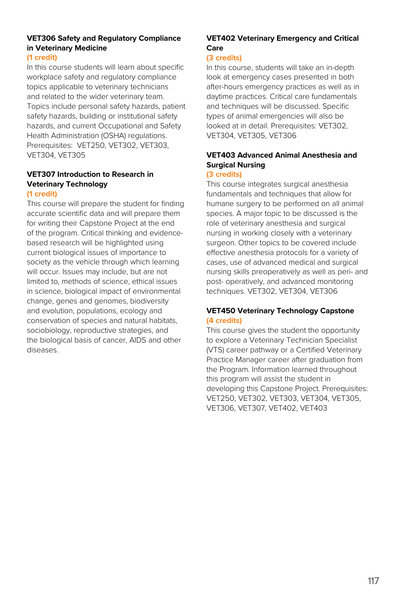# **VET306 Safety and Regulatory Compliance in Veterinary Medicine**

#### **(1 credit)**

In this course students will learn about specific workplace safety and regulatory compliance topics applicable to veterinary technicians and related to the wider veterinary team. Topics include personal safety hazards, patient safety hazards, building or institutional safety hazards, and current Occupational and Safety Health Administration (OSHA) regulations. Prerequisites: VET250, VET302, VET303, VET304, VET305

# **VET307 Introduction to Research in Veterinary Technology**

#### **(1 credit)**

This course will prepare the student for finding accurate scientific data and will prepare them for writing their Capstone Project at the end of the program. Critical thinking and evidencebased research will be highlighted using current biological issues of importance to society as the vehicle through which learning will occur. Issues may include, but are not limited to, methods of science, ethical issues in science, biological impact of environmental change, genes and genomes, biodiversity and evolution, populations, ecology and conservation of species and natural habitats, sociobiology, reproductive strategies, and the biological basis of cancer, AIDS and other diseases.

# **VET402 Veterinary Emergency and Critical Care**

#### **(3 credits)**

In this course, students will take an in-depth look at emergency cases presented in both after-hours emergency practices as well as in daytime practices. Critical care fundamentals and techniques will be discussed. Specific types of animal emergencies will also be looked at in detail. Prerequisites: VET302, VET304, VET305, VET306

# **VET403 Advanced Animal Anesthesia and Surgical Nursing**

# **(3 credits)**

This course integrates surgical anesthesia fundamentals and techniques that allow for humane surgery to be performed on all animal species. A major topic to be discussed is the role of veterinary anesthesia and surgical nursing in working closely with a veterinary surgeon. Other topics to be covered include effective anesthesia protocols for a variety of cases, use of advanced medical and surgical nursing skills preoperatively as well as peri- and post- operatively, and advanced monitoring techniques. VET302, VET304, VET306

#### **VET450 Veterinary Technology Capstone (4 credits)**

This course gives the student the opportunity to explore a Veterinary Technician Specialist (VTS) career pathway or a Certified Veterinary Practice Manager career after graduation from the Program. Information learned throughout this program will assist the student in developing this Capstone Project. Prerequisites: VET250, VET302, VET303, VET304, VET305, VET306, VET307, VET402, VET403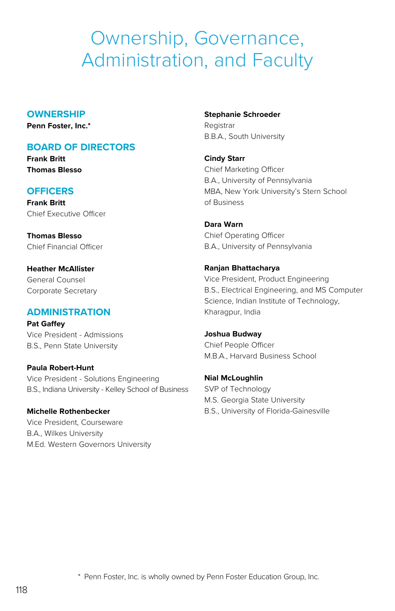# Ownership, Governance, Administration, and Faculty

#### **OWNERSHIP**

**Penn Foster, Inc.\***

# **BOARD OF DIRECTORS**

**Frank Britt Thomas Blesso**

# **OFFICERS**

**Frank Britt** Chief Executive Officer

**Thomas Blesso** Chief Financial Officer

**Heather McAllister** General Counsel Corporate Secretary

# **ADMINISTRATION**

**Pat Gaffey** Vice President - Admissions B.S., Penn State University

**Paula Robert-Hunt** Vice President - Solutions Engineering B.S., Indiana University - Kelley School of Business

**Michelle Rothenbecker** Vice President, Courseware B.A., Wilkes University M.Ed. Western Governors University **Stephanie Schroeder** Registrar B.B.A., South University

**Cindy Starr** Chief Marketing Officer B.A., University of Pennsylvania MBA, New York University's Stern School of Business

**Dara Warn** Chief Operating Officer B.A., University of Pennsylvania

# **Ranjan Bhattacharya**

Vice President, Product Engineering B.S., Electrical Engineering, and MS Computer Science, Indian Institute of Technology, Kharagpur, India

**Joshua Budway** Chief People Officer M.B.A., Harvard Business School

**Nial McLoughlin** SVP of Technology M.S. Georgia State University B.S., University of Florida-Gainesville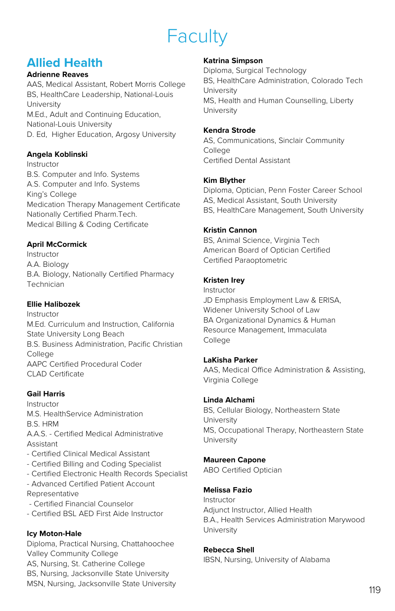# Faculty

# **Allied Health**

#### **Adrienne Reaves**

AAS, Medical Assistant, Robert Morris College BS, HealthCare Leadership, National-Louis University M.Ed., Adult and Continuing Education, National-Louis University D. Ed, Higher Education, Argosy University

# **Angela Koblinski**

Instructor B.S. Computer and Info. Systems A.S. Computer and Info. Systems King's College Medication Therapy Management Certificate Nationally Certified Pharm.Tech. Medical Billing & Coding Certificate

# **April McCormick**

Instructor A.A. Biology B.A. Biology, Nationally Certified Pharmacy Technician

# **Ellie Halibozek**

Instructor M.Ed. Curriculum and Instruction, California State University Long Beach B.S. Business Administration, Pacific Christian College AAPC Certified Procedural Coder CLAD Certificate

# **Gail Harris**

Instructor M.S. HealthService Administration B.S. HRM A.A.S. - Certified Medical Administrative Assistant

- Certified Clinical Medical Assistant - Certified Billing and Coding Specialist - Certified Electronic Health Records Specialist - Advanced Certified Patient Account Representative

- Certified Financial Counselor
- Certified BSL AED First Aide Instructor

# **Icy Moton-Hale**

Diploma, Practical Nursing, Chattahoochee Valley Community College AS, Nursing, St. Catherine College BS, Nursing, Jacksonville State University MSN, Nursing, Jacksonville State University

#### **Katrina Simpson**

Diploma, Surgical Technology BS, HealthCare Administration, Colorado Tech University MS, Health and Human Counselling, Liberty University

#### **Kendra Strode**

AS, Communications, Sinclair Community **College** Certified Dental Assistant

#### **Kim Blyther**

Diploma, Optician, Penn Foster Career School AS, Medical Assistant, South University BS, HealthCare Management, South University

#### **Kristin Cannon**

BS, Animal Science, Virginia Tech American Board of Optician Certified Certified Paraoptometric

#### **Kristen Irey**

Instructor JD Emphasis Employment Law & ERISA, Widener University School of Law BA Organizational Dynamics & Human Resource Management, Immaculata College

# **LaKisha Parker**

AAS, Medical Office Administration & Assisting, Virginia College

#### **Linda Alchami**

BS, Cellular Biology, Northeastern State University MS, Occupational Therapy, Northeastern State University

# **Maureen Capone**

ABO Certified Optician

# **Melissa Fazio**

Instructor Adjunct Instructor, Allied Health B.A., Health Services Administration Marywood University

#### **Rebecca Shell**

IBSN, Nursing, University of Alabama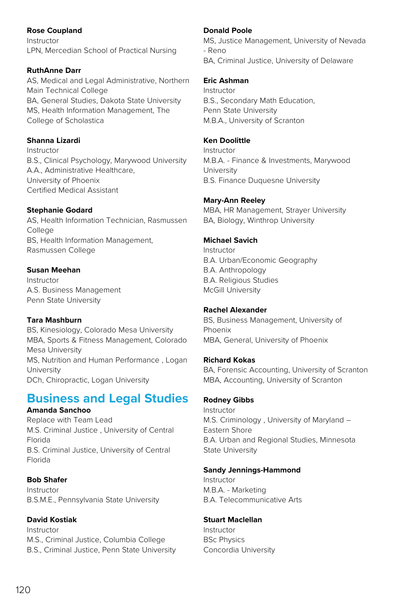# **Rose Coupland**

Instructor LPN, Mercedian School of Practical Nursing

# **RuthAnne Darr**

AS, Medical and Legal Administrative, Northern Main Technical College BA, General Studies, Dakota State University MS, Health Information Management, The College of Scholastica

# **Shanna Lizardi**

Instructor B.S., Clinical Psychology, Marywood University A.A., Administrative Healthcare, University of Phoenix Certified Medical Assistant

# **Stephanie Godard**

AS, Health Information Technician, Rasmussen College BS, Health Information Management, Rasmussen College

#### **Susan Meehan**

Instructor A.S. Business Management Penn State University

# **Tara Mashburn**

BS, Kinesiology, Colorado Mesa University MBA, Sports & Fitness Management, Colorado Mesa University MS, Nutrition and Human Performance , Logan University DCh, Chiropractic, Logan University

# **Business and Legal Studies**

#### **Amanda Sanchoo**

Replace with Team Lead M.S. Criminal Justice , University of Central Florida B.S. Criminal Justice, University of Central Florida

# **Bob Shafer**

Instructor B.S.M.E., Pennsylvania State University

# **David Kostiak**

Instructor M.S., Criminal Justice, Columbia College B.S., Criminal Justice, Penn State University

#### **Donald Poole**

MS, Justice Management, University of Nevada - Reno BA, Criminal Justice, University of Delaware

#### **Eric Ashman**

Instructor B.S., Secondary Math Education, Penn State University M.B.A., University of Scranton

# **Ken Doolittle**

Instructor M.B.A. - Finance & Investments, Marywood **University** B.S. Finance Duquesne University

#### **Mary-Ann Reeley**

MBA, HR Management, Strayer University BA, Biology, Winthrop University

#### **Michael Savich**

Instructor B.A. Urban/Economic Geography B.A. Anthropology B.A. Religious Studies McGill University

#### **Rachel Alexander**

BS, Business Management, University of Phoenix MBA, General, University of Phoenix

#### **Richard Kokas**

BA, Forensic Accounting, University of Scranton MBA, Accounting, University of Scranton

# **Rodney Gibbs**

Instructor M.S. Criminology , University of Maryland – Eastern Shore B.A. Urban and Regional Studies, Minnesota State University

#### **Sandy Jennings-Hammond**

Instructor M.B.A. - Marketing B.A. Telecommunicative Arts

#### **Stuart Maclellan**

Instructor BSc Physics Concordia University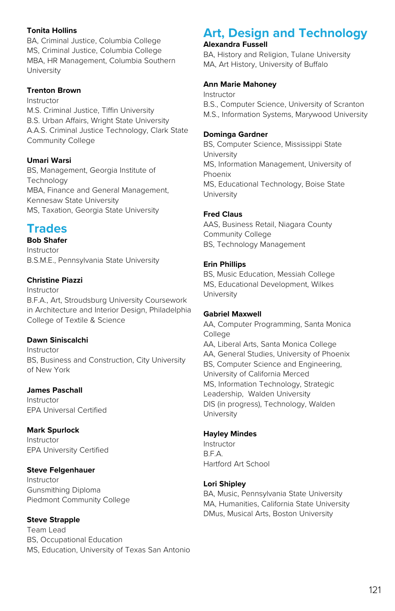#### **Tonita Hollins**

BA, Criminal Justice, Columbia College MS, Criminal Justice, Columbia College MBA, HR Management, Columbia Southern University

#### **Trenton Brown**

Instructor M.S. Criminal Justice, Tiffin University B.S. Urban Affairs, Wright State University A.A.S. Criminal Justice Technology, Clark State Community College

#### **Umari Warsi**

BS, Management, Georgia Institute of Technology MBA, Finance and General Management, Kennesaw State University MS, Taxation, Georgia State University

# **Trades**

**Bob Shafer** Instructor B.S.M.E., Pennsylvania State University

#### **Christine Piazzi**

Instructor B.F.A., Art, Stroudsburg University Coursework in Architecture and Interior Design, Philadelphia College of Textile & Science

#### **Dawn Siniscalchi**

Instructor BS, Business and Construction, City University of New York

# **James Paschall**

Instructor EPA Universal Certified

# **Mark Spurlock**

Instructor EPA University Certified

# **Steve Felgenhauer**

Instructor Gunsmithing Diploma Piedmont Community College

#### **Steve Strapple** Team Lead BS, Occupational Education MS, Education, University of Texas San Antonio

# **Art, Design and Technology**

# **Alexandra Fussell**

BA, History and Religion, Tulane University MA, Art History, University of Buffalo

# **Ann Marie Mahoney**

Instructor B.S., Computer Science, University of Scranton M.S., Information Systems, Marywood University

# **Dominga Gardner**

BS, Computer Science, Mississippi State **University** MS, Information Management, University of Phoenix MS, Educational Technology, Boise State University

#### **Fred Claus**

AAS, Business Retail, Niagara County Community College BS, Technology Management

#### **Erin Phillips**

BS, Music Education, Messiah College MS, Educational Development, Wilkes University

#### **Gabriel Maxwell**

AA, Computer Programming, Santa Monica College AA, Liberal Arts, Santa Monica College AA, General Studies, University of Phoenix BS, Computer Science and Engineering, University of California Merced MS, Information Technology, Strategic Leadership, Walden University DIS (in progress), Technology, Walden University

# **Hayley Mindes**

Instructor B.F.A. Hartford Art School

# **Lori Shipley**

BA, Music, Pennsylvania State University MA, Humanities, California State University DMus, Musical Arts, Boston University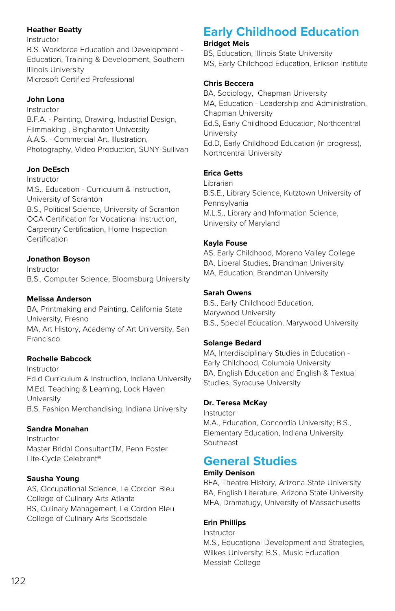#### **Heather Beatty**

Instructor B.S. Workforce Education and Development - Education, Training & Development, Southern Illinois University Microsoft Certified Professional

#### **John Lona**

Instructor B.F.A. - Painting, Drawing, Industrial Design, Filmmaking , Binghamton University A.A.S. - Commercial Art, Illustration, Photography, Video Production, SUNY-Sullivan

# **Jon DeEsch**

Instructor M.S., Education - Curriculum & Instruction, University of Scranton B.S., Political Science, University of Scranton OCA Certification for Vocational Instruction, Carpentry Certification, Home Inspection Certification

#### **Jonathon Boyson**

Instructor B.S., Computer Science, Bloomsburg University

#### **Melissa Anderson**

BA, Printmaking and Painting, California State University, Fresno MA, Art History, Academy of Art University, San Francisco

# **Rochelle Babcock**

Instructor Ed.d Curriculum & Instruction, Indiana University M.Ed. Teaching & Learning, Lock Haven **University** B.S. Fashion Merchandising, Indiana University

#### **Sandra Monahan**

Instructor Master Bridal ConsultantTM, Penn Foster Life-Cycle Celebrant®

# **Sausha Young**

AS, Occupational Science, Le Cordon Bleu College of Culinary Arts Atlanta BS, Culinary Management, Le Cordon Bleu College of Culinary Arts Scottsdale

# **Early Childhood Education**

#### **Bridget Meis**

BS, Education, Illinois State University MS, Early Childhood Education, Erikson Institute

#### **Chris Beccera**

BA, Sociology, Chapman University MA, Education - Leadership and Administration, Chapman University Ed.S, Early Childhood Education, Northcentral **University** Ed.D, Early Childhood Education (in progress), Northcentral University

#### **Erica Getts**

Librarian B.S.E., Library Science, Kutztown University of Pennsylvania M.L.S., Library and Information Science, University of Maryland

#### **Kayla Fouse**

AS, Early Childhood, Moreno Valley College BA, Liberal Studies, Brandman University MA, Education, Brandman University

#### **Sarah Owens**

B.S., Early Childhood Education, Marywood University B.S., Special Education, Marywood University

#### **Solange Bedard**

MA, Interdisciplinary Studies in Education - Early Childhood, Columbia University BA, English Education and English & Textual Studies, Syracuse University

#### **Dr. Teresa McKay**

Instructor M.A., Education, Concordia University; B.S., Elementary Education, Indiana University Southeast

# **General Studies**

#### **Emily Denison**

BFA, Theatre History, Arizona State University BA, English Literature, Arizona State University MFA, Dramatugy, University of Massachusetts

# **Erin Phillips**

Instructor M.S., Educational Development and Strategies, Wilkes University; B.S., Music Education Messiah College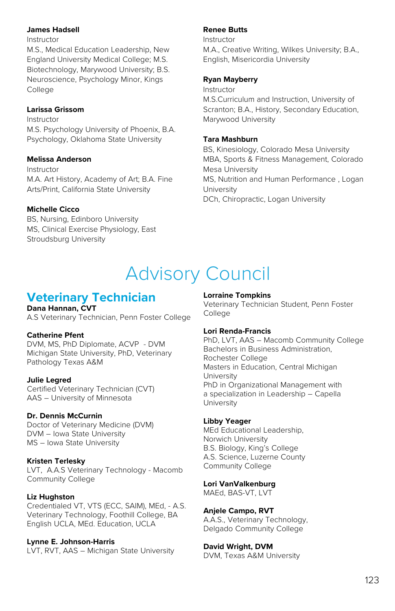#### **James Hadsell**

Instructor

M.S., Medical Education Leadership, New England University Medical College; M.S. Biotechnology, Marywood University; B.S. Neuroscience, Psychology Minor, Kings **College** 

#### **Larissa Grissom**

Instructor M.S. Psychology University of Phoenix, B.A. Psychology, Oklahoma State University

#### **Melissa Anderson**

Instructor M.A. Art History, Academy of Art; B.A. Fine Arts/Print, California State University

#### **Michelle Cicco**

BS, Nursing, Edinboro University MS, Clinical Exercise Physiology, East Stroudsburg University

#### **Renee Butts**

Instructor M.A., Creative Writing, Wilkes University; B.A., English, Misericordia University

#### **Ryan Mayberry**

Instructor M.S.Curriculum and Instruction, University of Scranton; B.A., History, Secondary Education, Marywood University

#### **Tara Mashburn**

BS, Kinesiology, Colorado Mesa University MBA, Sports & Fitness Management, Colorado Mesa University MS, Nutrition and Human Performance , Logan University DCh, Chiropractic, Logan University

# Advisory Council

# **Veterinary Technician**

**Dana Hannan, CVT** A.S Veterinary Technician, Penn Foster College

#### **Catherine Pfent**

DVM, MS, PhD Diplomate, ACVP - DVM Michigan State University, PhD, Veterinary Pathology Texas A&M

#### **Julie Legred**

Certified Veterinary Technician (CVT) AAS – University of Minnesota

#### **Dr. Dennis McCurnin**

Doctor of Veterinary Medicine (DVM) DVM – Iowa State University MS – Iowa State University

#### **Kristen Terlesky**

LVT, A.A.S Veterinary Technology - Macomb Community College

#### **Liz Hughston**

Credentialed VT, VTS (ECC, SAIM), MEd, - A.S. Veterinary Technology, Foothill College, BA English UCLA, MEd. Education, UCLA

**Lynne E. Johnson-Harris** LVT, RVT, AAS – Michigan State University

#### **Lorraine Tompkins**

Veterinary Technician Student, Penn Foster **College** 

#### **Lori Renda-Francis**

PhD, LVT, AAS – Macomb Community College Bachelors in Business Administration, Rochester College Masters in Education, Central Michigan **University** PhD in Organizational Management with a specialization in Leadership – Capella **University** 

#### **Libby Yeager**

MEd Educational Leadership, Norwich University B.S. Biology, King's College A.S. Science, Luzerne County Community College

#### **Lori VanValkenburg**

MAEd, BAS-VT, LVT

#### **Anjele Campo, RVT**

A.A.S., Veterinary Technology, Delgado Community College

# **David Wright, DVM**

DVM, Texas A&M University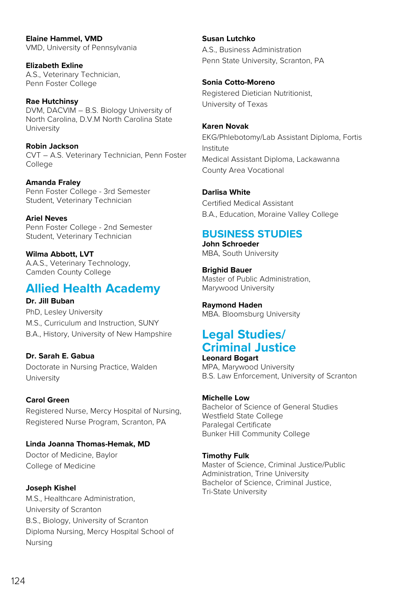**Elaine Hammel, VMD** VMD, University of Pennsylvania

**Elizabeth Exline** A.S., Veterinary Technician, Penn Foster College

**Rae Hutchinsy** DVM, DACVIM – B.S. Biology University of North Carolina, D.V.M North Carolina State University

**Robin Jackson** CVT – A.S. Veterinary Technician, Penn Foster College

**Amanda Fraley** Penn Foster College - 3rd Semester Student, Veterinary Technician

**Ariel Neves** Penn Foster College - 2nd Semester Student, Veterinary Technician

**Wilma Abbott, LVT** A.A.S., Veterinary Technology, Camden County College

# **Allied Health Academy**

# **Dr. Jill Buban**

PhD, Lesley University M.S., Curriculum and Instruction, SUNY B.A., History, University of New Hampshire

# **Dr. Sarah E. Gabua**

Doctorate in Nursing Practice, Walden **University** 

# **Carol Green**

Registered Nurse, Mercy Hospital of Nursing, Registered Nurse Program, Scranton, PA

**Linda Joanna Thomas-Hemak, MD**

Doctor of Medicine, Baylor College of Medicine

# **Joseph Kishel**

M.S., Healthcare Administration, University of Scranton B.S., Biology, University of Scranton Diploma Nursing, Mercy Hospital School of Nursing

# **Susan Lutchko**

A.S., Business Administration Penn State University, Scranton, PA

# **Sonia Cotto-Moreno**

Registered Dietician Nutritionist, University of Texas

#### **Karen Novak**

EKG/Phlebotomy/Lab Assistant Diploma, Fortis Institute Medical Assistant Diploma, Lackawanna County Area Vocational

# **Darlisa White**

Certified Medical Assistant B.A., Education, Moraine Valley College

# **BUSINESS STUDIES**

**John Schroeder** MBA, South University

**Brighid Bauer** Master of Public Administration, Marywood University

**Raymond Haden** MBA. Bloomsburg University

# **Legal Studies/ Criminal Justice**

**Leonard Bogart** MPA, Marywood University B.S. Law Enforcement, University of Scranton

# **Michelle Low**

Bachelor of Science of General Studies Westfield State College Paralegal Certificate Bunker Hill Community College

# **Timothy Fulk**

Master of Science, Criminal Justice/Public Administration, Trine University Bachelor of Science, Criminal Justice, Tri-State University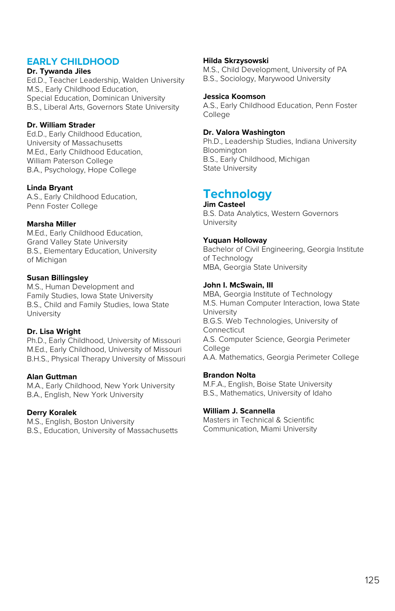# **EARLY CHILDHOOD**

#### **Dr. Tywanda Jiles**

Ed.D., Teacher Leadership, Walden University M.S., Early Childhood Education, Special Education, Dominican University B.S., Liberal Arts, Governors State University

#### **Dr. William Strader**

Ed.D., Early Childhood Education, University of Massachusetts M.Ed., Early Childhood Education, William Paterson College B.A., Psychology, Hope College

#### **Linda Bryant**

A.S., Early Childhood Education, Penn Foster College

#### **Marsha Miller**

M.Ed., Early Childhood Education, Grand Valley State University B.S., Elementary Education, University of Michigan

#### **Susan Billingsley**

M.S., Human Development and Family Studies, Iowa State University B.S., Child and Family Studies, Iowa State University

#### **Dr. Lisa Wright**

Ph.D., Early Childhood, University of Missouri M.Ed., Early Childhood, University of Missouri B.H.S., Physical Therapy University of Missouri

#### **Alan Guttman**

M.A., Early Childhood, New York University B.A., English, New York University

#### **Derry Koralek**

M.S., English, Boston University B.S., Education, University of Massachusetts

#### **Hilda Skrzysowski**

M.S., Child Development, University of PA B.S., Sociology, Marywood University

#### **Jessica Koomson**

A.S., Early Childhood Education, Penn Foster College

#### **Dr. Valora Washington**

Ph.D., Leadership Studies, Indiana University Bloomington B.S., Early Childhood, Michigan State University

#### **Technology Jim Casteel**

B.S. Data Analytics, Western Governors University

#### **Yuquan Holloway**

Bachelor of Civil Engineering, Georgia Institute of Technology MBA, Georgia State University

#### **John I. McSwain, III**

MBA, Georgia Institute of Technology M.S. Human Computer Interaction, Iowa State University B.G.S. Web Technologies, University of Connecticut A.S. Computer Science, Georgia Perimeter College A.A. Mathematics, Georgia Perimeter College

#### **Brandon Nolta**

M.F.A., English, Boise State University B.S., Mathematics, University of Idaho

#### **William J. Scannella**

Masters in Technical & Scientific Communication, Miami University